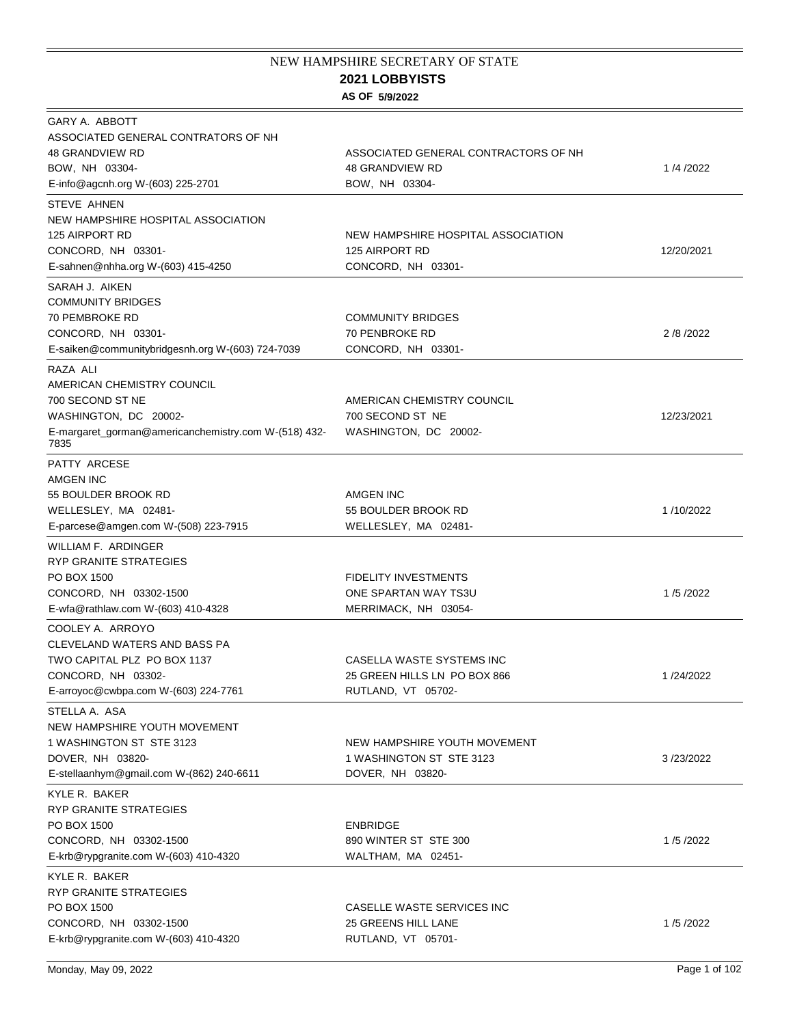## **2021 LOBBYISTS**  NEW HAMPSHIRE SECRETARY OF STATE

## **AS OF 5/9/2022**

| GARY A. ABBOTT<br>ASSOCIATED GENERAL CONTRATORS OF NH<br><b>48 GRANDVIEW RD</b><br>BOW, NH 03304-<br>E-info@agcnh.org W-(603) 225-2701              | ASSOCIATED GENERAL CONTRACTORS OF NH<br><b>48 GRANDVIEW RD</b><br>BOW, NH 03304- | 1/4/2022     |
|-----------------------------------------------------------------------------------------------------------------------------------------------------|----------------------------------------------------------------------------------|--------------|
| STEVE AHNEN<br>NEW HAMPSHIRE HOSPITAL ASSOCIATION<br>125 AIRPORT RD<br>CONCORD, NH 03301-<br>E-sahnen@nhha.org W-(603) 415-4250                     | NEW HAMPSHIRE HOSPITAL ASSOCIATION<br>125 AIRPORT RD<br>CONCORD, NH 03301-       | 12/20/2021   |
| SARAH J. AIKEN<br><b>COMMUNITY BRIDGES</b><br>70 PEMBROKE RD<br>CONCORD, NH 03301-<br>E-saiken@communitybridgesnh.org W-(603) 724-7039              | <b>COMMUNITY BRIDGES</b><br>70 PENBROKE RD<br>CONCORD, NH 03301-                 | 2 / 8 / 2022 |
| RAZA ALI<br>AMERICAN CHEMISTRY COUNCIL<br>700 SECOND ST NE<br>WASHINGTON, DC 20002-<br>E-margaret_gorman@americanchemistry.com W-(518) 432-<br>7835 | AMERICAN CHEMISTRY COUNCIL<br>700 SECOND ST NE<br>WASHINGTON, DC 20002-          | 12/23/2021   |
| PATTY ARCESE<br>AMGEN INC<br>55 BOULDER BROOK RD<br>WELLESLEY, MA 02481-<br>E-parcese@amgen.com W-(508) 223-7915                                    | AMGEN INC<br>55 BOULDER BROOK RD<br>WELLESLEY, MA 02481-                         | 1/10/2022    |
| WILLIAM F. ARDINGER<br><b>RYP GRANITE STRATEGIES</b><br>PO BOX 1500<br>CONCORD, NH 03302-1500<br>E-wfa@rathlaw.com W-(603) 410-4328                 | <b>FIDELITY INVESTMENTS</b><br>ONE SPARTAN WAY TS3U<br>MERRIMACK, NH 03054-      | 1/5/2022     |
| COOLEY A. ARROYO<br>CLEVELAND WATERS AND BASS PA<br>TWO CAPITAL PLZ PO BOX 1137<br>CONCORD, NH 03302-<br>E-arroyoc@cwbpa.com W-(603) 224-7761       | CASELLA WASTE SYSTEMS INC<br>25 GREEN HILLS LN PO BOX 866<br>RUTLAND, VT 05702-  | 1/24/2022    |
| STELLA A. ASA<br>NEW HAMPSHIRE YOUTH MOVEMENT<br>1 WASHINGTON ST STE 3123<br>DOVER, NH 03820-<br>E-stellaanhym@gmail.com W-(862) 240-6611           | NEW HAMPSHIRE YOUTH MOVEMENT<br>1 WASHINGTON ST STE 3123<br>DOVER, NH 03820-     | 3/23/2022    |
| KYLE R. BAKER<br>RYP GRANITE STRATEGIES<br>PO BOX 1500<br>CONCORD, NH 03302-1500<br>E-krb@rypgranite.com W-(603) 410-4320                           | <b>ENBRIDGE</b><br>890 WINTER ST STE 300<br>WALTHAM, MA 02451-                   | 1/5/2022     |
| KYLE R. BAKER<br>RYP GRANITE STRATEGIES<br>PO BOX 1500<br>CONCORD, NH 03302-1500<br>E-krb@rypgranite.com W-(603) 410-4320                           | CASELLE WASTE SERVICES INC<br>25 GREENS HILL LANE<br>RUTLAND, VT 05701-          | 1/5/2022     |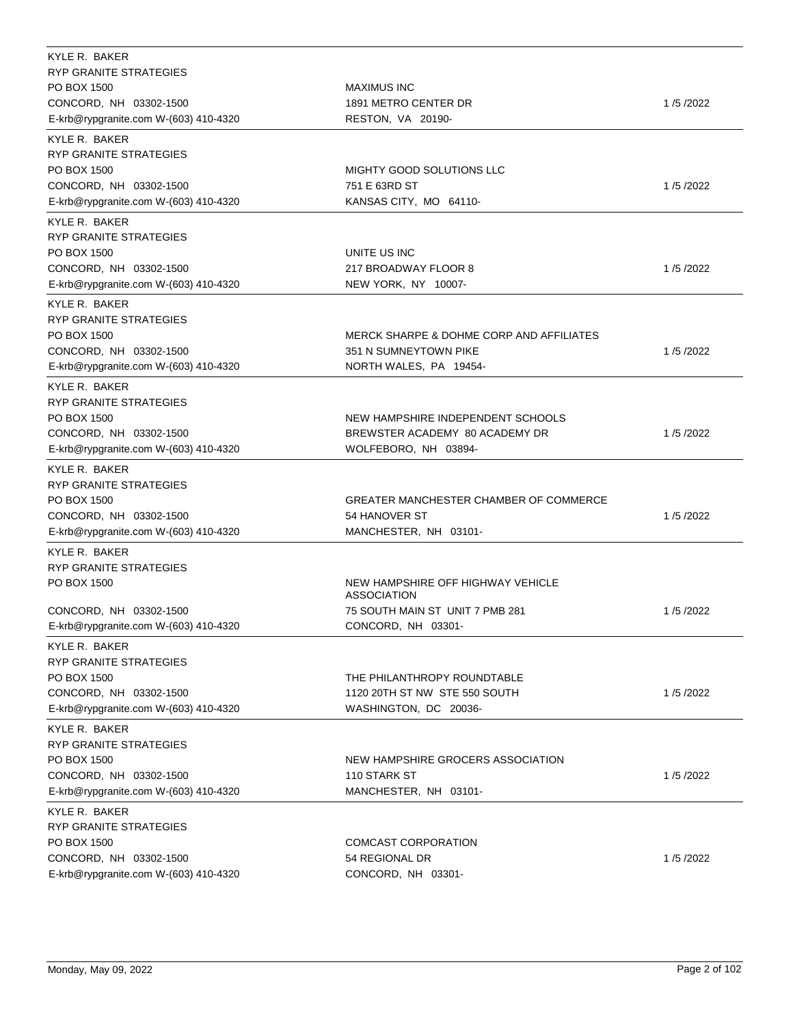| KYLE R. BAKER                         |                                                  |          |
|---------------------------------------|--------------------------------------------------|----------|
| <b>RYP GRANITE STRATEGIES</b>         |                                                  |          |
| PO BOX 1500                           | <b>MAXIMUS INC</b>                               |          |
| CONCORD, NH 03302-1500                | 1891 METRO CENTER DR                             | 1/5/2022 |
| E-krb@rypgranite.com W-(603) 410-4320 | RESTON, VA 20190-                                |          |
| KYLE R. BAKER                         |                                                  |          |
| RYP GRANITE STRATEGIES                |                                                  |          |
| PO BOX 1500                           | MIGHTY GOOD SOLUTIONS LLC                        |          |
| CONCORD, NH 03302-1500                | 751 E 63RD ST                                    | 1/5/2022 |
| E-krb@rypgranite.com W-(603) 410-4320 | KANSAS CITY, MO 64110-                           |          |
| KYLE R. BAKER                         |                                                  |          |
| <b>RYP GRANITE STRATEGIES</b>         |                                                  |          |
| PO BOX 1500                           | UNITE US INC                                     |          |
| CONCORD, NH 03302-1500                | 217 BROADWAY FLOOR 8                             | 1/5/2022 |
| E-krb@rypgranite.com W-(603) 410-4320 | NEW YORK, NY 10007-                              |          |
| KYLE R. BAKER                         |                                                  |          |
| RYP GRANITE STRATEGIES                |                                                  |          |
| PO BOX 1500                           | MERCK SHARPE & DOHME CORP AND AFFILIATES         |          |
| CONCORD, NH 03302-1500                | 351 N SUMNEYTOWN PIKE                            | 1/5/2022 |
| E-krb@rypgranite.com W-(603) 410-4320 | NORTH WALES, PA 19454-                           |          |
| KYLE R. BAKER                         |                                                  |          |
| RYP GRANITE STRATEGIES                |                                                  |          |
| PO BOX 1500                           | NEW HAMPSHIRE INDEPENDENT SCHOOLS                |          |
| CONCORD, NH 03302-1500                | BREWSTER ACADEMY 80 ACADEMY DR                   | 1/5/2022 |
| E-krb@rypgranite.com W-(603) 410-4320 | WOLFEBORO, NH 03894-                             |          |
|                                       |                                                  |          |
| KYLE R. BAKER                         |                                                  |          |
| RYP GRANITE STRATEGIES                |                                                  |          |
| PO BOX 1500                           | <b>GREATER MANCHESTER CHAMBER OF COMMERCE</b>    |          |
| CONCORD, NH 03302-1500                | 54 HANOVER ST                                    | 1/5/2022 |
| E-krb@rypgranite.com W-(603) 410-4320 | MANCHESTER, NH 03101-                            |          |
| KYLE R. BAKER                         |                                                  |          |
| <b>RYP GRANITE STRATEGIES</b>         |                                                  |          |
| PO BOX 1500                           | NEW HAMPSHIRE OFF HIGHWAY VEHICLE<br>ASSOCIATION |          |
| CONCORD, NH 03302-1500                | 75 SOUTH MAIN ST UNIT 7 PMB 281                  | 1/5/2022 |
| E-krb@rypgranite.com W-(603) 410-4320 | CONCORD, NH 03301-                               |          |
|                                       |                                                  |          |
| KYLE R. BAKER                         |                                                  |          |
| <b>RYP GRANITE STRATEGIES</b>         |                                                  |          |
| PO BOX 1500                           | THE PHILANTHROPY ROUNDTABLE                      |          |
| CONCORD, NH 03302-1500                | 1120 20TH ST NW STE 550 SOUTH                    | 1/5/2022 |
| E-krb@rypgranite.com W-(603) 410-4320 | WASHINGTON, DC 20036-                            |          |
| KYLE R. BAKER                         |                                                  |          |
| RYP GRANITE STRATEGIES                |                                                  |          |
| PO BOX 1500                           | NEW HAMPSHIRE GROCERS ASSOCIATION                |          |
| CONCORD, NH 03302-1500                | 110 STARK ST                                     | 1/5/2022 |
| E-krb@rypgranite.com W-(603) 410-4320 | MANCHESTER, NH 03101-                            |          |
| KYLE R. BAKER                         |                                                  |          |
| <b>RYP GRANITE STRATEGIES</b>         |                                                  |          |
| PO BOX 1500                           | COMCAST CORPORATION                              |          |
| CONCORD, NH 03302-1500                | 54 REGIONAL DR                                   | 1/5/2022 |
| E-krb@rypgranite.com W-(603) 410-4320 | CONCORD, NH 03301-                               |          |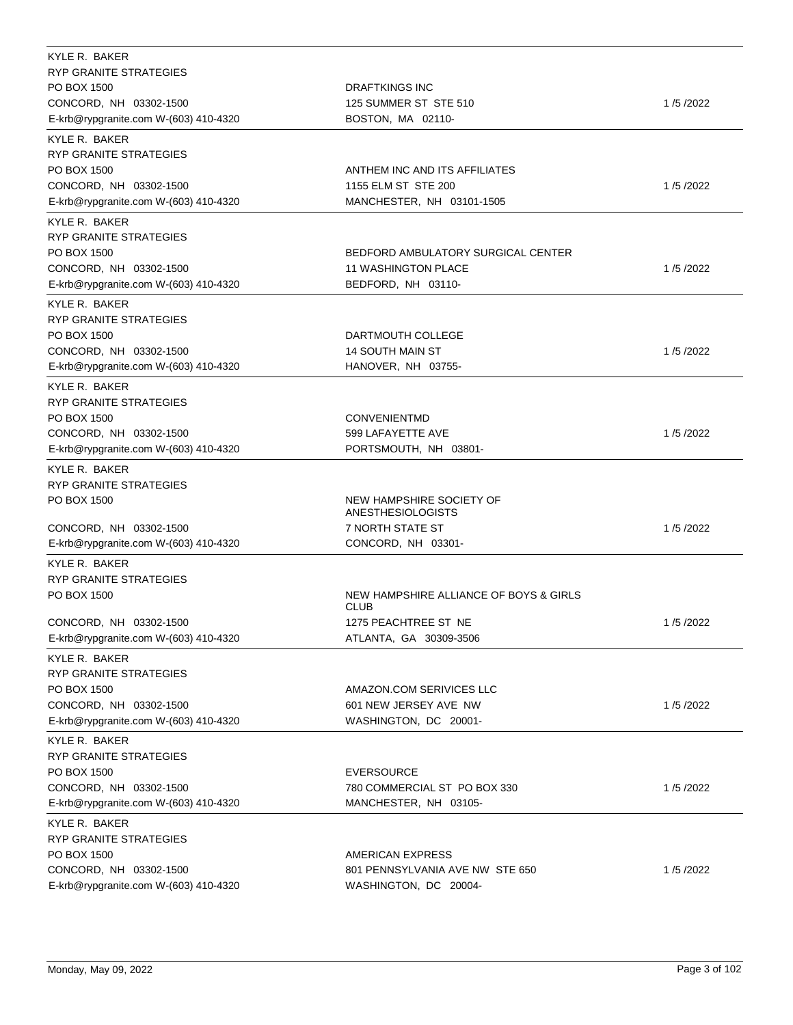| KYLE R. BAKER<br><b>RYP GRANITE STRATEGIES</b><br>PO BOX 1500<br>CONCORD, NH 03302-1500<br>E-krb@rypgranite.com W-(603) 410-4320 | <b>DRAFTKINGS INC</b><br>125 SUMMER ST STE 510<br>BOSTON, MA 02110-               | 1/5/2022 |
|----------------------------------------------------------------------------------------------------------------------------------|-----------------------------------------------------------------------------------|----------|
| KYLE R. BAKER<br>RYP GRANITE STRATEGIES<br>PO BOX 1500<br>CONCORD, NH 03302-1500<br>E-krb@rypgranite.com W-(603) 410-4320        | ANTHEM INC AND ITS AFFILIATES<br>1155 ELM ST STE 200<br>MANCHESTER, NH 03101-1505 | 1/5/2022 |
| KYLE R. BAKER<br>RYP GRANITE STRATEGIES<br>PO BOX 1500<br>CONCORD, NH 03302-1500<br>E-krb@rypgranite.com W-(603) 410-4320        | BEDFORD AMBULATORY SURGICAL CENTER<br>11 WASHINGTON PLACE<br>BEDFORD, NH 03110-   | 1/5/2022 |
| KYLE R. BAKER<br>RYP GRANITE STRATEGIES<br>PO BOX 1500<br>CONCORD, NH 03302-1500<br>E-krb@rypgranite.com W-(603) 410-4320        | DARTMOUTH COLLEGE<br><b>14 SOUTH MAIN ST</b><br>HANOVER, NH 03755-                | 1/5/2022 |
| KYLE R. BAKER<br>RYP GRANITE STRATEGIES<br>PO BOX 1500<br>CONCORD, NH 03302-1500<br>E-krb@rypgranite.com W-(603) 410-4320        | <b>CONVENIENTMD</b><br>599 LAFAYETTE AVE<br>PORTSMOUTH, NH 03801-                 | 1/5/2022 |
| KYLE R. BAKER<br><b>RYP GRANITE STRATEGIES</b>                                                                                   |                                                                                   |          |
| PO BOX 1500<br>CONCORD, NH 03302-1500                                                                                            | NEW HAMPSHIRE SOCIETY OF<br>ANESTHESIOLOGISTS<br>7 NORTH STATE ST                 | 1/5/2022 |
| E-krb@rypgranite.com W-(603) 410-4320<br>KYLE R. BAKER<br><b>RYP GRANITE STRATEGIES</b><br>PO BOX 1500                           | CONCORD, NH 03301-<br>NEW HAMPSHIRE ALLIANCE OF BOYS & GIRLS                      |          |
| CONCORD, NH 03302-1500<br>E-krb@rypgranite.com W-(603) 410-4320                                                                  | <b>CLUB</b><br>1275 PEACHTREE ST NE<br>ATLANTA, GA 30309-3506                     | 1/5/2022 |
| KYLE R. BAKER<br><b>RYP GRANITE STRATEGIES</b><br>PO BOX 1500<br>CONCORD, NH 03302-1500<br>E-krb@rypgranite.com W-(603) 410-4320 | AMAZON.COM SERIVICES LLC<br>601 NEW JERSEY AVE NW<br>WASHINGTON, DC 20001-        | 1/5/2022 |
| KYLE R. BAKER<br><b>RYP GRANITE STRATEGIES</b><br>PO BOX 1500<br>CONCORD, NH 03302-1500<br>E-krb@rypgranite.com W-(603) 410-4320 | <b>EVERSOURCE</b><br>780 COMMERCIAL ST PO BOX 330<br>MANCHESTER, NH 03105-        | 1/5/2022 |
| KYLE R. BAKER<br>RYP GRANITE STRATEGIES<br>PO BOX 1500<br>CONCORD, NH 03302-1500<br>E-krb@rypgranite.com W-(603) 410-4320        | AMERICAN EXPRESS<br>801 PENNSYLVANIA AVE NW STE 650<br>WASHINGTON, DC 20004-      | 1/5/2022 |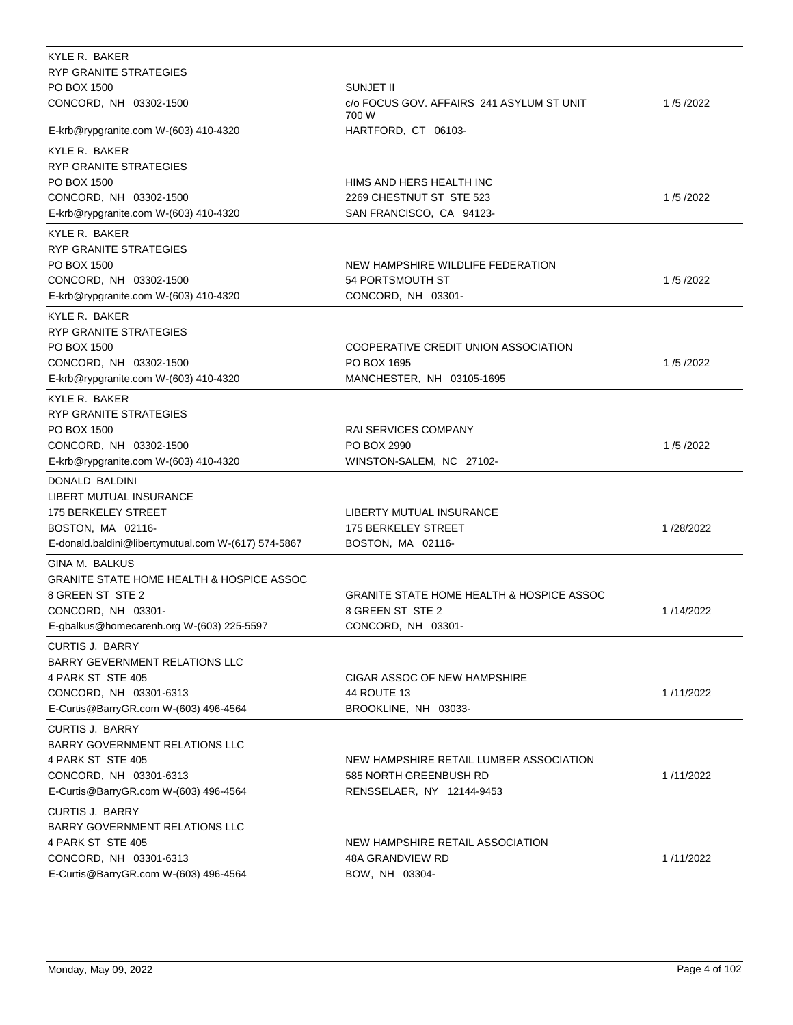| KYLE R. BAKER<br><b>RYP GRANITE STRATEGIES</b><br>PO BOX 1500<br>CONCORD, NH 03302-1500                                                                       | SUNJET II<br>c/o FOCUS GOV. AFFAIRS 241 ASYLUM ST UNIT<br>700 W                                | 1/5/2022  |
|---------------------------------------------------------------------------------------------------------------------------------------------------------------|------------------------------------------------------------------------------------------------|-----------|
| E-krb@rypgranite.com W-(603) 410-4320                                                                                                                         | HARTFORD, CT 06103-                                                                            |           |
| KYLE R. BAKER<br>RYP GRANITE STRATEGIES<br>PO BOX 1500<br>CONCORD, NH 03302-1500<br>E-krb@rypgranite.com W-(603) 410-4320                                     | HIMS AND HERS HEALTH INC<br>2269 CHESTNUT ST STE 523<br>SAN FRANCISCO, CA 94123-               | 1/5/2022  |
| KYLE R. BAKER<br>RYP GRANITE STRATEGIES<br>PO BOX 1500<br>CONCORD, NH 03302-1500<br>E-krb@rypgranite.com W-(603) 410-4320                                     | NEW HAMPSHIRE WILDLIFE FEDERATION<br>54 PORTSMOUTH ST<br>CONCORD, NH 03301-                    | 1/5/2022  |
| KYLE R. BAKER<br><b>RYP GRANITE STRATEGIES</b><br>PO BOX 1500<br>CONCORD, NH 03302-1500<br>E-krb@rypgranite.com W-(603) 410-4320                              | COOPERATIVE CREDIT UNION ASSOCIATION<br>PO BOX 1695<br>MANCHESTER, NH 03105-1695               | 1/5/2022  |
| KYLE R. BAKER<br><b>RYP GRANITE STRATEGIES</b><br>PO BOX 1500<br>CONCORD, NH 03302-1500<br>E-krb@rypgranite.com W-(603) 410-4320                              | <b>RAI SERVICES COMPANY</b><br>PO BOX 2990<br>WINSTON-SALEM, NC 27102-                         | 1/5/2022  |
| DONALD BALDINI<br>LIBERT MUTUAL INSURANCE<br>175 BERKELEY STREET<br>BOSTON, MA 02116-<br>E-donald.baldini@libertymutual.com W-(617) 574-5867                  | LIBERTY MUTUAL INSURANCE<br>175 BERKELEY STREET<br>BOSTON, MA 02116-                           | 1/28/2022 |
| GINA M. BALKUS<br><b>GRANITE STATE HOME HEALTH &amp; HOSPICE ASSOC</b><br>8 GREEN ST STE 2<br>CONCORD, NH 03301-<br>E-gbalkus@homecarenh.org W-(603) 225-5597 | <b>GRANITE STATE HOME HEALTH &amp; HOSPICE ASSOC</b><br>8 GREEN ST STE 2<br>CONCORD, NH 03301- | 1/14/2022 |
| <b>CURTIS J. BARRY</b><br><b>BARRY GEVERNMENT RELATIONS LLC</b><br>4 PARK ST STE 405<br>CONCORD, NH 03301-6313<br>E-Curtis@BarryGR.com W-(603) 496-4564       | CIGAR ASSOC OF NEW HAMPSHIRE<br>44 ROUTE 13<br>BROOKLINE, NH 03033-                            | 1/11/2022 |
| <b>CURTIS J. BARRY</b><br>BARRY GOVERNMENT RELATIONS LLC<br>4 PARK ST STE 405<br>CONCORD, NH 03301-6313<br>E-Curtis@BarryGR.com W-(603) 496-4564              | NEW HAMPSHIRE RETAIL LUMBER ASSOCIATION<br>585 NORTH GREENBUSH RD<br>RENSSELAER, NY 12144-9453 | 1/11/2022 |
| <b>CURTIS J. BARRY</b><br><b>BARRY GOVERNMENT RELATIONS LLC</b><br>4 PARK ST STE 405<br>CONCORD, NH 03301-6313<br>E-Curtis@BarryGR.com W-(603) 496-4564       | NEW HAMPSHIRE RETAIL ASSOCIATION<br>48A GRANDVIEW RD<br>BOW, NH 03304-                         | 1/11/2022 |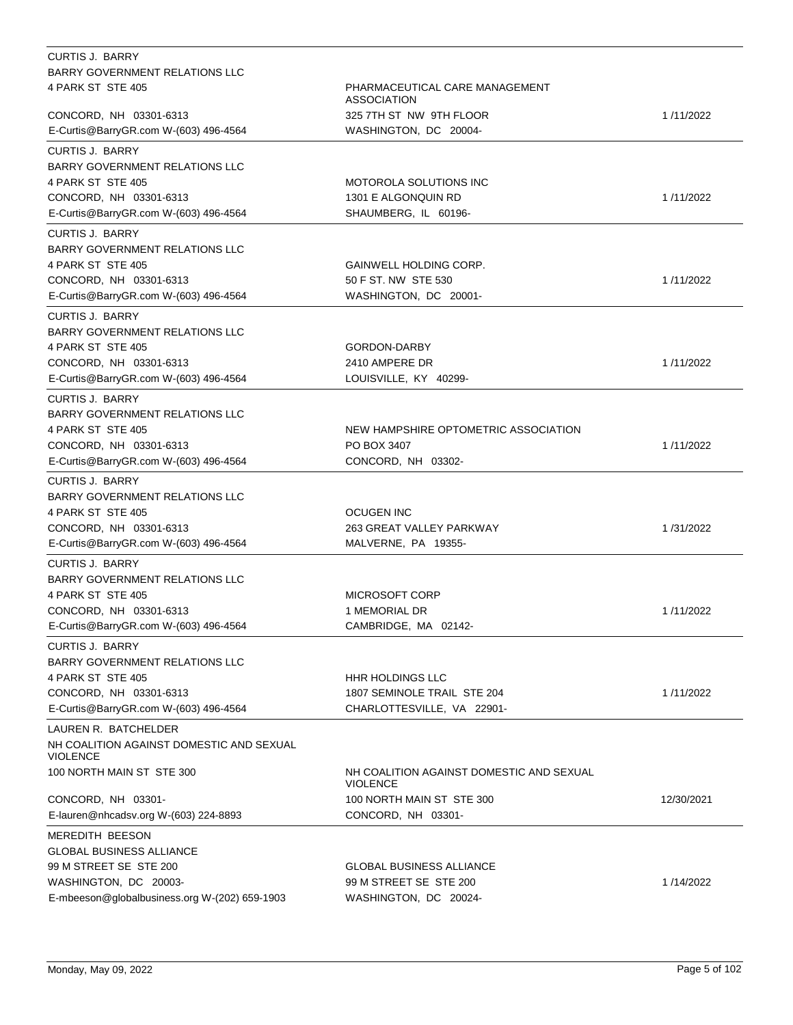| <b>CURTIS J. BARRY</b>                                      |                                                             |            |
|-------------------------------------------------------------|-------------------------------------------------------------|------------|
| BARRY GOVERNMENT RELATIONS LLC                              |                                                             |            |
| 4 PARK ST STE 405                                           | PHARMACEUTICAL CARE MANAGEMENT<br><b>ASSOCIATION</b>        |            |
| CONCORD, NH 03301-6313                                      | 325 7TH ST NW 9TH FLOOR                                     | 1/11/2022  |
| E-Curtis@BarryGR.com W-(603) 496-4564                       | WASHINGTON, DC 20004-                                       |            |
| <b>CURTIS J. BARRY</b>                                      |                                                             |            |
| <b>BARRY GOVERNMENT RELATIONS LLC</b>                       |                                                             |            |
| 4 PARK ST STE 405                                           | <b>MOTOROLA SOLUTIONS INC</b>                               |            |
| CONCORD, NH 03301-6313                                      | 1301 E ALGONQUIN RD                                         | 1/11/2022  |
| E-Curtis@BarryGR.com W-(603) 496-4564                       | SHAUMBERG, IL 60196-                                        |            |
|                                                             |                                                             |            |
| <b>CURTIS J. BARRY</b>                                      |                                                             |            |
| <b>BARRY GOVERNMENT RELATIONS LLC</b>                       |                                                             |            |
| 4 PARK ST STE 405                                           | GAINWELL HOLDING CORP.                                      |            |
| CONCORD, NH 03301-6313                                      | 50 F ST. NW STE 530                                         | 1/11/2022  |
| E-Curtis@BarryGR.com W-(603) 496-4564                       | WASHINGTON, DC 20001-                                       |            |
| <b>CURTIS J. BARRY</b>                                      |                                                             |            |
| <b>BARRY GOVERNMENT RELATIONS LLC</b>                       |                                                             |            |
| 4 PARK ST STE 405                                           | GORDON-DARBY                                                |            |
| CONCORD, NH 03301-6313                                      | 2410 AMPERE DR                                              | 1/11/2022  |
| E-Curtis@BarryGR.com W-(603) 496-4564                       | LOUISVILLE, KY 40299-                                       |            |
| <b>CURTIS J. BARRY</b>                                      |                                                             |            |
| <b>BARRY GOVERNMENT RELATIONS LLC</b>                       |                                                             |            |
| 4 PARK ST STE 405                                           | NEW HAMPSHIRE OPTOMETRIC ASSOCIATION                        |            |
| CONCORD, NH 03301-6313                                      | PO BOX 3407                                                 | 1/11/2022  |
| E-Curtis@BarryGR.com W-(603) 496-4564                       | CONCORD, NH 03302-                                          |            |
| <b>CURTIS J. BARRY</b>                                      |                                                             |            |
| <b>BARRY GOVERNMENT RELATIONS LLC</b>                       |                                                             |            |
| 4 PARK ST STE 405                                           | <b>OCUGEN INC</b>                                           |            |
| CONCORD, NH 03301-6313                                      | 263 GREAT VALLEY PARKWAY                                    | 1/31/2022  |
| E-Curtis@BarryGR.com W-(603) 496-4564                       | MALVERNE, PA 19355-                                         |            |
|                                                             |                                                             |            |
| <b>CURTIS J. BARRY</b>                                      |                                                             |            |
| BARRY GOVERNMENT RELATIONS LLC                              |                                                             |            |
| 4 PARK ST STE 405                                           | MICROSOFT CORP                                              |            |
| CONCORD, NH 03301-6313                                      | 1 MEMORIAL DR                                               | 1/11/2022  |
| E-Curtis@BarryGR.com W-(603) 496-4564                       | CAMBRIDGE, MA 02142-                                        |            |
| CURTIS J. BARRY                                             |                                                             |            |
| BARRY GOVERNMENT RELATIONS LLC                              |                                                             |            |
| 4 PARK ST STE 405                                           | HHR HOLDINGS LLC                                            |            |
| CONCORD, NH 03301-6313                                      | 1807 SEMINOLE TRAIL STE 204                                 | 1/11/2022  |
| E-Curtis@BarryGR.com W-(603) 496-4564                       | CHARLOTTESVILLE, VA 22901-                                  |            |
| LAUREN R. BATCHELDER                                        |                                                             |            |
| NH COALITION AGAINST DOMESTIC AND SEXUAL<br><b>VIOLENCE</b> |                                                             |            |
| 100 NORTH MAIN ST STE 300                                   | NH COALITION AGAINST DOMESTIC AND SEXUAL<br><b>VIOLENCE</b> |            |
| CONCORD, NH 03301-                                          | 100 NORTH MAIN ST STE 300                                   | 12/30/2021 |
| E-lauren@nhcadsv.org W-(603) 224-8893                       | CONCORD, NH 03301-                                          |            |
| MEREDITH BEESON                                             |                                                             |            |
| <b>GLOBAL BUSINESS ALLIANCE</b>                             |                                                             |            |
| 99 M STREET SE STE 200                                      | <b>GLOBAL BUSINESS ALLIANCE</b>                             |            |
| WASHINGTON, DC 20003-                                       | 99 M STREET SE STE 200                                      | 1/14/2022  |
| E-mbeeson@globalbusiness.org W-(202) 659-1903               | WASHINGTON, DC 20024-                                       |            |
|                                                             |                                                             |            |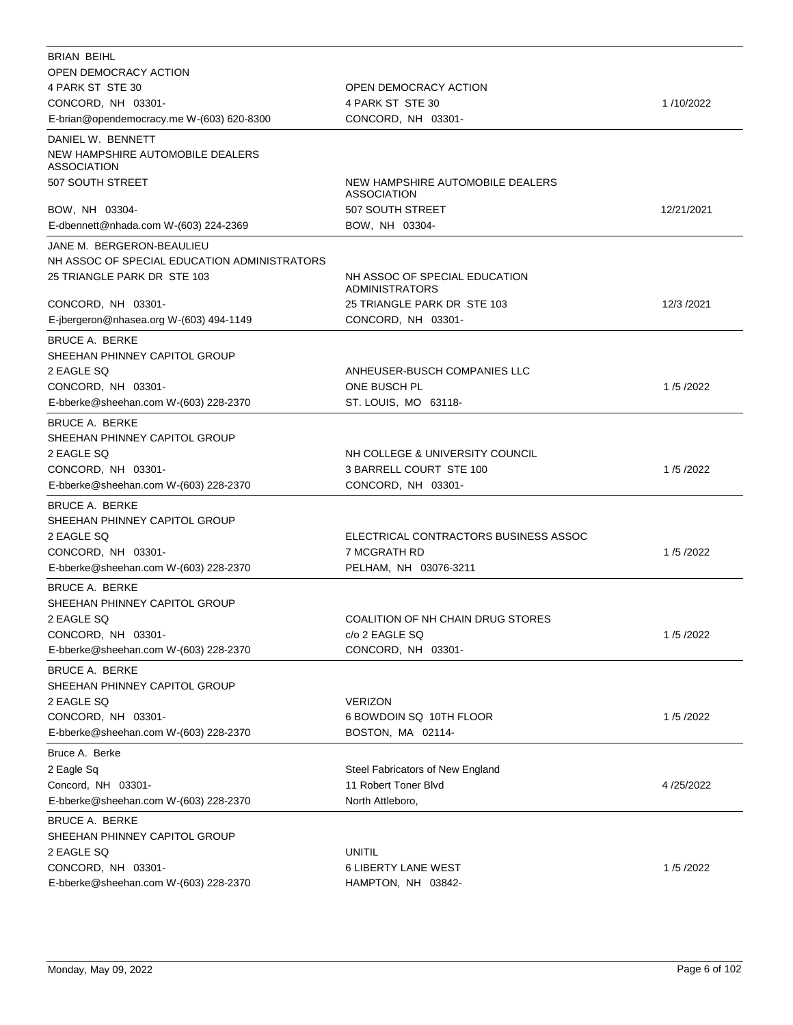| <b>BRIAN BEIHL</b>                                     |                                                        |            |
|--------------------------------------------------------|--------------------------------------------------------|------------|
| OPEN DEMOCRACY ACTION                                  |                                                        |            |
| 4 PARK ST STE 30                                       | OPEN DEMOCRACY ACTION                                  |            |
| CONCORD, NH 03301-                                     | 4 PARK ST STE 30                                       | 1/10/2022  |
| E-brian@opendemocracy.me W-(603) 620-8300              | CONCORD, NH 03301-                                     |            |
| DANIEL W. BENNETT                                      |                                                        |            |
| NEW HAMPSHIRE AUTOMOBILE DEALERS<br><b>ASSOCIATION</b> |                                                        |            |
| 507 SOUTH STREET                                       | NEW HAMPSHIRE AUTOMOBILE DEALERS<br><b>ASSOCIATION</b> |            |
| BOW, NH 03304-                                         | 507 SOUTH STREET                                       | 12/21/2021 |
| E-dbennett@nhada.com W-(603) 224-2369                  | BOW, NH 03304-                                         |            |
| JANE M. BERGERON-BEAULIEU                              |                                                        |            |
| NH ASSOC OF SPECIAL EDUCATION ADMINISTRATORS           |                                                        |            |
| 25 TRIANGLE PARK DR STE 103                            | NH ASSOC OF SPECIAL EDUCATION<br><b>ADMINISTRATORS</b> |            |
| CONCORD, NH 03301-                                     | 25 TRIANGLE PARK DR STE 103                            | 12/3 /2021 |
| E-jbergeron@nhasea.org W-(603) 494-1149                | CONCORD, NH 03301-                                     |            |
| BRUCE A. BERKE                                         |                                                        |            |
| SHEEHAN PHINNEY CAPITOL GROUP                          |                                                        |            |
| 2 EAGLE SQ                                             | ANHEUSER-BUSCH COMPANIES LLC                           |            |
| CONCORD, NH 03301-                                     | ONE BUSCH PL                                           | 1/5/2022   |
| E-bberke@sheehan.com W-(603) 228-2370                  | ST. LOUIS, MO 63118-                                   |            |
|                                                        |                                                        |            |
| <b>BRUCE A. BERKE</b>                                  |                                                        |            |
| SHEEHAN PHINNEY CAPITOL GROUP                          |                                                        |            |
| 2 EAGLE SQ                                             | NH COLLEGE & UNIVERSITY COUNCIL                        |            |
| CONCORD, NH 03301-                                     | 3 BARRELL COURT STE 100                                | 1/5/2022   |
| E-bberke@sheehan.com W-(603) 228-2370                  | CONCORD, NH 03301-                                     |            |
| <b>BRUCE A. BERKE</b>                                  |                                                        |            |
| SHEEHAN PHINNEY CAPITOL GROUP                          |                                                        |            |
| 2 EAGLE SQ                                             | ELECTRICAL CONTRACTORS BUSINESS ASSOC                  |            |
| CONCORD, NH 03301-                                     | 7 MCGRATH RD                                           | 1/5/2022   |
| E-bberke@sheehan.com W-(603) 228-2370                  | PELHAM, NH 03076-3211                                  |            |
| <b>BRUCE A. BERKE</b>                                  |                                                        |            |
| SHEEHAN PHINNEY CAPITOL GROUP                          |                                                        |            |
| 2 EAGLE SQ                                             | COALITION OF NH CHAIN DRUG STORES                      |            |
| CONCORD, NH 03301-                                     | c/o 2 EAGLE SQ                                         | 1/5/2022   |
| E-bberke@sheehan.com W-(603) 228-2370                  | CONCORD, NH 03301-                                     |            |
| <b>BRUCE A. BERKE</b>                                  |                                                        |            |
| SHEEHAN PHINNEY CAPITOL GROUP                          |                                                        |            |
| 2 EAGLE SQ                                             | <b>VERIZON</b>                                         |            |
| CONCORD, NH 03301-                                     | 6 BOWDOIN SQ 10TH FLOOR                                | 1/5/2022   |
| E-bberke@sheehan.com W-(603) 228-2370                  | BOSTON, MA 02114-                                      |            |
|                                                        |                                                        |            |
| Bruce A. Berke                                         |                                                        |            |
| 2 Eagle Sq                                             | Steel Fabricators of New England                       |            |
| Concord, NH 03301-                                     | 11 Robert Toner Blvd                                   | 4/25/2022  |
| E-bberke@sheehan.com W-(603) 228-2370                  | North Attleboro,                                       |            |
| <b>BRUCE A. BERKE</b>                                  |                                                        |            |
| SHEEHAN PHINNEY CAPITOL GROUP                          |                                                        |            |
| 2 EAGLE SQ                                             | <b>UNITIL</b>                                          |            |
| CONCORD, NH 03301-                                     | <b>6 LIBERTY LANE WEST</b>                             | 1/5/2022   |
| E-bberke@sheehan.com W-(603) 228-2370                  | HAMPTON, NH 03842-                                     |            |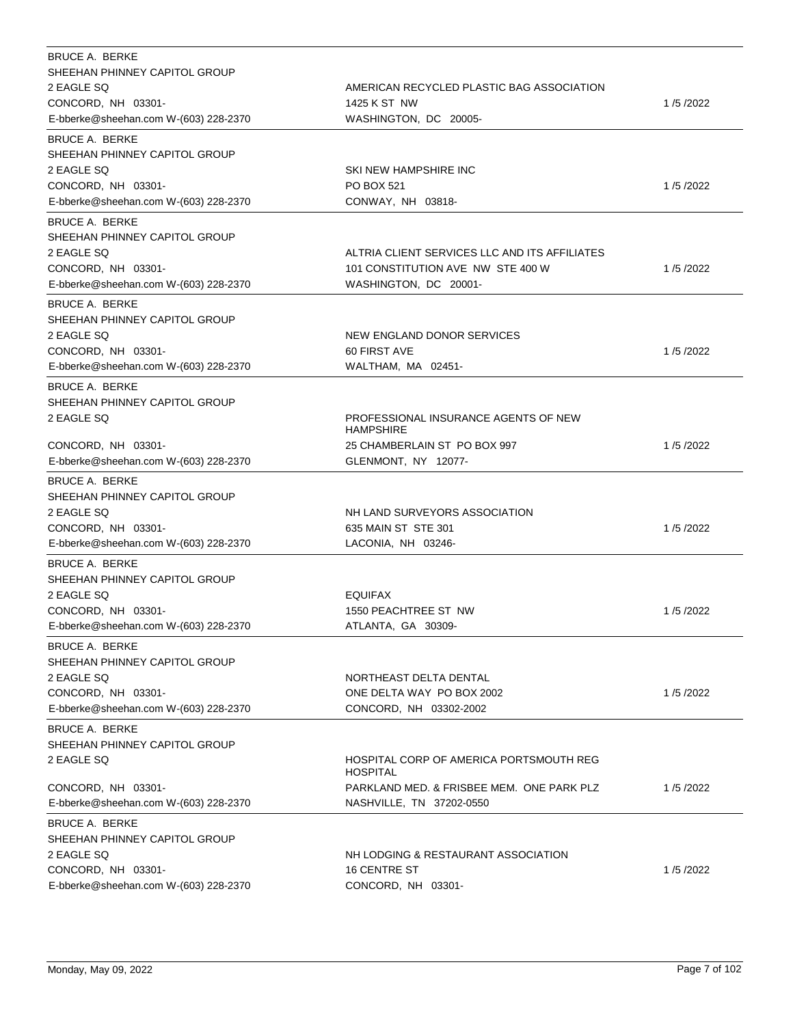| BRUCE A. BERKE<br>SHEEHAN PHINNEY CAPITOL GROUP<br>2 EAGLE SQ<br>CONCORD, NH 03301-<br>E-bberke@sheehan.com W-(603) 228-2370                                                 | AMERICAN RECYCLED PLASTIC BAG ASSOCIATION<br>1425 K ST NW<br>WASHINGTON, DC 20005-                              | 1/5/2022 |
|------------------------------------------------------------------------------------------------------------------------------------------------------------------------------|-----------------------------------------------------------------------------------------------------------------|----------|
| <b>BRUCE A. BERKE</b><br>SHEEHAN PHINNEY CAPITOL GROUP<br>2 EAGLE SQ<br>CONCORD, NH 03301-<br>E-bberke@sheehan.com W-(603) 228-2370                                          | SKI NEW HAMPSHIRE INC<br>PO BOX 521<br>CONWAY, NH 03818-                                                        | 1/5/2022 |
| <b>BRUCE A. BERKE</b><br>SHEEHAN PHINNEY CAPITOL GROUP<br>2 EAGLE SQ<br>CONCORD, NH 03301-<br>E-bberke@sheehan.com W-(603) 228-2370                                          | ALTRIA CLIENT SERVICES LLC AND ITS AFFILIATES<br>101 CONSTITUTION AVE NW STE 400 W<br>WASHINGTON, DC 20001-     | 1/5/2022 |
| <b>BRUCE A. BERKE</b><br>SHEEHAN PHINNEY CAPITOL GROUP<br>2 EAGLE SQ<br>CONCORD, NH 03301-<br>E-bberke@sheehan.com W-(603) 228-2370                                          | NEW ENGLAND DONOR SERVICES<br>60 FIRST AVE<br>WALTHAM, MA 02451-                                                | 1/5/2022 |
| <b>BRUCE A. BERKE</b><br>SHEEHAN PHINNEY CAPITOL GROUP<br>2 EAGLE SQ<br>CONCORD, NH 03301-<br>E-bberke@sheehan.com W-(603) 228-2370                                          | PROFESSIONAL INSURANCE AGENTS OF NEW<br><b>HAMPSHIRE</b><br>25 CHAMBERLAIN ST PO BOX 997<br>GLENMONT, NY 12077- | 1/5/2022 |
| <b>BRUCE A. BERKE</b><br>SHEEHAN PHINNEY CAPITOL GROUP<br>2 EAGLE SQ<br>CONCORD, NH 03301-<br>E-bberke@sheehan.com W-(603) 228-2370                                          | NH LAND SURVEYORS ASSOCIATION<br>635 MAIN ST STE 301<br>LACONIA, NH 03246-                                      | 1/5/2022 |
| <b>BRUCE A. BERKE</b><br>SHEEHAN PHINNEY CAPITOL GROUP<br>2 EAGLE SQ<br>CONCORD, NH 03301-<br>E-bberke@sheehan.com W-(603) 228-2370                                          | <b>EQUIFAX</b><br>1550 PEACHTREE ST NW<br>ATLANTA, GA 30309-                                                    | 1/5/2022 |
| <b>BRUCE A. BERKE</b><br>SHEEHAN PHINNEY CAPITOL GROUP<br>2 EAGLE SQ<br>CONCORD, NH 03301-<br>E-bberke@sheehan.com W-(603) 228-2370                                          | NORTHEAST DELTA DENTAL<br>ONE DELTA WAY PO BOX 2002<br>CONCORD, NH 03302-2002                                   | 1/5/2022 |
| <b>BRUCE A. BERKE</b><br>SHEEHAN PHINNEY CAPITOL GROUP<br>2 EAGLE SQ<br>CONCORD, NH 03301-                                                                                   | HOSPITAL CORP OF AMERICA PORTSMOUTH REG<br><b>HOSPITAL</b><br>PARKLAND MED. & FRISBEE MEM. ONE PARK PLZ         | 1/5/2022 |
| E-bberke@sheehan.com W-(603) 228-2370<br><b>BRUCE A. BERKE</b><br>SHEEHAN PHINNEY CAPITOL GROUP<br>2 EAGLE SQ<br>CONCORD, NH 03301-<br>E-bberke@sheehan.com W-(603) 228-2370 | NASHVILLE, TN 37202-0550<br>NH LODGING & RESTAURANT ASSOCIATION<br><b>16 CENTRE ST</b><br>CONCORD, NH 03301-    | 1/5/2022 |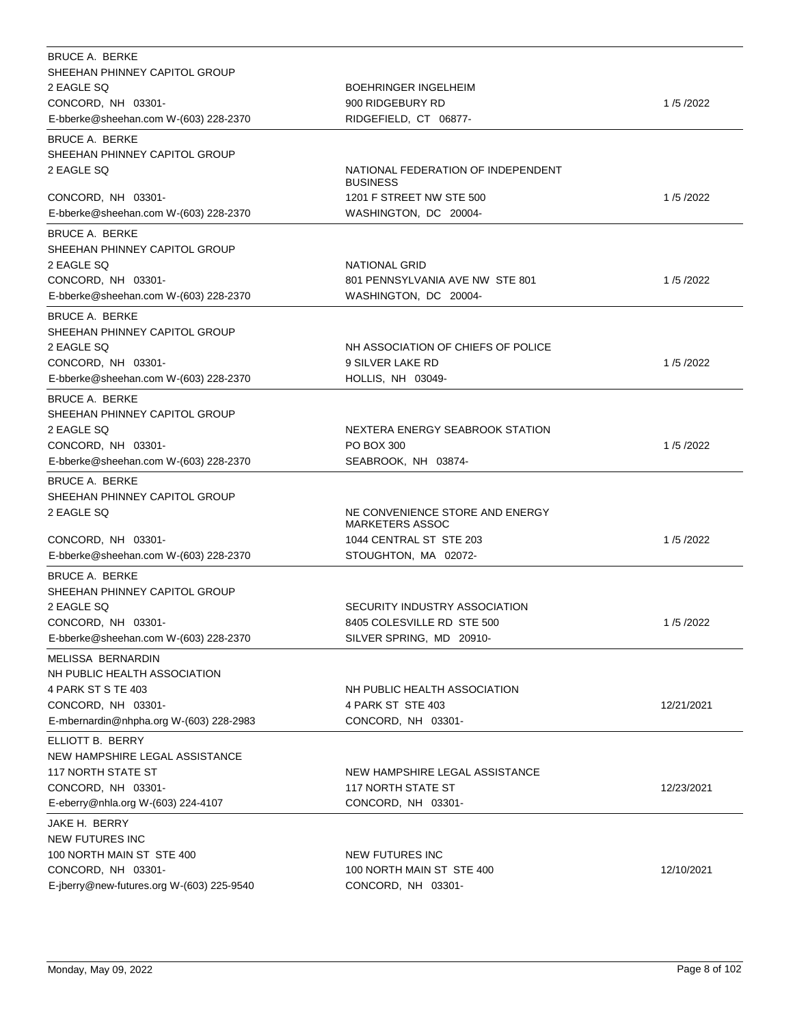| <b>BRUCE A. BERKE</b>                                           |                                                           |            |
|-----------------------------------------------------------------|-----------------------------------------------------------|------------|
| SHEEHAN PHINNEY CAPITOL GROUP                                   |                                                           |            |
| 2 EAGLE SQ                                                      | <b>BOEHRINGER INGELHEIM</b>                               |            |
| CONCORD, NH 03301-                                              | 900 RIDGEBURY RD                                          | 1/5/2022   |
| E-bberke@sheehan.com W-(603) 228-2370                           | RIDGEFIELD, CT 06877-                                     |            |
| <b>BRUCE A. BERKE</b>                                           |                                                           |            |
| SHEEHAN PHINNEY CAPITOL GROUP                                   |                                                           |            |
| 2 EAGLE SQ                                                      | NATIONAL FEDERATION OF INDEPENDENT<br><b>BUSINESS</b>     |            |
| CONCORD, NH 03301-                                              | 1201 F STREET NW STE 500                                  | 1/5/2022   |
| E-bberke@sheehan.com W-(603) 228-2370                           | WASHINGTON, DC 20004-                                     |            |
| <b>BRUCE A. BERKE</b>                                           |                                                           |            |
| SHEEHAN PHINNEY CAPITOL GROUP                                   |                                                           |            |
| 2 EAGLE SQ                                                      | NATIONAL GRID                                             |            |
| CONCORD, NH 03301-                                              | 801 PENNSYLVANIA AVE NW STE 801                           | 1/5/2022   |
| E-bberke@sheehan.com W-(603) 228-2370                           | WASHINGTON, DC 20004-                                     |            |
| <b>BRUCE A. BERKE</b>                                           |                                                           |            |
| SHEEHAN PHINNEY CAPITOL GROUP                                   |                                                           |            |
| 2 EAGLE SQ                                                      | NH ASSOCIATION OF CHIEFS OF POLICE                        |            |
| CONCORD, NH 03301-                                              | 9 SILVER LAKE RD                                          | 1/5/2022   |
| E-bberke@sheehan.com W-(603) 228-2370                           | HOLLIS, NH 03049-                                         |            |
| <b>BRUCE A. BERKE</b>                                           |                                                           |            |
| SHEEHAN PHINNEY CAPITOL GROUP                                   |                                                           |            |
| 2 EAGLE SQ                                                      | NEXTERA ENERGY SEABROOK STATION                           |            |
| CONCORD, NH 03301-                                              | PO BOX 300                                                | 1/5/2022   |
| E-bberke@sheehan.com W-(603) 228-2370                           | SEABROOK, NH 03874-                                       |            |
| <b>BRUCE A. BERKE</b>                                           |                                                           |            |
| SHEEHAN PHINNEY CAPITOL GROUP                                   |                                                           |            |
| 2 EAGLE SQ                                                      | NE CONVENIENCE STORE AND ENERGY<br><b>MARKETERS ASSOC</b> |            |
| CONCORD, NH 03301-                                              | 1044 CENTRAL ST STE 203                                   | 1/5/2022   |
| E-bberke@sheehan.com W-(603) 228-2370                           | STOUGHTON, MA 02072-                                      |            |
| BRUCE A. BERKE                                                  |                                                           |            |
| SHEEHAN PHINNEY CAPITOL GROUP                                   |                                                           |            |
| 2 EAGLE SQ                                                      | SECURITY INDUSTRY ASSOCIATION                             |            |
| CONCORD, NH 03301-                                              | 8405 COLESVILLE RD STE 500                                | 1/5/2022   |
| E-bberke@sheehan.com W-(603) 228-2370                           | SILVER SPRING, MD 20910-                                  |            |
| MELISSA BERNARDIN                                               |                                                           |            |
| NH PUBLIC HEALTH ASSOCIATION                                    |                                                           |            |
| 4 PARK ST S TE 403                                              | NH PUBLIC HEALTH ASSOCIATION                              |            |
| CONCORD, NH 03301-                                              | 4 PARK ST STE 403                                         | 12/21/2021 |
| E-mbernardin@nhpha.org W-(603) 228-2983                         | CONCORD, NH 03301-                                        |            |
|                                                                 |                                                           |            |
| ELLIOTT B. BERRY<br>NEW HAMPSHIRE LEGAL ASSISTANCE              |                                                           |            |
| <b>117 NORTH STATE ST</b>                                       | NEW HAMPSHIRE LEGAL ASSISTANCE                            |            |
| CONCORD, NH 03301-                                              | <b>117 NORTH STATE ST</b>                                 | 12/23/2021 |
| E-eberry@nhla.org W-(603) 224-4107                              | CONCORD, NH 03301-                                        |            |
|                                                                 |                                                           |            |
| JAKE H. BERRY                                                   |                                                           |            |
| <b>NEW FUTURES INC</b>                                          |                                                           |            |
|                                                                 |                                                           |            |
| 100 NORTH MAIN ST STE 400                                       | NEW FUTURES INC                                           |            |
| CONCORD, NH 03301-<br>E-jberry@new-futures.org W-(603) 225-9540 | 100 NORTH MAIN ST STE 400<br>CONCORD, NH 03301-           | 12/10/2021 |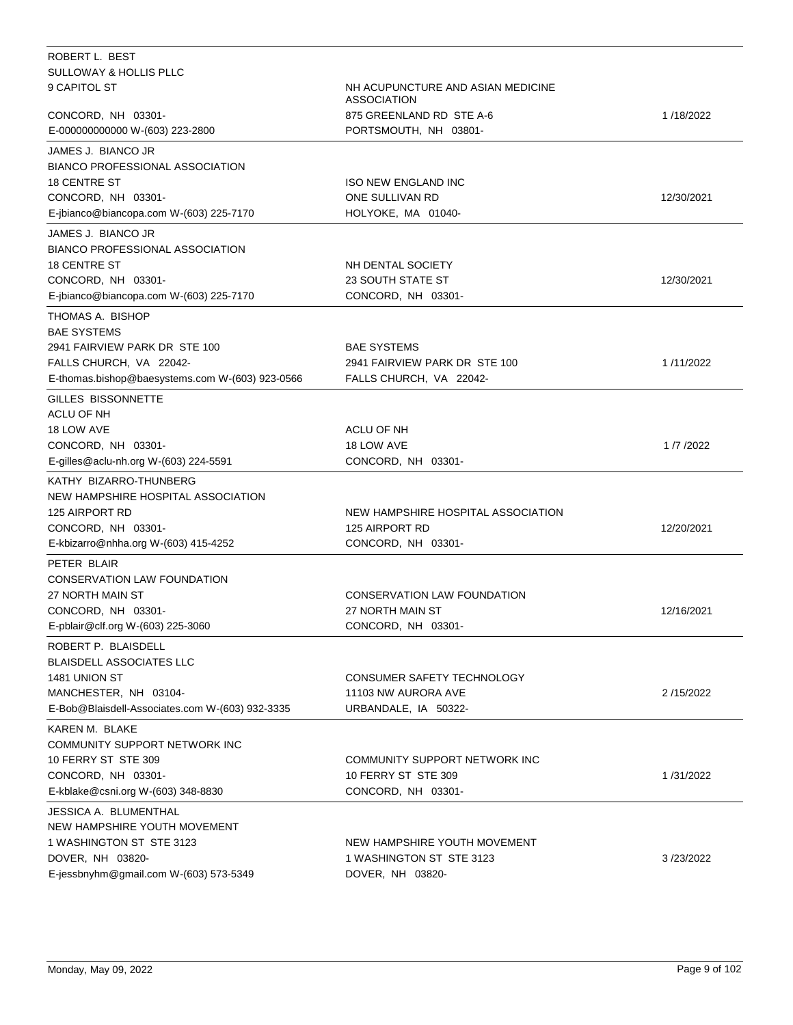| ROBERT L. BEST                                           |                                                         |            |
|----------------------------------------------------------|---------------------------------------------------------|------------|
| <b>SULLOWAY &amp; HOLLIS PLLC</b>                        |                                                         |            |
| 9 CAPITOL ST                                             | NH ACUPUNCTURE AND ASIAN MEDICINE<br><b>ASSOCIATION</b> |            |
| CONCORD, NH 03301-                                       | 875 GREENLAND RD STE A-6                                | 1/18/2022  |
| E-000000000000 W-(603) 223-2800                          | PORTSMOUTH, NH 03801-                                   |            |
| JAMES J. BIANCO JR                                       |                                                         |            |
| <b>BIANCO PROFESSIONAL ASSOCIATION</b>                   |                                                         |            |
| <b>18 CENTRE ST</b>                                      | <b>ISO NEW ENGLAND INC</b>                              |            |
| CONCORD, NH 03301-                                       | ONE SULLIVAN RD                                         | 12/30/2021 |
| E-jbianco@biancopa.com W-(603) 225-7170                  | HOLYOKE, MA 01040-                                      |            |
| JAMES J. BIANCO JR                                       |                                                         |            |
| <b>BIANCO PROFESSIONAL ASSOCIATION</b>                   |                                                         |            |
| <b>18 CENTRE ST</b>                                      | NH DENTAL SOCIETY                                       |            |
| CONCORD, NH 03301-                                       | <b>23 SOUTH STATE ST</b>                                | 12/30/2021 |
| E-jbianco@biancopa.com W-(603) 225-7170                  | CONCORD, NH 03301-                                      |            |
|                                                          |                                                         |            |
| THOMAS A. BISHOP<br><b>BAE SYSTEMS</b>                   |                                                         |            |
| 2941 FAIRVIEW PARK DR STE 100                            | <b>BAE SYSTEMS</b>                                      |            |
| FALLS CHURCH, VA 22042-                                  | 2941 FAIRVIEW PARK DR STE 100                           | 1/11/2022  |
| E-thomas.bishop@baesystems.com W-(603) 923-0566          | FALLS CHURCH, VA 22042-                                 |            |
|                                                          |                                                         |            |
| GILLES BISSONNETTE                                       |                                                         |            |
| ACLU OF NH                                               |                                                         |            |
| 18 LOW AVE                                               | ACLU OF NH                                              |            |
| CONCORD, NH 03301-                                       | 18 LOW AVE                                              | 1/7/2022   |
| E-gilles@aclu-nh.org W-(603) 224-5591                    | CONCORD, NH 03301-                                      |            |
| KATHY BIZARRO-THUNBERG                                   |                                                         |            |
| NEW HAMPSHIRE HOSPITAL ASSOCIATION                       |                                                         |            |
| 125 AIRPORT RD                                           | NEW HAMPSHIRE HOSPITAL ASSOCIATION                      |            |
| CONCORD, NH 03301-                                       | 125 AIRPORT RD                                          | 12/20/2021 |
| E-kbizarro@nhha.org W-(603) 415-4252                     | CONCORD, NH 03301-                                      |            |
| PETER BLAIR                                              |                                                         |            |
| <b>CONSERVATION LAW FOUNDATION</b>                       |                                                         |            |
| 27 NORTH MAIN ST                                         | CONSERVATION LAW FOUNDATION                             |            |
| CONCORD, NH 03301-                                       | 27 NORTH MAIN ST                                        | 12/16/2021 |
| E-pblair@clf.org W-(603) 225-3060                        | CONCORD, NH 03301-                                      |            |
| ROBERT P. BLAISDELL                                      |                                                         |            |
| <b>BLAISDELL ASSOCIATES LLC</b>                          |                                                         |            |
| 1481 UNION ST                                            | CONSUMER SAFETY TECHNOLOGY                              |            |
| MANCHESTER, NH 03104-                                    | 11103 NW AURORA AVE                                     | 2/15/2022  |
| E-Bob@Blaisdell-Associates.com W-(603) 932-3335          | URBANDALE, IA 50322-                                    |            |
| KAREN M. BLAKE                                           |                                                         |            |
| COMMUNITY SUPPORT NETWORK INC                            |                                                         |            |
| 10 FERRY ST STE 309                                      | COMMUNITY SUPPORT NETWORK INC                           |            |
|                                                          |                                                         | 1/31/2022  |
| CONCORD, NH 03301-<br>E-kblake@csni.org W-(603) 348-8830 | 10 FERRY ST STE 309<br>CONCORD, NH 03301-               |            |
|                                                          |                                                         |            |
| JESSICA A. BLUMENTHAL                                    |                                                         |            |
| NEW HAMPSHIRE YOUTH MOVEMENT                             |                                                         |            |
| 1 WASHINGTON ST STE 3123                                 | NEW HAMPSHIRE YOUTH MOVEMENT                            |            |
| DOVER, NH 03820-                                         | 1 WASHINGTON ST STE 3123                                | 3/23/2022  |
| E-jessbnyhm@gmail.com W-(603) 573-5349                   | DOVER, NH 03820-                                        |            |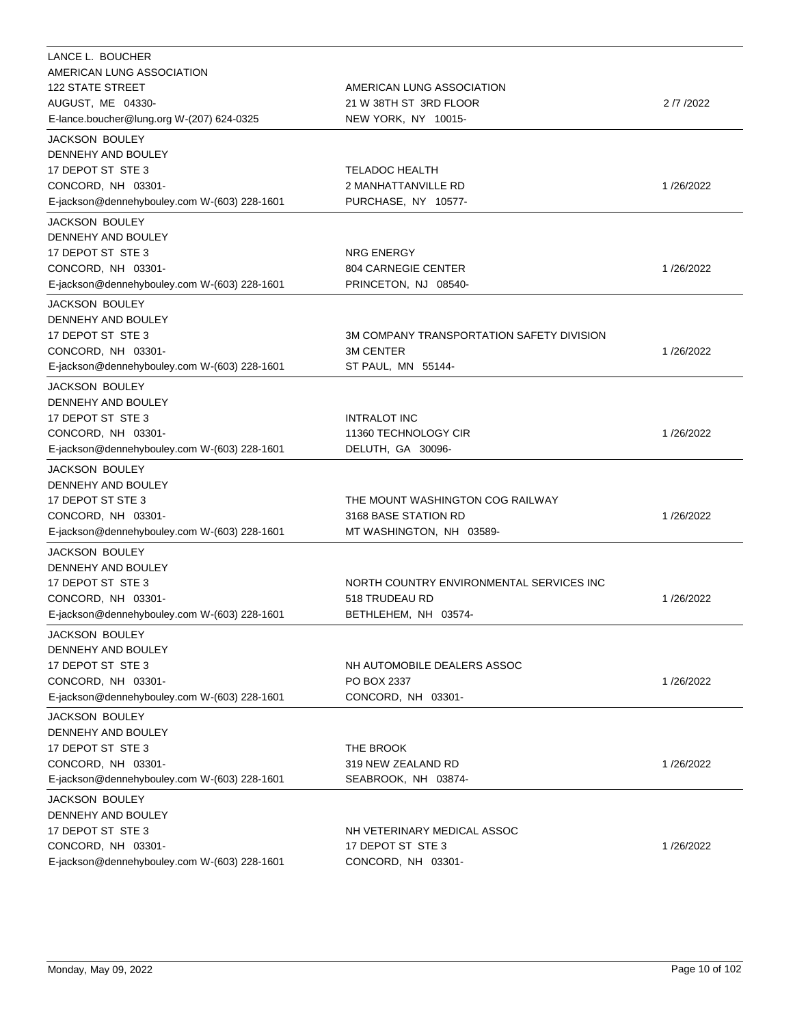| LANCE L. BOUCHER<br>AMERICAN LUNG ASSOCIATION<br><b>122 STATE STREET</b>                                                                                        | AMERICAN LUNG ASSOCIATION                                                            |            |
|-----------------------------------------------------------------------------------------------------------------------------------------------------------------|--------------------------------------------------------------------------------------|------------|
| AUGUST, ME 04330-<br>E-lance.boucher@lung.org W-(207) 624-0325                                                                                                  | 21 W 38TH ST 3RD FLOOR<br>NEW YORK, NY 10015-                                        | 2 /7 /2022 |
| <b>JACKSON BOULEY</b><br>DENNEHY AND BOULEY<br>17 DEPOT ST STE 3<br>CONCORD, NH 03301-<br>E-jackson@dennehybouley.com W-(603) 228-1601                          | <b>TELADOC HEALTH</b><br>2 MANHATTANVILLE RD<br>PURCHASE, NY 10577-                  | 1/26/2022  |
| <b>JACKSON BOULEY</b><br>DENNEHY AND BOULEY<br>17 DEPOT ST STE 3<br>CONCORD, NH 03301-<br>E-jackson@dennehybouley.com W-(603) 228-1601                          | <b>NRG ENERGY</b><br>804 CARNEGIE CENTER<br>PRINCETON, NJ 08540-                     | 1/26/2022  |
| <b>JACKSON BOULEY</b><br>DENNEHY AND BOULEY<br>17 DEPOT ST STE 3<br>CONCORD, NH 03301-<br>E-jackson@dennehybouley.com W-(603) 228-1601<br><b>JACKSON BOULEY</b> | 3M COMPANY TRANSPORTATION SAFETY DIVISION<br><b>3M CENTER</b><br>ST PAUL, MN 55144-  | 1/26/2022  |
| DENNEHY AND BOULEY<br>17 DEPOT ST STE 3<br>CONCORD, NH 03301-<br>E-jackson@dennehybouley.com W-(603) 228-1601                                                   | <b>INTRALOT INC</b><br>11360 TECHNOLOGY CIR<br>DELUTH, GA 30096-                     | 1/26/2022  |
| <b>JACKSON BOULEY</b><br>DENNEHY AND BOULEY<br>17 DEPOT ST STE 3<br>CONCORD, NH 03301-<br>E-jackson@dennehybouley.com W-(603) 228-1601                          | THE MOUNT WASHINGTON COG RAILWAY<br>3168 BASE STATION RD<br>MT WASHINGTON, NH 03589- | 1/26/2022  |
| <b>JACKSON BOULEY</b><br>DENNEHY AND BOULEY<br>17 DEPOT ST STE 3<br>CONCORD, NH 03301-<br>E-jackson@dennehybouley.com W-(603) 228-1601                          | NORTH COUNTRY ENVIRONMENTAL SERVICES INC<br>518 TRUDEAU RD<br>BETHLEHEM, NH 03574-   | 1/26/2022  |
| JACKSON BOULEY<br>DENNEHY AND BOULEY<br>17 DEPOT ST STE 3<br>CONCORD, NH 03301-<br>E-jackson@dennehybouley.com W-(603) 228-1601                                 | NH AUTOMOBILE DEALERS ASSOC<br>PO BOX 2337<br>CONCORD, NH 03301-                     | 1/26/2022  |
| <b>JACKSON BOULEY</b><br>DENNEHY AND BOULEY<br>17 DEPOT ST STE 3<br>CONCORD, NH 03301-<br>E-jackson@dennehybouley.com W-(603) 228-1601                          | THE BROOK<br>319 NEW ZEALAND RD<br>SEABROOK, NH 03874-                               | 1/26/2022  |
| JACKSON BOULEY<br>DENNEHY AND BOULEY<br>17 DEPOT ST STE 3<br>CONCORD, NH 03301-<br>E-jackson@dennehybouley.com W-(603) 228-1601                                 | NH VETERINARY MEDICAL ASSOC<br>17 DEPOT ST STE 3<br>CONCORD, NH 03301-               | 1/26/2022  |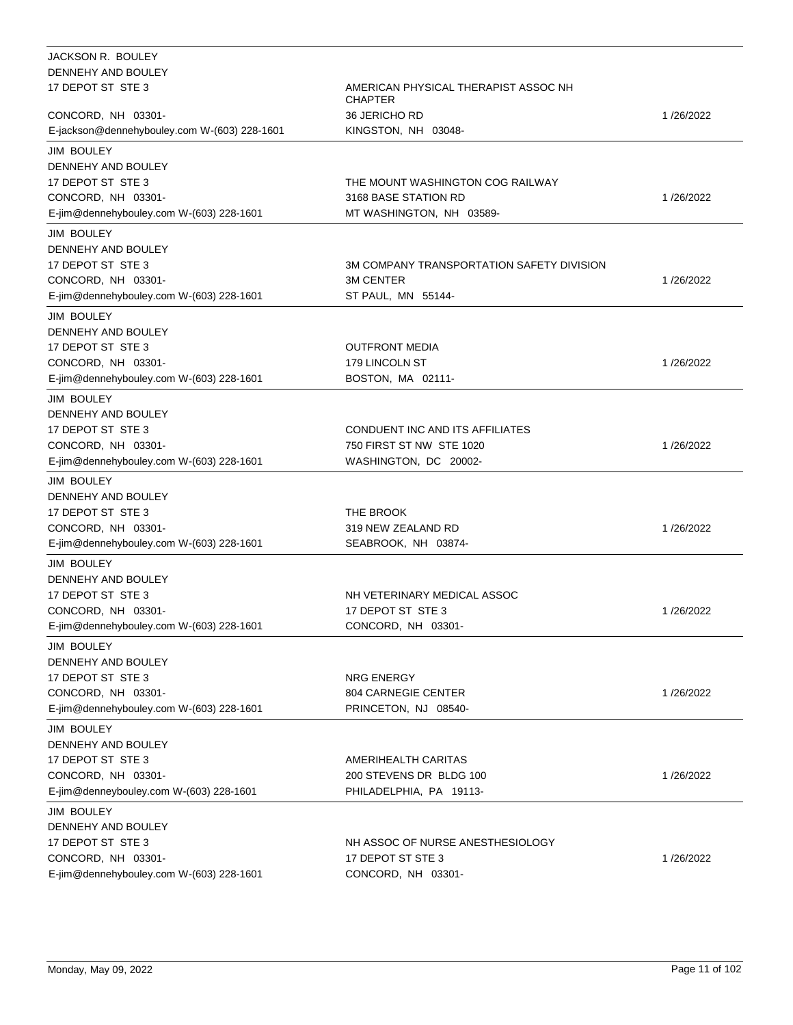| JACKSON R. BOULEY                            |                                                        |           |
|----------------------------------------------|--------------------------------------------------------|-----------|
| DENNEHY AND BOULEY                           |                                                        |           |
| 17 DEPOT ST STE 3                            | AMERICAN PHYSICAL THERAPIST ASSOC NH<br><b>CHAPTER</b> |           |
| CONCORD, NH 03301-                           | <b>36 JERICHO RD</b>                                   | 1/26/2022 |
| E-jackson@dennehybouley.com W-(603) 228-1601 | KINGSTON, NH 03048-                                    |           |
| <b>JIM BOULEY</b>                            |                                                        |           |
| DENNEHY AND BOULEY                           |                                                        |           |
| 17 DEPOT ST STE 3                            | THE MOUNT WASHINGTON COG RAILWAY                       |           |
| CONCORD, NH 03301-                           | 3168 BASE STATION RD                                   | 1/26/2022 |
| E-jim@dennehybouley.com W-(603) 228-1601     | MT WASHINGTON, NH 03589-                               |           |
|                                              |                                                        |           |
| <b>JIM BOULEY</b>                            |                                                        |           |
| DENNEHY AND BOULEY                           |                                                        |           |
| 17 DEPOT ST STE 3                            | 3M COMPANY TRANSPORTATION SAFETY DIVISION              |           |
| CONCORD, NH 03301-                           | 3M CENTER                                              | 1/26/2022 |
| E-jim@dennehybouley.com W-(603) 228-1601     | ST PAUL, MN 55144-                                     |           |
| <b>JIM BOULEY</b>                            |                                                        |           |
| DENNEHY AND BOULEY                           |                                                        |           |
| 17 DEPOT ST STE 3                            | <b>OUTFRONT MEDIA</b>                                  |           |
| CONCORD, NH 03301-                           | 179 LINCOLN ST                                         | 1/26/2022 |
| E-jim@dennehybouley.com W-(603) 228-1601     | BOSTON, MA 02111-                                      |           |
| <b>JIM BOULEY</b>                            |                                                        |           |
| DENNEHY AND BOULEY                           |                                                        |           |
| 17 DEPOT ST STE 3                            | CONDUENT INC AND ITS AFFILIATES                        |           |
| CONCORD, NH 03301-                           | 750 FIRST ST NW STE 1020                               | 1/26/2022 |
| E-jim@dennehybouley.com W-(603) 228-1601     | WASHINGTON, DC 20002-                                  |           |
|                                              |                                                        |           |
| <b>JIM BOULEY</b>                            |                                                        |           |
| DENNEHY AND BOULEY                           |                                                        |           |
| 17 DEPOT ST STE 3                            | THE BROOK                                              |           |
| CONCORD, NH 03301-                           | 319 NEW ZEALAND RD                                     | 1/26/2022 |
| E-jim@dennehybouley.com W-(603) 228-1601     | SEABROOK, NH 03874-                                    |           |
| <b>JIM BOULEY</b>                            |                                                        |           |
| DENNEHY AND BOULEY                           |                                                        |           |
| 17 DEPOT ST STE 3                            | NH VETERINARY MEDICAL ASSOC                            |           |
| CONCORD, NH 03301-                           | 17 DEPOT ST STE 3                                      | 1/26/2022 |
| E-jim@dennehybouley.com W-(603) 228-1601     | CONCORD, NH 03301-                                     |           |
| JIM BOULEY                                   |                                                        |           |
| DENNEHY AND BOULEY                           |                                                        |           |
| 17 DEPOT ST STE 3                            | NRG ENERGY                                             |           |
| CONCORD, NH 03301-                           | 804 CARNEGIE CENTER                                    | 1/26/2022 |
| E-jim@dennehybouley.com W-(603) 228-1601     | PRINCETON, NJ 08540-                                   |           |
|                                              |                                                        |           |
| JIM BOULEY                                   |                                                        |           |
| DENNEHY AND BOULEY                           |                                                        |           |
| 17 DEPOT ST STE 3                            | AMERIHEALTH CARITAS                                    |           |
| CONCORD, NH 03301-                           | 200 STEVENS DR BLDG 100                                | 1/26/2022 |
| E-jim@denneybouley.com W-(603) 228-1601      | PHILADELPHIA, PA 19113-                                |           |
| <b>JIM BOULEY</b>                            |                                                        |           |
| DENNEHY AND BOULEY                           |                                                        |           |
| 17 DEPOT ST STE 3                            | NH ASSOC OF NURSE ANESTHESIOLOGY                       |           |
| CONCORD, NH 03301-                           | 17 DEPOT ST STE 3                                      | 1/26/2022 |
| E-jim@dennehybouley.com W-(603) 228-1601     | CONCORD, NH 03301-                                     |           |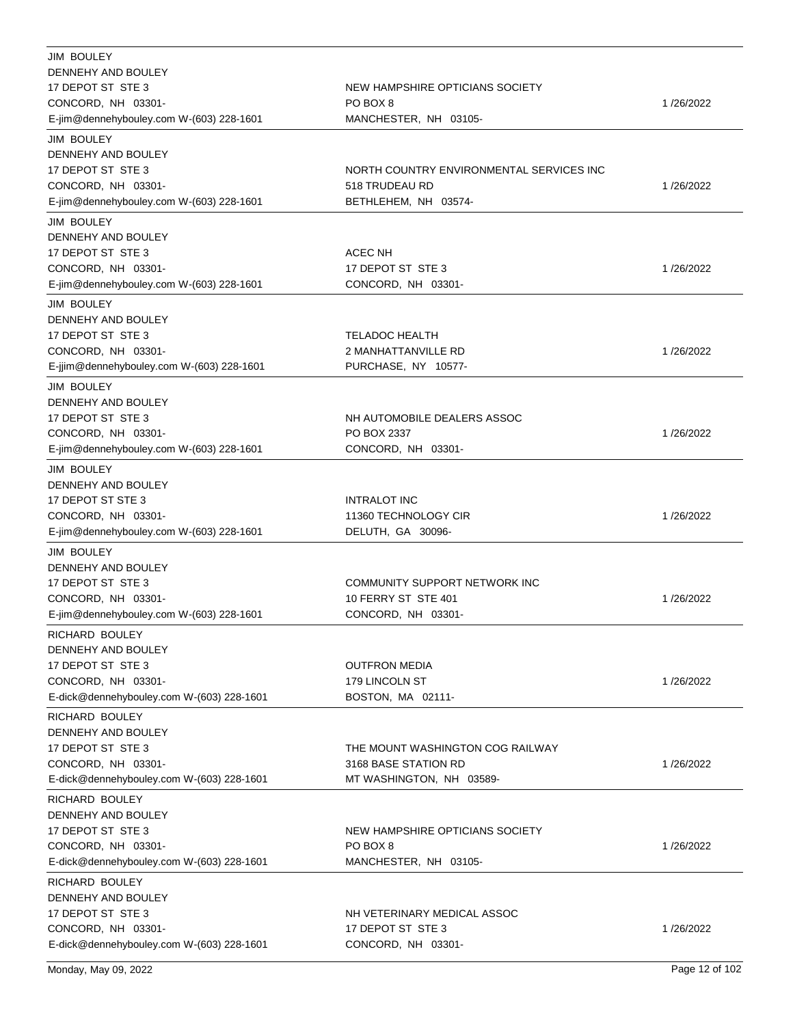| <b>JIM BOULEY</b><br>DENNEHY AND BOULEY<br>17 DEPOT ST STE 3<br>CONCORD, NH 03301-                                              | NEW HAMPSHIRE OPTICIANS SOCIETY<br>PO BOX 8                                          | 1/26/2022 |
|---------------------------------------------------------------------------------------------------------------------------------|--------------------------------------------------------------------------------------|-----------|
| E-jim@dennehybouley.com W-(603) 228-1601                                                                                        | MANCHESTER, NH 03105-                                                                |           |
| <b>JIM BOULEY</b><br>DENNEHY AND BOULEY<br>17 DEPOT ST STE 3<br>CONCORD, NH 03301-<br>E-jim@dennehybouley.com W-(603) 228-1601  | NORTH COUNTRY ENVIRONMENTAL SERVICES INC<br>518 TRUDEAU RD<br>BETHLEHEM, NH 03574-   | 1/26/2022 |
| <b>JIM BOULEY</b><br>DENNEHY AND BOULEY<br>17 DEPOT ST STE 3<br>CONCORD, NH 03301-<br>E-jim@dennehybouley.com W-(603) 228-1601  | ACEC NH<br>17 DEPOT ST STE 3<br>CONCORD, NH 03301-                                   | 1/26/2022 |
| <b>JIM BOULEY</b><br>DENNEHY AND BOULEY<br>17 DEPOT ST STE 3<br>CONCORD, NH 03301-<br>E-jjim@dennehybouley.com W-(603) 228-1601 | <b>TELADOC HEALTH</b><br>2 MANHATTANVILLE RD<br>PURCHASE, NY 10577-                  | 1/26/2022 |
| <b>JIM BOULEY</b><br>DENNEHY AND BOULEY<br>17 DEPOT ST STE 3<br>CONCORD, NH 03301-<br>E-jim@dennehybouley.com W-(603) 228-1601  | NH AUTOMOBILE DEALERS ASSOC<br>PO BOX 2337<br>CONCORD, NH 03301-                     | 1/26/2022 |
| JIM BOULEY<br>DENNEHY AND BOULEY<br>17 DEPOT ST STE 3<br>CONCORD, NH 03301-<br>E-jim@dennehybouley.com W-(603) 228-1601         | <b>INTRALOT INC</b><br>11360 TECHNOLOGY CIR<br>DELUTH, GA 30096-                     | 1/26/2022 |
| <b>JIM BOULEY</b><br>DENNEHY AND BOULEY<br>17 DEPOT ST STE 3<br>CONCORD, NH 03301-<br>E-jim@dennehybouley.com W-(603) 228-1601  | COMMUNITY SUPPORT NETWORK INC<br>10 FERRY ST STE 401<br>CONCORD, NH 03301-           | 1/26/2022 |
| RICHARD BOULEY<br>DENNEHY AND BOULEY<br>17 DEPOT ST STE 3<br>CONCORD, NH 03301-<br>E-dick@dennehybouley.com W-(603) 228-1601    | <b>OUTFRON MEDIA</b><br>179 LINCOLN ST<br>BOSTON, MA 02111-                          | 1/26/2022 |
| RICHARD BOULEY<br>DENNEHY AND BOULEY<br>17 DEPOT ST STE 3<br>CONCORD, NH 03301-<br>E-dick@dennehybouley.com W-(603) 228-1601    | THE MOUNT WASHINGTON COG RAILWAY<br>3168 BASE STATION RD<br>MT WASHINGTON, NH 03589- | 1/26/2022 |
| RICHARD BOULEY<br>DENNEHY AND BOULEY<br>17 DEPOT ST STE 3<br>CONCORD, NH 03301-<br>E-dick@dennehybouley.com W-(603) 228-1601    | NEW HAMPSHIRE OPTICIANS SOCIETY<br>PO BOX 8<br>MANCHESTER, NH 03105-                 | 1/26/2022 |
| RICHARD BOULEY<br>DENNEHY AND BOULEY<br>17 DEPOT ST STE 3<br>CONCORD, NH 03301-<br>E-dick@dennehybouley.com W-(603) 228-1601    | NH VETERINARY MEDICAL ASSOC<br>17 DEPOT ST STE 3<br>CONCORD, NH 03301-               | 1/26/2022 |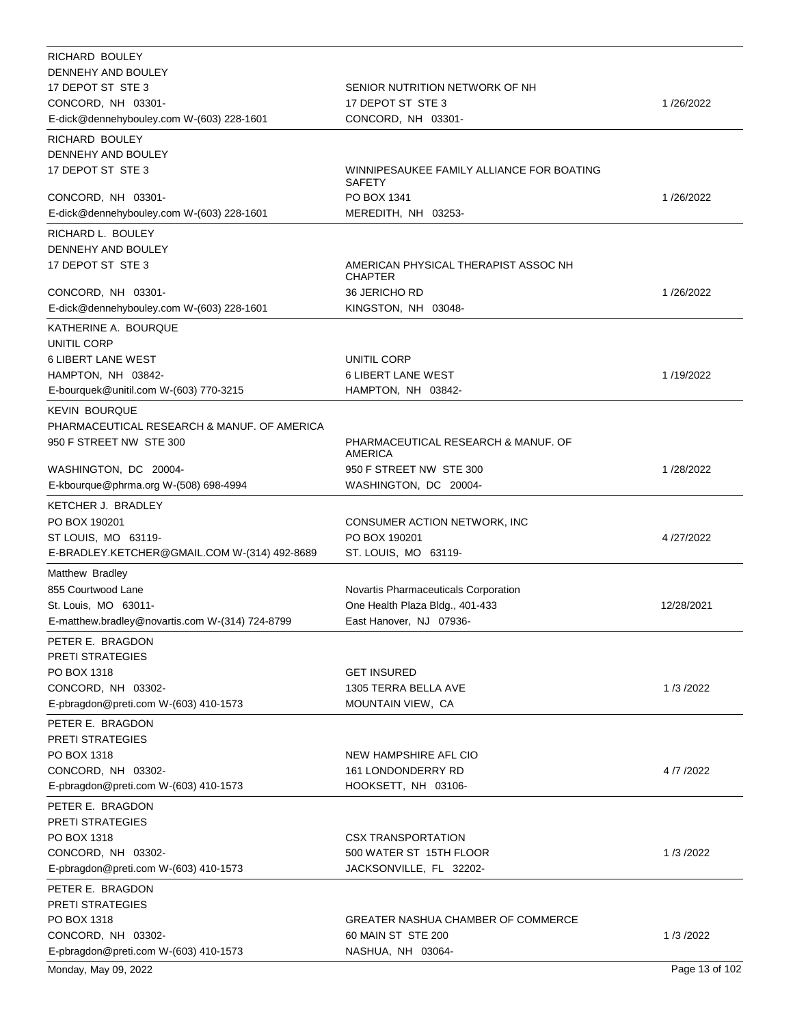| RICHARD BOULEY                                              |                                                                         |                |
|-------------------------------------------------------------|-------------------------------------------------------------------------|----------------|
| DENNEHY AND BOULEY                                          |                                                                         |                |
| 17 DEPOT ST STE 3                                           | SENIOR NUTRITION NETWORK OF NH                                          |                |
| CONCORD, NH 03301-                                          | 17 DEPOT ST STE 3                                                       | 1/26/2022      |
| E-dick@dennehybouley.com W-(603) 228-1601                   | CONCORD, NH 03301-                                                      |                |
| RICHARD BOULEY                                              |                                                                         |                |
| DENNEHY AND BOULEY                                          |                                                                         |                |
| 17 DEPOT ST STE 3                                           | WINNIPESAUKEE FAMILY ALLIANCE FOR BOATING<br><b>SAFETY</b>              |                |
| CONCORD, NH 03301-                                          | PO BOX 1341                                                             | 1/26/2022      |
| E-dick@dennehybouley.com W-(603) 228-1601                   | MEREDITH, NH 03253-                                                     |                |
| RICHARD L. BOULEY                                           |                                                                         |                |
| DENNEHY AND BOULEY                                          |                                                                         |                |
| 17 DEPOT ST STE 3                                           | AMERICAN PHYSICAL THERAPIST ASSOC NH<br><b>CHAPTER</b>                  |                |
| CONCORD, NH 03301-                                          | 36 JERICHO RD                                                           | 1/26/2022      |
| E-dick@dennehybouley.com W-(603) 228-1601                   | KINGSTON, NH 03048-                                                     |                |
| KATHERINE A. BOURQUE                                        |                                                                         |                |
| UNITIL CORP                                                 | UNITIL CORP                                                             |                |
| <b>6 LIBERT LANE WEST</b><br>HAMPTON, NH 03842-             | <b>6 LIBERT LANE WEST</b>                                               | 1/19/2022      |
| E-bourquek@unitil.com W-(603) 770-3215                      | HAMPTON, NH 03842-                                                      |                |
|                                                             |                                                                         |                |
| <b>KEVIN BOURQUE</b>                                        |                                                                         |                |
| PHARMACEUTICAL RESEARCH & MANUF. OF AMERICA                 |                                                                         |                |
| 950 F STREET NW STE 300                                     | PHARMACEUTICAL RESEARCH & MANUF. OF<br><b>AMERICA</b>                   |                |
| WASHINGTON, DC 20004-                                       | 950 F STREET NW STE 300                                                 | 1/28/2022      |
| E-kbourque@phrma.org W-(508) 698-4994                       | WASHINGTON, DC 20004-                                                   |                |
| KETCHER J. BRADLEY                                          |                                                                         |                |
| PO BOX 190201                                               | CONSUMER ACTION NETWORK, INC                                            |                |
| ST LOUIS, MO 63119-                                         | PO BOX 190201                                                           | 4/27/2022      |
| E-BRADLEY.KETCHER@GMAIL.COM W-(314) 492-8689                | ST. LOUIS, MO 63119-                                                    |                |
| Matthew Bradley                                             |                                                                         |                |
| 855 Courtwood Lane                                          |                                                                         |                |
| St. Louis, MO 63011-                                        | Novartis Pharmaceuticals Corporation<br>One Health Plaza Bldg., 401-433 | 12/28/2021     |
| E-matthew.bradley@novartis.com W-(314) 724-8799             | East Hanover, NJ 07936-                                                 |                |
|                                                             |                                                                         |                |
| PETER E. BRAGDON<br><b>PRETI STRATEGIES</b>                 |                                                                         |                |
| PO BOX 1318                                                 | <b>GET INSURED</b>                                                      |                |
| CONCORD, NH 03302-                                          | 1305 TERRA BELLA AVE                                                    | 1/3/2022       |
| E-pbragdon@preti.com W-(603) 410-1573                       | MOUNTAIN VIEW, CA                                                       |                |
|                                                             |                                                                         |                |
| PETER E. BRAGDON                                            |                                                                         |                |
| <b>PRETI STRATEGIES</b><br>PO BOX 1318                      | NEW HAMPSHIRE AFL CIO                                                   |                |
| CONCORD, NH 03302-                                          | 161 LONDONDERRY RD                                                      | 4/7/2022       |
| E-pbragdon@preti.com W-(603) 410-1573                       | HOOKSETT, NH 03106-                                                     |                |
|                                                             |                                                                         |                |
| PETER E. BRAGDON                                            |                                                                         |                |
| PRETI STRATEGIES                                            |                                                                         |                |
| PO BOX 1318<br>CONCORD, NH 03302-                           | <b>CSX TRANSPORTATION</b>                                               | 1/3/2022       |
|                                                             | 500 WATER ST 15TH FLOOR                                                 |                |
| E-pbragdon@preti.com W-(603) 410-1573                       | JACKSONVILLE, FL 32202-                                                 |                |
| PETER E. BRAGDON                                            |                                                                         |                |
| <b>PRETI STRATEGIES</b>                                     |                                                                         |                |
| PO BOX 1318                                                 | GREATER NASHUA CHAMBER OF COMMERCE                                      |                |
| CONCORD, NH 03302-<br>E-pbragdon@preti.com W-(603) 410-1573 | 60 MAIN ST STE 200<br>NASHUA, NH 03064-                                 | 1/3/2022       |
|                                                             |                                                                         | Page 13 of 102 |
| Monday, May 09, 2022                                        |                                                                         |                |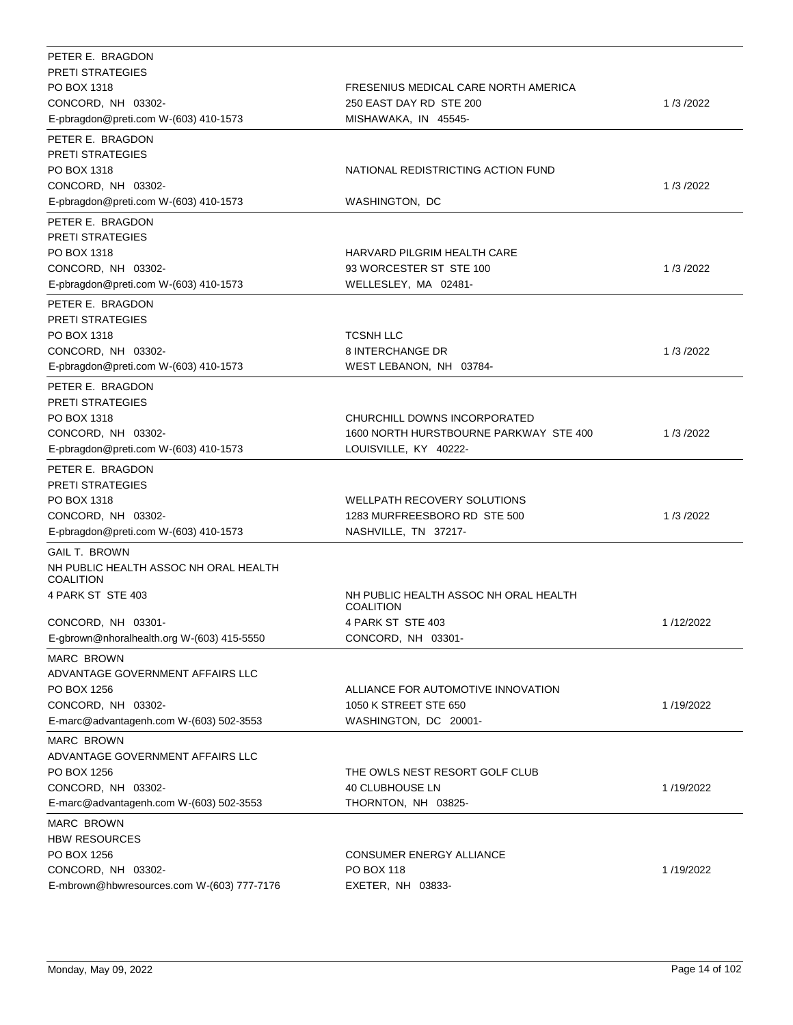| PETER E. BRAGDON<br><b>PRETI STRATEGIES</b> |                                                           |           |
|---------------------------------------------|-----------------------------------------------------------|-----------|
| PO BOX 1318                                 | FRESENIUS MEDICAL CARE NORTH AMERICA                      |           |
| CONCORD, NH 03302-                          | 250 EAST DAY RD STE 200                                   | 1/3/2022  |
| E-pbragdon@preti.com W-(603) 410-1573       | MISHAWAKA, IN 45545-                                      |           |
| PETER E. BRAGDON                            |                                                           |           |
| <b>PRETI STRATEGIES</b>                     |                                                           |           |
| PO BOX 1318                                 | NATIONAL REDISTRICTING ACTION FUND                        |           |
| CONCORD, NH 03302-                          |                                                           | 1/3/2022  |
| E-pbragdon@preti.com W-(603) 410-1573       | WASHINGTON, DC                                            |           |
| PETER E. BRAGDON                            |                                                           |           |
| <b>PRETI STRATEGIES</b>                     |                                                           |           |
| PO BOX 1318                                 | HARVARD PILGRIM HEALTH CARE                               |           |
| CONCORD, NH 03302-                          | 93 WORCESTER ST STE 100                                   | 1/3/2022  |
| E-pbragdon@preti.com W-(603) 410-1573       | WELLESLEY, MA 02481-                                      |           |
| PETER E. BRAGDON                            |                                                           |           |
| <b>PRETI STRATEGIES</b>                     |                                                           |           |
| PO BOX 1318                                 | <b>TCSNH LLC</b>                                          |           |
| CONCORD, NH 03302-                          | 8 INTERCHANGE DR                                          | 1/3/2022  |
| E-pbragdon@preti.com W-(603) 410-1573       | WEST LEBANON, NH 03784-                                   |           |
| PETER E. BRAGDON                            |                                                           |           |
| <b>PRETI STRATEGIES</b>                     |                                                           |           |
| PO BOX 1318                                 | CHURCHILL DOWNS INCORPORATED                              |           |
| CONCORD, NH 03302-                          | 1600 NORTH HURSTBOURNE PARKWAY STE 400                    | 1/3/2022  |
| E-pbragdon@preti.com W-(603) 410-1573       | LOUISVILLE, KY 40222-                                     |           |
| PETER E. BRAGDON                            |                                                           |           |
| <b>PRETI STRATEGIES</b>                     |                                                           |           |
| PO BOX 1318                                 | <b>WELLPATH RECOVERY SOLUTIONS</b>                        |           |
| CONCORD, NH 03302-                          | 1283 MURFREESBORO RD STE 500                              | 1/3/2022  |
| E-pbragdon@preti.com W-(603) 410-1573       | NASHVILLE, TN 37217-                                      |           |
| <b>GAIL T. BROWN</b>                        |                                                           |           |
| NH PUBLIC HEALTH ASSOC NH ORAL HEALTH       |                                                           |           |
| <b>COALITION</b>                            |                                                           |           |
| 4 PARK ST STE 403                           | NH PUBLIC HEALTH ASSOC NH ORAL HEALTH<br><b>COALITION</b> |           |
| CONCORD, NH 03301-                          | 4 PARK ST STE 403                                         | 1/12/2022 |
| E-gbrown@nhoralhealth.org W-(603) 415-5550  | CONCORD, NH 03301-                                        |           |
| <b>MARC BROWN</b>                           |                                                           |           |
| ADVANTAGE GOVERNMENT AFFAIRS LLC            |                                                           |           |
| PO BOX 1256                                 | ALLIANCE FOR AUTOMOTIVE INNOVATION                        |           |
| CONCORD, NH 03302-                          | 1050 K STREET STE 650                                     | 1/19/2022 |
| E-marc@advantagenh.com W-(603) 502-3553     | WASHINGTON, DC 20001-                                     |           |
| <b>MARC BROWN</b>                           |                                                           |           |
| ADVANTAGE GOVERNMENT AFFAIRS LLC            |                                                           |           |
| PO BOX 1256                                 | THE OWLS NEST RESORT GOLF CLUB                            |           |
| CONCORD, NH 03302-                          | 40 CLUBHOUSE LN                                           | 1/19/2022 |
| E-marc@advantagenh.com W-(603) 502-3553     | THORNTON, NH 03825-                                       |           |
|                                             |                                                           |           |
| <b>MARC BROWN</b><br><b>HBW RESOURCES</b>   |                                                           |           |
| PO BOX 1256                                 | CONSUMER ENERGY ALLIANCE                                  |           |
| CONCORD, NH 03302-                          | PO BOX 118                                                | 1/19/2022 |
| E-mbrown@hbwresources.com W-(603) 777-7176  | EXETER, NH 03833-                                         |           |
|                                             |                                                           |           |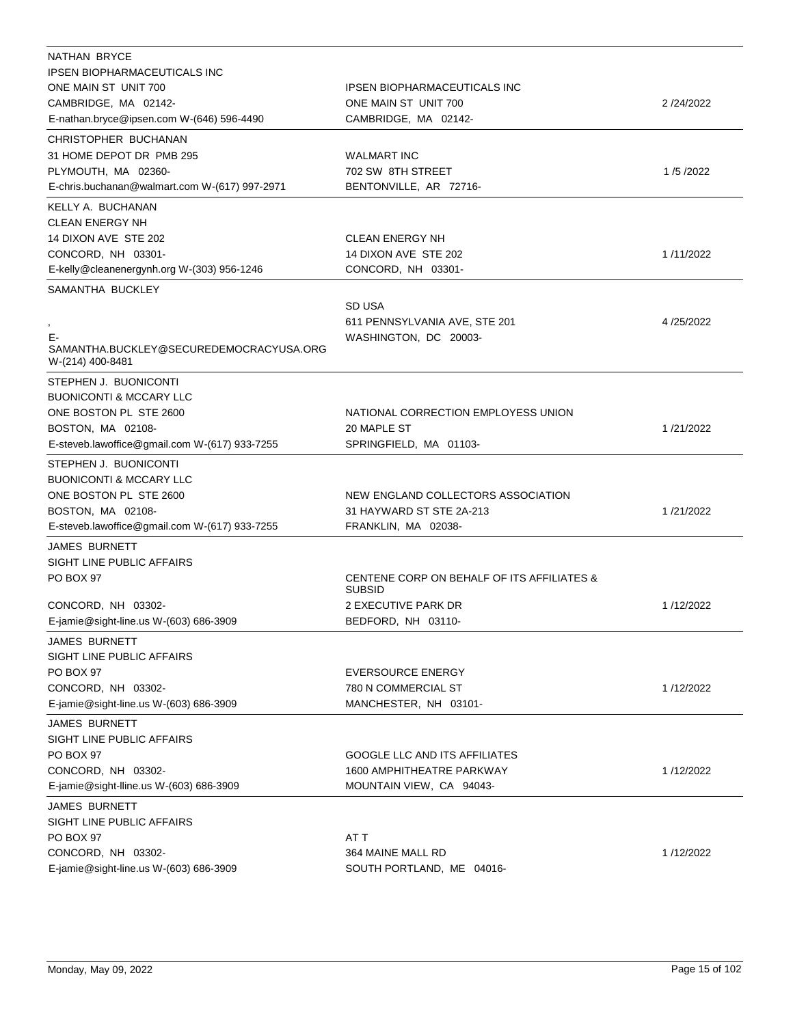| NATHAN BRYCE                                  |                                                             |           |
|-----------------------------------------------|-------------------------------------------------------------|-----------|
| <b>IPSEN BIOPHARMACEUTICALS INC</b>           |                                                             |           |
| ONE MAIN ST UNIT 700                          | <b>IPSEN BIOPHARMACEUTICALS INC</b>                         |           |
| CAMBRIDGE, MA 02142-                          | ONE MAIN ST UNIT 700                                        | 2/24/2022 |
| E-nathan.bryce@ipsen.com W-(646) 596-4490     | CAMBRIDGE, MA 02142-                                        |           |
| CHRISTOPHER BUCHANAN                          |                                                             |           |
| 31 HOME DEPOT DR PMB 295                      | <b>WALMART INC</b>                                          |           |
| PLYMOUTH, MA 02360-                           | 702 SW 8TH STREET                                           | 1/5/2022  |
| E-chris.buchanan@walmart.com W-(617) 997-2971 | BENTONVILLE, AR 72716-                                      |           |
| KELLY A. BUCHANAN                             |                                                             |           |
| <b>CLEAN ENERGY NH</b>                        |                                                             |           |
| 14 DIXON AVE STE 202                          | <b>CLEAN ENERGY NH</b>                                      |           |
| CONCORD, NH 03301-                            | 14 DIXON AVE STE 202                                        | 1/11/2022 |
| E-kelly@cleanenergynh.org W-(303) 956-1246    | CONCORD, NH 03301-                                          |           |
|                                               |                                                             |           |
| SAMANTHA BUCKLEY                              |                                                             |           |
|                                               | SD USA                                                      |           |
|                                               | 611 PENNSYLVANIA AVE, STE 201                               | 4/25/2022 |
| E-<br>SAMANTHA.BUCKLEY@SECUREDEMOCRACYUSA.ORG | WASHINGTON, DC 20003-                                       |           |
| W-(214) 400-8481                              |                                                             |           |
| STEPHEN J. BUONICONTI                         |                                                             |           |
| <b>BUONICONTI &amp; MCCARY LLC</b>            |                                                             |           |
| ONE BOSTON PL STE 2600                        | NATIONAL CORRECTION EMPLOYESS UNION                         |           |
| BOSTON, MA 02108-                             | 20 MAPLE ST                                                 | 1/21/2022 |
| E-steveb.lawoffice@gmail.com W-(617) 933-7255 | SPRINGFIELD, MA 01103-                                      |           |
|                                               |                                                             |           |
| STEPHEN J. BUONICONTI                         |                                                             |           |
| <b>BUONICONTI &amp; MCCARY LLC</b>            |                                                             |           |
| ONE BOSTON PL STE 2600                        | NEW ENGLAND COLLECTORS ASSOCIATION                          |           |
| BOSTON, MA 02108-                             | 31 HAYWARD ST STE 2A-213                                    | 1/21/2022 |
| E-steveb.lawoffice@gmail.com W-(617) 933-7255 | FRANKLIN, MA 02038-                                         |           |
| <b>JAMES BURNETT</b>                          |                                                             |           |
| SIGHT LINE PUBLIC AFFAIRS                     |                                                             |           |
| PO BOX 97                                     | CENTENE CORP ON BEHALF OF ITS AFFILIATES &<br><b>SUBSID</b> |           |
| CONCORD, NH 03302-                            | 2 EXECUTIVE PARK DR                                         | 1/12/2022 |
| E-jamie@sight-line.us W-(603) 686-3909        | BEDFORD, NH 03110-                                          |           |
| <b>JAMES BURNETT</b>                          |                                                             |           |
| SIGHT LINE PUBLIC AFFAIRS                     |                                                             |           |
| PO BOX 97                                     | <b>EVERSOURCE ENERGY</b>                                    |           |
| CONCORD, NH 03302-                            | 780 N COMMERCIAL ST                                         | 1/12/2022 |
|                                               |                                                             |           |
| E-jamie@sight-line.us W-(603) 686-3909        | MANCHESTER, NH 03101-                                       |           |
| <b>JAMES BURNETT</b>                          |                                                             |           |
| SIGHT LINE PUBLIC AFFAIRS                     |                                                             |           |
| PO BOX 97                                     | <b>GOOGLE LLC AND ITS AFFILIATES</b>                        |           |
| CONCORD, NH 03302-                            | <b>1600 AMPHITHEATRE PARKWAY</b>                            | 1/12/2022 |
| E-jamie@sight-lline.us W-(603) 686-3909       | MOUNTAIN VIEW, CA 94043-                                    |           |
| JAMES BURNETT                                 |                                                             |           |
| SIGHT LINE PUBLIC AFFAIRS                     |                                                             |           |
| PO BOX 97                                     | AT T                                                        |           |
| CONCORD, NH 03302-                            | 364 MAINE MALL RD                                           | 1/12/2022 |
| E-jamie@sight-line.us W-(603) 686-3909        | SOUTH PORTLAND, ME 04016-                                   |           |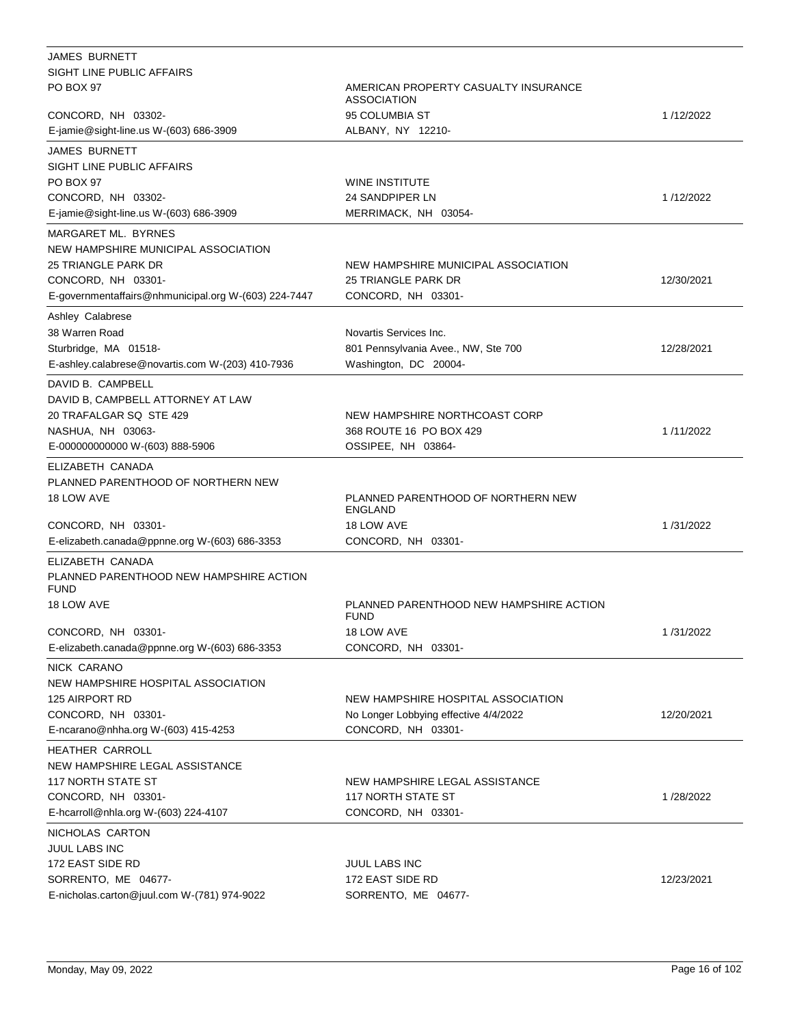| JAMES BURNETT                                          |                                                            |            |
|--------------------------------------------------------|------------------------------------------------------------|------------|
| SIGHT LINE PUBLIC AFFAIRS                              |                                                            |            |
| <b>PO BOX 97</b>                                       | AMERICAN PROPERTY CASUALTY INSURANCE<br><b>ASSOCIATION</b> |            |
| CONCORD, NH 03302-                                     | 95 COLUMBIA ST                                             | 1/12/2022  |
| E-jamie@sight-line.us W-(603) 686-3909                 | ALBANY, NY 12210-                                          |            |
| <b>JAMES BURNETT</b><br>SIGHT LINE PUBLIC AFFAIRS      |                                                            |            |
| PO BOX 97                                              | <b>WINE INSTITUTE</b>                                      |            |
| CONCORD, NH 03302-                                     | 24 SANDPIPER LN                                            | 1/12/2022  |
| E-jamie@sight-line.us W-(603) 686-3909                 | MERRIMACK, NH 03054-                                       |            |
|                                                        |                                                            |            |
| MARGARET ML. BYRNES                                    |                                                            |            |
| NEW HAMPSHIRE MUNICIPAL ASSOCIATION                    |                                                            |            |
| 25 TRIANGLE PARK DR                                    | NEW HAMPSHIRE MUNICIPAL ASSOCIATION                        |            |
| CONCORD, NH 03301-                                     | 25 TRIANGLE PARK DR                                        | 12/30/2021 |
| E-governmentaffairs@nhmunicipal.org W-(603) 224-7447   | CONCORD, NH 03301-                                         |            |
| Ashley Calabrese                                       |                                                            |            |
| 38 Warren Road                                         | Novartis Services Inc.                                     |            |
| Sturbridge, MA 01518-                                  | 801 Pennsylvania Avee., NW, Ste 700                        | 12/28/2021 |
| E-ashley.calabrese@novartis.com W-(203) 410-7936       | Washington, DC 20004-                                      |            |
| DAVID B. CAMPBELL                                      |                                                            |            |
| DAVID B, CAMPBELL ATTORNEY AT LAW                      |                                                            |            |
| 20 TRAFALGAR SQ STE 429                                | NEW HAMPSHIRE NORTHCOAST CORP                              |            |
| NASHUA, NH 03063-                                      | 368 ROUTE 16 PO BOX 429                                    | 1/11/2022  |
| E-000000000000 W-(603) 888-5906                        | OSSIPEE, NH 03864-                                         |            |
| ELIZABETH CANADA                                       |                                                            |            |
| PLANNED PARENTHOOD OF NORTHERN NEW                     |                                                            |            |
| 18 LOW AVE                                             | PLANNED PARENTHOOD OF NORTHERN NEW                         |            |
|                                                        | <b>ENGLAND</b>                                             |            |
| CONCORD, NH 03301-                                     | 18 LOW AVE                                                 | 1/31/2022  |
| E-elizabeth.canada@ppnne.org W-(603) 686-3353          | CONCORD, NH 03301-                                         |            |
| ELIZABETH CANADA                                       |                                                            |            |
| PLANNED PARENTHOOD NEW HAMPSHIRE ACTION<br><b>FUND</b> |                                                            |            |
| 18 LOW AVE                                             | PLANNED PARENTHOOD NEW HAMPSHIRE ACTION<br><b>FUND</b>     |            |
| CONCORD, NH 03301-                                     | 18 LOW AVE                                                 | 1/31/2022  |
| E-elizabeth.canada@ppnne.org W-(603) 686-3353          | CONCORD, NH 03301-                                         |            |
| NICK CARANO                                            |                                                            |            |
| NEW HAMPSHIRE HOSPITAL ASSOCIATION                     |                                                            |            |
| <b>125 AIRPORT RD</b>                                  | NEW HAMPSHIRE HOSPITAL ASSOCIATION                         |            |
| CONCORD, NH 03301-                                     | No Longer Lobbying effective 4/4/2022                      | 12/20/2021 |
| E-ncarano@nhha.org W-(603) 415-4253                    | CONCORD, NH 03301-                                         |            |
| HEATHER CARROLL                                        |                                                            |            |
| NEW HAMPSHIRE LEGAL ASSISTANCE                         |                                                            |            |
| <b>117 NORTH STATE ST</b>                              | NEW HAMPSHIRE LEGAL ASSISTANCE                             |            |
| CONCORD, NH 03301-                                     | <b>117 NORTH STATE ST</b>                                  | 1/28/2022  |
| E-hcarroll@nhla.org W-(603) 224-4107                   | CONCORD, NH 03301-                                         |            |
| NICHOLAS CARTON                                        |                                                            |            |
| <b>JUUL LABS INC</b>                                   |                                                            |            |
| 172 EAST SIDE RD                                       | JUUL LABS INC                                              |            |
| SORRENTO, ME 04677-                                    | 172 EAST SIDE RD                                           | 12/23/2021 |
| E-nicholas.carton@juul.com W-(781) 974-9022            | SORRENTO, ME 04677-                                        |            |
|                                                        |                                                            |            |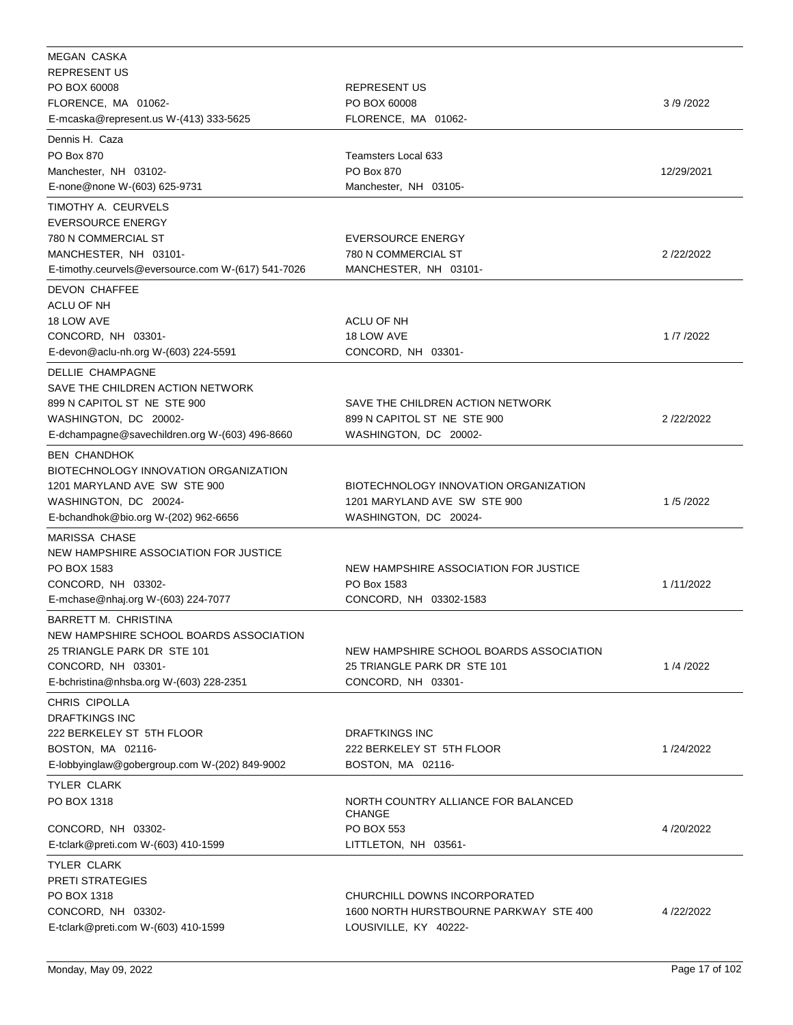| MEGAN CASKA                                        |                                         |            |
|----------------------------------------------------|-----------------------------------------|------------|
| <b>REPRESENT US</b>                                |                                         |            |
| PO BOX 60008                                       | <b>REPRESENT US</b>                     |            |
| FLORENCE, MA 01062-                                | PO BOX 60008                            | 3/9/2022   |
| E-mcaska@represent.us W-(413) 333-5625             | FLORENCE, MA 01062-                     |            |
| Dennis H. Caza                                     |                                         |            |
| PO Box 870                                         | <b>Teamsters Local 633</b>              |            |
| Manchester, NH 03102-                              | PO Box 870                              | 12/29/2021 |
| E-none@none W-(603) 625-9731                       | Manchester, NH 03105-                   |            |
|                                                    |                                         |            |
| TIMOTHY A. CEURVELS                                |                                         |            |
| <b>EVERSOURCE ENERGY</b>                           |                                         |            |
| 780 N COMMERCIAL ST                                | <b>EVERSOURCE ENERGY</b>                |            |
| MANCHESTER, NH 03101-                              | 780 N COMMERCIAL ST                     | 2/22/2022  |
| E-timothy.ceurvels@eversource.com W-(617) 541-7026 | MANCHESTER, NH 03101-                   |            |
| <b>DEVON CHAFFEE</b>                               |                                         |            |
| ACLU OF NH                                         |                                         |            |
| 18 LOW AVE                                         | ACLU OF NH                              |            |
| CONCORD, NH 03301-                                 | 18 LOW AVE                              | 1/7/2022   |
| E-devon@aclu-nh.org W-(603) 224-5591               | CONCORD, NH 03301-                      |            |
| DELLIE CHAMPAGNE                                   |                                         |            |
| SAVE THE CHILDREN ACTION NETWORK                   |                                         |            |
| 899 N CAPITOL ST NE STE 900                        | SAVE THE CHILDREN ACTION NETWORK        |            |
| WASHINGTON, DC 20002-                              | 899 N CAPITOL ST NE STE 900             | 2/22/2022  |
| E-dchampagne@savechildren.org W-(603) 496-8660     | WASHINGTON, DC 20002-                   |            |
|                                                    |                                         |            |
| <b>BEN CHANDHOK</b>                                |                                         |            |
| BIOTECHNOLOGY INNOVATION ORGANIZATION              |                                         |            |
| 1201 MARYLAND AVE SW STE 900                       | BIOTECHNOLOGY INNOVATION ORGANIZATION   |            |
| WASHINGTON, DC 20024-                              | 1201 MARYLAND AVE SW STE 900            | 1/5/2022   |
| E-bchandhok@bio.org W-(202) 962-6656               | WASHINGTON, DC 20024-                   |            |
| <b>MARISSA CHASE</b>                               |                                         |            |
| NEW HAMPSHIRE ASSOCIATION FOR JUSTICE              |                                         |            |
| PO BOX 1583                                        | NEW HAMPSHIRE ASSOCIATION FOR JUSTICE   |            |
| CONCORD, NH 03302-                                 | PO Box 1583                             | 1/11/2022  |
| E-mchase@nhaj.org W-(603) 224-7077                 | CONCORD, NH 03302-1583                  |            |
| BARRETT M. CHRISTINA                               |                                         |            |
| NEW HAMPSHIRE SCHOOL BOARDS ASSOCIATION            |                                         |            |
| 25 TRIANGLE PARK DR STE 101                        | NEW HAMPSHIRE SCHOOL BOARDS ASSOCIATION |            |
| CONCORD, NH 03301-                                 | 25 TRIANGLE PARK DR STE 101             | 1/4/2022   |
| E-bchristina@nhsba.org W-(603) 228-2351            | CONCORD, NH 03301-                      |            |
|                                                    |                                         |            |
| CHRIS CIPOLLA                                      |                                         |            |
| <b>DRAFTKINGS INC</b>                              |                                         |            |
| 222 BERKELEY ST 5TH FLOOR                          | <b>DRAFTKINGS INC</b>                   |            |
| BOSTON, MA 02116-                                  | 222 BERKELEY ST 5TH FLOOR               | 1/24/2022  |
| E-lobbyinglaw@gobergroup.com W-(202) 849-9002      | BOSTON, MA 02116-                       |            |
| <b>TYLER CLARK</b>                                 |                                         |            |
| PO BOX 1318                                        | NORTH COUNTRY ALLIANCE FOR BALANCED     |            |
|                                                    | <b>CHANGE</b>                           |            |
| CONCORD, NH 03302-                                 | PO BOX 553                              | 4/20/2022  |
| E-tclark@preti.com W-(603) 410-1599                | LITTLETON, NH 03561-                    |            |
| TYLER CLARK                                        |                                         |            |
| <b>PRETI STRATEGIES</b>                            |                                         |            |
| PO BOX 1318                                        | CHURCHILL DOWNS INCORPORATED            |            |
| CONCORD, NH 03302-                                 | 1600 NORTH HURSTBOURNE PARKWAY STE 400  | 4/22/2022  |
| E-tclark@preti.com W-(603) 410-1599                | LOUSIVILLE, KY 40222-                   |            |
|                                                    |                                         |            |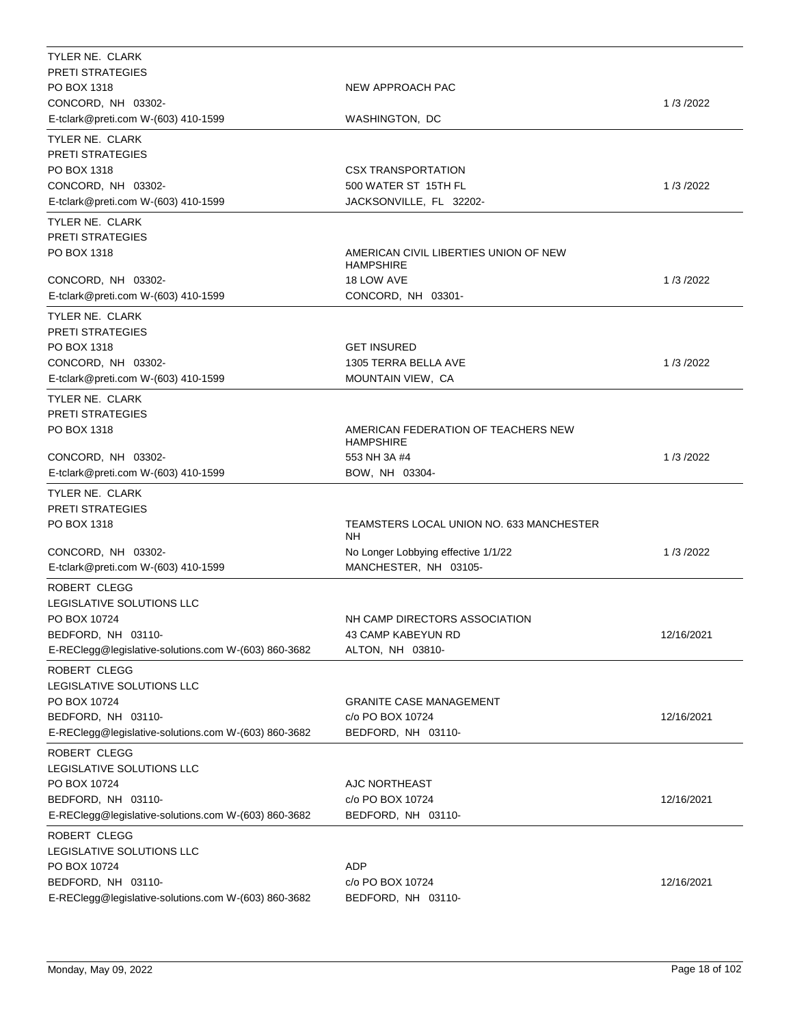| TYLER NE. CLARK                                      |                                                           |            |
|------------------------------------------------------|-----------------------------------------------------------|------------|
| <b>PRETI STRATEGIES</b>                              |                                                           |            |
| PO BOX 1318                                          | NEW APPROACH PAC                                          |            |
| CONCORD, NH 03302-                                   |                                                           | 1/3/2022   |
| E-tclark@preti.com W-(603) 410-1599                  | WASHINGTON, DC                                            |            |
| TYLER NE. CLARK                                      |                                                           |            |
| <b>PRETI STRATEGIES</b>                              |                                                           |            |
| PO BOX 1318                                          | <b>CSX TRANSPORTATION</b>                                 |            |
| CONCORD, NH 03302-                                   | 500 WATER ST 15TH FL                                      | 1/3/2022   |
| E-tclark@preti.com W-(603) 410-1599                  | JACKSONVILLE, FL 32202-                                   |            |
| TYLER NE. CLARK                                      |                                                           |            |
| <b>PRETI STRATEGIES</b>                              |                                                           |            |
| PO BOX 1318                                          | AMERICAN CIVIL LIBERTIES UNION OF NEW<br><b>HAMPSHIRE</b> |            |
| CONCORD, NH 03302-                                   | 18 LOW AVE                                                | 1/3/2022   |
| E-tclark@preti.com W-(603) 410-1599                  | CONCORD, NH 03301-                                        |            |
|                                                      |                                                           |            |
| TYLER NE. CLARK                                      |                                                           |            |
| <b>PRETI STRATEGIES</b>                              |                                                           |            |
| PO BOX 1318                                          | <b>GET INSURED</b>                                        |            |
| CONCORD, NH 03302-                                   | 1305 TERRA BELLA AVE                                      | 1/3/2022   |
| E-tclark@preti.com W-(603) 410-1599                  | MOUNTAIN VIEW, CA                                         |            |
| TYLER NE. CLARK                                      |                                                           |            |
| <b>PRETI STRATEGIES</b>                              |                                                           |            |
| PO BOX 1318                                          | AMERICAN FEDERATION OF TEACHERS NEW<br><b>HAMPSHIRE</b>   |            |
| CONCORD, NH 03302-                                   | 553 NH 3A #4                                              | 1/3/2022   |
| E-tclark@preti.com W-(603) 410-1599                  | BOW, NH 03304-                                            |            |
| TYLER NE. CLARK                                      |                                                           |            |
| <b>PRETI STRATEGIES</b>                              |                                                           |            |
| PO BOX 1318                                          | TEAMSTERS LOCAL UNION NO. 633 MANCHESTER<br>NΗ            |            |
| CONCORD, NH 03302-                                   | No Longer Lobbying effective 1/1/22                       | 1/3/2022   |
| E-tclark@preti.com W-(603) 410-1599                  | MANCHESTER, NH 03105-                                     |            |
| ROBERT CLEGG                                         |                                                           |            |
| LEGISLATIVE SOLUTIONS LLC                            |                                                           |            |
| PO BOX 10724                                         | NH CAMP DIRECTORS ASSOCIATION                             |            |
| BEDFORD, NH 03110-                                   | 43 CAMP KABEYUN RD                                        | 12/16/2021 |
| E-REClegg@legislative-solutions.com W-(603) 860-3682 | ALTON, NH 03810-                                          |            |
|                                                      |                                                           |            |
| ROBERT CLEGG                                         |                                                           |            |
| LEGISLATIVE SOLUTIONS LLC                            |                                                           |            |
| PO BOX 10724                                         | <b>GRANITE CASE MANAGEMENT</b>                            |            |
| BEDFORD, NH 03110-                                   | c/o PO BOX 10724                                          | 12/16/2021 |
| E-REClegg@legislative-solutions.com W-(603) 860-3682 | BEDFORD, NH 03110-                                        |            |
| ROBERT CLEGG                                         |                                                           |            |
| LEGISLATIVE SOLUTIONS LLC                            |                                                           |            |
| PO BOX 10724                                         | AJC NORTHEAST                                             |            |
| BEDFORD, NH 03110-                                   | c/o PO BOX 10724                                          | 12/16/2021 |
| E-REClegg@legislative-solutions.com W-(603) 860-3682 | BEDFORD, NH 03110-                                        |            |
| ROBERT CLEGG                                         |                                                           |            |
| LEGISLATIVE SOLUTIONS LLC                            |                                                           |            |
| PO BOX 10724                                         | ADP                                                       |            |
| BEDFORD, NH 03110-                                   | c/o PO BOX 10724                                          | 12/16/2021 |
| E-REClegg@legislative-solutions.com W-(603) 860-3682 | BEDFORD, NH 03110-                                        |            |
|                                                      |                                                           |            |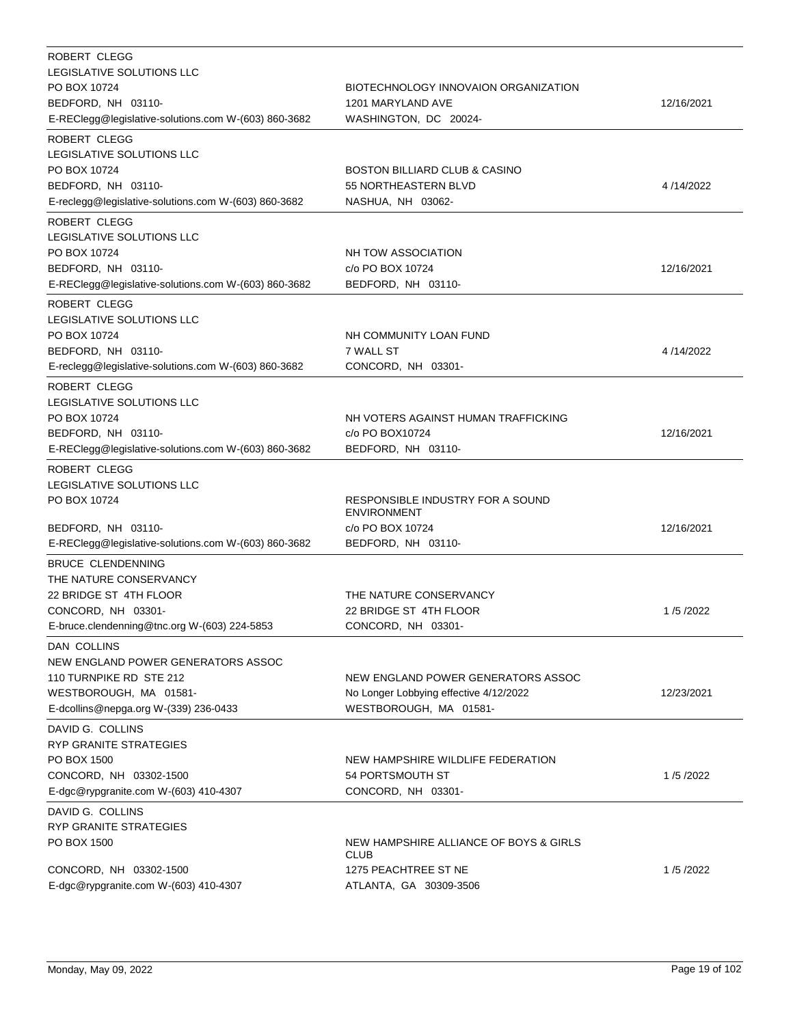| <b>ROBERT CLEGG</b><br>LEGISLATIVE SOLUTIONS LLC<br>PO BOX 10724<br>BEDFORD, NH 03110-<br>E-REClegg@legislative-solutions.com W-(603) 860-3682     | BIOTECHNOLOGY INNOVAION ORGANIZATION<br>1201 MARYLAND AVE<br>WASHINGTON, DC 20024-                      | 12/16/2021 |
|----------------------------------------------------------------------------------------------------------------------------------------------------|---------------------------------------------------------------------------------------------------------|------------|
| ROBERT CLEGG<br>LEGISLATIVE SOLUTIONS LLC<br>PO BOX 10724<br>BEDFORD, NH 03110-<br>E-reclegg@legislative-solutions.com W-(603) 860-3682            | <b>BOSTON BILLIARD CLUB &amp; CASINO</b><br>55 NORTHEASTERN BLVD<br>NASHUA, NH 03062-                   | 4/14/2022  |
| <b>ROBERT CLEGG</b><br>LEGISLATIVE SOLUTIONS LLC<br>PO BOX 10724<br>BEDFORD, NH 03110-<br>E-REClegg@legislative-solutions.com W-(603) 860-3682     | NH TOW ASSOCIATION<br>c/o PO BOX 10724<br>BEDFORD, NH 03110-                                            | 12/16/2021 |
| ROBERT CLEGG<br>LEGISLATIVE SOLUTIONS LLC<br>PO BOX 10724<br>BEDFORD, NH 03110-<br>E-reclegg@legislative-solutions.com W-(603) 860-3682            | NH COMMUNITY LOAN FUND<br>7 WALL ST<br>CONCORD, NH 03301-                                               | 4/14/2022  |
| ROBERT CLEGG<br>LEGISLATIVE SOLUTIONS LLC<br>PO BOX 10724<br>BEDFORD, NH 03110-<br>E-REClegg@legislative-solutions.com W-(603) 860-3682            | NH VOTERS AGAINST HUMAN TRAFFICKING<br>c/o PO BOX10724<br>BEDFORD, NH 03110-                            | 12/16/2021 |
| <b>ROBERT CLEGG</b><br>LEGISLATIVE SOLUTIONS LLC<br>PO BOX 10724<br>BEDFORD, NH 03110-<br>E-REClegg@legislative-solutions.com W-(603) 860-3682     | RESPONSIBLE INDUSTRY FOR A SOUND<br><b>ENVIRONMENT</b><br>c/o PO BOX 10724<br>BEDFORD, NH 03110-        | 12/16/2021 |
| <b>BRUCE CLENDENNING</b><br>THE NATURE CONSERVANCY<br>22 BRIDGE ST 4TH FLOOR<br>CONCORD, NH 03301-<br>E-bruce.clendenning@tnc.org W-(603) 224-5853 | THE NATURE CONSERVANCY<br>22 BRIDGE ST 4TH FLOOR<br>CONCORD, NH 03301-                                  | 1/5/2022   |
| DAN COLLINS<br>NEW ENGLAND POWER GENERATORS ASSOC<br>110 TURNPIKE RD STE 212<br>WESTBOROUGH, MA 01581-<br>E-dcollins@nepga.org W-(339) 236-0433    | NEW ENGLAND POWER GENERATORS ASSOC<br>No Longer Lobbying effective 4/12/2022<br>WESTBOROUGH, MA 01581-  | 12/23/2021 |
| DAVID G. COLLINS<br>RYP GRANITE STRATEGIES<br>PO BOX 1500<br>CONCORD, NH 03302-1500<br>E-dgc@rypgranite.com W-(603) 410-4307                       | NEW HAMPSHIRE WILDLIFE FEDERATION<br>54 PORTSMOUTH ST<br>CONCORD, NH 03301-                             | 1/5/2022   |
| DAVID G. COLLINS<br>RYP GRANITE STRATEGIES<br>PO BOX 1500<br>CONCORD, NH 03302-1500<br>E-dgc@rypgranite.com W-(603) 410-4307                       | NEW HAMPSHIRE ALLIANCE OF BOYS & GIRLS<br><b>CLUB</b><br>1275 PEACHTREE ST NE<br>ATLANTA, GA 30309-3506 | 1/5/2022   |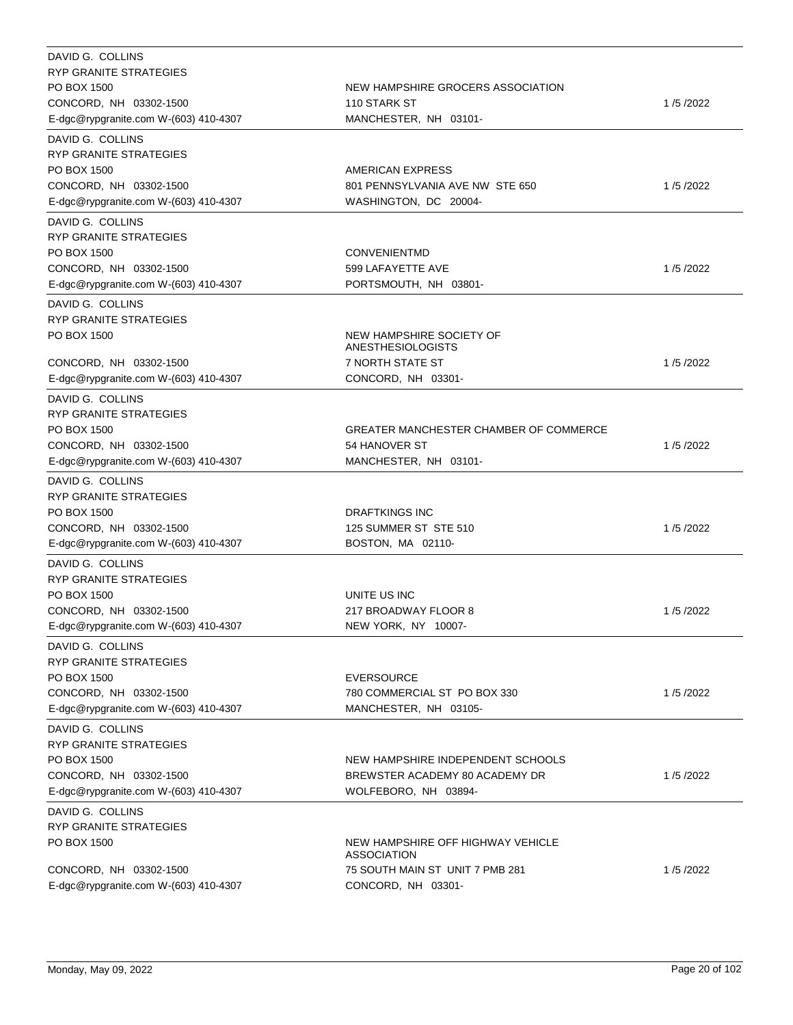| DAVID G. COLLINS<br>RYP GRANITE STRATEGIES<br>PO BOX 1500<br>CONCORD, NH 03302-1500<br>E-dgc@rypgranite.com W-(603) 410-4307        | NEW HAMPSHIRE GROCERS ASSOCIATION<br>110 STARK ST<br>MANCHESTER, NH 03101-                                | 1/5/2022 |
|-------------------------------------------------------------------------------------------------------------------------------------|-----------------------------------------------------------------------------------------------------------|----------|
| DAVID G. COLLINS<br><b>RYP GRANITE STRATEGIES</b><br>PO BOX 1500<br>CONCORD, NH 03302-1500<br>E-dgc@rypgranite.com W-(603) 410-4307 | AMERICAN EXPRESS<br>801 PENNSYLVANIA AVE NW STE 650<br>WASHINGTON, DC 20004-                              | 1/5/2022 |
| DAVID G. COLLINS<br>RYP GRANITE STRATEGIES<br>PO BOX 1500<br>CONCORD, NH 03302-1500<br>E-dgc@rypgranite.com W-(603) 410-4307        | <b>CONVENIENTMD</b><br>599 LAFAYETTE AVE<br>PORTSMOUTH, NH 03801-                                         | 1/5/2022 |
| DAVID G. COLLINS<br><b>RYP GRANITE STRATEGIES</b><br>PO BOX 1500<br>CONCORD, NH 03302-1500<br>E-dgc@rypgranite.com W-(603) 410-4307 | NEW HAMPSHIRE SOCIETY OF<br><b>ANESTHESIOLOGISTS</b><br><b>7 NORTH STATE ST</b><br>CONCORD, NH 03301-     | 1/5/2022 |
| DAVID G. COLLINS<br><b>RYP GRANITE STRATEGIES</b><br>PO BOX 1500<br>CONCORD, NH 03302-1500<br>E-dgc@rypgranite.com W-(603) 410-4307 | <b>GREATER MANCHESTER CHAMBER OF COMMERCE</b><br>54 HANOVER ST<br>MANCHESTER, NH 03101-                   | 1/5/2022 |
| DAVID G. COLLINS<br><b>RYP GRANITE STRATEGIES</b><br>PO BOX 1500<br>CONCORD, NH 03302-1500<br>E-dgc@rypgranite.com W-(603) 410-4307 | <b>DRAFTKINGS INC</b><br>125 SUMMER ST STE 510<br>BOSTON, MA 02110-                                       | 1/5/2022 |
| DAVID G. COLLINS<br>RYP GRANITE STRATEGIES<br>PO BOX 1500<br>CONCORD, NH 03302-1500<br>E-dgc@rypgranite.com W-(603) 410-4307        | UNITE US INC<br>217 BROADWAY FLOOR 8<br>NEW YORK, NY 10007-                                               | 1/5/2022 |
| DAVID G. COLLINS<br><b>RYP GRANITE STRATEGIES</b><br>PO BOX 1500<br>CONCORD, NH 03302-1500<br>E-dgc@rypgranite.com W-(603) 410-4307 | <b>EVERSOURCE</b><br>780 COMMERCIAL ST PO BOX 330<br>MANCHESTER, NH 03105-                                | 1/5/2022 |
| DAVID G. COLLINS<br><b>RYP GRANITE STRATEGIES</b><br>PO BOX 1500<br>CONCORD, NH 03302-1500<br>E-dgc@rypgranite.com W-(603) 410-4307 | NEW HAMPSHIRE INDEPENDENT SCHOOLS<br>BREWSTER ACADEMY 80 ACADEMY DR<br>WOLFEBORO, NH 03894-               | 1/5/2022 |
| DAVID G. COLLINS<br>RYP GRANITE STRATEGIES<br>PO BOX 1500<br>CONCORD, NH 03302-1500<br>E-dgc@rypgranite.com W-(603) 410-4307        | NEW HAMPSHIRE OFF HIGHWAY VEHICLE<br>ASSOCIATION<br>75 SOUTH MAIN ST UNIT 7 PMB 281<br>CONCORD, NH 03301- | 1/5/2022 |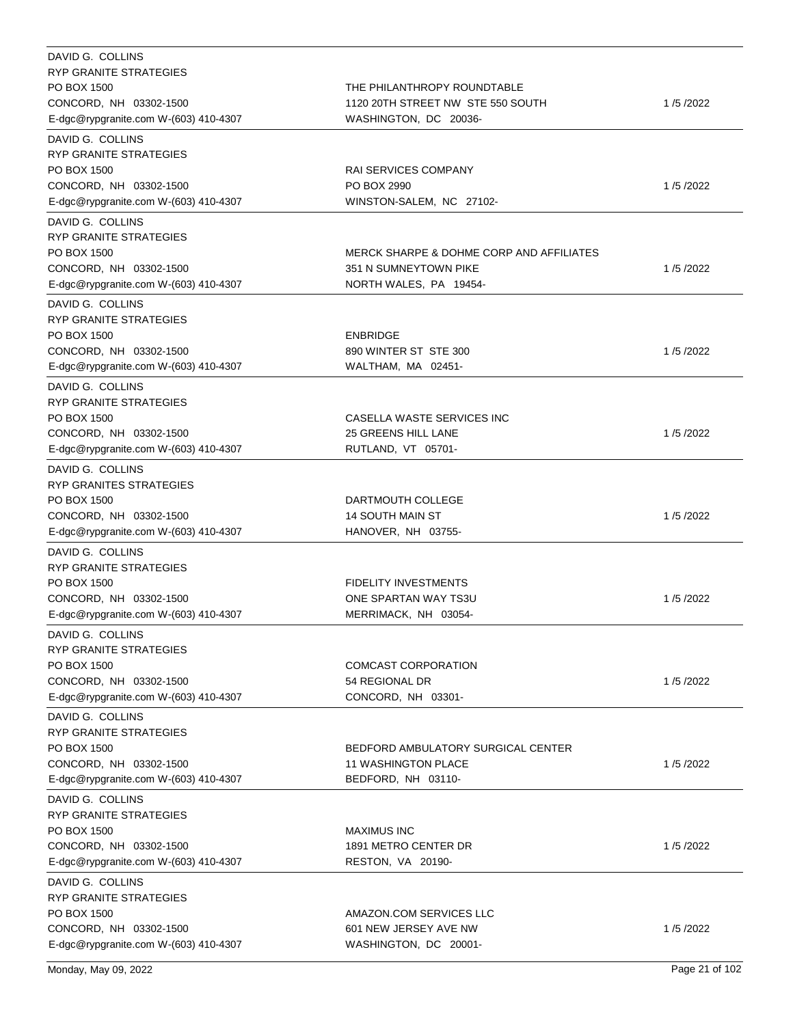| DAVID G. COLLINS                           |                                                     |          |
|--------------------------------------------|-----------------------------------------------------|----------|
| RYP GRANITE STRATEGIES                     |                                                     |          |
| PO BOX 1500                                | THE PHILANTHROPY ROUNDTABLE                         |          |
| CONCORD, NH 03302-1500                     | 1120 20TH STREET NW STE 550 SOUTH                   | 1/5/2022 |
| E-dgc@rypgranite.com W-(603) 410-4307      | WASHINGTON, DC 20036-                               |          |
| DAVID G. COLLINS                           |                                                     |          |
| RYP GRANITE STRATEGIES                     |                                                     |          |
| PO BOX 1500                                | RAI SERVICES COMPANY                                |          |
| CONCORD, NH 03302-1500                     | PO BOX 2990                                         | 1/5/2022 |
| E-dgc@rypgranite.com W-(603) 410-4307      | WINSTON-SALEM, NC 27102-                            |          |
| DAVID G. COLLINS                           |                                                     |          |
| <b>RYP GRANITE STRATEGIES</b>              |                                                     |          |
| PO BOX 1500                                | <b>MERCK SHARPE &amp; DOHME CORP AND AFFILIATES</b> |          |
| CONCORD, NH 03302-1500                     | 351 N SUMNEYTOWN PIKE                               | 1/5/2022 |
| E-dgc@rypgranite.com W-(603) 410-4307      | NORTH WALES, PA 19454-                              |          |
| DAVID G. COLLINS                           |                                                     |          |
| <b>RYP GRANITE STRATEGIES</b>              |                                                     |          |
| PO BOX 1500                                | <b>ENBRIDGE</b>                                     |          |
| CONCORD, NH 03302-1500                     | 890 WINTER ST STE 300                               | 1/5/2022 |
| E-dgc@rypgranite.com W-(603) 410-4307      | WALTHAM, MA 02451-                                  |          |
|                                            |                                                     |          |
| DAVID G. COLLINS                           |                                                     |          |
| RYP GRANITE STRATEGIES                     |                                                     |          |
| PO BOX 1500                                | CASELLA WASTE SERVICES INC                          |          |
| CONCORD, NH 03302-1500                     | 25 GREENS HILL LANE                                 | 1/5/2022 |
| E-dgc@rypgranite.com W-(603) 410-4307      | RUTLAND, VT 05701-                                  |          |
| DAVID G. COLLINS                           |                                                     |          |
| RYP GRANITES STRATEGIES                    |                                                     |          |
| PO BOX 1500                                | DARTMOUTH COLLEGE                                   |          |
| CONCORD, NH 03302-1500                     | <b>14 SOUTH MAIN ST</b>                             | 1/5/2022 |
| E-dgc@rypgranite.com W-(603) 410-4307      | HANOVER, NH 03755-                                  |          |
| DAVID G. COLLINS                           |                                                     |          |
| RYP GRANITE STRATEGIES                     |                                                     |          |
| PO BOX 1500                                | <b>FIDELITY INVESTMENTS</b>                         |          |
| CONCORD, NH 03302-1500                     | ONE SPARTAN WAY TS3U                                | 1/5/2022 |
| E-dgc@rypgranite.com W-(603) 410-4307      | MERRIMACK, NH 03054-                                |          |
| DAVID G. COLLINS                           |                                                     |          |
| RYP GRANITE STRATEGIES                     |                                                     |          |
| PO BOX 1500                                | COMCAST CORPORATION                                 |          |
| CONCORD, NH 03302-1500                     | 54 REGIONAL DR                                      | 1/5/2022 |
| E-dgc@rypgranite.com W-(603) 410-4307      | CONCORD, NH 03301-                                  |          |
| DAVID G. COLLINS                           |                                                     |          |
| <b>RYP GRANITE STRATEGIES</b>              |                                                     |          |
| PO BOX 1500                                | BEDFORD AMBULATORY SURGICAL CENTER                  |          |
| CONCORD, NH 03302-1500                     | <b>11 WASHINGTON PLACE</b>                          | 1/5/2022 |
| E-dgc@rypgranite.com W-(603) 410-4307      | BEDFORD, NH 03110-                                  |          |
|                                            |                                                     |          |
| DAVID G. COLLINS<br>RYP GRANITE STRATEGIES |                                                     |          |
| PO BOX 1500                                | MAXIMUS INC                                         |          |
| CONCORD, NH 03302-1500                     | 1891 METRO CENTER DR                                | 1/5/2022 |
|                                            |                                                     |          |
| E-dgc@rypgranite.com W-(603) 410-4307      | RESTON, VA 20190-                                   |          |
| DAVID G. COLLINS                           |                                                     |          |
| RYP GRANITE STRATEGIES                     |                                                     |          |
| PO BOX 1500                                | AMAZON.COM SERVICES LLC                             |          |
| CONCORD, NH 03302-1500                     | 601 NEW JERSEY AVE NW                               | 1/5/2022 |
| E-dgc@rypgranite.com W-(603) 410-4307      | WASHINGTON, DC 20001-                               |          |

Monday, May 09, 2022 Page 21 of 102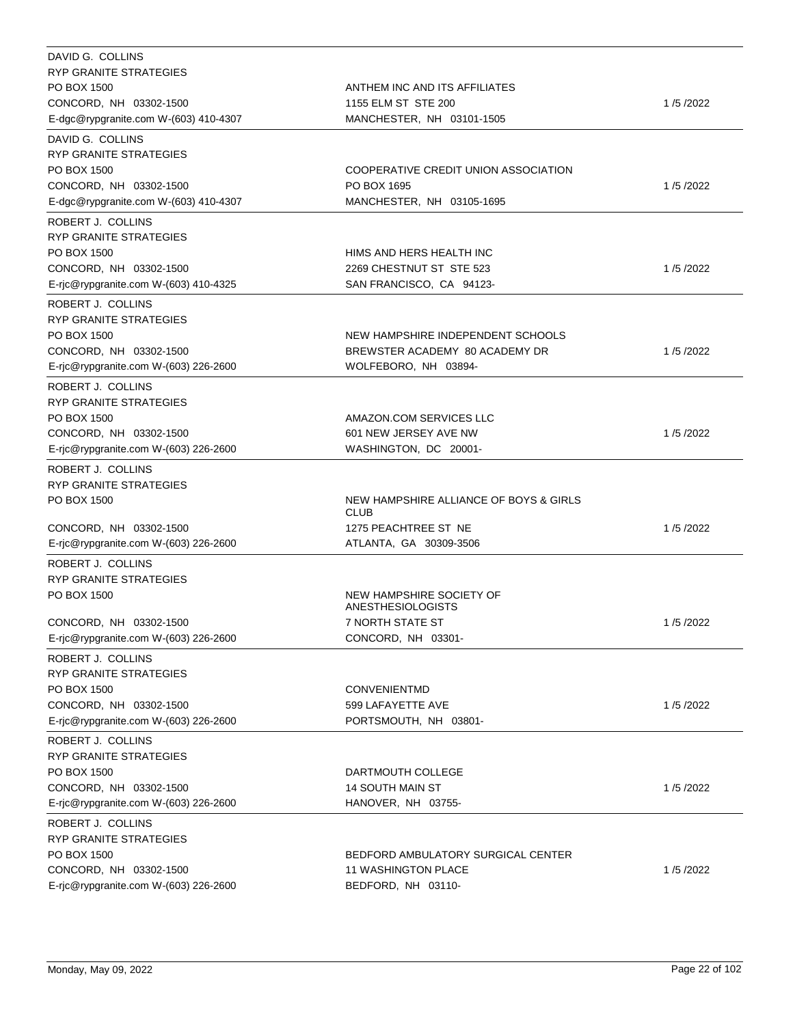| DAVID G. COLLINS                      |                                        |          |
|---------------------------------------|----------------------------------------|----------|
| <b>RYP GRANITE STRATEGIES</b>         |                                        |          |
| PO BOX 1500                           | ANTHEM INC AND ITS AFFILIATES          |          |
| CONCORD, NH 03302-1500                | 1155 ELM ST STE 200                    | 1/5/2022 |
| E-dgc@rypgranite.com W-(603) 410-4307 | MANCHESTER, NH 03101-1505              |          |
| DAVID G. COLLINS                      |                                        |          |
| RYP GRANITE STRATEGIES                |                                        |          |
| PO BOX 1500                           | COOPERATIVE CREDIT UNION ASSOCIATION   |          |
| CONCORD, NH 03302-1500                | PO BOX 1695                            | 1/5/2022 |
| E-dgc@rypgranite.com W-(603) 410-4307 | MANCHESTER, NH 03105-1695              |          |
| ROBERT J. COLLINS                     |                                        |          |
| RYP GRANITE STRATEGIES                |                                        |          |
| PO BOX 1500                           | HIMS AND HERS HEALTH INC               |          |
| CONCORD, NH 03302-1500                | 2269 CHESTNUT ST STE 523               | 1/5/2022 |
| E-ric@rypgranite.com W-(603) 410-4325 | SAN FRANCISCO, CA 94123-               |          |
| ROBERT J. COLLINS                     |                                        |          |
| RYP GRANITE STRATEGIES                |                                        |          |
| PO BOX 1500                           | NEW HAMPSHIRE INDEPENDENT SCHOOLS      |          |
| CONCORD, NH 03302-1500                | BREWSTER ACADEMY 80 ACADEMY DR         | 1/5/2022 |
| E-ric@rypgranite.com W-(603) 226-2600 | WOLFEBORO, NH 03894-                   |          |
| ROBERT J. COLLINS                     |                                        |          |
| RYP GRANITE STRATEGIES                |                                        |          |
| PO BOX 1500                           | AMAZON.COM SERVICES LLC                |          |
| CONCORD, NH 03302-1500                | 601 NEW JERSEY AVE NW                  | 1/5/2022 |
| E-rjc@rypgranite.com W-(603) 226-2600 | WASHINGTON, DC 20001-                  |          |
| ROBERT J. COLLINS                     |                                        |          |
| RYP GRANITE STRATEGIES                |                                        |          |
| PO BOX 1500                           | NEW HAMPSHIRE ALLIANCE OF BOYS & GIRLS |          |
|                                       | <b>CLUB</b>                            |          |
| CONCORD, NH 03302-1500                | 1275 PEACHTREE ST NE                   | 1/5/2022 |
| E-rjc@rypgranite.com W-(603) 226-2600 | ATLANTA, GA 30309-3506                 |          |
| ROBERT J. COLLINS                     |                                        |          |
| RYP GRANITE STRATEGIES                |                                        |          |
| PO BOX 1500                           | NEW HAMPSHIRE SOCIETY OF               |          |
|                                       | ANESTHESIOLOGISTS                      |          |
| CONCORD, NH 03302-1500                | <b>7 NORTH STATE ST</b>                | 1/5/2022 |
| E-rjc@rypgranite.com W-(603) 226-2600 | CONCORD, NH 03301-                     |          |
| ROBERT J. COLLINS                     |                                        |          |
| RYP GRANITE STRATEGIES                |                                        |          |
| PO BOX 1500                           | <b>CONVENIENTMD</b>                    |          |
| CONCORD, NH 03302-1500                | 599 LAFAYETTE AVE                      | 1/5/2022 |
| E-rjc@rypgranite.com W-(603) 226-2600 | PORTSMOUTH, NH 03801-                  |          |
| ROBERT J. COLLINS                     |                                        |          |
| RYP GRANITE STRATEGIES                |                                        |          |
| PO BOX 1500                           | DARTMOUTH COLLEGE                      |          |
| CONCORD, NH 03302-1500                | <b>14 SOUTH MAIN ST</b>                | 1/5/2022 |
| E-ric@rypgranite.com W-(603) 226-2600 | HANOVER, NH 03755-                     |          |
| ROBERT J. COLLINS                     |                                        |          |
| RYP GRANITE STRATEGIES                |                                        |          |
| PO BOX 1500                           | BEDFORD AMBULATORY SURGICAL CENTER     |          |
| CONCORD, NH 03302-1500                | <b>11 WASHINGTON PLACE</b>             | 1/5/2022 |
| E-rjc@rypgranite.com W-(603) 226-2600 | BEDFORD, NH 03110-                     |          |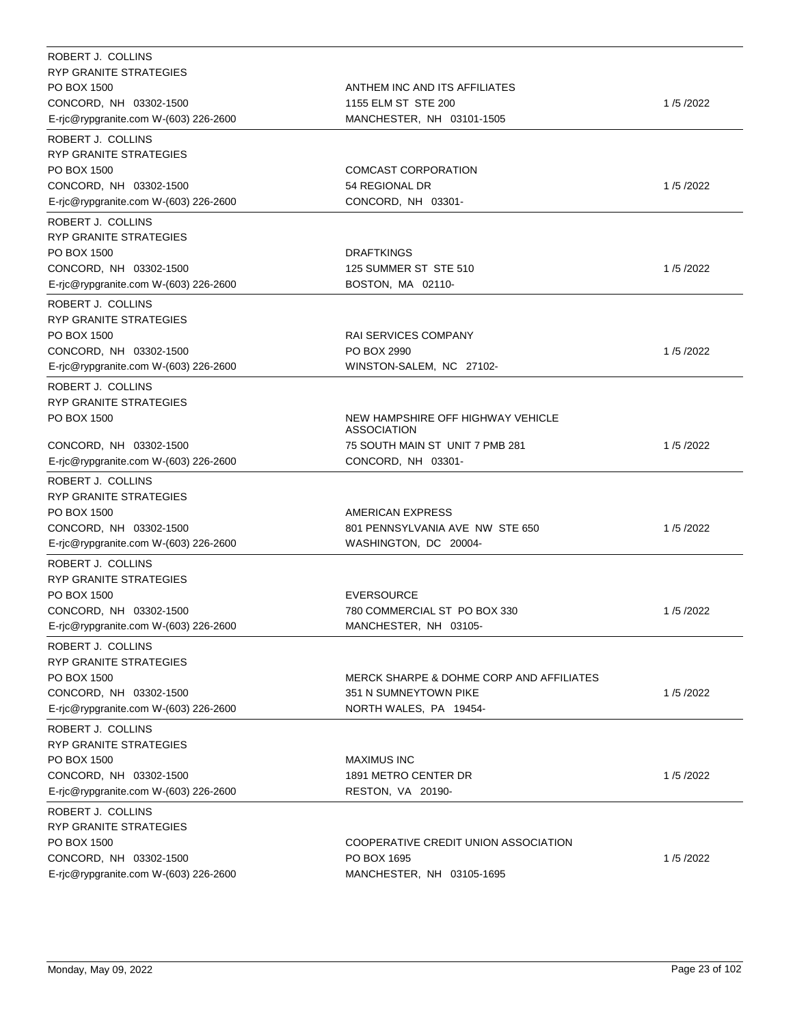| ROBERT J. COLLINS                           |                                                     |          |
|---------------------------------------------|-----------------------------------------------------|----------|
| RYP GRANITE STRATEGIES                      |                                                     |          |
| PO BOX 1500                                 | ANTHEM INC AND ITS AFFILIATES                       |          |
| CONCORD, NH 03302-1500                      | 1155 ELM ST STE 200                                 | 1/5/2022 |
| E-ric@rypgranite.com W-(603) 226-2600       | MANCHESTER, NH 03101-1505                           |          |
| ROBERT J. COLLINS                           |                                                     |          |
| RYP GRANITE STRATEGIES                      |                                                     |          |
| PO BOX 1500                                 | <b>COMCAST CORPORATION</b>                          |          |
| CONCORD, NH 03302-1500                      | 54 REGIONAL DR                                      | 1/5/2022 |
| E-rjc@rypgranite.com W-(603) 226-2600       | CONCORD, NH 03301-                                  |          |
| ROBERT J. COLLINS                           |                                                     |          |
| RYP GRANITE STRATEGIES                      |                                                     |          |
| PO BOX 1500                                 | <b>DRAFTKINGS</b>                                   |          |
| CONCORD, NH 03302-1500                      | 125 SUMMER ST STE 510                               | 1/5/2022 |
| E-rjc@rypgranite.com W-(603) 226-2600       | BOSTON, MA 02110-                                   |          |
| ROBERT J. COLLINS                           |                                                     |          |
| RYP GRANITE STRATEGIES                      |                                                     |          |
| PO BOX 1500                                 | RAI SERVICES COMPANY                                |          |
| CONCORD, NH 03302-1500                      | PO BOX 2990                                         | 1/5/2022 |
| E-rjc@rypgranite.com W-(603) 226-2600       | WINSTON-SALEM, NC 27102-                            |          |
| ROBERT J. COLLINS                           |                                                     |          |
| RYP GRANITE STRATEGIES                      |                                                     |          |
| PO BOX 1500                                 | NEW HAMPSHIRE OFF HIGHWAY VEHICLE                   |          |
|                                             | <b>ASSOCIATION</b>                                  |          |
| CONCORD, NH 03302-1500                      | 75 SOUTH MAIN ST UNIT 7 PMB 281                     | 1/5/2022 |
| E-ric@rypgranite.com W-(603) 226-2600       | CONCORD, NH 03301-                                  |          |
| ROBERT J. COLLINS                           |                                                     |          |
| RYP GRANITE STRATEGIES                      |                                                     |          |
| PO BOX 1500                                 | AMERICAN EXPRESS                                    |          |
| CONCORD, NH 03302-1500                      | 801 PENNSYLVANIA AVE NW STE 650                     | 1/5/2022 |
| E-rjc@rypgranite.com W-(603) 226-2600       | WASHINGTON, DC 20004-                               |          |
|                                             |                                                     |          |
| ROBERT J. COLLINS<br>RYP GRANITE STRATEGIES |                                                     |          |
| PO BOX 1500                                 |                                                     |          |
| CONCORD, NH 03302-1500                      | <b>EVERSOURCE</b><br>780 COMMERCIAL ST PO BOX 330   | 1/5/2022 |
| E-rjc@rypgranite.com W-(603) 226-2600       | MANCHESTER, NH 03105-                               |          |
|                                             |                                                     |          |
| ROBERT J. COLLINS                           |                                                     |          |
| RYP GRANITE STRATEGIES                      |                                                     |          |
| PO BOX 1500                                 | <b>MERCK SHARPE &amp; DOHME CORP AND AFFILIATES</b> |          |
| CONCORD, NH 03302-1500                      | 351 N SUMNEYTOWN PIKE                               | 1/5/2022 |
| E-rjc@rypgranite.com W-(603) 226-2600       | NORTH WALES, PA 19454-                              |          |
| ROBERT J. COLLINS                           |                                                     |          |
| RYP GRANITE STRATEGIES                      |                                                     |          |
| PO BOX 1500                                 | <b>MAXIMUS INC</b>                                  |          |
| CONCORD, NH 03302-1500                      | 1891 METRO CENTER DR                                | 1/5/2022 |
| E-rjc@rypgranite.com W-(603) 226-2600       | RESTON, VA 20190-                                   |          |
| ROBERT J. COLLINS                           |                                                     |          |
| RYP GRANITE STRATEGIES                      |                                                     |          |
| PO BOX 1500                                 | COOPERATIVE CREDIT UNION ASSOCIATION                |          |
| CONCORD, NH 03302-1500                      | PO BOX 1695                                         | 1/5/2022 |
| E-rjc@rypgranite.com W-(603) 226-2600       | MANCHESTER, NH 03105-1695                           |          |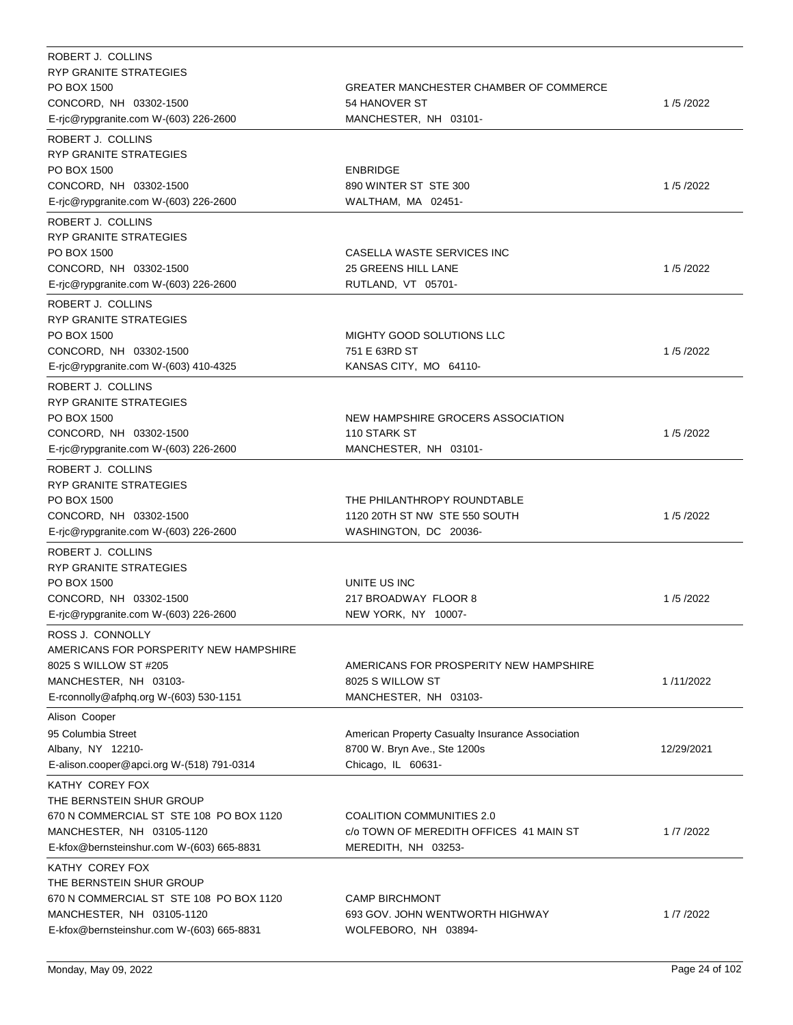| ROBERT J. COLLINS<br><b>RYP GRANITE STRATEGIES</b><br>PO BOX 1500<br>CONCORD, NH 03302-1500<br>E-ric@rypgranite.com W-(603) 226-2600                             | GREATER MANCHESTER CHAMBER OF COMMERCE<br>54 HANOVER ST<br>MANCHESTER, NH 03101-                       | 1/5/2022   |
|------------------------------------------------------------------------------------------------------------------------------------------------------------------|--------------------------------------------------------------------------------------------------------|------------|
| ROBERT J. COLLINS<br>RYP GRANITE STRATEGIES<br>PO BOX 1500<br>CONCORD, NH 03302-1500<br>E-rjc@rypgranite.com W-(603) 226-2600                                    | <b>ENBRIDGE</b><br>890 WINTER ST STE 300<br>WALTHAM, MA 02451-                                         | 1/5/2022   |
| ROBERT J. COLLINS<br><b>RYP GRANITE STRATEGIES</b><br>PO BOX 1500<br>CONCORD, NH 03302-1500<br>E-rjc@rypgranite.com W-(603) 226-2600                             | CASELLA WASTE SERVICES INC<br>25 GREENS HILL LANE<br>RUTLAND, VT 05701-                                | 1/5/2022   |
| ROBERT J. COLLINS<br><b>RYP GRANITE STRATEGIES</b><br>PO BOX 1500<br>CONCORD, NH 03302-1500<br>E-rjc@rypgranite.com W-(603) 410-4325                             | MIGHTY GOOD SOLUTIONS LLC<br>751 E 63RD ST<br>KANSAS CITY, MO 64110-                                   | 1/5/2022   |
| ROBERT J. COLLINS<br><b>RYP GRANITE STRATEGIES</b><br>PO BOX 1500<br>CONCORD, NH 03302-1500<br>E-rjc@rypgranite.com W-(603) 226-2600                             | NEW HAMPSHIRE GROCERS ASSOCIATION<br>110 STARK ST<br>MANCHESTER, NH 03101-                             | 1/5/2022   |
| ROBERT J. COLLINS<br>RYP GRANITE STRATEGIES<br>PO BOX 1500<br>CONCORD, NH 03302-1500<br>E-rjc@rypgranite.com W-(603) 226-2600                                    | THE PHILANTHROPY ROUNDTABLE<br>1120 20TH ST NW STE 550 SOUTH<br>WASHINGTON, DC 20036-                  | 1/5/2022   |
| ROBERT J. COLLINS<br>RYP GRANITE STRATEGIES<br>PO BOX 1500<br>CONCORD, NH 03302-1500<br>E-rjc@rypgranite.com W-(603) 226-2600                                    | UNITE US INC<br>217 BROADWAY FLOOR 8<br>NEW YORK, NY 10007-                                            | 1/5/2022   |
| ROSS J. CONNOLLY<br>AMERICANS FOR PORSPERITY NEW HAMPSHIRE<br>8025 S WILLOW ST #205<br>MANCHESTER, NH 03103-<br>E-rconnolly@afphq.org W-(603) 530-1151           | AMERICANS FOR PROSPERITY NEW HAMPSHIRE<br>8025 S WILLOW ST<br>MANCHESTER, NH 03103-                    | 1/11/2022  |
| Alison Cooper<br>95 Columbia Street<br>Albany, NY 12210-<br>E-alison.cooper@apci.org W-(518) 791-0314                                                            | American Property Casualty Insurance Association<br>8700 W. Bryn Ave., Ste 1200s<br>Chicago, IL 60631- | 12/29/2021 |
| KATHY COREY FOX<br>THE BERNSTEIN SHUR GROUP<br>670 N COMMERCIAL ST STE 108 PO BOX 1120<br>MANCHESTER, NH 03105-1120<br>E-kfox@bernsteinshur.com W-(603) 665-8831 | COALITION COMMUNITIES 2.0<br>c/o TOWN OF MEREDITH OFFICES 41 MAIN ST<br>MEREDITH, NH 03253-            | 1/7/2022   |
| KATHY COREY FOX<br>THE BERNSTEIN SHUR GROUP<br>670 N COMMERCIAL ST STE 108 PO BOX 1120<br>MANCHESTER, NH 03105-1120<br>E-kfox@bernsteinshur.com W-(603) 665-8831 | <b>CAMP BIRCHMONT</b><br>693 GOV. JOHN WENTWORTH HIGHWAY<br>WOLFEBORO, NH 03894-                       | 1/7/2022   |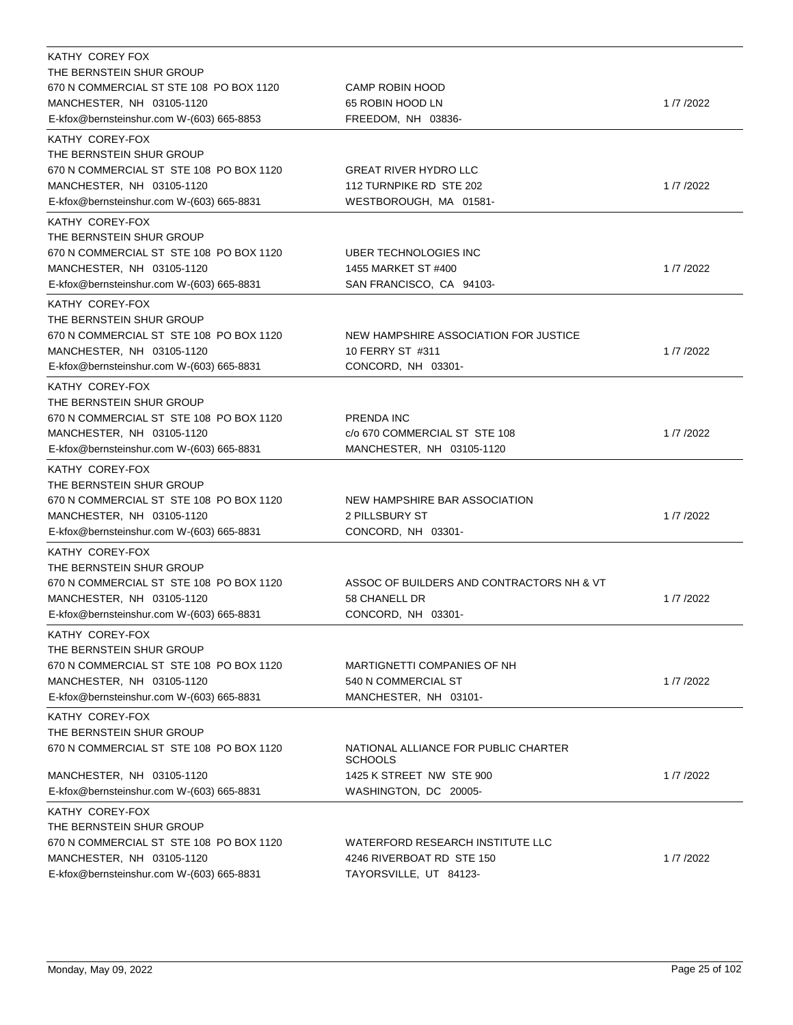| KATHY COREY FOX                           |                                                        |          |
|-------------------------------------------|--------------------------------------------------------|----------|
| THE BERNSTEIN SHUR GROUP                  |                                                        |          |
| 670 N COMMERCIAL ST STE 108 PO BOX 1120   | <b>CAMP ROBIN HOOD</b>                                 |          |
| MANCHESTER, NH 03105-1120                 | 65 ROBIN HOOD LN                                       | 1/7/2022 |
| E-kfox@bernsteinshur.com W-(603) 665-8853 | FREEDOM, NH 03836-                                     |          |
| KATHY COREY-FOX                           |                                                        |          |
| THE BERNSTEIN SHUR GROUP                  |                                                        |          |
| 670 N COMMERCIAL ST STE 108 PO BOX 1120   | <b>GREAT RIVER HYDRO LLC</b>                           |          |
| MANCHESTER, NH 03105-1120                 | 112 TURNPIKE RD STE 202                                | 1/7/2022 |
| E-kfox@bernsteinshur.com W-(603) 665-8831 | WESTBOROUGH, MA 01581-                                 |          |
| KATHY COREY-FOX                           |                                                        |          |
| THE BERNSTEIN SHUR GROUP                  |                                                        |          |
| 670 N COMMERCIAL ST STE 108 PO BOX 1120   | UBER TECHNOLOGIES INC                                  |          |
| MANCHESTER, NH 03105-1120                 | 1455 MARKET ST #400                                    | 1/7/2022 |
| E-kfox@bernsteinshur.com W-(603) 665-8831 | SAN FRANCISCO, CA 94103-                               |          |
| KATHY COREY-FOX                           |                                                        |          |
| THE BERNSTEIN SHUR GROUP                  |                                                        |          |
| 670 N COMMERCIAL ST STE 108 PO BOX 1120   | NEW HAMPSHIRE ASSOCIATION FOR JUSTICE                  |          |
| MANCHESTER, NH 03105-1120                 | 10 FERRY ST #311                                       | 1/7/2022 |
| E-kfox@bernsteinshur.com W-(603) 665-8831 | CONCORD, NH 03301-                                     |          |
| KATHY COREY-FOX                           |                                                        |          |
| THE BERNSTEIN SHUR GROUP                  |                                                        |          |
| 670 N COMMERCIAL ST STE 108 PO BOX 1120   | PRENDA INC                                             |          |
| MANCHESTER, NH 03105-1120                 | c/o 670 COMMERCIAL ST STE 108                          | 1/7/2022 |
| E-kfox@bernsteinshur.com W-(603) 665-8831 | MANCHESTER, NH 03105-1120                              |          |
|                                           |                                                        |          |
| KATHY COREY-FOX                           |                                                        |          |
| THE BERNSTEIN SHUR GROUP                  |                                                        |          |
| 670 N COMMERCIAL ST STE 108 PO BOX 1120   | NEW HAMPSHIRE BAR ASSOCIATION                          |          |
| MANCHESTER, NH 03105-1120                 | 2 PILLSBURY ST                                         | 1/7/2022 |
| E-kfox@bernsteinshur.com W-(603) 665-8831 | CONCORD, NH 03301-                                     |          |
| KATHY COREY-FOX                           |                                                        |          |
| THE BERNSTEIN SHUR GROUP                  |                                                        |          |
| 670 N COMMERCIAL ST STE 108 PO BOX 1120   | ASSOC OF BUILDERS AND CONTRACTORS NH & VT              |          |
| MANCHESTER, NH 03105-1120                 | 58 CHANELL DR                                          | 1/7/2022 |
| E-kfox@bernsteinshur.com W-(603) 665-8831 | CONCORD, NH 03301-                                     |          |
| KATHY COREY-FOX                           |                                                        |          |
| THE BERNSTEIN SHUR GROUP                  |                                                        |          |
| 670 N COMMERCIAL ST STE 108 PO BOX 1120   | MARTIGNETTI COMPANIES OF NH                            |          |
| MANCHESTER, NH 03105-1120                 | 540 N COMMERCIAL ST                                    | 1/7/2022 |
| E-kfox@bernsteinshur.com W-(603) 665-8831 | MANCHESTER, NH 03101-                                  |          |
| KATHY COREY-FOX                           |                                                        |          |
| THE BERNSTEIN SHUR GROUP                  |                                                        |          |
| 670 N COMMERCIAL ST STE 108 PO BOX 1120   | NATIONAL ALLIANCE FOR PUBLIC CHARTER<br><b>SCHOOLS</b> |          |
| MANCHESTER, NH 03105-1120                 | 1425 K STREET NW STE 900                               | 1/7/2022 |
| E-kfox@bernsteinshur.com W-(603) 665-8831 | WASHINGTON, DC 20005-                                  |          |
| KATHY COREY-FOX                           |                                                        |          |
| THE BERNSTEIN SHUR GROUP                  |                                                        |          |
| 670 N COMMERCIAL ST STE 108 PO BOX 1120   | WATERFORD RESEARCH INSTITUTE LLC                       |          |
| MANCHESTER, NH 03105-1120                 | 4246 RIVERBOAT RD STE 150                              | 1/7/2022 |
| E-kfox@bernsteinshur.com W-(603) 665-8831 | TAYORSVILLE, UT 84123-                                 |          |
|                                           |                                                        |          |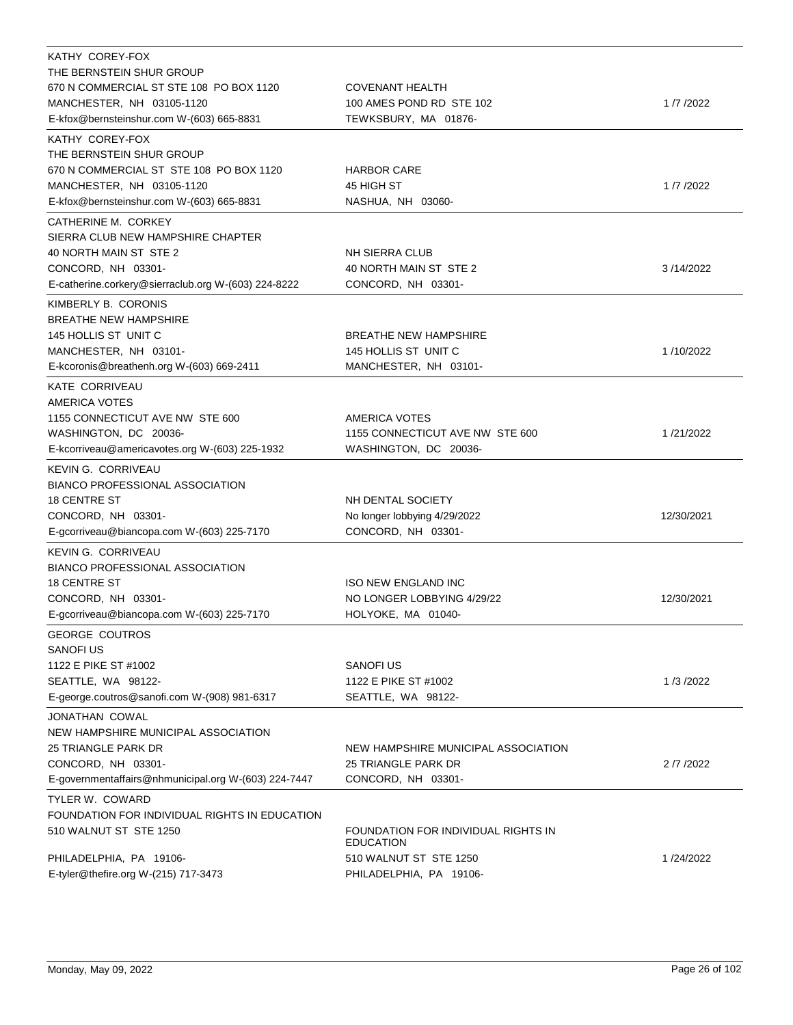| KATHY COREY-FOX                                      |                                     |            |
|------------------------------------------------------|-------------------------------------|------------|
| THE BERNSTEIN SHUR GROUP                             |                                     |            |
| 670 N COMMERCIAL ST STE 108 PO BOX 1120              | <b>COVENANT HEALTH</b>              |            |
| MANCHESTER, NH 03105-1120                            | 100 AMES POND RD STE 102            | 1/7/2022   |
| E-kfox@bernsteinshur.com W-(603) 665-8831            | TEWKSBURY, MA 01876-                |            |
| KATHY COREY-FOX                                      |                                     |            |
| THE BERNSTEIN SHUR GROUP                             |                                     |            |
| 670 N COMMERCIAL ST STE 108 PO BOX 1120              | <b>HARBOR CARE</b>                  |            |
| MANCHESTER, NH 03105-1120                            | 45 HIGH ST                          | 1/7/2022   |
| E-kfox@bernsteinshur.com W-(603) 665-8831            | NASHUA, NH 03060-                   |            |
| CATHERINE M. CORKEY                                  |                                     |            |
| SIERRA CLUB NEW HAMPSHIRE CHAPTER                    |                                     |            |
| 40 NORTH MAIN ST STE 2                               | <b>NH SIERRA CLUB</b>               |            |
| CONCORD, NH 03301-                                   | 40 NORTH MAIN ST STE 2              | 3/14/2022  |
| E-catherine.corkery@sierraclub.org W-(603) 224-8222  | CONCORD, NH 03301-                  |            |
| KIMBERLY B. CORONIS                                  |                                     |            |
| <b>BREATHE NEW HAMPSHIRE</b>                         |                                     |            |
| 145 HOLLIS ST UNIT C                                 | <b>BREATHE NEW HAMPSHIRE</b>        |            |
| MANCHESTER, NH 03101-                                | 145 HOLLIS ST UNIT C                | 1/10/2022  |
| E-kcoronis@breathenh.org W-(603) 669-2411            | MANCHESTER, NH 03101-               |            |
|                                                      |                                     |            |
| KATE CORRIVEAU<br><b>AMERICA VOTES</b>               |                                     |            |
| 1155 CONNECTICUT AVE NW STE 600                      | AMERICA VOTES                       |            |
|                                                      |                                     |            |
| WASHINGTON, DC 20036-                                | 1155 CONNECTICUT AVE NW STE 600     | 1/21/2022  |
| E-kcorriveau@americavotes.org W-(603) 225-1932       | WASHINGTON, DC 20036-               |            |
| <b>KEVIN G. CORRIVEAU</b>                            |                                     |            |
| <b>BIANCO PROFESSIONAL ASSOCIATION</b>               |                                     |            |
| <b>18 CENTRE ST</b>                                  | NH DENTAL SOCIETY                   |            |
| CONCORD, NH 03301-                                   | No longer lobbying 4/29/2022        | 12/30/2021 |
| E-gcorriveau@biancopa.com W-(603) 225-7170           | CONCORD, NH 03301-                  |            |
| KEVIN G. CORRIVEAU                                   |                                     |            |
| <b>BIANCO PROFESSIONAL ASSOCIATION</b>               |                                     |            |
| <b>18 CENTRE ST</b>                                  | <b>ISO NEW ENGLAND INC</b>          |            |
| CONCORD, NH 03301-                                   | NO LONGER LOBBYING 4/29/22          | 12/30/2021 |
| E-gcorriveau@biancopa.com W-(603) 225-7170           | HOLYOKE, MA 01040-                  |            |
| <b>GEORGE COUTROS</b>                                |                                     |            |
| <b>SANOFIUS</b>                                      |                                     |            |
| 1122 E PIKE ST #1002                                 | SANOFI US                           |            |
| SEATTLE, WA 98122-                                   | 1122 E PIKE ST #1002                | 1/3/2022   |
| E-george.coutros@sanofi.com W-(908) 981-6317         | SEATTLE, WA 98122-                  |            |
| JONATHAN COWAL                                       |                                     |            |
| NEW HAMPSHIRE MUNICIPAL ASSOCIATION                  |                                     |            |
| <b>25 TRIANGLE PARK DR</b>                           | NEW HAMPSHIRE MUNICIPAL ASSOCIATION |            |
| CONCORD, NH 03301-                                   | 25 TRIANGLE PARK DR                 | 2 /7 /2022 |
| E-governmentaffairs@nhmunicipal.org W-(603) 224-7447 | CONCORD, NH 03301-                  |            |
| TYLER W. COWARD                                      |                                     |            |
| FOUNDATION FOR INDIVIDUAL RIGHTS IN EDUCATION        |                                     |            |
| 510 WALNUT ST STE 1250                               | FOUNDATION FOR INDIVIDUAL RIGHTS IN |            |
|                                                      | <b>EDUCATION</b>                    |            |
| PHILADELPHIA, PA 19106-                              | 510 WALNUT ST STE 1250              | 1/24/2022  |
| E-tyler@thefire.org W-(215) 717-3473                 | PHILADELPHIA, PA 19106-             |            |
|                                                      |                                     |            |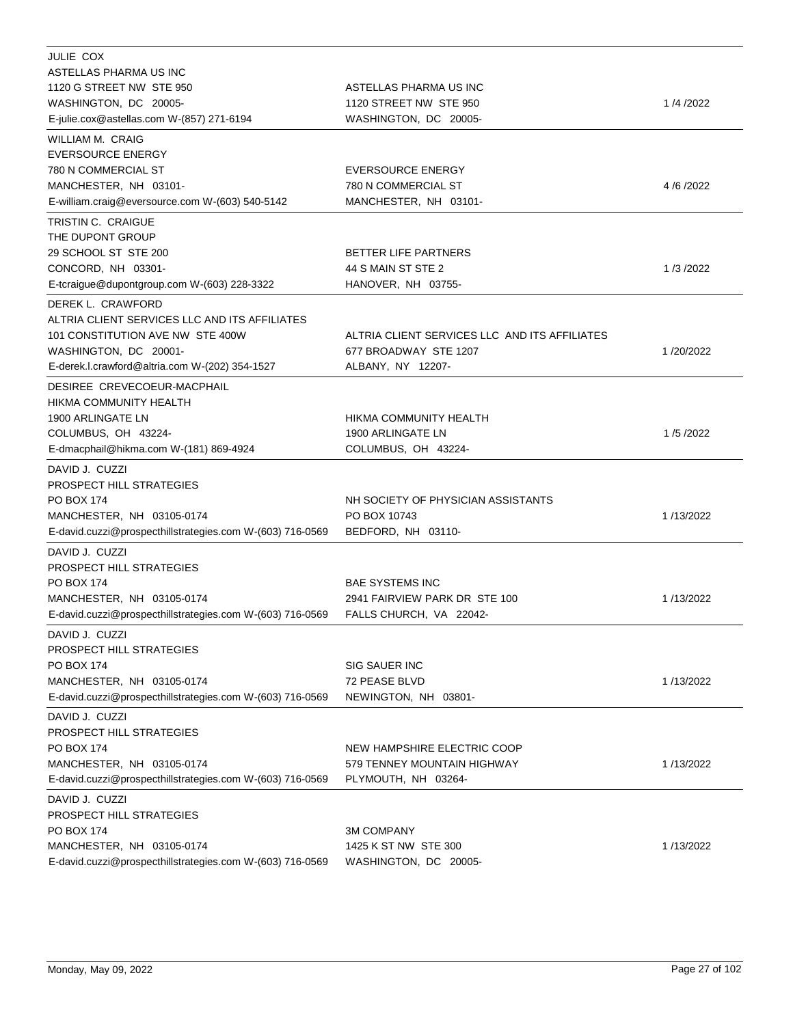| JULIE COX                                                 |                                               |           |
|-----------------------------------------------------------|-----------------------------------------------|-----------|
| ASTELLAS PHARMA US INC                                    |                                               |           |
| 1120 G STREET NW STE 950                                  | ASTELLAS PHARMA US INC                        |           |
| WASHINGTON, DC 20005-                                     | 1120 STREET NW STE 950                        | 1/4/2022  |
| E-julie.cox@astellas.com W-(857) 271-6194                 | WASHINGTON, DC 20005-                         |           |
| WILLIAM M. CRAIG                                          |                                               |           |
| <b>EVERSOURCE ENERGY</b>                                  |                                               |           |
| 780 N COMMERCIAL ST                                       | <b>EVERSOURCE ENERGY</b>                      |           |
| MANCHESTER, NH 03101-                                     | 780 N COMMERCIAL ST                           | 4/6/2022  |
| E-william.craig@eversource.com W-(603) 540-5142           | MANCHESTER, NH 03101-                         |           |
| TRISTIN C. CRAIGUE                                        |                                               |           |
| THE DUPONT GROUP                                          |                                               |           |
| 29 SCHOOL ST STE 200                                      | <b>BETTER LIFE PARTNERS</b>                   |           |
| CONCORD, NH 03301-                                        | 44 S MAIN ST STE 2                            | 1/3/2022  |
| E-tcraigue@dupontgroup.com W-(603) 228-3322               | HANOVER, NH 03755-                            |           |
| DEREK L. CRAWFORD                                         |                                               |           |
| ALTRIA CLIENT SERVICES LLC AND ITS AFFILIATES             |                                               |           |
| 101 CONSTITUTION AVE NW STE 400W                          | ALTRIA CLIENT SERVICES LLC AND ITS AFFILIATES |           |
| WASHINGTON, DC 20001-                                     | 677 BROADWAY STE 1207                         | 1/20/2022 |
| E-derek.l.crawford@altria.com W-(202) 354-1527            | ALBANY, NY 12207-                             |           |
| DESIREE CREVECOEUR-MACPHAIL                               |                                               |           |
| HIKMA COMMUNITY HEALTH                                    |                                               |           |
| 1900 ARLINGATE LN                                         | HIKMA COMMUNITY HEALTH                        |           |
| COLUMBUS, OH 43224-                                       | 1900 ARLINGATE LN                             | 1/5/2022  |
| E-dmacphail@hikma.com W-(181) 869-4924                    | COLUMBUS, OH 43224-                           |           |
| DAVID J. CUZZI                                            |                                               |           |
| PROSPECT HILL STRATEGIES                                  |                                               |           |
| <b>PO BOX 174</b>                                         | NH SOCIETY OF PHYSICIAN ASSISTANTS            |           |
| MANCHESTER, NH 03105-0174                                 | PO BOX 10743                                  | 1/13/2022 |
| E-david.cuzzi@prospecthillstrategies.com W-(603) 716-0569 | BEDFORD, NH 03110-                            |           |
| DAVID J. CUZZI                                            |                                               |           |
| <b>PROSPECT HILL STRATEGIES</b>                           |                                               |           |
| <b>PO BOX 174</b>                                         | <b>BAE SYSTEMS INC</b>                        |           |
| MANCHESTER, NH 03105-0174                                 | 2941 FAIRVIEW PARK DR STE 100                 | 1/13/2022 |
| E-david.cuzzi@prospecthillstrategies.com W-(603) 716-0569 | FALLS CHURCH, VA 22042-                       |           |
| DAVID J. CUZZI                                            |                                               |           |
| <b>PROSPECT HILL STRATEGIES</b>                           |                                               |           |
| <b>PO BOX 174</b>                                         | SIG SAUER INC                                 |           |
| MANCHESTER, NH 03105-0174                                 | 72 PEASE BLVD                                 | 1/13/2022 |
| E-david.cuzzi@prospecthillstrategies.com W-(603) 716-0569 | NEWINGTON, NH 03801-                          |           |
| DAVID J. CUZZI                                            |                                               |           |
| PROSPECT HILL STRATEGIES                                  |                                               |           |
| <b>PO BOX 174</b>                                         | NEW HAMPSHIRE ELECTRIC COOP                   |           |
| MANCHESTER, NH 03105-0174                                 | 579 TENNEY MOUNTAIN HIGHWAY                   | 1/13/2022 |
| E-david.cuzzi@prospecthillstrategies.com W-(603) 716-0569 | PLYMOUTH, NH 03264-                           |           |
| DAVID J. CUZZI                                            |                                               |           |
| <b>PROSPECT HILL STRATEGIES</b>                           |                                               |           |
| PO BOX 174                                                | <b>3M COMPANY</b>                             |           |
| MANCHESTER, NH 03105-0174                                 | 1425 K ST NW STE 300                          | 1/13/2022 |
| E-david.cuzzi@prospecthillstrategies.com W-(603) 716-0569 | WASHINGTON, DC 20005-                         |           |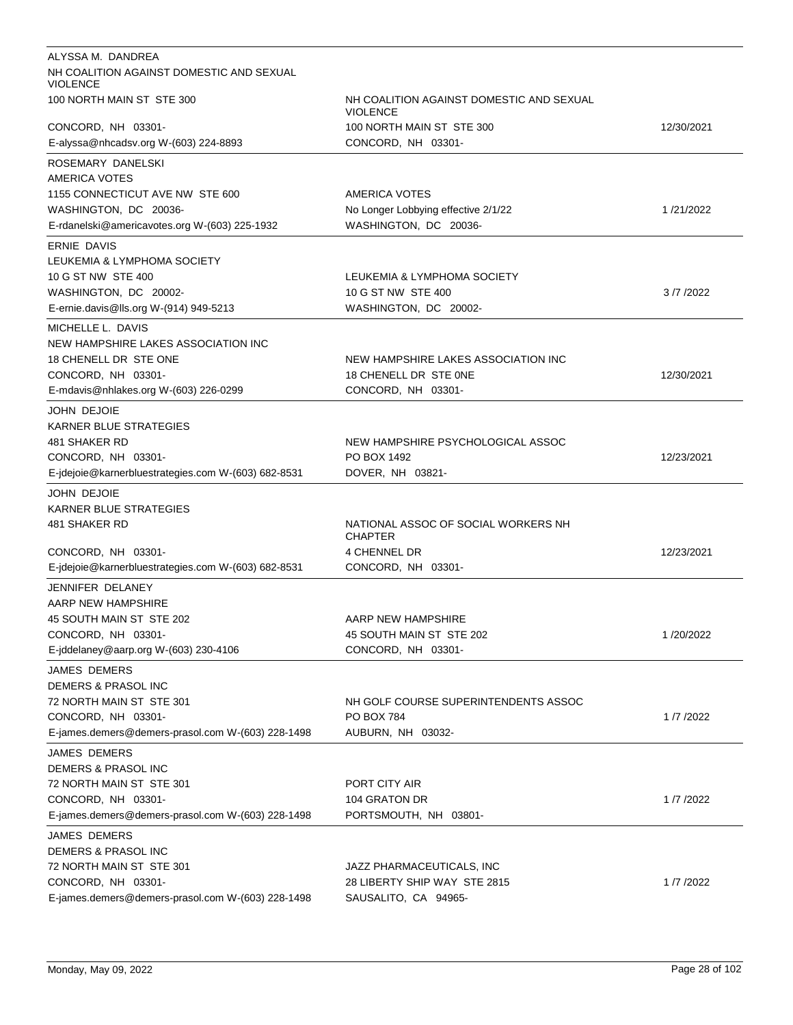| ALYSSA M. DANDREA                                           |                                                             |            |
|-------------------------------------------------------------|-------------------------------------------------------------|------------|
| NH COALITION AGAINST DOMESTIC AND SEXUAL<br><b>VIOLENCE</b> |                                                             |            |
| 100 NORTH MAIN ST STE 300                                   | NH COALITION AGAINST DOMESTIC AND SEXUAL<br><b>VIOLENCE</b> |            |
| CONCORD, NH 03301-                                          | 100 NORTH MAIN ST STE 300                                   | 12/30/2021 |
| E-alyssa@nhcadsv.org W-(603) 224-8893                       | CONCORD, NH 03301-                                          |            |
| ROSEMARY DANELSKI                                           |                                                             |            |
| <b>AMERICA VOTES</b>                                        |                                                             |            |
| 1155 CONNECTICUT AVE NW STE 600                             | AMERICA VOTES                                               |            |
| WASHINGTON, DC 20036-                                       | No Longer Lobbying effective 2/1/22                         | 1/21/2022  |
| E-rdanelski@americavotes.org W-(603) 225-1932               | WASHINGTON, DC 20036-                                       |            |
| <b>ERNIE DAVIS</b>                                          |                                                             |            |
| LEUKEMIA & LYMPHOMA SOCIETY                                 |                                                             |            |
| 10 G ST NW STE 400                                          | LEUKEMIA & LYMPHOMA SOCIETY                                 |            |
| WASHINGTON, DC 20002-                                       | 10 G ST NW STE 400                                          | 3/7/2022   |
| E-ernie.davis@lls.org W-(914) 949-5213                      | WASHINGTON, DC 20002-                                       |            |
| MICHELLE L. DAVIS                                           |                                                             |            |
| NEW HAMPSHIRE LAKES ASSOCIATION INC                         |                                                             |            |
| 18 CHENELL DR STE ONE                                       | NEW HAMPSHIRE LAKES ASSOCIATION INC                         |            |
| CONCORD, NH 03301-                                          | 18 CHENELL DR STE ONE                                       | 12/30/2021 |
| E-mdavis@nhlakes.org W-(603) 226-0299                       | CONCORD, NH 03301-                                          |            |
| JOHN DEJOIE                                                 |                                                             |            |
| <b>KARNER BLUE STRATEGIES</b>                               |                                                             |            |
| 481 SHAKER RD                                               | NEW HAMPSHIRE PSYCHOLOGICAL ASSOC                           |            |
| CONCORD, NH 03301-                                          | PO BOX 1492                                                 | 12/23/2021 |
| E-jdejoie@karnerbluestrategies.com W-(603) 682-8531         | DOVER, NH 03821-                                            |            |
| JOHN DEJOIE                                                 |                                                             |            |
| KARNER BLUE STRATEGIES                                      |                                                             |            |
| 481 SHAKER RD                                               | NATIONAL ASSOC OF SOCIAL WORKERS NH<br><b>CHAPTER</b>       |            |
| CONCORD, NH 03301-                                          | 4 CHENNEL DR                                                |            |
|                                                             |                                                             | 12/23/2021 |
| E-jdejoie@karnerbluestrategies.com W-(603) 682-8531         | CONCORD, NH 03301-                                          |            |
| JENNIFER DELANEY                                            |                                                             |            |
| AARP NEW HAMPSHIRE                                          |                                                             |            |
| 45 SOUTH MAIN ST STE 202                                    | AARP NEW HAMPSHIRE                                          |            |
| CONCORD, NH 03301-                                          | 45 SOUTH MAIN ST STE 202                                    | 1/20/2022  |
| E-jddelaney@aarp.org W-(603) 230-4106                       | CONCORD, NH 03301-                                          |            |
| <b>JAMES DEMERS</b>                                         |                                                             |            |
| <b>DEMERS &amp; PRASOL INC</b>                              |                                                             |            |
| 72 NORTH MAIN ST STE 301                                    | NH GOLF COURSE SUPERINTENDENTS ASSOC                        |            |
| CONCORD, NH 03301-                                          | PO BOX 784                                                  | 1/7/2022   |
| E-james.demers@demers-prasol.com W-(603) 228-1498           | AUBURN, NH 03032-                                           |            |
| JAMES DEMERS                                                |                                                             |            |
| DEMERS & PRASOL INC                                         |                                                             |            |
| 72 NORTH MAIN ST STE 301                                    | PORT CITY AIR                                               |            |
| CONCORD, NH 03301-                                          | 104 GRATON DR                                               | 1/7/2022   |
| E-james.demers@demers-prasol.com W-(603) 228-1498           | PORTSMOUTH, NH 03801-                                       |            |
| JAMES DEMERS                                                |                                                             |            |
| DEMERS & PRASOL INC                                         |                                                             |            |
| 72 NORTH MAIN ST STE 301                                    | JAZZ PHARMACEUTICALS, INC                                   |            |
| CONCORD, NH 03301-                                          | 28 LIBERTY SHIP WAY STE 2815                                | 1/7/2022   |
| E-james.demers@demers-prasol.com W-(603) 228-1498           | SAUSALITO, CA 94965-                                        |            |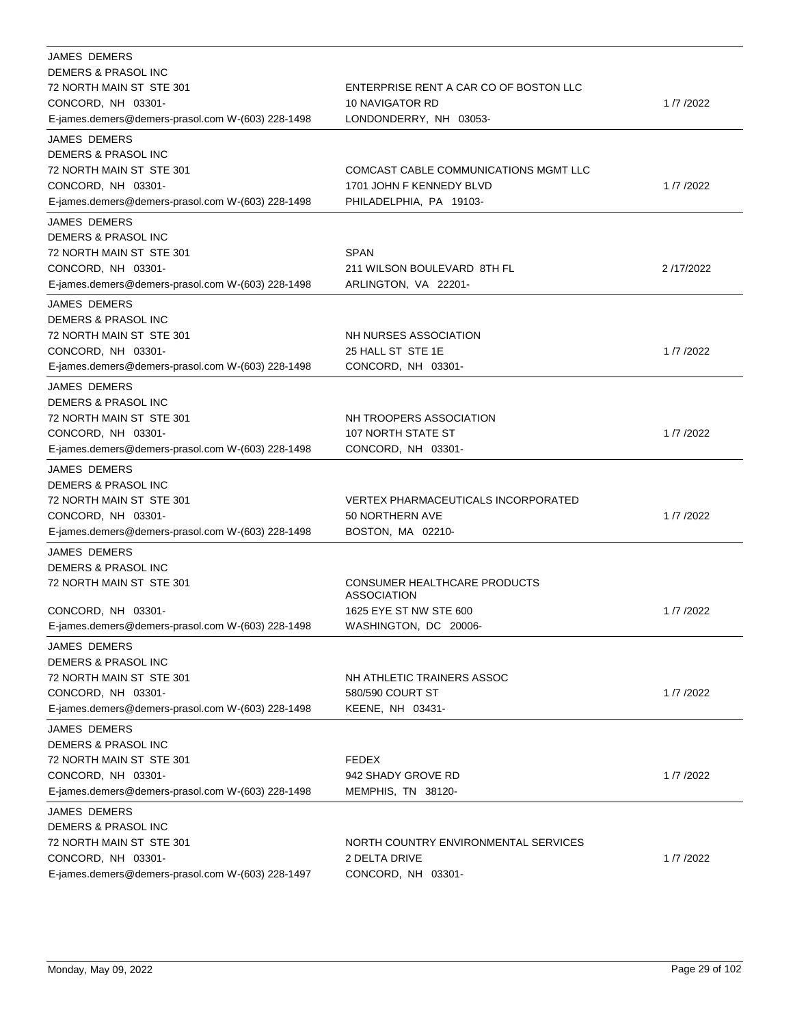| <b>JAMES DEMERS</b>                               |                                                    |           |
|---------------------------------------------------|----------------------------------------------------|-----------|
| DEMERS & PRASOL INC                               |                                                    |           |
| 72 NORTH MAIN ST STE 301                          | ENTERPRISE RENT A CAR CO OF BOSTON LLC             |           |
| CONCORD, NH 03301-                                | 10 NAVIGATOR RD                                    | 1/7/2022  |
| E-james.demers@demers-prasol.com W-(603) 228-1498 | LONDONDERRY, NH 03053-                             |           |
| <b>JAMES DEMERS</b>                               |                                                    |           |
| DEMERS & PRASOL INC                               |                                                    |           |
| 72 NORTH MAIN ST STE 301                          | COMCAST CABLE COMMUNICATIONS MGMT LLC              |           |
| CONCORD, NH 03301-                                | 1701 JOHN F KENNEDY BLVD                           | 1/7/2022  |
| E-james.demers@demers-prasol.com W-(603) 228-1498 | PHILADELPHIA, PA 19103-                            |           |
| <b>JAMES DEMERS</b>                               |                                                    |           |
| DEMERS & PRASOL INC                               |                                                    |           |
| 72 NORTH MAIN ST STE 301                          | <b>SPAN</b>                                        |           |
| CONCORD, NH 03301-                                | 211 WILSON BOULEVARD 8TH FL                        | 2/17/2022 |
| E-james.demers@demers-prasol.com W-(603) 228-1498 | ARLINGTON, VA 22201-                               |           |
| <b>JAMES DEMERS</b>                               |                                                    |           |
| DEMERS & PRASOL INC                               |                                                    |           |
| 72 NORTH MAIN ST STE 301                          | NH NURSES ASSOCIATION                              |           |
| CONCORD, NH 03301-                                | 25 HALL ST STE 1E                                  | 1/7/2022  |
| E-james.demers@demers-prasol.com W-(603) 228-1498 | CONCORD, NH 03301-                                 |           |
| <b>JAMES DEMERS</b>                               |                                                    |           |
| DEMERS & PRASOL INC                               |                                                    |           |
| 72 NORTH MAIN ST STE 301                          | NH TROOPERS ASSOCIATION                            |           |
| CONCORD, NH 03301-                                | 107 NORTH STATE ST                                 | 1/7/2022  |
| E-james.demers@demers-prasol.com W-(603) 228-1498 | CONCORD, NH 03301-                                 |           |
| <b>JAMES DEMERS</b>                               |                                                    |           |
| DEMERS & PRASOL INC                               |                                                    |           |
| 72 NORTH MAIN ST STE 301                          | <b>VERTEX PHARMACEUTICALS INCORPORATED</b>         |           |
| CONCORD, NH 03301-                                | 50 NORTHERN AVE                                    | 1/7/2022  |
| E-james.demers@demers-prasol.com W-(603) 228-1498 | BOSTON, MA 02210-                                  |           |
| <b>JAMES DEMERS</b>                               |                                                    |           |
| <b>DEMERS &amp; PRASOL INC</b>                    |                                                    |           |
| 72 NORTH MAIN ST STE 301                          | CONSUMER HEALTHCARE PRODUCTS<br><b>ASSOCIATION</b> |           |
| CONCORD, NH 03301-                                | 1625 EYE ST NW STE 600                             | 1/7/2022  |
| E-james.demers@demers-prasol.com W-(603) 228-1498 | WASHINGTON, DC 20006-                              |           |
| <b>JAMES DEMERS</b>                               |                                                    |           |
| DEMERS & PRASOL INC                               |                                                    |           |
| 72 NORTH MAIN ST STE 301                          | NH ATHLETIC TRAINERS ASSOC                         |           |
| CONCORD, NH 03301-                                | 580/590 COURT ST                                   | 1/7/2022  |
| E-james.demers@demers-prasol.com W-(603) 228-1498 | KEENE, NH 03431-                                   |           |
| <b>JAMES DEMERS</b>                               |                                                    |           |
| DEMERS & PRASOL INC                               |                                                    |           |
| 72 NORTH MAIN ST STE 301                          | <b>FEDEX</b>                                       |           |
| CONCORD, NH 03301-                                | 942 SHADY GROVE RD                                 | 1/7/2022  |
| E-james.demers@demers-prasol.com W-(603) 228-1498 | MEMPHIS, TN 38120-                                 |           |
| <b>JAMES DEMERS</b>                               |                                                    |           |
| DEMERS & PRASOL INC                               |                                                    |           |
| 72 NORTH MAIN ST STE 301                          | NORTH COUNTRY ENVIRONMENTAL SERVICES               |           |
| CONCORD, NH 03301-                                | 2 DELTA DRIVE                                      | 1/7/2022  |
| E-james.demers@demers-prasol.com W-(603) 228-1497 | CONCORD, NH 03301-                                 |           |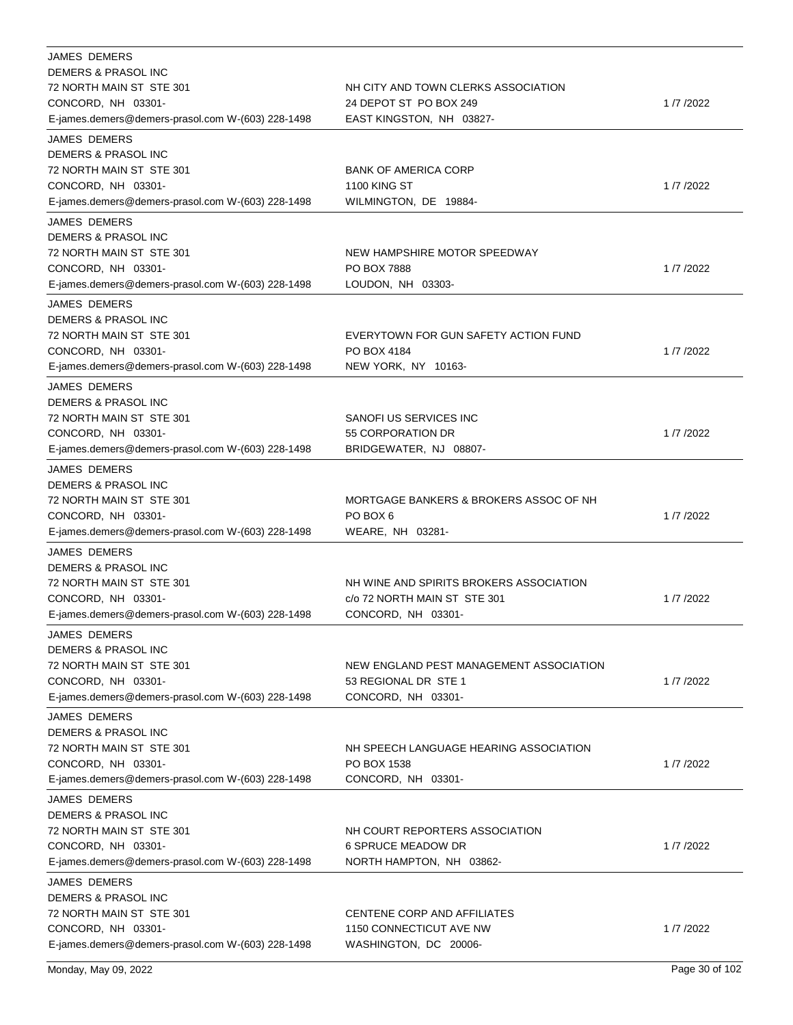| <b>JAMES DEMERS</b><br>DEMERS & PRASOL INC<br>72 NORTH MAIN ST STE 301<br>CONCORD, NH 03301-<br>E-james.demers@demers-prasol.com W-(603) 228-1498            | NH CITY AND TOWN CLERKS ASSOCIATION<br>24 DEPOT ST PO BOX 249<br>EAST KINGSTON, NH 03827-     | 1/7/2022 |
|--------------------------------------------------------------------------------------------------------------------------------------------------------------|-----------------------------------------------------------------------------------------------|----------|
| <b>JAMES DEMERS</b><br>DEMERS & PRASOL INC<br>72 NORTH MAIN ST STE 301<br>CONCORD, NH 03301-<br>E-james.demers@demers-prasol.com W-(603) 228-1498            | <b>BANK OF AMERICA CORP</b><br><b>1100 KING ST</b><br>WILMINGTON, DE 19884-                   | 1/7/2022 |
| <b>JAMES DEMERS</b><br>DEMERS & PRASOL INC<br>72 NORTH MAIN ST STE 301<br>CONCORD, NH 03301-<br>E-james.demers@demers-prasol.com W-(603) 228-1498            | NEW HAMPSHIRE MOTOR SPEEDWAY<br>PO BOX 7888<br>LOUDON, NH 03303-                              | 1/7/2022 |
| <b>JAMES DEMERS</b><br>DEMERS & PRASOL INC<br>72 NORTH MAIN ST STE 301<br>CONCORD, NH 03301-<br>E-james.demers@demers-prasol.com W-(603) 228-1498            | EVERYTOWN FOR GUN SAFETY ACTION FUND<br>PO BOX 4184<br>NEW YORK, NY 10163-                    | 1/7/2022 |
| <b>JAMES DEMERS</b><br>DEMERS & PRASOL INC<br>72 NORTH MAIN ST STE 301<br>CONCORD, NH 03301-<br>E-james.demers@demers-prasol.com W-(603) 228-1498            | SANOFI US SERVICES INC<br>55 CORPORATION DR<br>BRIDGEWATER, NJ 08807-                         | 1/7/2022 |
| <b>JAMES DEMERS</b><br>DEMERS & PRASOL INC<br>72 NORTH MAIN ST STE 301<br>CONCORD, NH 03301-<br>E-james.demers@demers-prasol.com W-(603) 228-1498            | MORTGAGE BANKERS & BROKERS ASSOC OF NH<br>PO BOX 6<br>WEARE, NH 03281-                        | 1/7/2022 |
| <b>JAMES DEMERS</b><br>DEMERS & PRASOL INC<br>72 NORTH MAIN ST STE 301<br>CONCORD, NH 03301-<br>E-james.demers@demers-prasol.com W-(603) 228-1498            | NH WINE AND SPIRITS BROKERS ASSOCIATION<br>c/o 72 NORTH MAIN ST STE 301<br>CONCORD, NH 03301- | 1/7/2022 |
| JAMES DEMERS<br><b>DEMERS &amp; PRASOL INC</b><br>72 NORTH MAIN ST STE 301<br>CONCORD, NH 03301-<br>E-james.demers@demers-prasol.com W-(603) 228-1498        | NEW ENGLAND PEST MANAGEMENT ASSOCIATION<br>53 REGIONAL DR STE 1<br>CONCORD, NH 03301-         | 1/7/2022 |
| <b>JAMES DEMERS</b><br><b>DEMERS &amp; PRASOL INC</b><br>72 NORTH MAIN ST STE 301<br>CONCORD, NH 03301-<br>E-james.demers@demers-prasol.com W-(603) 228-1498 | NH SPEECH LANGUAGE HEARING ASSOCIATION<br>PO BOX 1538<br>CONCORD, NH 03301-                   | 1/7/2022 |
| JAMES DEMERS<br>DEMERS & PRASOL INC<br>72 NORTH MAIN ST STE 301<br>CONCORD, NH 03301-<br>E-james.demers@demers-prasol.com W-(603) 228-1498                   | NH COURT REPORTERS ASSOCIATION<br><b>6 SPRUCE MEADOW DR</b><br>NORTH HAMPTON, NH 03862-       | 1/7/2022 |
| JAMES DEMERS<br>DEMERS & PRASOL INC<br>72 NORTH MAIN ST STE 301<br>CONCORD, NH 03301-<br>E-james.demers@demers-prasol.com W-(603) 228-1498                   | CENTENE CORP AND AFFILIATES<br>1150 CONNECTICUT AVE NW<br>WASHINGTON, DC 20006-               | 1/7/2022 |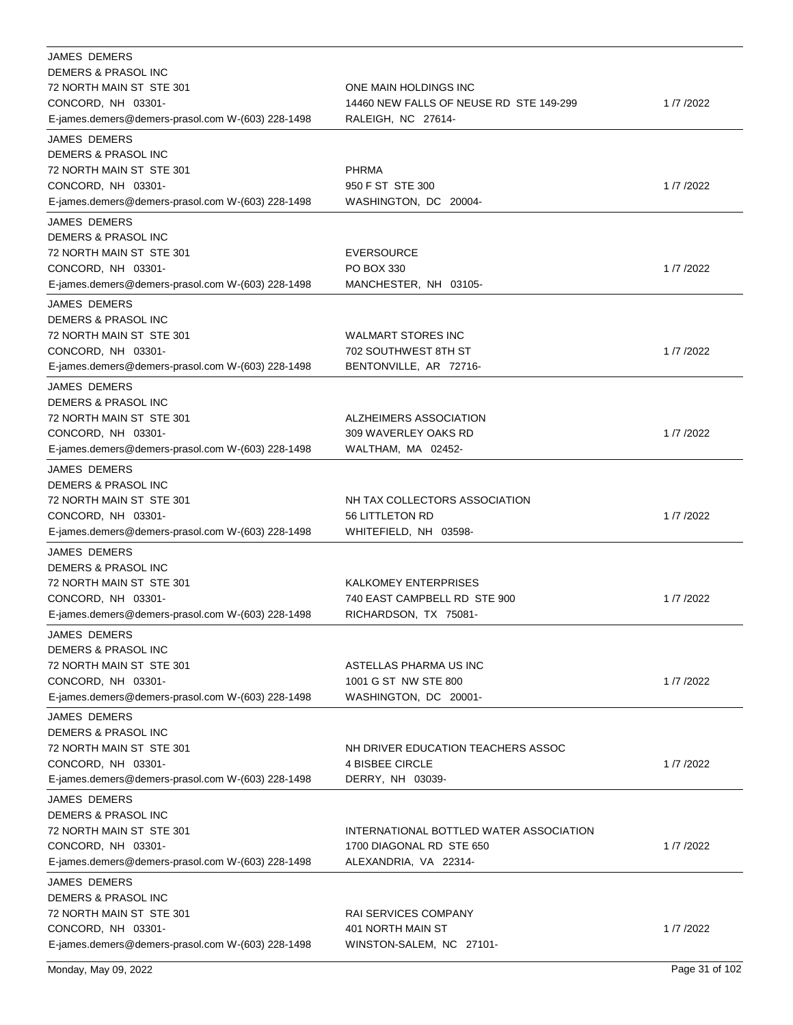| JAMES DEMERS                                      |                                         |          |
|---------------------------------------------------|-----------------------------------------|----------|
| DEMERS & PRASOL INC                               |                                         |          |
| 72 NORTH MAIN ST STE 301                          | ONE MAIN HOLDINGS INC                   |          |
| CONCORD, NH 03301-                                | 14460 NEW FALLS OF NEUSE RD STE 149-299 | 1/7/2022 |
| E-james.demers@demers-prasol.com W-(603) 228-1498 | RALEIGH, NC 27614-                      |          |
| <b>JAMES DEMERS</b>                               |                                         |          |
| DEMERS & PRASOL INC                               |                                         |          |
| 72 NORTH MAIN ST STE 301                          | <b>PHRMA</b>                            |          |
| CONCORD, NH 03301-                                | 950 F ST STE 300                        | 1/7/2022 |
| E-james.demers@demers-prasol.com W-(603) 228-1498 | WASHINGTON, DC 20004-                   |          |
| <b>JAMES DEMERS</b>                               |                                         |          |
| DEMERS & PRASOL INC                               |                                         |          |
| 72 NORTH MAIN ST STE 301                          | EVERSOURCE                              |          |
| CONCORD, NH 03301-                                | PO BOX 330                              | 1/7/2022 |
| E-james.demers@demers-prasol.com W-(603) 228-1498 | MANCHESTER, NH 03105-                   |          |
| JAMES DEMERS                                      |                                         |          |
| DEMERS & PRASOL INC                               |                                         |          |
|                                                   |                                         |          |
| 72 NORTH MAIN ST STE 301                          | <b>WALMART STORES INC</b>               |          |
| CONCORD, NH 03301-                                | 702 SOUTHWEST 8TH ST                    | 1/7/2022 |
| E-james.demers@demers-prasol.com W-(603) 228-1498 | BENTONVILLE, AR 72716-                  |          |
| <b>JAMES DEMERS</b>                               |                                         |          |
| DEMERS & PRASOL INC                               |                                         |          |
| 72 NORTH MAIN ST STE 301                          | ALZHEIMERS ASSOCIATION                  |          |
| CONCORD, NH 03301-                                | 309 WAVERLEY OAKS RD                    | 1/7/2022 |
| E-james.demers@demers-prasol.com W-(603) 228-1498 | WALTHAM, MA 02452-                      |          |
| <b>JAMES DEMERS</b>                               |                                         |          |
| DEMERS & PRASOL INC                               |                                         |          |
| 72 NORTH MAIN ST STE 301                          | NH TAX COLLECTORS ASSOCIATION           |          |
| CONCORD, NH 03301-                                | 56 LITTLETON RD                         | 1/7/2022 |
| E-james.demers@demers-prasol.com W-(603) 228-1498 | WHITEFIELD, NH 03598-                   |          |
| <b>JAMES DEMERS</b>                               |                                         |          |
| <b>DEMERS &amp; PRASOL INC</b>                    |                                         |          |
| 72 NORTH MAIN ST STE 301                          | <b>KALKOMEY ENTERPRISES</b>             |          |
|                                                   |                                         |          |
| CONCORD, NH 03301-                                | 740 EAST CAMPBELL RD STE 900            | 1/7/2022 |
| E-james.demers@demers-prasol.com W-(603) 228-1498 | RICHARDSON, TX 75081-                   |          |
| JAMES DEMERS                                      |                                         |          |
| DEMERS & PRASOL INC                               |                                         |          |
| 72 NORTH MAIN ST STE 301                          | ASTELLAS PHARMA US INC                  |          |
| CONCORD, NH 03301-                                | 1001 G ST NW STE 800                    | 1/7/2022 |
| E-james.demers@demers-prasol.com W-(603) 228-1498 | WASHINGTON, DC 20001-                   |          |
| <b>JAMES DEMERS</b>                               |                                         |          |
| <b>DEMERS &amp; PRASOL INC</b>                    |                                         |          |
| 72 NORTH MAIN ST STE 301                          | NH DRIVER EDUCATION TEACHERS ASSOC      |          |
| CONCORD, NH 03301-                                | 4 BISBEE CIRCLE                         | 1/7/2022 |
| E-james.demers@demers-prasol.com W-(603) 228-1498 | DERRY, NH 03039-                        |          |
| JAMES DEMERS                                      |                                         |          |
| DEMERS & PRASOL INC                               |                                         |          |
| 72 NORTH MAIN ST STE 301                          | INTERNATIONAL BOTTLED WATER ASSOCIATION |          |
| CONCORD, NH 03301-                                | 1700 DIAGONAL RD STE 650                | 1/7/2022 |
| E-james.demers@demers-prasol.com W-(603) 228-1498 | ALEXANDRIA, VA 22314-                   |          |
| JAMES DEMERS                                      |                                         |          |
| DEMERS & PRASOL INC                               |                                         |          |
| 72 NORTH MAIN ST STE 301                          | RAI SERVICES COMPANY                    |          |
| CONCORD, NH 03301-                                | 401 NORTH MAIN ST                       | 1/7/2022 |
|                                                   |                                         |          |
| E-james.demers@demers-prasol.com W-(603) 228-1498 | WINSTON-SALEM, NC 27101-                |          |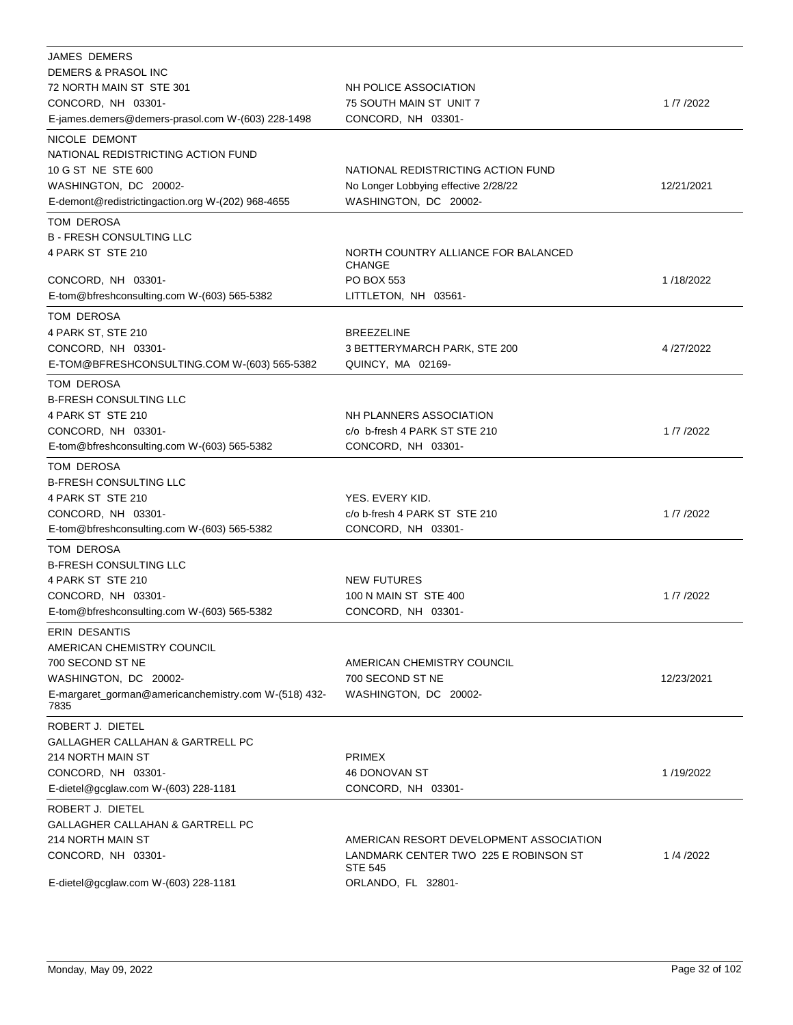| <b>JAMES DEMERS</b>                                  |                                                         |            |
|------------------------------------------------------|---------------------------------------------------------|------------|
| DEMERS & PRASOL INC                                  |                                                         |            |
| 72 NORTH MAIN ST STE 301                             | NH POLICE ASSOCIATION                                   |            |
| CONCORD, NH 03301-                                   | 75 SOUTH MAIN ST UNIT 7                                 | 1/7/2022   |
| E-james.demers@demers-prasol.com W-(603) 228-1498    | CONCORD, NH 03301-                                      |            |
| NICOLE DEMONT                                        |                                                         |            |
| NATIONAL REDISTRICTING ACTION FUND                   |                                                         |            |
| 10 G ST NE STE 600                                   | NATIONAL REDISTRICTING ACTION FUND                      |            |
| WASHINGTON, DC 20002-                                | No Longer Lobbying effective 2/28/22                    | 12/21/2021 |
| E-demont@redistrictingaction.org W-(202) 968-4655    | WASHINGTON, DC 20002-                                   |            |
| TOM DEROSA                                           |                                                         |            |
| <b>B - FRESH CONSULTING LLC</b>                      |                                                         |            |
| 4 PARK ST STE 210                                    | NORTH COUNTRY ALLIANCE FOR BALANCED                     |            |
|                                                      | <b>CHANGE</b>                                           |            |
| CONCORD, NH 03301-                                   | PO BOX 553                                              | 1/18/2022  |
| E-tom@bfreshconsulting.com W-(603) 565-5382          | LITTLETON, NH 03561-                                    |            |
| TOM DEROSA                                           |                                                         |            |
| 4 PARK ST, STE 210                                   | <b>BREEZELINE</b>                                       |            |
| CONCORD, NH 03301-                                   | 3 BETTERYMARCH PARK, STE 200                            | 4/27/2022  |
| E-TOM@BFRESHCONSULTING.COM W-(603) 565-5382          | QUINCY, MA 02169-                                       |            |
| TOM DEROSA                                           |                                                         |            |
| <b>B-FRESH CONSULTING LLC</b>                        |                                                         |            |
| 4 PARK ST STE 210                                    | NH PLANNERS ASSOCIATION                                 |            |
| CONCORD, NH 03301-                                   | c/o b-fresh 4 PARK ST STE 210                           | 1/7/2022   |
| E-tom@bfreshconsulting.com W-(603) 565-5382          | CONCORD, NH 03301-                                      |            |
|                                                      |                                                         |            |
| TOM DEROSA                                           |                                                         |            |
| <b>B-FRESH CONSULTING LLC</b>                        |                                                         |            |
| 4 PARK ST STE 210                                    | YES. EVERY KID.                                         |            |
| CONCORD, NH 03301-                                   | c/o b-fresh 4 PARK ST STE 210                           | 1/7/2022   |
| E-tom@bfreshconsulting.com W-(603) 565-5382          | CONCORD, NH 03301-                                      |            |
| TOM DEROSA                                           |                                                         |            |
| <b>B-FRESH CONSULTING LLC</b>                        |                                                         |            |
| 4 PARK ST STE 210                                    | <b>NEW FUTURES</b>                                      |            |
| CONCORD, NH 03301-                                   | 100 N MAIN ST STE 400                                   | 1/7/2022   |
| E-tom@bfreshconsulting.com W-(603) 565-5382          | CONCORD, NH 03301-                                      |            |
| ERIN DESANTIS                                        |                                                         |            |
| AMERICAN CHEMISTRY COUNCIL                           |                                                         |            |
| 700 SECOND ST NE                                     | AMERICAN CHEMISTRY COUNCIL                              |            |
| WASHINGTON, DC 20002-                                | 700 SECOND ST NE                                        | 12/23/2021 |
| E-margaret_gorman@americanchemistry.com W-(518) 432- | WASHINGTON, DC 20002-                                   |            |
| 7835                                                 |                                                         |            |
| ROBERT J. DIETEL                                     |                                                         |            |
| GALLAGHER CALLAHAN & GARTRELL PC                     |                                                         |            |
| 214 NORTH MAIN ST                                    | <b>PRIMEX</b>                                           |            |
| CONCORD, NH 03301-                                   | 46 DONOVAN ST                                           | 1/19/2022  |
| E-dietel@gcglaw.com W-(603) 228-1181                 | CONCORD, NH 03301-                                      |            |
| ROBERT J. DIETEL                                     |                                                         |            |
| GALLAGHER CALLAHAN & GARTRELL PC                     |                                                         |            |
| 214 NORTH MAIN ST                                    | AMERICAN RESORT DEVELOPMENT ASSOCIATION                 |            |
| CONCORD, NH 03301-                                   | LANDMARK CENTER TWO 225 E ROBINSON ST<br><b>STE 545</b> | 1/4/2022   |
| E-dietel@gcglaw.com W-(603) 228-1181                 | ORLANDO, FL 32801-                                      |            |
|                                                      |                                                         |            |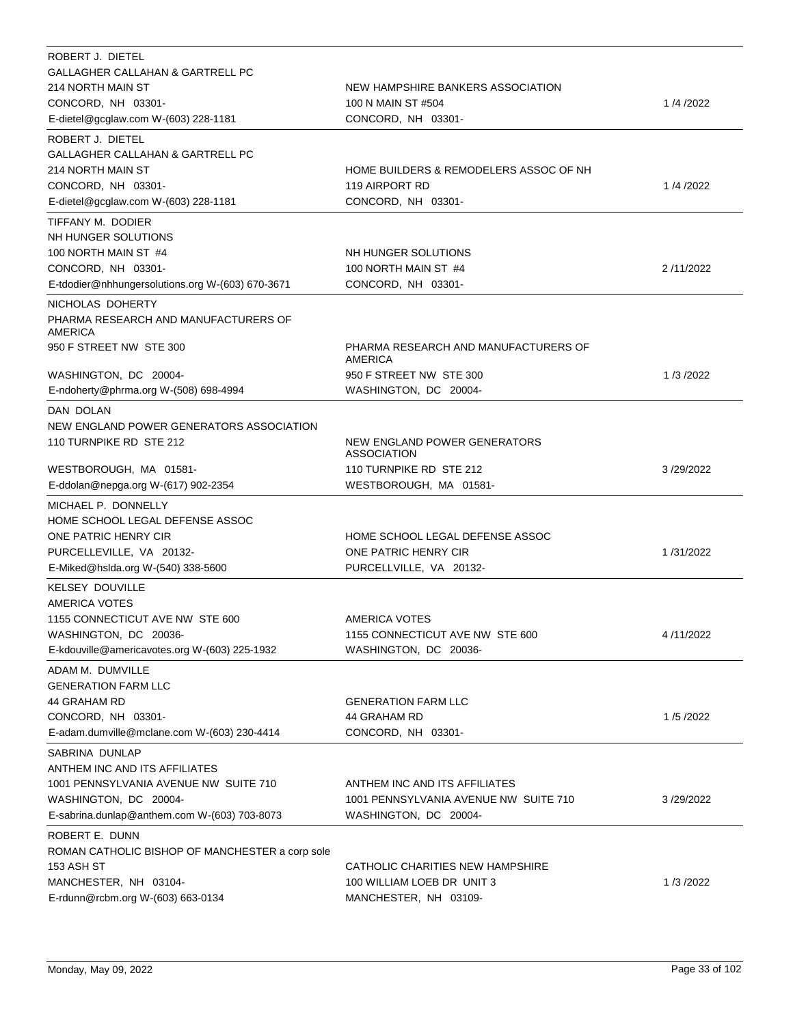| ROBERT J. DIETEL<br>GALLAGHER CALLAHAN & GARTRELL PC<br>214 NORTH MAIN ST<br>CONCORD, NH 03301-<br>E-dietel@gcglaw.com W-(603) 228-1181                           | NEW HAMPSHIRE BANKERS ASSOCIATION<br>100 N MAIN ST #504<br>CONCORD, NH 03301-                              | 1/4/2022  |
|-------------------------------------------------------------------------------------------------------------------------------------------------------------------|------------------------------------------------------------------------------------------------------------|-----------|
| ROBERT J. DIETEL<br>GALLAGHER CALLAHAN & GARTRELL PC<br>214 NORTH MAIN ST<br>CONCORD, NH 03301-<br>E-dietel@gcglaw.com W-(603) 228-1181                           | HOME BUILDERS & REMODELERS ASSOC OF NH<br>119 AIRPORT RD<br>CONCORD, NH 03301-                             | 1/4/2022  |
| TIFFANY M. DODIER<br>NH HUNGER SOLUTIONS<br>100 NORTH MAIN ST #4<br>CONCORD, NH 03301-<br>E-tdodier@nhhungersolutions.org W-(603) 670-3671                        | NH HUNGER SOLUTIONS<br>100 NORTH MAIN ST #4<br>CONCORD, NH 03301-                                          | 2/11/2022 |
| NICHOLAS DOHERTY<br>PHARMA RESEARCH AND MANUFACTURERS OF<br>AMERICA                                                                                               |                                                                                                            |           |
| 950 F STREET NW STE 300<br>WASHINGTON, DC 20004-<br>E-ndoherty@phrma.org W-(508) 698-4994                                                                         | PHARMA RESEARCH AND MANUFACTURERS OF<br><b>AMERICA</b><br>950 F STREET NW STE 300<br>WASHINGTON, DC 20004- | 1/3/2022  |
| DAN DOLAN<br>NEW ENGLAND POWER GENERATORS ASSOCIATION<br>110 TURNPIKE RD STE 212<br>WESTBOROUGH, MA 01581-                                                        | NEW ENGLAND POWER GENERATORS<br><b>ASSOCIATION</b><br>110 TURNPIKE RD STE 212                              | 3/29/2022 |
| E-ddolan@nepga.org W-(617) 902-2354<br>MICHAEL P. DONNELLY                                                                                                        | WESTBOROUGH, MA 01581-                                                                                     |           |
| HOME SCHOOL LEGAL DEFENSE ASSOC<br>ONE PATRIC HENRY CIR<br>PURCELLEVILLE, VA 20132-<br>E-Miked@hslda.org W-(540) 338-5600                                         | HOME SCHOOL LEGAL DEFENSE ASSOC<br>ONE PATRIC HENRY CIR<br>PURCELLVILLE, VA 20132-                         | 1/31/2022 |
| <b>KELSEY DOUVILLE</b><br><b>AMERICA VOTES</b><br>1155 CONNECTICUT AVE NW STE 600<br>WASHINGTON, DC 20036-<br>E-kdouville@americavotes.org W-(603) 225-1932       | AMERICA VOTES<br>1155 CONNECTICUT AVE NW STE 600<br>WASHINGTON, DC 20036-                                  | 4/11/2022 |
| ADAM M. DUMVILLE<br><b>GENERATION FARM LLC</b><br>44 GRAHAM RD<br>CONCORD, NH 03301-<br>E-adam.dumville@mclane.com W-(603) 230-4414                               | <b>GENERATION FARM LLC</b><br>44 GRAHAM RD<br>CONCORD, NH 03301-                                           | 1/5/2022  |
| SABRINA DUNLAP<br>ANTHEM INC AND ITS AFFILIATES<br>1001 PENNSYLVANIA AVENUE NW SUITE 710<br>WASHINGTON, DC 20004-<br>E-sabrina.dunlap@anthem.com W-(603) 703-8073 | ANTHEM INC AND ITS AFFILIATES<br>1001 PENNSYLVANIA AVENUE NW SUITE 710<br>WASHINGTON, DC 20004-            | 3/29/2022 |
| ROBERT E. DUNN<br>ROMAN CATHOLIC BISHOP OF MANCHESTER a corp sole<br>153 ASH ST<br>MANCHESTER, NH 03104-<br>E-rdunn@rcbm.org W-(603) 663-0134                     | CATHOLIC CHARITIES NEW HAMPSHIRE<br>100 WILLIAM LOEB DR UNIT 3<br>MANCHESTER, NH 03109-                    | 1/3/2022  |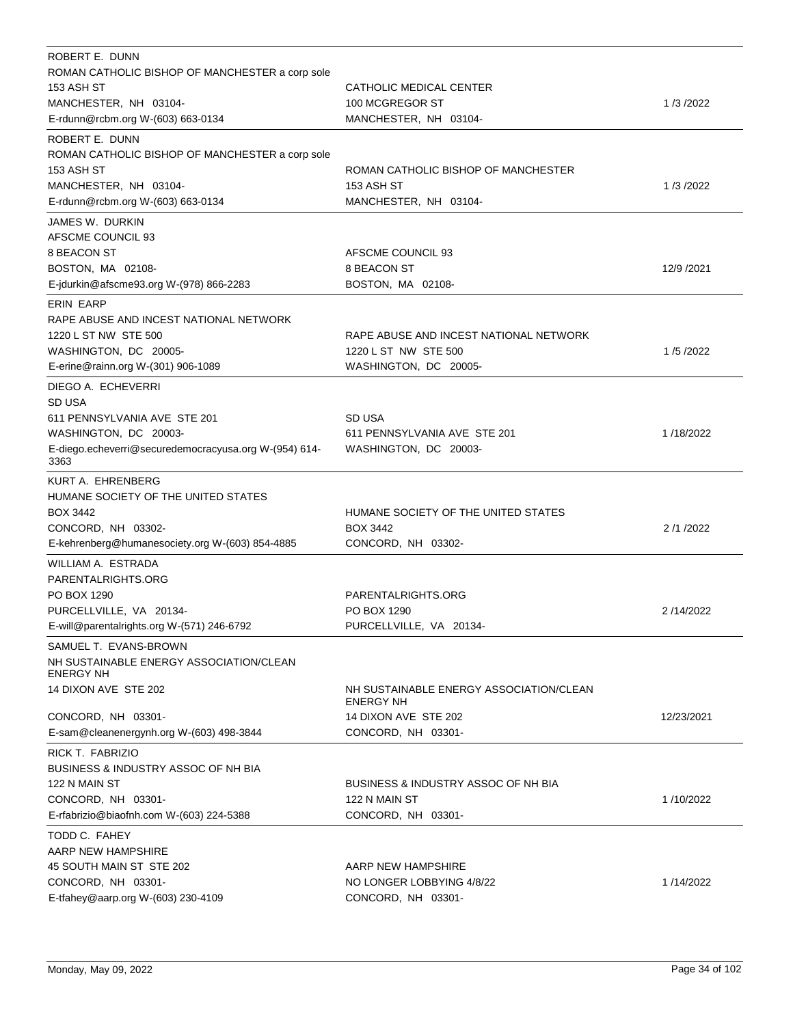| ROBERT E. DUNN<br>ROMAN CATHOLIC BISHOP OF MANCHESTER a corp sole<br><b>153 ASH ST</b><br>MANCHESTER, NH 03104-<br>E-rdunn@rcbm.org W-(603) 663-0134                           | CATHOLIC MEDICAL CENTER<br>100 MCGREGOR ST<br>MANCHESTER, NH 03104-                                       | 1/3/2022   |
|--------------------------------------------------------------------------------------------------------------------------------------------------------------------------------|-----------------------------------------------------------------------------------------------------------|------------|
| ROBERT E. DUNN<br>ROMAN CATHOLIC BISHOP OF MANCHESTER a corp sole<br>153 ASH ST<br>MANCHESTER, NH 03104-<br>E-rdunn@rcbm.org W-(603) 663-0134                                  | ROMAN CATHOLIC BISHOP OF MANCHESTER<br>153 ASH ST<br>MANCHESTER, NH 03104-                                | 1/3/2022   |
| JAMES W. DURKIN<br>AFSCME COUNCIL 93<br>8 BEACON ST<br>BOSTON, MA 02108-<br>E-jdurkin@afscme93.org W-(978) 866-2283                                                            | AFSCME COUNCIL 93<br>8 BEACON ST<br>BOSTON, MA 02108-                                                     | 12/9 /2021 |
| <b>ERIN EARP</b><br>RAPE ABUSE AND INCEST NATIONAL NETWORK<br>1220 L ST NW STE 500<br>WASHINGTON, DC 20005-<br>E-erine@rainn.org W-(301) 906-1089                              | RAPE ABUSE AND INCEST NATIONAL NETWORK<br>1220 L ST NW STE 500<br>WASHINGTON, DC 20005-                   | 1/5/2022   |
| DIEGO A. ECHEVERRI<br>SD USA<br>611 PENNSYLVANIA AVE STE 201<br>WASHINGTON, DC 20003-<br>E-diego.echeverri@securedemocracyusa.org W-(954) 614-<br>3363                         | SD USA<br>611 PENNSYLVANIA AVE STE 201<br>WASHINGTON, DC 20003-                                           | 1/18/2022  |
| KURT A. EHRENBERG<br>HUMANE SOCIETY OF THE UNITED STATES<br><b>BOX 3442</b><br>CONCORD, NH 03302-<br>E-kehrenberg@humanesociety.org W-(603) 854-4885                           | HUMANE SOCIETY OF THE UNITED STATES<br><b>BOX 3442</b><br>CONCORD, NH 03302-                              | 2/1/2022   |
| WILLIAM A. ESTRADA<br>PARENTALRIGHTS.ORG<br>PO BOX 1290<br>PURCELLVILLE, VA 20134-<br>E-will@parentalrights.org W-(571) 246-6792                                               | PARENTALRIGHTS.ORG<br>PO BOX 1290<br>PURCELLVILLE, VA 20134-                                              | 2/14/2022  |
| SAMUEL T. EVANS-BROWN<br>NH SUSTAINABLE ENERGY ASSOCIATION/CLEAN<br><b>ENERGY NH</b><br>14 DIXON AVE STE 202<br>CONCORD, NH 03301-<br>E-sam@cleanenergynh.org W-(603) 498-3844 | NH SUSTAINABLE ENERGY ASSOCIATION/CLEAN<br><b>ENERGY NH</b><br>14 DIXON AVE STE 202<br>CONCORD, NH 03301- | 12/23/2021 |
| RICK T. FABRIZIO<br><b>BUSINESS &amp; INDUSTRY ASSOC OF NH BIA</b><br>122 N MAIN ST<br>CONCORD, NH 03301-<br>E-rfabrizio@biaofnh.com W-(603) 224-5388                          | <b>BUSINESS &amp; INDUSTRY ASSOC OF NH BIA</b><br>122 N MAIN ST<br>CONCORD, NH 03301-                     | 1/10/2022  |
| TODD C. FAHEY<br>AARP NEW HAMPSHIRE<br>45 SOUTH MAIN ST STE 202<br>CONCORD, NH 03301-<br>E-tfahey@aarp.org W-(603) 230-4109                                                    | AARP NEW HAMPSHIRE<br>NO LONGER LOBBYING 4/8/22<br>CONCORD, NH 03301-                                     | 1/14/2022  |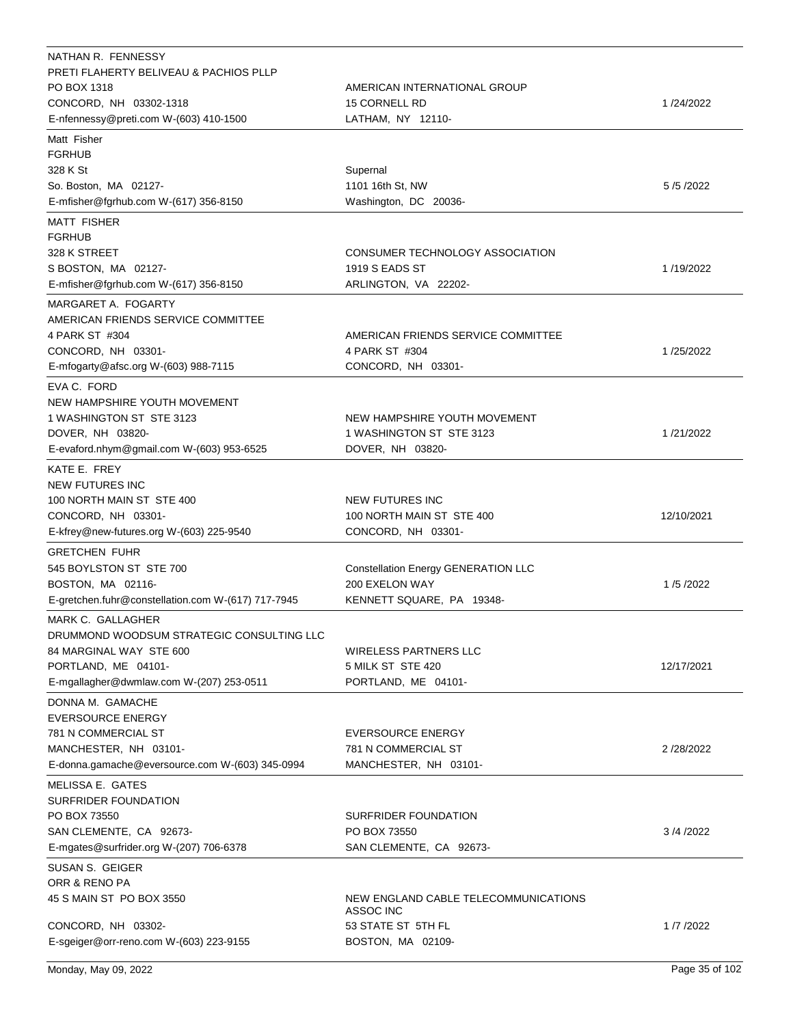| NATHAN R. FENNESSY<br>PRETI FLAHERTY BELIVEAU & PACHIOS PLLP<br>PO BOX 1318<br>CONCORD, NH 03302-1318<br>E-nfennessy@preti.com W-(603) 410-1500              | AMERICAN INTERNATIONAL GROUP<br><b>15 CORNELL RD</b><br>LATHAM, NY 12110-                    | 1/24/2022  |
|--------------------------------------------------------------------------------------------------------------------------------------------------------------|----------------------------------------------------------------------------------------------|------------|
| Matt Fisher<br><b>FGRHUB</b><br>328 K St<br>So. Boston, MA 02127-<br>E-mfisher@fgrhub.com W-(617) 356-8150                                                   | Supernal<br>1101 16th St, NW<br>Washington, DC 20036-                                        | 5/5/2022   |
| <b>MATT FISHER</b><br><b>FGRHUB</b><br>328 K STREET<br>S BOSTON, MA 02127-<br>E-mfisher@fgrhub.com W-(617) 356-8150                                          | CONSUMER TECHNOLOGY ASSOCIATION<br>1919 S EADS ST<br>ARLINGTON, VA 22202-                    | 1/19/2022  |
| MARGARET A. FOGARTY<br>AMERICAN FRIENDS SERVICE COMMITTEE<br>4 PARK ST #304<br>CONCORD, NH 03301-<br>E-mfogarty@afsc.org W-(603) 988-7115                    | AMERICAN FRIENDS SERVICE COMMITTEE<br>4 PARK ST #304<br>CONCORD, NH 03301-                   | 1/25/2022  |
| EVA C. FORD<br>NEW HAMPSHIRE YOUTH MOVEMENT<br>1 WASHINGTON ST STE 3123<br>DOVER, NH 03820-<br>E-evaford.nhym@gmail.com W-(603) 953-6525                     | NEW HAMPSHIRE YOUTH MOVEMENT<br>1 WASHINGTON ST STE 3123<br>DOVER, NH 03820-                 | 1/21/2022  |
| KATE E. FREY<br><b>NEW FUTURES INC</b><br>100 NORTH MAIN ST STE 400<br>CONCORD, NH 03301-<br>E-kfrey@new-futures.org W-(603) 225-9540                        | <b>NEW FUTURES INC</b><br>100 NORTH MAIN ST STE 400<br>CONCORD, NH 03301-                    | 12/10/2021 |
| <b>GRETCHEN FUHR</b><br>545 BOYLSTON ST STE 700<br>BOSTON, MA 02116-<br>E-gretchen.fuhr@constellation.com W-(617) 717-7945                                   | <b>Constellation Energy GENERATION LLC</b><br>200 EXELON WAY<br>KENNETT SQUARE, PA 19348-    | 1/5/2022   |
| MARK C. GALLAGHER<br>DRUMMOND WOODSUM STRATEGIC CONSULTING LLC<br>84 MARGINAL WAY STE 600<br>PORTLAND, ME 04101-<br>E-mgallagher@dwmlaw.com W-(207) 253-0511 | WIRELESS PARTNERS LLC<br>5 MILK ST STE 420<br>PORTLAND, ME 04101-                            | 12/17/2021 |
| DONNA M. GAMACHE<br><b>EVERSOURCE ENERGY</b><br>781 N COMMERCIAL ST<br>MANCHESTER, NH 03101-<br>E-donna.gamache@eversource.com W-(603) 345-0994              | <b>EVERSOURCE ENERGY</b><br>781 N COMMERCIAL ST<br>MANCHESTER, NH 03101-                     | 2/28/2022  |
| MELISSA E. GATES<br>SURFRIDER FOUNDATION<br>PO BOX 73550<br>SAN CLEMENTE, CA 92673-<br>E-mgates@surfrider.org W-(207) 706-6378                               | SURFRIDER FOUNDATION<br>PO BOX 73550<br>SAN CLEMENTE, CA 92673-                              | 3/4/2022   |
| SUSAN S. GEIGER<br>ORR & RENO PA<br>45 S MAIN ST PO BOX 3550<br>CONCORD, NH 03302-<br>E-sgeiger@orr-reno.com W-(603) 223-9155                                | NEW ENGLAND CABLE TELECOMMUNICATIONS<br>ASSOC INC<br>53 STATE ST 5TH FL<br>BOSTON, MA 02109- | 1/7/2022   |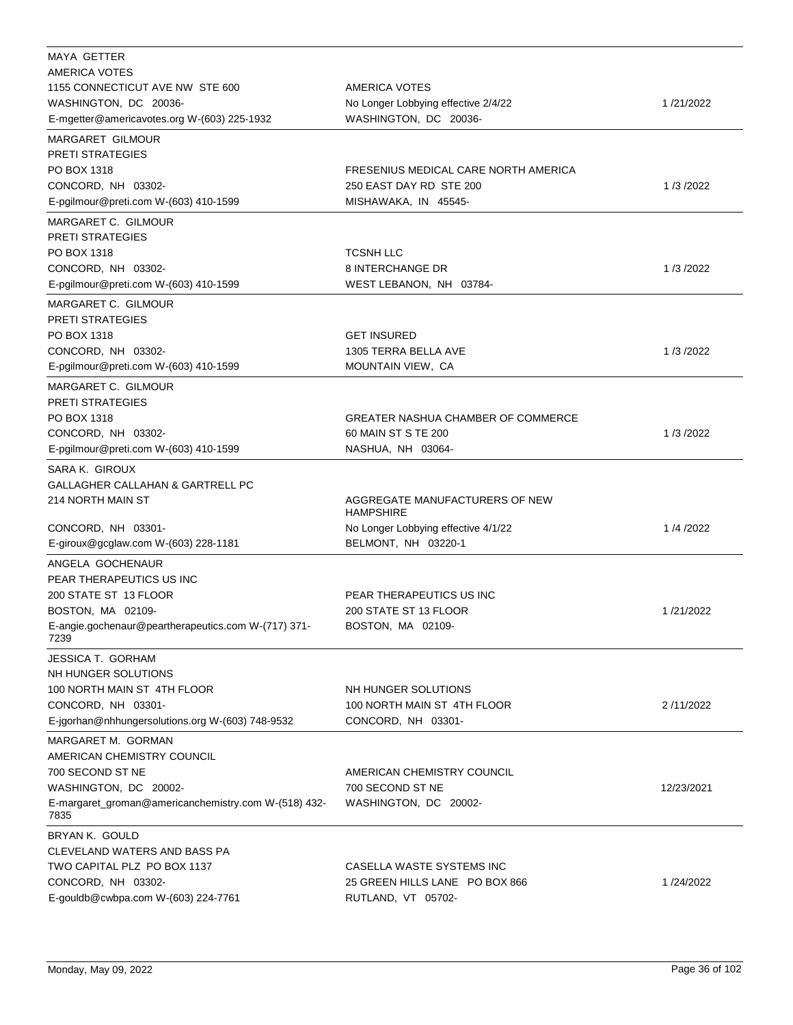| MAYA GETTER                                                 |                                           |            |
|-------------------------------------------------------------|-------------------------------------------|------------|
| AMERICA VOTES                                               |                                           |            |
| 1155 CONNECTICUT AVE NW STE 600                             | AMERICA VOTES                             |            |
| WASHINGTON, DC 20036-                                       | No Longer Lobbying effective 2/4/22       | 1/21/2022  |
| E-mgetter@americavotes.org W-(603) 225-1932                 | WASHINGTON, DC 20036-                     |            |
| <b>MARGARET GILMOUR</b>                                     |                                           |            |
| <b>PRETI STRATEGIES</b>                                     |                                           |            |
| PO BOX 1318                                                 | FRESENIUS MEDICAL CARE NORTH AMERICA      |            |
| CONCORD, NH 03302-                                          | 250 EAST DAY RD STE 200                   | 1/3/2022   |
| E-pgilmour@preti.com W-(603) 410-1599                       | MISHAWAKA, IN 45545-                      |            |
| MARGARET C. GILMOUR                                         |                                           |            |
| <b>PRETI STRATEGIES</b>                                     |                                           |            |
| PO BOX 1318                                                 | <b>TCSNH LLC</b>                          |            |
| CONCORD, NH 03302-                                          | 8 INTERCHANGE DR                          | 1/3/2022   |
| E-pgilmour@preti.com W-(603) 410-1599                       | WEST LEBANON, NH 03784-                   |            |
|                                                             |                                           |            |
| MARGARET C. GILMOUR                                         |                                           |            |
| <b>PRETI STRATEGIES</b>                                     |                                           |            |
| PO BOX 1318                                                 | <b>GET INSURED</b>                        |            |
| CONCORD, NH 03302-                                          | 1305 TERRA BELLA AVE                      | 1/3/2022   |
| E-pgilmour@preti.com W-(603) 410-1599                       | MOUNTAIN VIEW, CA                         |            |
| MARGARET C. GILMOUR                                         |                                           |            |
| <b>PRETI STRATEGIES</b>                                     |                                           |            |
| PO BOX 1318                                                 | <b>GREATER NASHUA CHAMBER OF COMMERCE</b> |            |
| CONCORD, NH 03302-                                          | 60 MAIN ST S TE 200                       | 1/3/2022   |
| E-pgilmour@preti.com W-(603) 410-1599                       | NASHUA, NH 03064-                         |            |
| SARA K. GIROUX                                              |                                           |            |
| GALLAGHER CALLAHAN & GARTRELL PC                            |                                           |            |
| 214 NORTH MAIN ST                                           | AGGREGATE MANUFACTURERS OF NEW            |            |
|                                                             | <b>HAMPSHIRE</b>                          |            |
| CONCORD, NH 03301-                                          | No Longer Lobbying effective 4/1/22       | 1/4/2022   |
| E-giroux@gcglaw.com W-(603) 228-1181                        | BELMONT, NH 03220-1                       |            |
| ANGELA GOCHENAUR                                            |                                           |            |
| PEAR THERAPEUTICS US INC                                    |                                           |            |
| 200 STATE ST 13 FLOOR                                       | PEAR THERAPEUTICS US INC                  |            |
| BOSTON, MA 02109-                                           | 200 STATE ST 13 FLOOR                     | 1/21/2022  |
|                                                             |                                           |            |
| E-angie.gochenaur@peartherapeutics.com W-(717) 371-<br>7239 | BOSTON, MA 02109-                         |            |
|                                                             |                                           |            |
| <b>JESSICA T. GORHAM</b>                                    |                                           |            |
| NH HUNGER SOLUTIONS                                         |                                           |            |
| 100 NORTH MAIN ST 4TH FLOOR                                 | NH HUNGER SOLUTIONS                       |            |
| CONCORD, NH 03301-                                          | 100 NORTH MAIN ST 4TH FLOOR               | 2/11/2022  |
| E-jgorhan@nhhungersolutions.org W-(603) 748-9532            | CONCORD, NH 03301-                        |            |
| MARGARET M. GORMAN                                          |                                           |            |
| AMERICAN CHEMISTRY COUNCIL                                  |                                           |            |
| 700 SECOND ST NE                                            | AMERICAN CHEMISTRY COUNCIL                |            |
| WASHINGTON, DC 20002-                                       | 700 SECOND ST NE                          | 12/23/2021 |
| E-margaret_groman@americanchemistry.com W-(518) 432-        | WASHINGTON, DC 20002-                     |            |
| 7835                                                        |                                           |            |
| BRYAN K. GOULD                                              |                                           |            |
| CLEVELAND WATERS AND BASS PA                                |                                           |            |
| TWO CAPITAL PLZ PO BOX 1137                                 | CASELLA WASTE SYSTEMS INC                 |            |
| CONCORD, NH 03302-                                          | 25 GREEN HILLS LANE PO BOX 866            | 1/24/2022  |
| E-gouldb@cwbpa.com W-(603) 224-7761                         | RUTLAND, VT 05702-                        |            |
|                                                             |                                           |            |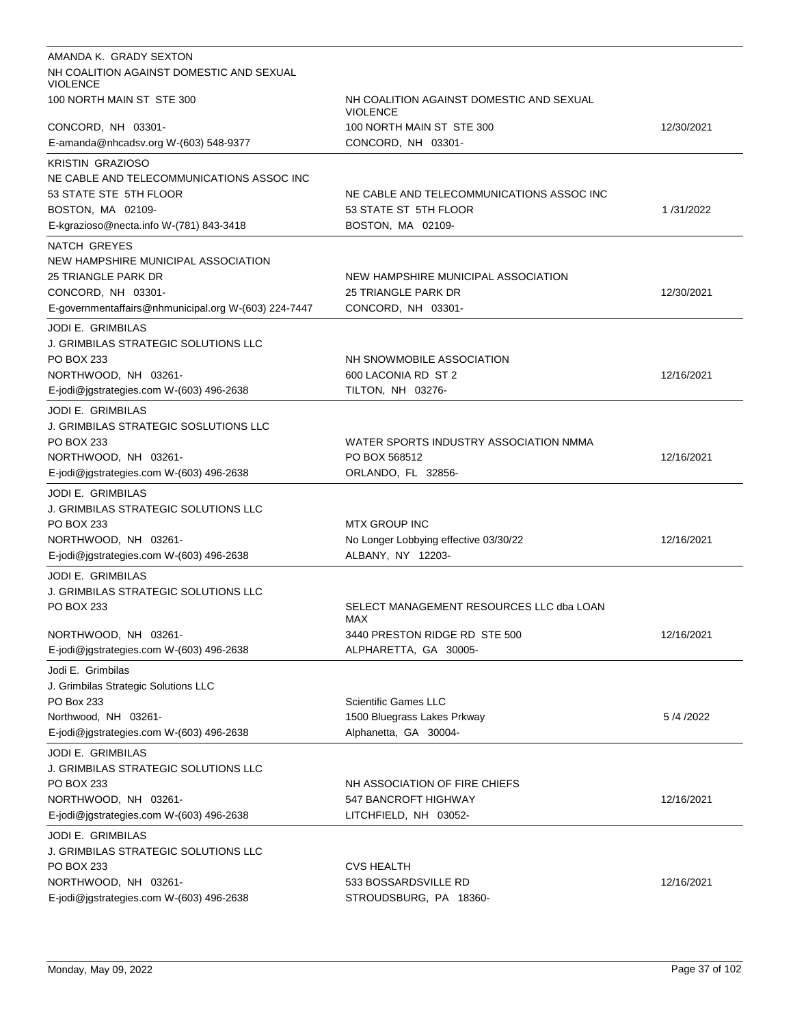| AMANDA K. GRADY SEXTON                                           |                                                             |            |
|------------------------------------------------------------------|-------------------------------------------------------------|------------|
| NH COALITION AGAINST DOMESTIC AND SEXUAL<br><b>VIOLENCE</b>      |                                                             |            |
| 100 NORTH MAIN ST STE 300                                        | NH COALITION AGAINST DOMESTIC AND SEXUAL<br><b>VIOLENCE</b> |            |
| CONCORD, NH 03301-                                               | 100 NORTH MAIN ST STE 300                                   | 12/30/2021 |
| E-amanda@nhcadsv.org W-(603) 548-9377                            | CONCORD, NH 03301-                                          |            |
| <b>KRISTIN GRAZIOSO</b>                                          |                                                             |            |
| NE CABLE AND TELECOMMUNICATIONS ASSOC INC                        |                                                             |            |
| 53 STATE STE 5TH FLOOR                                           | NE CABLE AND TELECOMMUNICATIONS ASSOC INC                   |            |
| BOSTON, MA 02109-                                                | 53 STATE ST 5TH FLOOR                                       | 1/31/2022  |
| E-kgrazioso@necta.info W-(781) 843-3418                          | BOSTON, MA 02109-                                           |            |
| NATCH GREYES                                                     |                                                             |            |
| NEW HAMPSHIRE MUNICIPAL ASSOCIATION                              |                                                             |            |
| 25 TRIANGLE PARK DR                                              | NEW HAMPSHIRE MUNICIPAL ASSOCIATION                         |            |
| CONCORD, NH 03301-                                               | 25 TRIANGLE PARK DR                                         | 12/30/2021 |
| E-governmentaffairs@nhmunicipal.org W-(603) 224-7447             | CONCORD, NH 03301-                                          |            |
| JODI E. GRIMBILAS                                                |                                                             |            |
| J. GRIMBILAS STRATEGIC SOLUTIONS LLC                             |                                                             |            |
| PO BOX 233                                                       | NH SNOWMOBILE ASSOCIATION                                   |            |
| NORTHWOOD, NH 03261-                                             | 600 LACONIA RD ST 2                                         | 12/16/2021 |
| E-jodi@jgstrategies.com W-(603) 496-2638                         | TILTON, NH 03276-                                           |            |
| JODI E. GRIMBILAS                                                |                                                             |            |
| J. GRIMBILAS STRATEGIC SOSLUTIONS LLC                            |                                                             |            |
| PO BOX 233                                                       | WATER SPORTS INDUSTRY ASSOCIATION NMMA                      |            |
| NORTHWOOD, NH 03261-                                             | PO BOX 568512                                               | 12/16/2021 |
| E-jodi@jgstrategies.com W-(603) 496-2638                         | ORLANDO, FL 32856-                                          |            |
| JODI E. GRIMBILAS                                                |                                                             |            |
| J. GRIMBILAS STRATEGIC SOLUTIONS LLC                             |                                                             |            |
| PO BOX 233                                                       | <b>MTX GROUP INC</b>                                        |            |
| NORTHWOOD, NH 03261-                                             | No Longer Lobbying effective 03/30/22                       | 12/16/2021 |
| E-jodi@jgstrategies.com W-(603) 496-2638                         | ALBANY, NY 12203-                                           |            |
|                                                                  |                                                             |            |
| JODI E. GRIMBILAS<br><b>J. GRIMBILAS STRATEGIC SOLUTIONS LLC</b> |                                                             |            |
| PO BOX 233                                                       | SELECT MANAGEMENT RESOURCES LLC dba LOAN                    |            |
|                                                                  | MAX                                                         |            |
| NORTHWOOD, NH 03261-                                             | 3440 PRESTON RIDGE RD STE 500                               | 12/16/2021 |
| E-jodi@jgstrategies.com W-(603) 496-2638                         | ALPHARETTA, GA 30005-                                       |            |
| Jodi E. Grimbilas                                                |                                                             |            |
| J. Grimbilas Strategic Solutions LLC                             |                                                             |            |
| PO Box 233                                                       | <b>Scientific Games LLC</b>                                 |            |
| Northwood, NH 03261-                                             | 1500 Bluegrass Lakes Prkway                                 | 5/4/2022   |
| E-jodi@jgstrategies.com W-(603) 496-2638                         | Alphanetta, GA 30004-                                       |            |
| JODI E. GRIMBILAS                                                |                                                             |            |
| J. GRIMBILAS STRATEGIC SOLUTIONS LLC                             |                                                             |            |
| PO BOX 233                                                       | NH ASSOCIATION OF FIRE CHIEFS                               |            |
| NORTHWOOD, NH 03261-                                             | 547 BANCROFT HIGHWAY                                        | 12/16/2021 |
| E-jodi@jgstrategies.com W-(603) 496-2638                         | LITCHFIELD, NH 03052-                                       |            |
| JODI E. GRIMBILAS                                                |                                                             |            |
| J. GRIMBILAS STRATEGIC SOLUTIONS LLC                             |                                                             |            |
| PO BOX 233                                                       | CVS HEALTH                                                  |            |
| NORTHWOOD, NH 03261-                                             | 533 BOSSARDSVILLE RD                                        | 12/16/2021 |
| E-jodi@jgstrategies.com W-(603) 496-2638                         | STROUDSBURG, PA 18360-                                      |            |
|                                                                  |                                                             |            |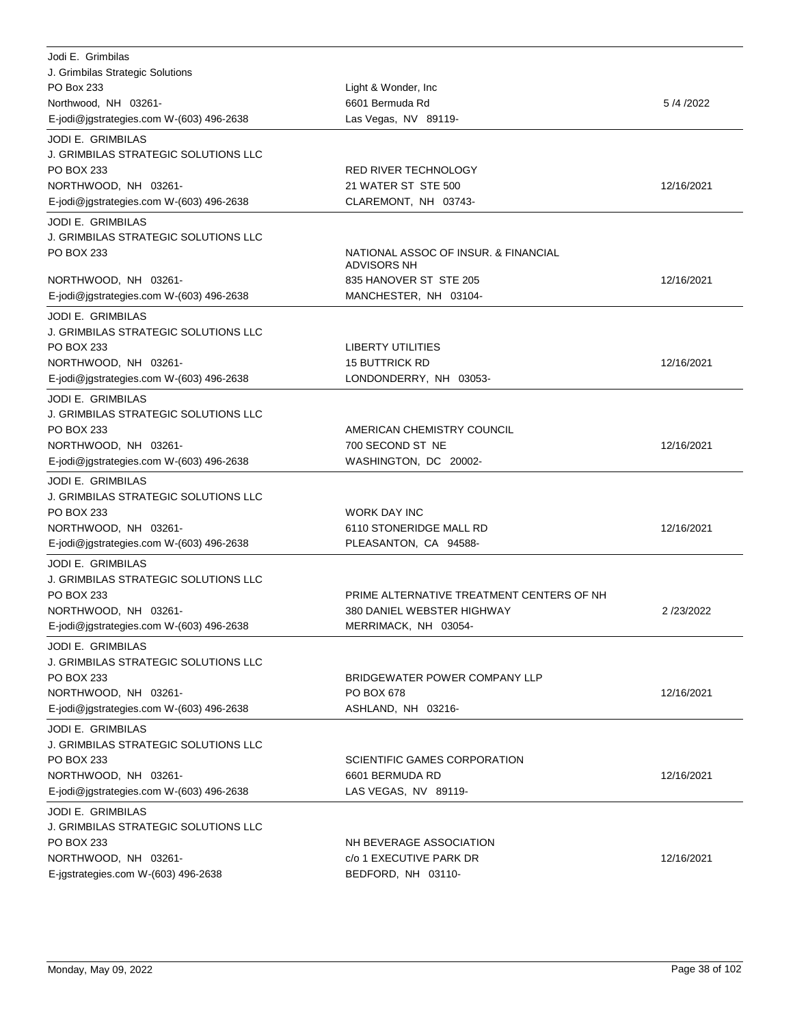| Jodi E. Grimbilas<br>J. Grimbilas Strategic Solutions<br>PO Box 233<br>Northwood, NH 03261-<br>E-jodi@jgstrategies.com W-(603) 496-2638                   | Light & Wonder, Inc.<br>6601 Bermuda Rd<br>Las Vegas, NV 89119-                                 | 5/4/2022   |
|-----------------------------------------------------------------------------------------------------------------------------------------------------------|-------------------------------------------------------------------------------------------------|------------|
| <b>JODI E. GRIMBILAS</b><br>J. GRIMBILAS STRATEGIC SOLUTIONS LLC<br>PO BOX 233<br>NORTHWOOD, NH 03261-<br>E-jodi@jgstrategies.com W-(603) 496-2638        | RED RIVER TECHNOLOGY<br>21 WATER ST STE 500<br>CLAREMONT, NH 03743-                             | 12/16/2021 |
| <b>JODI E. GRIMBILAS</b><br>J. GRIMBILAS STRATEGIC SOLUTIONS LLC<br>PO BOX 233<br>NORTHWOOD, NH 03261-                                                    | NATIONAL ASSOC OF INSUR. & FINANCIAL<br><b>ADVISORS NH</b><br>835 HANOVER ST STE 205            | 12/16/2021 |
| E-jodi@jgstrategies.com W-(603) 496-2638<br><b>JODI E. GRIMBILAS</b>                                                                                      | MANCHESTER, NH 03104-                                                                           |            |
| J. GRIMBILAS STRATEGIC SOLUTIONS LLC<br>PO BOX 233<br>NORTHWOOD, NH 03261-<br>E-jodi@jgstrategies.com W-(603) 496-2638                                    | <b>LIBERTY UTILITIES</b><br><b>15 BUTTRICK RD</b><br>LONDONDERRY, NH 03053-                     | 12/16/2021 |
| <b>JODI E. GRIMBILAS</b><br>J. GRIMBILAS STRATEGIC SOLUTIONS LLC<br>PO BOX 233<br>NORTHWOOD, NH 03261-<br>E-jodi@jgstrategies.com W-(603) 496-2638        | AMERICAN CHEMISTRY COUNCIL<br>700 SECOND ST NE<br>WASHINGTON, DC 20002-                         | 12/16/2021 |
| <b>JODI E. GRIMBILAS</b><br>J. GRIMBILAS STRATEGIC SOLUTIONS LLC<br>PO BOX 233<br>NORTHWOOD, NH 03261-<br>E-jodi@jgstrategies.com W-(603) 496-2638        | <b>WORK DAY INC</b><br>6110 STONERIDGE MALL RD<br>PLEASANTON, CA 94588-                         | 12/16/2021 |
| <b>JODI E. GRIMBILAS</b><br><b>J. GRIMBILAS STRATEGIC SOLUTIONS LLC</b><br>PO BOX 233<br>NORTHWOOD, NH 03261-<br>E-jodi@jgstrategies.com W-(603) 496-2638 | PRIME ALTERNATIVE TREATMENT CENTERS OF NH<br>380 DANIEL WEBSTER HIGHWAY<br>MERRIMACK, NH 03054- | 2/23/2022  |
| <b>JODI E. GRIMBILAS</b><br><b>J. GRIMBILAS STRATEGIC SOLUTIONS LLC</b><br>PO BOX 233<br>NORTHWOOD, NH 03261-<br>E-jodi@jgstrategies.com W-(603) 496-2638 | BRIDGEWATER POWER COMPANY LLP<br>PO BOX 678<br>ASHLAND, NH 03216-                               | 12/16/2021 |
| <b>JODI E. GRIMBILAS</b><br>J. GRIMBILAS STRATEGIC SOLUTIONS LLC<br>PO BOX 233<br>NORTHWOOD, NH 03261-<br>E-jodi@jgstrategies.com W-(603) 496-2638        | SCIENTIFIC GAMES CORPORATION<br>6601 BERMUDA RD<br>LAS VEGAS, NV 89119-                         | 12/16/2021 |
| <b>JODI E. GRIMBILAS</b><br>J. GRIMBILAS STRATEGIC SOLUTIONS LLC<br>PO BOX 233<br>NORTHWOOD, NH 03261-<br>E-jgstrategies.com W-(603) 496-2638             | NH BEVERAGE ASSOCIATION<br>c/o 1 EXECUTIVE PARK DR<br>BEDFORD, NH 03110-                        | 12/16/2021 |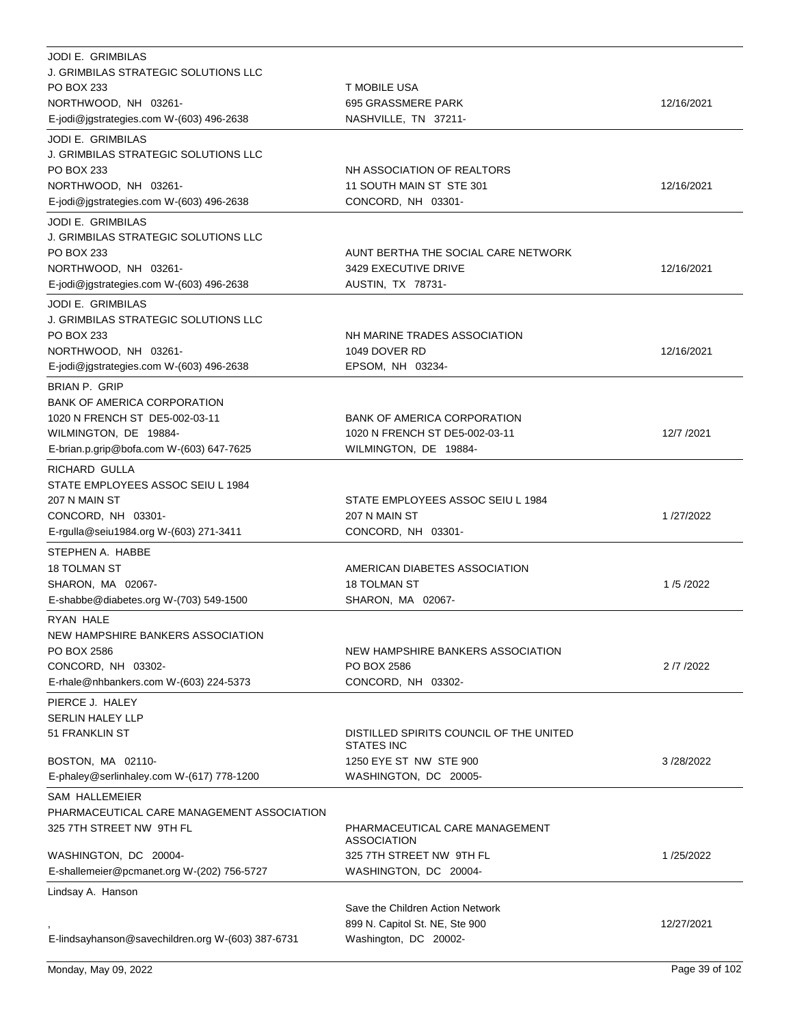| <b>JODI E. GRIMBILAS</b><br><b>J. GRIMBILAS STRATEGIC SOLUTIONS LLC</b><br>PO BOX 233<br>NORTHWOOD, NH 03261-<br>E-jodi@jgstrategies.com W-(603) 496-2638  | T MOBILE USA<br>695 GRASSMERE PARK<br>NASHVILLE, TN 37211-                                                           | 12/16/2021 |
|------------------------------------------------------------------------------------------------------------------------------------------------------------|----------------------------------------------------------------------------------------------------------------------|------------|
| <b>JODI E. GRIMBILAS</b><br>J. GRIMBILAS STRATEGIC SOLUTIONS LLC<br>PO BOX 233<br>NORTHWOOD, NH 03261-<br>E-jodi@jgstrategies.com W-(603) 496-2638         | NH ASSOCIATION OF REALTORS<br>11 SOUTH MAIN ST STE 301<br>CONCORD, NH 03301-                                         | 12/16/2021 |
| <b>JODI E. GRIMBILAS</b><br><b>J. GRIMBILAS STRATEGIC SOLUTIONS LLC</b><br>PO BOX 233<br>NORTHWOOD, NH 03261-<br>E-jodi@jgstrategies.com W-(603) 496-2638  | AUNT BERTHA THE SOCIAL CARE NETWORK<br>3429 EXECUTIVE DRIVE<br>AUSTIN, TX 78731-                                     | 12/16/2021 |
| <b>JODI E. GRIMBILAS</b><br>J. GRIMBILAS STRATEGIC SOLUTIONS LLC<br>PO BOX 233<br>NORTHWOOD, NH 03261-<br>E-jodi@jgstrategies.com W-(603) 496-2638         | NH MARINE TRADES ASSOCIATION<br>1049 DOVER RD<br>EPSOM, NH 03234-                                                    | 12/16/2021 |
| BRIAN P. GRIP<br><b>BANK OF AMERICA CORPORATION</b><br>1020 N FRENCH ST DE5-002-03-11<br>WILMINGTON, DE 19884-<br>E-brian.p.grip@bofa.com W-(603) 647-7625 | <b>BANK OF AMERICA CORPORATION</b><br>1020 N FRENCH ST DE5-002-03-11<br>WILMINGTON, DE 19884-                        | 12/7 /2021 |
| <b>RICHARD GULLA</b><br>STATE EMPLOYEES ASSOC SEIU L 1984<br>207 N MAIN ST<br>CONCORD, NH 03301-<br>E-rgulla@seiu1984.org W-(603) 271-3411                 | STATE EMPLOYEES ASSOC SEIU L 1984<br>207 N MAIN ST<br>CONCORD, NH 03301-                                             | 1/27/2022  |
| STEPHEN A. HABBE<br><b>18 TOLMAN ST</b><br>SHARON, MA 02067-<br>E-shabbe@diabetes.org W-(703) 549-1500                                                     | AMERICAN DIABETES ASSOCIATION<br><b>18 TOLMAN ST</b><br>SHARON, MA 02067-                                            | 1/5/2022   |
| RYAN HALE<br>NEW HAMPSHIRE BANKERS ASSOCIATION<br>PO BOX 2586<br>CONCORD, NH 03302-<br>E-rhale@nhbankers.com W-(603) 224-5373                              | NEW HAMPSHIRE BANKERS ASSOCIATION<br>PO BOX 2586<br>CONCORD, NH 03302-                                               | 2 /7 /2022 |
| PIERCE J. HALEY<br><b>SERLIN HALEY LLP</b><br>51 FRANKLIN ST<br>BOSTON, MA 02110-<br>E-phaley@serlinhaley.com W-(617) 778-1200                             | DISTILLED SPIRITS COUNCIL OF THE UNITED<br>STATES INC<br>1250 EYE ST NW STE 900<br>WASHINGTON, DC 20005-             | 3/28/2022  |
| <b>SAM HALLEMEIER</b><br>PHARMACEUTICAL CARE MANAGEMENT ASSOCIATION<br>325 7TH STREET NW 9TH FL<br>WASHINGTON, DC 20004-                                   | PHARMACEUTICAL CARE MANAGEMENT<br><b>ASSOCIATION</b><br>325 7TH STREET NW 9TH FL                                     | 1/25/2022  |
| E-shallemeier@pcmanet.org W-(202) 756-5727<br>Lindsay A. Hanson<br>E-lindsayhanson@savechildren.org W-(603) 387-6731                                       | WASHINGTON, DC 20004-<br>Save the Children Action Network<br>899 N. Capitol St. NE, Ste 900<br>Washington, DC 20002- | 12/27/2021 |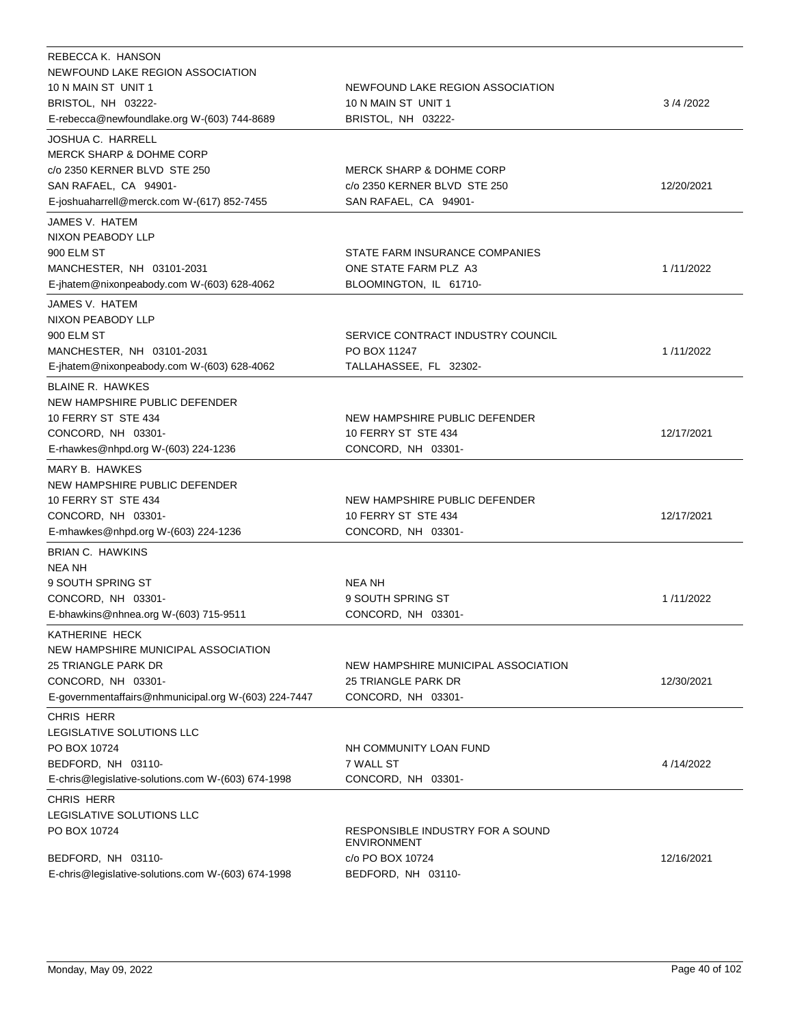| REBECCA K. HANSON<br>NEWFOUND LAKE REGION ASSOCIATION<br>10 N MAIN ST UNIT 1<br>BRISTOL, NH 03222-<br>E-rebecca@newfoundlake.org W-(603) 744-8689               | NEWFOUND LAKE REGION ASSOCIATION<br>10 N MAIN ST UNIT 1<br>BRISTOL, NH 03222-                | 3/4/2022   |
|-----------------------------------------------------------------------------------------------------------------------------------------------------------------|----------------------------------------------------------------------------------------------|------------|
| JOSHUA C. HARRELL<br><b>MERCK SHARP &amp; DOHME CORP</b><br>c/o 2350 KERNER BLVD STE 250<br>SAN RAFAEL, CA 94901-<br>E-joshuaharrell@merck.com W-(617) 852-7455 | <b>MERCK SHARP &amp; DOHME CORP</b><br>c/o 2350 KERNER BLVD STE 250<br>SAN RAFAEL, CA 94901- | 12/20/2021 |
| JAMES V. HATEM<br>NIXON PEABODY LLP<br>900 ELM ST<br>MANCHESTER, NH 03101-2031<br>E-jhatem@nixonpeabody.com W-(603) 628-4062                                    | STATE FARM INSURANCE COMPANIES<br>ONE STATE FARM PLZ A3<br>BLOOMINGTON, IL 61710-            | 1/11/2022  |
| JAMES V. HATEM<br>NIXON PEABODY LLP<br>900 ELM ST<br>MANCHESTER, NH 03101-2031<br>E-jhatem@nixonpeabody.com W-(603) 628-4062                                    | SERVICE CONTRACT INDUSTRY COUNCIL<br>PO BOX 11247<br>TALLAHASSEE, FL 32302-                  | 1/11/2022  |
| <b>BLAINE R. HAWKES</b><br>NEW HAMPSHIRE PUBLIC DEFENDER<br>10 FERRY ST STE 434<br>CONCORD, NH 03301-<br>E-rhawkes@nhpd.org W-(603) 224-1236                    | NEW HAMPSHIRE PUBLIC DEFENDER<br>10 FERRY ST STE 434<br>CONCORD, NH 03301-                   | 12/17/2021 |
| MARY B. HAWKES<br>NEW HAMPSHIRE PUBLIC DEFENDER<br>10 FERRY ST STE 434<br>CONCORD, NH 03301-<br>E-mhawkes@nhpd.org W-(603) 224-1236                             | NEW HAMPSHIRE PUBLIC DEFENDER<br>10 FERRY ST STE 434<br>CONCORD, NH 03301-                   | 12/17/2021 |
| <b>BRIAN C. HAWKINS</b><br>NEA NH<br>9 SOUTH SPRING ST<br>CONCORD, NH 03301-<br>E-bhawkins@nhnea.org W-(603) 715-9511<br>KATHERINE HECK                         | <b>NEA NH</b><br>9 SOUTH SPRING ST<br>CONCORD, NH 03301-                                     | 1/11/2022  |
| NEW HAMPSHIRE MUNICIPAL ASSOCIATION<br>25 TRIANGLE PARK DR<br>CONCORD, NH 03301-<br>E-governmentaffairs@nhmunicipal.org W-(603) 224-7447                        | NEW HAMPSHIRE MUNICIPAL ASSOCIATION<br>25 TRIANGLE PARK DR<br>CONCORD, NH 03301-             | 12/30/2021 |
| <b>CHRIS HERR</b><br>LEGISLATIVE SOLUTIONS LLC<br>PO BOX 10724<br>BEDFORD, NH 03110-<br>E-chris@legislative-solutions.com W-(603) 674-1998                      | NH COMMUNITY LOAN FUND<br>7 WALL ST<br>CONCORD, NH 03301-                                    | 4/14/2022  |
| CHRIS HERR<br>LEGISLATIVE SOLUTIONS LLC<br>PO BOX 10724<br>BEDFORD, NH 03110-                                                                                   | RESPONSIBLE INDUSTRY FOR A SOUND<br><b>ENVIRONMENT</b><br>c/o PO BOX 10724                   | 12/16/2021 |
| E-chris@legislative-solutions.com W-(603) 674-1998                                                                                                              | BEDFORD, NH 03110-                                                                           |            |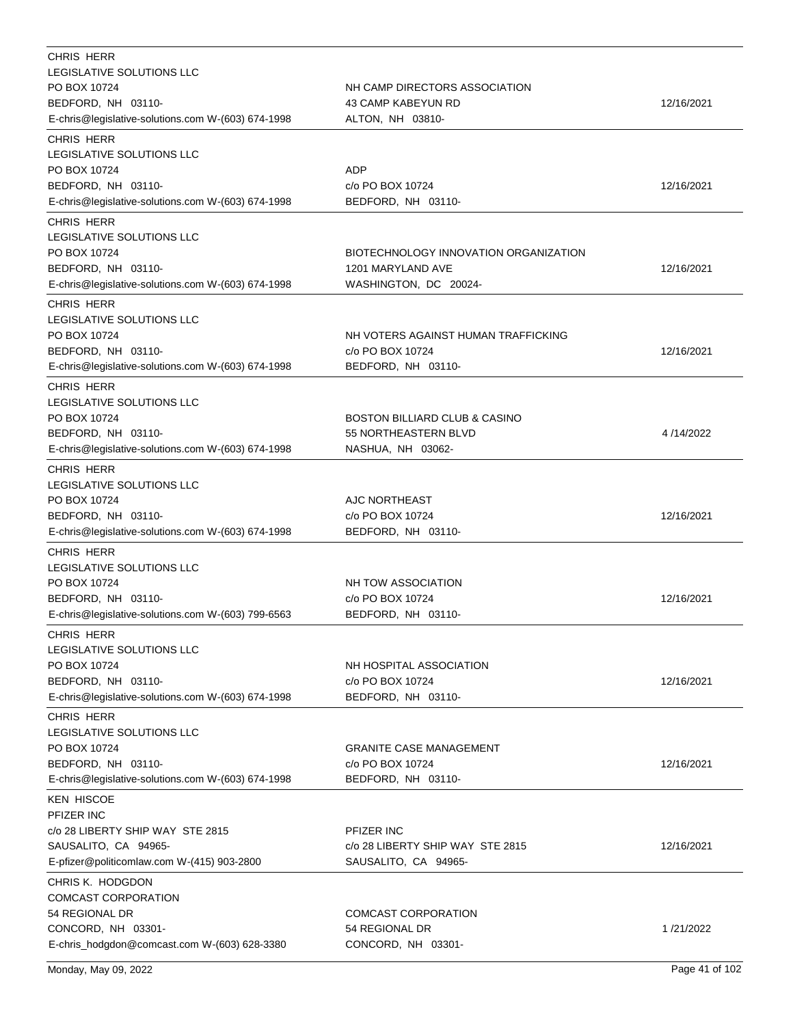| CHRIS HERR                                         |                                       |            |
|----------------------------------------------------|---------------------------------------|------------|
| LEGISLATIVE SOLUTIONS LLC                          |                                       |            |
| PO BOX 10724                                       | NH CAMP DIRECTORS ASSOCIATION         |            |
| BEDFORD, NH 03110-                                 | 43 CAMP KABEYUN RD                    | 12/16/2021 |
| E-chris@legislative-solutions.com W-(603) 674-1998 | ALTON, NH 03810-                      |            |
| CHRIS HERR                                         |                                       |            |
| LEGISLATIVE SOLUTIONS LLC                          |                                       |            |
| PO BOX 10724                                       | <b>ADP</b>                            |            |
| BEDFORD, NH 03110-                                 | c/o PO BOX 10724                      | 12/16/2021 |
| E-chris@legislative-solutions.com W-(603) 674-1998 | BEDFORD, NH 03110-                    |            |
| CHRIS HERR                                         |                                       |            |
| <b>LEGISLATIVE SOLUTIONS LLC</b>                   |                                       |            |
| PO BOX 10724                                       | BIOTECHNOLOGY INNOVATION ORGANIZATION |            |
| BEDFORD, NH 03110-                                 | 1201 MARYLAND AVE                     | 12/16/2021 |
| E-chris@legislative-solutions.com W-(603) 674-1998 | WASHINGTON, DC 20024-                 |            |
| <b>CHRIS HERR</b>                                  |                                       |            |
| LEGISLATIVE SOLUTIONS LLC                          |                                       |            |
| PO BOX 10724                                       | NH VOTERS AGAINST HUMAN TRAFFICKING   |            |
| BEDFORD, NH 03110-                                 | c/o PO BOX 10724                      | 12/16/2021 |
| E-chris@legislative-solutions.com W-(603) 674-1998 | BEDFORD, NH 03110-                    |            |
|                                                    |                                       |            |
| CHRIS HERR                                         |                                       |            |
| LEGISLATIVE SOLUTIONS LLC                          |                                       |            |
| PO BOX 10724                                       | BOSTON BILLIARD CLUB & CASINO         |            |
| BEDFORD, NH 03110-                                 | 55 NORTHEASTERN BLVD                  | 4/14/2022  |
| E-chris@legislative-solutions.com W-(603) 674-1998 | NASHUA, NH 03062-                     |            |
| CHRIS HERR                                         |                                       |            |
| <b>LEGISLATIVE SOLUTIONS LLC</b>                   |                                       |            |
| PO BOX 10724                                       | AJC NORTHEAST                         |            |
| BEDFORD, NH 03110-                                 | c/o PO BOX 10724                      | 12/16/2021 |
| E-chris@legislative-solutions.com W-(603) 674-1998 | BEDFORD, NH 03110-                    |            |
| CHRIS HERR                                         |                                       |            |
| LEGISLATIVE SOLUTIONS LLC                          |                                       |            |
| PO BOX 10724                                       | NH TOW ASSOCIATION                    |            |
| BEDFORD, NH 03110-                                 | c/o PO BOX 10724                      | 12/16/2021 |
| E-chris@legislative-solutions.com W-(603) 799-6563 | BEDFORD, NH 03110-                    |            |
|                                                    |                                       |            |
| CHRIS HERR                                         |                                       |            |
| LEGISLATIVE SOLUTIONS LLC                          |                                       |            |
| PO BOX 10724                                       | NH HOSPITAL ASSOCIATION               |            |
| BEDFORD, NH 03110-                                 | c/o PO BOX 10724                      | 12/16/2021 |
| E-chris@legislative-solutions.com W-(603) 674-1998 | BEDFORD, NH 03110-                    |            |
| CHRIS HERR                                         |                                       |            |
| <b>LEGISLATIVE SOLUTIONS LLC</b>                   |                                       |            |
| PO BOX 10724                                       | <b>GRANITE CASE MANAGEMENT</b>        |            |
| BEDFORD, NH 03110-                                 | c/o PO BOX 10724                      | 12/16/2021 |
| E-chris@legislative-solutions.com W-(603) 674-1998 | BEDFORD, NH 03110-                    |            |
| <b>KEN HISCOE</b>                                  |                                       |            |
| PFIZER INC                                         |                                       |            |
| c/o 28 LIBERTY SHIP WAY STE 2815                   | PFIZER INC                            |            |
| SAUSALITO, CA 94965-                               | c/o 28 LIBERTY SHIP WAY STE 2815      | 12/16/2021 |
| E-pfizer@politicomlaw.com W-(415) 903-2800         | SAUSALITO, CA 94965-                  |            |
| CHRIS K. HODGDON                                   |                                       |            |
| COMCAST CORPORATION                                |                                       |            |
| 54 REGIONAL DR                                     |                                       |            |
|                                                    | <b>COMCAST CORPORATION</b>            | 1/21/2022  |
| CONCORD, NH 03301-                                 | 54 REGIONAL DR                        |            |
| E-chris_hodgdon@comcast.com W-(603) 628-3380       | CONCORD, NH 03301-                    |            |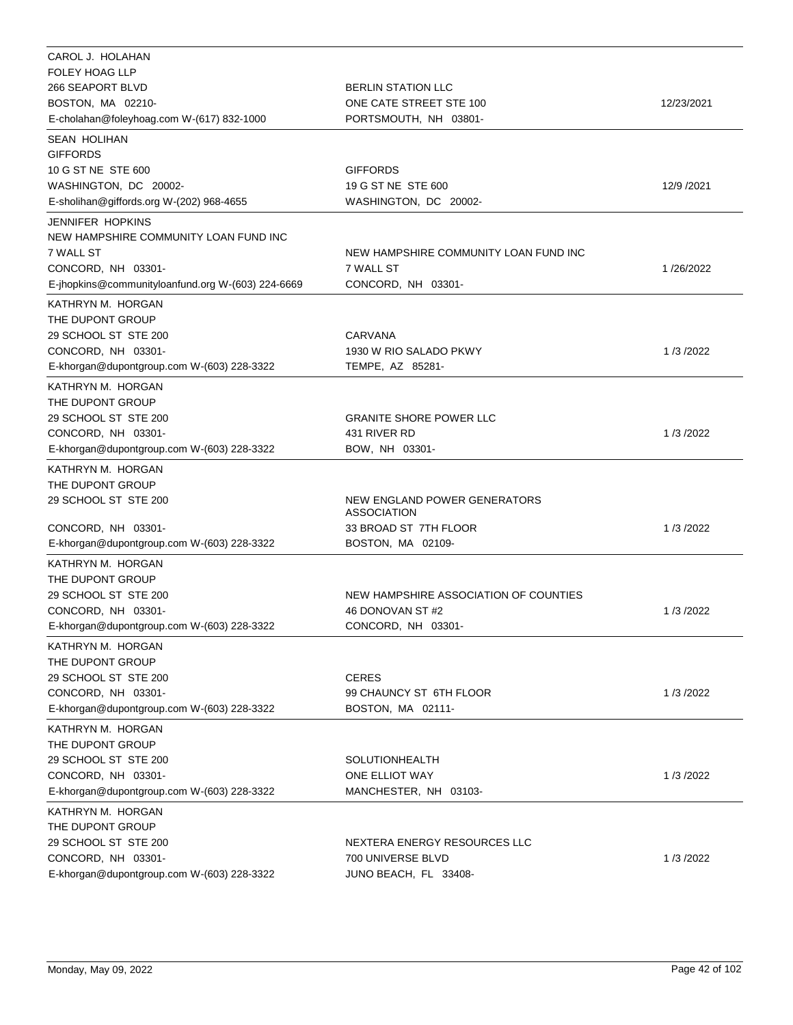| CAROL J. HOLAHAN                                  |                                             |            |
|---------------------------------------------------|---------------------------------------------|------------|
| <b>FOLEY HOAG LLP</b>                             |                                             |            |
| 266 SEAPORT BLVD                                  | <b>BERLIN STATION LLC</b>                   |            |
| BOSTON, MA 02210-                                 | ONE CATE STREET STE 100                     | 12/23/2021 |
| E-cholahan@foleyhoag.com W-(617) 832-1000         | PORTSMOUTH, NH 03801-                       |            |
| <b>SEAN HOLIHAN</b>                               |                                             |            |
| <b>GIFFORDS</b>                                   |                                             |            |
| 10 G ST NE STE 600                                | <b>GIFFORDS</b>                             |            |
| WASHINGTON, DC 20002-                             | 19 G ST NE STE 600                          | 12/9 /2021 |
| E-sholihan@giffords.org W-(202) 968-4655          | WASHINGTON, DC 20002-                       |            |
| <b>JENNIFER HOPKINS</b>                           |                                             |            |
| NEW HAMPSHIRE COMMUNITY LOAN FUND INC             |                                             |            |
| 7 WALL ST                                         | NEW HAMPSHIRE COMMUNITY LOAN FUND INC       |            |
| CONCORD, NH 03301-                                | 7 WALL ST                                   | 1/26/2022  |
| E-jhopkins@communityloanfund.org W-(603) 224-6669 | CONCORD, NH 03301-                          |            |
| KATHRYN M. HORGAN                                 |                                             |            |
| THE DUPONT GROUP                                  |                                             |            |
| 29 SCHOOL ST STE 200                              | <b>CARVANA</b>                              |            |
| CONCORD, NH 03301-                                | 1930 W RIO SALADO PKWY                      | 1/3/2022   |
| E-khorgan@dupontgroup.com W-(603) 228-3322        | TEMPE, AZ 85281-                            |            |
| KATHRYN M. HORGAN                                 |                                             |            |
| THE DUPONT GROUP                                  |                                             |            |
| 29 SCHOOL ST STE 200                              | <b>GRANITE SHORE POWER LLC</b>              |            |
| CONCORD, NH 03301-                                | 431 RIVER RD                                | 1/3/2022   |
| E-khorgan@dupontgroup.com W-(603) 228-3322        | BOW, NH 03301-                              |            |
| KATHRYN M. HORGAN                                 |                                             |            |
| THE DUPONT GROUP                                  |                                             |            |
| 29 SCHOOL ST STE 200                              | NEW ENGLAND POWER GENERATORS<br>ASSOCIATION |            |
| CONCORD, NH 03301-                                | 33 BROAD ST 7TH FLOOR                       | 1/3/2022   |
| E-khorgan@dupontgroup.com W-(603) 228-3322        | BOSTON, MA 02109-                           |            |
| KATHRYN M. HORGAN                                 |                                             |            |
| THE DUPONT GROUP                                  |                                             |            |
| 29 SCHOOL ST STE 200                              | NEW HAMPSHIRE ASSOCIATION OF COUNTIES       |            |
| CONCORD, NH 03301-                                | 46 DONOVAN ST #2                            | 1/3/2022   |
| E-khorgan@dupontgroup.com W-(603) 228-3322        | CONCORD, NH 03301-                          |            |
| KATHRYN M. HORGAN                                 |                                             |            |
| THE DUPONT GROUP                                  |                                             |            |
| 29 SCHOOL ST STE 200                              | <b>CERES</b>                                |            |
| CONCORD, NH 03301-                                | 99 CHAUNCY ST 6TH FLOOR                     | 1/3/2022   |
| E-khorgan@dupontgroup.com W-(603) 228-3322        | BOSTON, MA 02111-                           |            |
| KATHRYN M. HORGAN                                 |                                             |            |
| THE DUPONT GROUP                                  |                                             |            |
| 29 SCHOOL ST STE 200                              | SOLUTIONHEALTH                              |            |
| CONCORD, NH 03301-                                | ONE ELLIOT WAY                              | 1/3/2022   |
| E-khorgan@dupontgroup.com W-(603) 228-3322        | MANCHESTER, NH 03103-                       |            |
| KATHRYN M. HORGAN                                 |                                             |            |
| THE DUPONT GROUP                                  |                                             |            |
| 29 SCHOOL ST STE 200                              | NEXTERA ENERGY RESOURCES LLC                |            |
| CONCORD, NH 03301-                                | 700 UNIVERSE BLVD                           | 1/3/2022   |
| E-khorgan@dupontgroup.com W-(603) 228-3322        | JUNO BEACH, FL 33408-                       |            |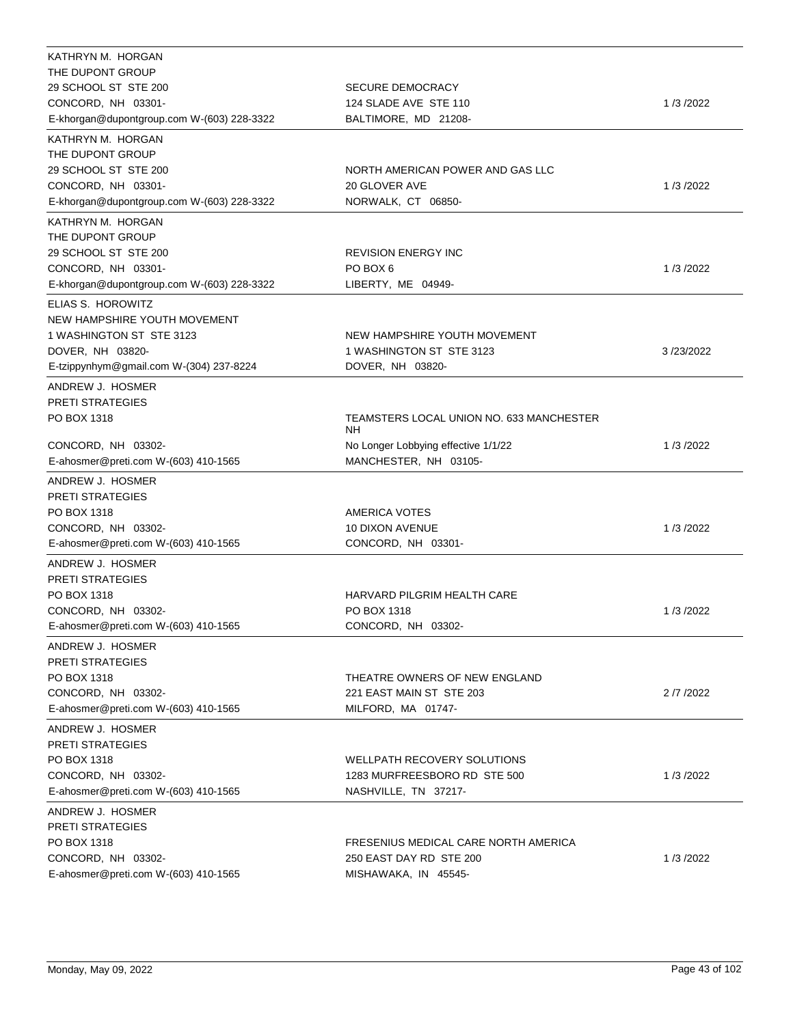| KATHRYN M. HORGAN                          |                                                                 |            |
|--------------------------------------------|-----------------------------------------------------------------|------------|
| THE DUPONT GROUP                           |                                                                 |            |
| 29 SCHOOL ST STE 200                       | <b>SECURE DEMOCRACY</b>                                         |            |
| CONCORD, NH 03301-                         | 124 SLADE AVE STE 110                                           | 1/3/2022   |
| E-khorgan@dupontgroup.com W-(603) 228-3322 | BALTIMORE, MD 21208-                                            |            |
| KATHRYN M. HORGAN                          |                                                                 |            |
| THE DUPONT GROUP                           |                                                                 |            |
| 29 SCHOOL ST STE 200                       | NORTH AMERICAN POWER AND GAS LLC                                |            |
| CONCORD, NH 03301-                         | 20 GLOVER AVE                                                   | 1/3/2022   |
| E-khorgan@dupontgroup.com W-(603) 228-3322 | NORWALK, CT 06850-                                              |            |
| KATHRYN M. HORGAN                          |                                                                 |            |
| THE DUPONT GROUP                           |                                                                 |            |
| 29 SCHOOL ST STE 200                       | <b>REVISION ENERGY INC</b>                                      |            |
| CONCORD, NH 03301-                         | PO BOX 6                                                        | 1/3/2022   |
| E-khorgan@dupontgroup.com W-(603) 228-3322 | LIBERTY, ME 04949-                                              |            |
| ELIAS S. HOROWITZ                          |                                                                 |            |
| NEW HAMPSHIRE YOUTH MOVEMENT               |                                                                 |            |
| 1 WASHINGTON ST STE 3123                   | NEW HAMPSHIRE YOUTH MOVEMENT                                    |            |
| DOVER, NH 03820-                           | 1 WASHINGTON ST STE 3123                                        | 3/23/2022  |
| E-tzippynhym@gmail.com W-(304) 237-8224    | DOVER, NH 03820-                                                |            |
| ANDREW J. HOSMER                           |                                                                 |            |
| <b>PRETI STRATEGIES</b>                    |                                                                 |            |
| PO BOX 1318                                | TEAMSTERS LOCAL UNION NO. 633 MANCHESTER                        |            |
|                                            | <b>NH</b>                                                       |            |
| CONCORD, NH 03302-                         | No Longer Lobbying effective 1/1/22                             | 1/3/2022   |
| E-ahosmer@preti.com W-(603) 410-1565       | MANCHESTER, NH 03105-                                           |            |
| ANDREW J. HOSMER                           |                                                                 |            |
| <b>PRETI STRATEGIES</b>                    |                                                                 |            |
| PO BOX 1318                                | <b>AMERICA VOTES</b>                                            |            |
| CONCORD, NH 03302-                         | <b>10 DIXON AVENUE</b>                                          | 1/3/2022   |
| E-ahosmer@preti.com W-(603) 410-1565       | CONCORD, NH 03301-                                              |            |
| ANDREW J. HOSMER                           |                                                                 |            |
| <b>PRETI STRATEGIES</b>                    |                                                                 |            |
| PO BOX 1318                                | HARVARD PILGRIM HEALTH CARE                                     |            |
| CONCORD, NH 03302-                         | PO BOX 1318                                                     | 1/3/2022   |
| E-ahosmer@preti.com W-(603) 410-1565       | CONCORD, NH 03302-                                              |            |
| ANDREW J. HOSMER                           |                                                                 |            |
| <b>PRETI STRATEGIES</b>                    |                                                                 |            |
| PO BOX 1318                                | THEATRE OWNERS OF NEW ENGLAND                                   |            |
| CONCORD, NH 03302-                         | 221 EAST MAIN ST STE 203                                        | 2 /7 /2022 |
| E-ahosmer@preti.com W-(603) 410-1565       | MILFORD, MA 01747-                                              |            |
| ANDREW J. HOSMER                           |                                                                 |            |
| <b>PRETI STRATEGIES</b>                    |                                                                 |            |
| PO BOX 1318                                | WELLPATH RECOVERY SOLUTIONS                                     |            |
| CONCORD, NH 03302-                         | 1283 MURFREESBORO RD STE 500                                    | 1/3/2022   |
| E-ahosmer@preti.com W-(603) 410-1565       | NASHVILLE, TN 37217-                                            |            |
|                                            |                                                                 |            |
| ANDREW J. HOSMER                           |                                                                 |            |
| <b>PRETI STRATEGIES</b>                    |                                                                 |            |
| PO BOX 1318<br>CONCORD, NH 03302-          | FRESENIUS MEDICAL CARE NORTH AMERICA<br>250 EAST DAY RD STE 200 |            |
| E-ahosmer@preti.com W-(603) 410-1565       | MISHAWAKA, IN 45545-                                            | 1/3/2022   |
|                                            |                                                                 |            |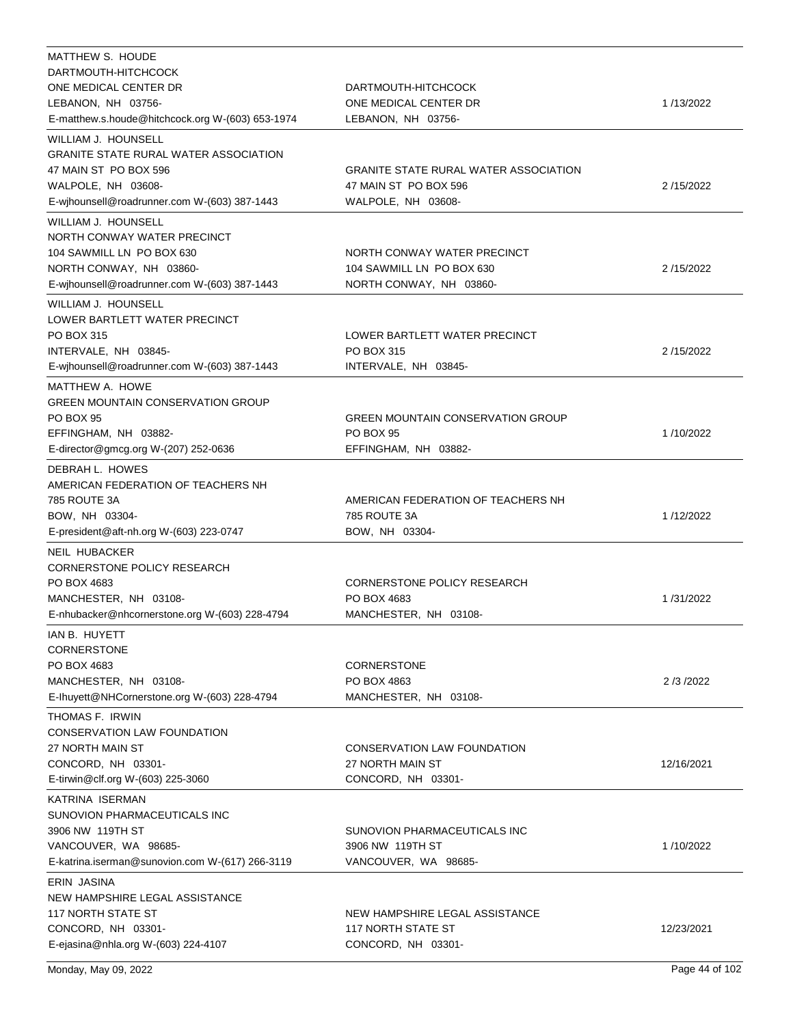| MATTHEW S. HOUDE                                                                                                                                                                  |                                                                                             |            |
|-----------------------------------------------------------------------------------------------------------------------------------------------------------------------------------|---------------------------------------------------------------------------------------------|------------|
| DARTMOUTH-HITCHCOCK                                                                                                                                                               |                                                                                             |            |
| ONE MEDICAL CENTER DR                                                                                                                                                             | DARTMOUTH-HITCHCOCK                                                                         |            |
| LEBANON, NH 03756-                                                                                                                                                                | ONE MEDICAL CENTER DR                                                                       | 1/13/2022  |
| E-matthew.s.houde@hitchcock.org W-(603) 653-1974                                                                                                                                  | LEBANON, NH 03756-                                                                          |            |
| WILLIAM J. HOUNSELL<br><b>GRANITE STATE RURAL WATER ASSOCIATION</b><br>47 MAIN ST PO BOX 596<br>WALPOLE, NH 03608-<br>E-wjhounsell@roadrunner.com W-(603) 387-1443                | <b>GRANITE STATE RURAL WATER ASSOCIATION</b><br>47 MAIN ST PO BOX 596<br>WALPOLE, NH 03608- | 2/15/2022  |
|                                                                                                                                                                                   |                                                                                             |            |
| WILLIAM J. HOUNSELL<br>NORTH CONWAY WATER PRECINCT<br>104 SAWMILL LN PO BOX 630<br>NORTH CONWAY, NH 03860-<br>E-wihounsell@roadrunner.com W-(603) 387-1443<br>WILLIAM J. HOUNSELL | NORTH CONWAY WATER PRECINCT<br>104 SAWMILL LN PO BOX 630<br>NORTH CONWAY, NH 03860-         | 2/15/2022  |
| LOWER BARTLETT WATER PRECINCT<br>PO BOX 315<br>INTERVALE, NH 03845-<br>E-wjhounsell@roadrunner.com W-(603) 387-1443                                                               | LOWER BARTLETT WATER PRECINCT<br><b>PO BOX 315</b><br>INTERVALE, NH 03845-                  | 2/15/2022  |
| MATTHEW A. HOWE<br><b>GREEN MOUNTAIN CONSERVATION GROUP</b><br><b>PO BOX 95</b><br>EFFINGHAM, NH 03882-<br>E-director@gmcg.org W-(207) 252-0636                                   | <b>GREEN MOUNTAIN CONSERVATION GROUP</b><br><b>PO BOX 95</b><br>EFFINGHAM, NH 03882-        | 1/10/2022  |
| DEBRAH L. HOWES<br>AMERICAN FEDERATION OF TEACHERS NH<br>785 ROUTE 3A<br>BOW, NH 03304-<br>E-president@aft-nh.org W-(603) 223-0747                                                | AMERICAN FEDERATION OF TEACHERS NH<br>785 ROUTE 3A<br>BOW, NH 03304-                        | 1/12/2022  |
| <b>NEIL HUBACKER</b><br>CORNERSTONE POLICY RESEARCH<br>PO BOX 4683<br>MANCHESTER, NH 03108-<br>E-nhubacker@nhcornerstone.org W-(603) 228-4794                                     | CORNERSTONE POLICY RESEARCH<br>PO BOX 4683<br>MANCHESTER, NH 03108-                         | 1/31/2022  |
| IAN B. HUYETT<br><b>CORNERSTONE</b><br>PO BOX 4683<br>MANCHESTER, NH 03108-<br>E-Ihuyett@NHCornerstone.org W-(603) 228-4794                                                       | <b>CORNERSTONE</b><br>PO BOX 4863<br>MANCHESTER, NH 03108-                                  | 2/3/2022   |
| THOMAS F. IRWIN<br>CONSERVATION LAW FOUNDATION<br>27 NORTH MAIN ST<br>CONCORD, NH 03301-<br>E-tirwin@clf.org W-(603) 225-3060                                                     | CONSERVATION LAW FOUNDATION<br>27 NORTH MAIN ST<br>CONCORD, NH 03301-                       | 12/16/2021 |
| KATRINA ISERMAN<br>SUNOVION PHARMACEUTICALS INC<br>3906 NW 119TH ST<br>VANCOUVER, WA 98685-<br>E-katrina.iserman@sunovion.com W-(617) 266-3119                                    | SUNOVION PHARMACEUTICALS INC<br>3906 NW  119TH ST<br>VANCOUVER, WA 98685-                   | 1/10/2022  |
| ERIN JASINA<br>NEW HAMPSHIRE LEGAL ASSISTANCE<br><b>117 NORTH STATE ST</b><br>CONCORD, NH 03301-<br>E-ejasina@nhla.org W-(603) 224-4107                                           | NEW HAMPSHIRE LEGAL ASSISTANCE<br>117 NORTH STATE ST<br>CONCORD, NH 03301-                  | 12/23/2021 |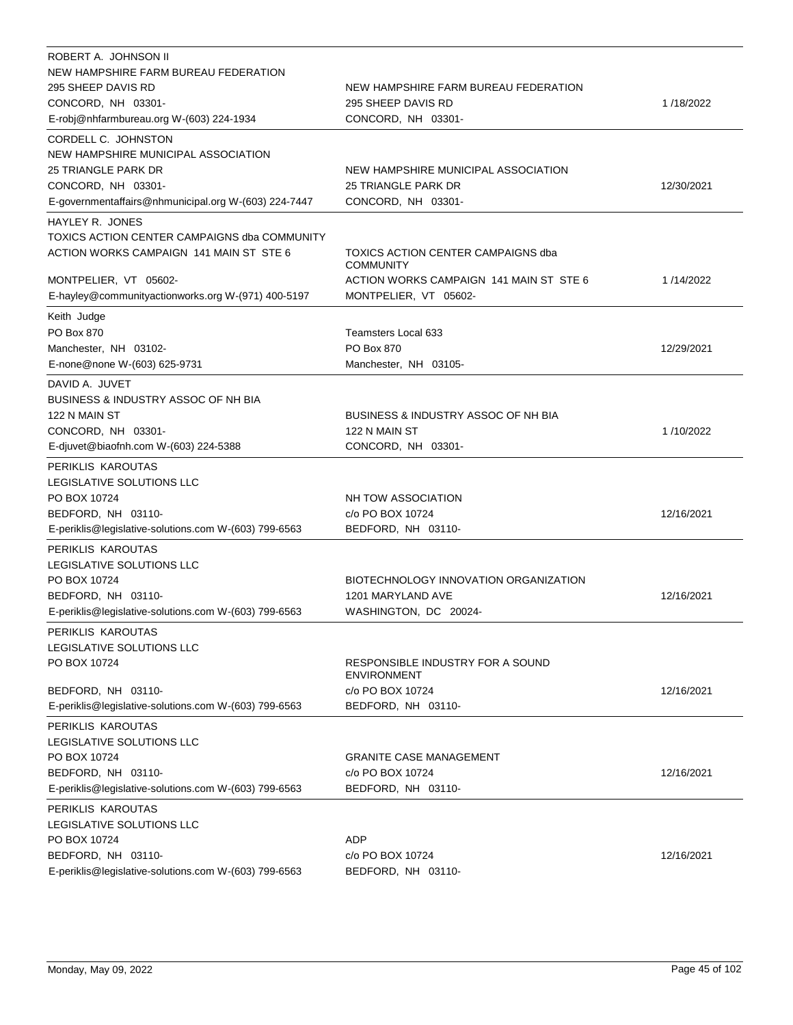| ROBERT A. JOHNSON II<br>NEW HAMPSHIRE FARM BUREAU FEDERATION<br>295 SHEEP DAVIS RD<br>CONCORD, NH 03301-<br>E-robj@nhfarmbureau.org W-(603) 224-1934            | NEW HAMPSHIRE FARM BUREAU FEDERATION<br>295 SHEEP DAVIS RD<br>CONCORD, NH 03301-      | 1/18/2022  |
|-----------------------------------------------------------------------------------------------------------------------------------------------------------------|---------------------------------------------------------------------------------------|------------|
| CORDELL C. JOHNSTON<br>NEW HAMPSHIRE MUNICIPAL ASSOCIATION<br>25 TRIANGLE PARK DR<br>CONCORD, NH 03301-<br>E-governmentaffairs@nhmunicipal.org W-(603) 224-7447 | NEW HAMPSHIRE MUNICIPAL ASSOCIATION<br>25 TRIANGLE PARK DR<br>CONCORD, NH 03301-      | 12/30/2021 |
| HAYLEY R. JONES<br>TOXICS ACTION CENTER CAMPAIGNS dba COMMUNITY<br>ACTION WORKS CAMPAIGN 141 MAIN ST STE 6                                                      | TOXICS ACTION CENTER CAMPAIGNS dba<br><b>COMMUNITY</b>                                |            |
| MONTPELIER, VT 05602-<br>E-hayley@communityactionworks.org W-(971) 400-5197                                                                                     | ACTION WORKS CAMPAIGN 141 MAIN ST STE 6<br>MONTPELIER, VT 05602-                      | 1/14/2022  |
| Keith Judge                                                                                                                                                     |                                                                                       |            |
| PO Box 870<br>Manchester, NH 03102-<br>E-none@none W-(603) 625-9731                                                                                             | <b>Teamsters Local 633</b><br>PO Box 870<br>Manchester, NH 03105-                     | 12/29/2021 |
| DAVID A. JUVET                                                                                                                                                  |                                                                                       |            |
| <b>BUSINESS &amp; INDUSTRY ASSOC OF NH BIA</b><br>122 N MAIN ST<br>CONCORD, NH 03301-<br>E-djuvet@biaofnh.com W-(603) 224-5388                                  | <b>BUSINESS &amp; INDUSTRY ASSOC OF NH BIA</b><br>122 N MAIN ST<br>CONCORD, NH 03301- | 1/10/2022  |
| PERIKLIS KAROUTAS                                                                                                                                               |                                                                                       |            |
| LEGISLATIVE SOLUTIONS LLC<br>PO BOX 10724<br>BEDFORD, NH 03110-<br>E-periklis@legislative-solutions.com W-(603) 799-6563                                        | NH TOW ASSOCIATION<br>c/o PO BOX 10724<br>BEDFORD, NH 03110-                          | 12/16/2021 |
| PERIKLIS KAROUTAS<br>LEGISLATIVE SOLUTIONS LLC<br>PO BOX 10724<br>BEDFORD, NH 03110-<br>E-periklis@legislative-solutions.com W-(603) 799-6563                   | BIOTECHNOLOGY INNOVATION ORGANIZATION<br>1201 MARYLAND AVE<br>WASHINGTON, DC 20024-   | 12/16/2021 |
| PERIKLIS KAROUTAS                                                                                                                                               |                                                                                       |            |
| LEGISLATIVE SOLUTIONS LLC<br>PO BOX 10724                                                                                                                       | RESPONSIBLE INDUSTRY FOR A SOUND<br><b>ENVIRONMENT</b>                                |            |
| BEDFORD, NH 03110-<br>E-periklis@legislative-solutions.com W-(603) 799-6563                                                                                     | c/o PO BOX 10724<br>BEDFORD, NH 03110-                                                | 12/16/2021 |
| PERIKLIS KAROUTAS<br>LEGISLATIVE SOLUTIONS LLC<br>PO BOX 10724<br>BEDFORD, NH 03110-<br>E-periklis@legislative-solutions.com W-(603) 799-6563                   | <b>GRANITE CASE MANAGEMENT</b><br>c/o PO BOX 10724<br>BEDFORD, NH 03110-              | 12/16/2021 |
| PERIKLIS KAROUTAS                                                                                                                                               |                                                                                       |            |
| LEGISLATIVE SOLUTIONS LLC<br>PO BOX 10724<br>BEDFORD, NH 03110-<br>E-periklis@legislative-solutions.com W-(603) 799-6563                                        | <b>ADP</b><br>c/o PO BOX 10724<br>BEDFORD, NH 03110-                                  | 12/16/2021 |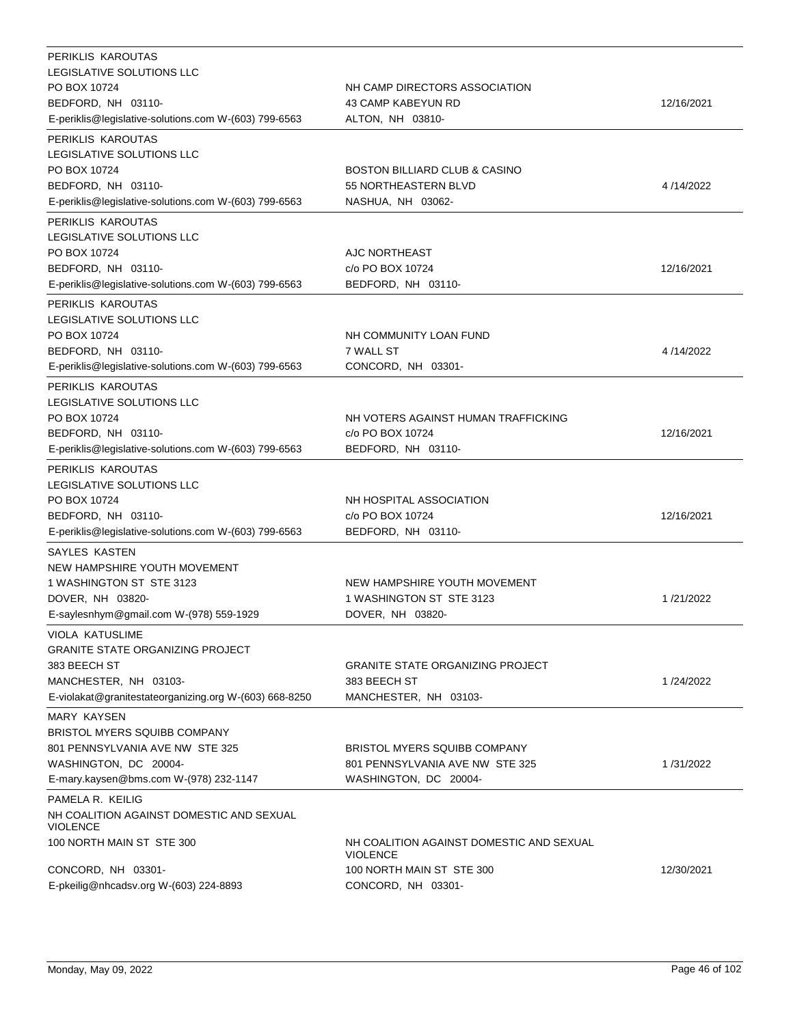| PERIKLIS KAROUTAS<br>LEGISLATIVE SOLUTIONS LLC<br>PO BOX 10724<br>BEDFORD, NH 03110-<br>E-periklis@legislative-solutions.com W-(603) 799-6563                      | NH CAMP DIRECTORS ASSOCIATION<br>43 CAMP KABEYUN RD<br>ALTON, NH 03810-                         | 12/16/2021 |
|--------------------------------------------------------------------------------------------------------------------------------------------------------------------|-------------------------------------------------------------------------------------------------|------------|
| PERIKLIS KAROUTAS<br>LEGISLATIVE SOLUTIONS LLC<br>PO BOX 10724<br>BEDFORD, NH 03110-<br>E-periklis@legislative-solutions.com W-(603) 799-6563                      | <b>BOSTON BILLIARD CLUB &amp; CASINO</b><br>55 NORTHEASTERN BLVD<br>NASHUA, NH 03062-           | 4/14/2022  |
| PERIKLIS KAROUTAS<br>LEGISLATIVE SOLUTIONS LLC<br>PO BOX 10724<br>BEDFORD, NH 03110-<br>E-periklis@legislative-solutions.com W-(603) 799-6563                      | AJC NORTHEAST<br>c/o PO BOX 10724<br>BEDFORD, NH 03110-                                         | 12/16/2021 |
| PERIKLIS KAROUTAS<br>LEGISLATIVE SOLUTIONS LLC<br>PO BOX 10724<br>BEDFORD, NH 03110-<br>E-periklis@legislative-solutions.com W-(603) 799-6563                      | NH COMMUNITY LOAN FUND<br>7 WALL ST<br>CONCORD, NH 03301-                                       | 4/14/2022  |
| PERIKLIS KAROUTAS<br>LEGISLATIVE SOLUTIONS LLC<br>PO BOX 10724<br>BEDFORD, NH 03110-<br>E-periklis@legislative-solutions.com W-(603) 799-6563                      | NH VOTERS AGAINST HUMAN TRAFFICKING<br>c/o PO BOX 10724<br>BEDFORD, NH 03110-                   | 12/16/2021 |
| PERIKLIS KAROUTAS<br>LEGISLATIVE SOLUTIONS LLC<br>PO BOX 10724<br>BEDFORD, NH 03110-<br>E-periklis@legislative-solutions.com W-(603) 799-6563                      | NH HOSPITAL ASSOCIATION<br>c/o PO BOX 10724<br>BEDFORD, NH 03110-                               | 12/16/2021 |
| SAYLES KASTEN<br>NEW HAMPSHIRE YOUTH MOVEMENT<br>1 WASHINGTON ST STE 3123<br>DOVER, NH 03820-<br>E-saylesnhym@gmail.com W-(978) 559-1929<br><b>VIOLA KATUSLIME</b> | NEW HAMPSHIRE YOUTH MOVEMENT<br>1 WASHINGTON ST STE 3123<br>DOVER, NH 03820-                    | 1/21/2022  |
| <b>GRANITE STATE ORGANIZING PROJECT</b><br>383 BEECH ST<br>MANCHESTER, NH 03103-<br>E-violakat@granitestateorganizing.org W-(603) 668-8250                         | <b>GRANITE STATE ORGANIZING PROJECT</b><br>383 BEECH ST<br>MANCHESTER, NH 03103-                | 1/24/2022  |
| <b>MARY KAYSEN</b><br>BRISTOL MYERS SQUIBB COMPANY<br>801 PENNSYLVANIA AVE NW STE 325<br>WASHINGTON, DC 20004-<br>E-mary.kaysen@bms.com W-(978) 232-1147           | <b>BRISTOL MYERS SQUIBB COMPANY</b><br>801 PENNSYLVANIA AVE NW STE 325<br>WASHINGTON, DC 20004- | 1/31/2022  |
| PAMELA R. KEILIG<br>NH COALITION AGAINST DOMESTIC AND SEXUAL<br><b>VIOLENCE</b><br>100 NORTH MAIN ST STE 300                                                       | NH COALITION AGAINST DOMESTIC AND SEXUAL<br><b>VIOLENCE</b>                                     |            |
| CONCORD, NH 03301-<br>E-pkeilig@nhcadsv.org W-(603) 224-8893                                                                                                       | 100 NORTH MAIN ST STE 300<br>CONCORD, NH 03301-                                                 | 12/30/2021 |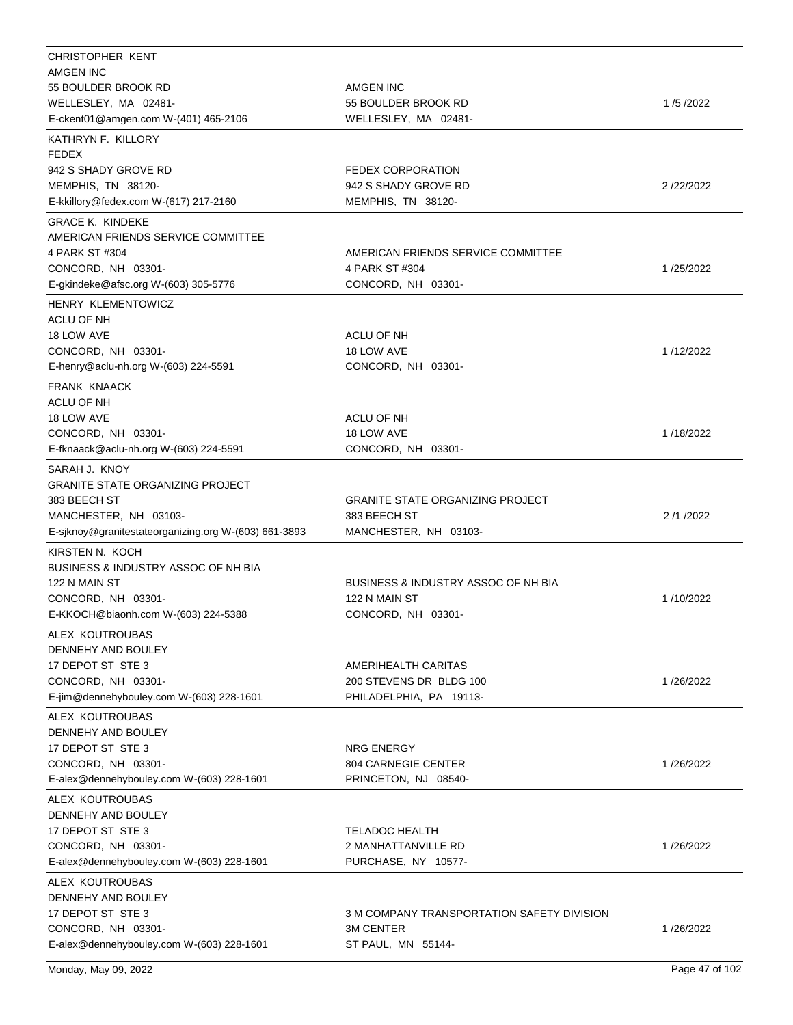| CHRISTOPHER KENT                                     |                                                |           |
|------------------------------------------------------|------------------------------------------------|-----------|
| <b>AMGEN INC</b>                                     |                                                |           |
| 55 BOULDER BROOK RD                                  | AMGEN INC                                      |           |
| WELLESLEY, MA 02481-                                 | 55 BOULDER BROOK RD                            | 1/5/2022  |
| E-ckent01@amgen.com W-(401) 465-2106                 | WELLESLEY, MA 02481-                           |           |
| KATHRYN F. KILLORY                                   |                                                |           |
| <b>FEDEX</b>                                         |                                                |           |
| 942 S SHADY GROVE RD                                 | <b>FEDEX CORPORATION</b>                       |           |
| MEMPHIS, TN 38120-                                   | 942 S SHADY GROVE RD                           | 2/22/2022 |
| E-kkillory@fedex.com W-(617) 217-2160                | MEMPHIS, TN 38120-                             |           |
| <b>GRACE K. KINDEKE</b>                              |                                                |           |
| AMERICAN FRIENDS SERVICE COMMITTEE                   |                                                |           |
| 4 PARK ST #304                                       | AMERICAN FRIENDS SERVICE COMMITTEE             |           |
| CONCORD, NH 03301-                                   | 4 PARK ST #304                                 | 1/25/2022 |
| E-gkindeke@afsc.org W-(603) 305-5776                 | CONCORD, NH 03301-                             |           |
| HENRY KLEMENTOWICZ                                   |                                                |           |
| ACLU OF NH                                           |                                                |           |
| 18 LOW AVE                                           | <b>ACLU OF NH</b>                              |           |
| CONCORD, NH 03301-                                   | 18 LOW AVE                                     | 1/12/2022 |
| E-henry@aclu-nh.org W-(603) 224-5591                 | CONCORD, NH 03301-                             |           |
|                                                      |                                                |           |
| <b>FRANK KNAACK</b>                                  |                                                |           |
| ACLU OF NH                                           |                                                |           |
| 18 LOW AVE                                           | ACLU OF NH                                     |           |
| CONCORD, NH 03301-                                   | 18 LOW AVE                                     | 1/18/2022 |
| E-fknaack@aclu-nh.org W-(603) 224-5591               | CONCORD, NH 03301-                             |           |
| SARAH J. KNOY                                        |                                                |           |
| <b>GRANITE STATE ORGANIZING PROJECT</b>              |                                                |           |
| 383 BEECH ST                                         | <b>GRANITE STATE ORGANIZING PROJECT</b>        |           |
| MANCHESTER, NH 03103-                                | 383 BEECH ST                                   | 2/1/2022  |
| E-sjknoy@granitestateorganizing.org W-(603) 661-3893 | MANCHESTER, NH 03103-                          |           |
| KIRSTEN N. KOCH                                      |                                                |           |
| <b>BUSINESS &amp; INDUSTRY ASSOC OF NH BIA</b>       |                                                |           |
| 122 N MAIN ST                                        | <b>BUSINESS &amp; INDUSTRY ASSOC OF NH BIA</b> |           |
| CONCORD, NH 03301-                                   | 122 N MAIN ST                                  | 1/10/2022 |
| E-KKOCH@biaonh.com W-(603) 224-5388                  | CONCORD, NH 03301-                             |           |
| ALEX KOUTROUBAS                                      |                                                |           |
| DENNEHY AND BOULEY                                   |                                                |           |
| 17 DEPOT ST STE 3                                    | AMERIHEALTH CARITAS                            |           |
| CONCORD, NH 03301-                                   | 200 STEVENS DR BLDG 100                        | 1/26/2022 |
| E-jim@dennehybouley.com W-(603) 228-1601             | PHILADELPHIA, PA 19113-                        |           |
|                                                      |                                                |           |
| ALEX KOUTROUBAS                                      |                                                |           |
| DENNEHY AND BOULEY                                   |                                                |           |
| 17 DEPOT ST STE 3                                    | <b>NRG ENERGY</b>                              |           |
| CONCORD, NH 03301-                                   | <b>804 CARNEGIE CENTER</b>                     | 1/26/2022 |
| E-alex@dennehybouley.com W-(603) 228-1601            | PRINCETON, NJ 08540-                           |           |
| ALEX KOUTROUBAS                                      |                                                |           |
| DENNEHY AND BOULEY                                   |                                                |           |
| 17 DEPOT ST STE 3                                    | TELADOC HEALTH                                 |           |
| CONCORD, NH 03301-                                   | 2 MANHATTANVILLE RD                            | 1/26/2022 |
| E-alex@dennehybouley.com W-(603) 228-1601            | PURCHASE, NY 10577-                            |           |
| ALEX KOUTROUBAS                                      |                                                |           |
| DENNEHY AND BOULEY                                   |                                                |           |
| 17 DEPOT ST STE 3                                    | 3 M COMPANY TRANSPORTATION SAFETY DIVISION     |           |
| CONCORD, NH 03301-                                   | <b>3M CENTER</b>                               | 1/26/2022 |
| E-alex@dennehybouley.com W-(603) 228-1601            | ST PAUL, MN 55144-                             |           |
|                                                      |                                                |           |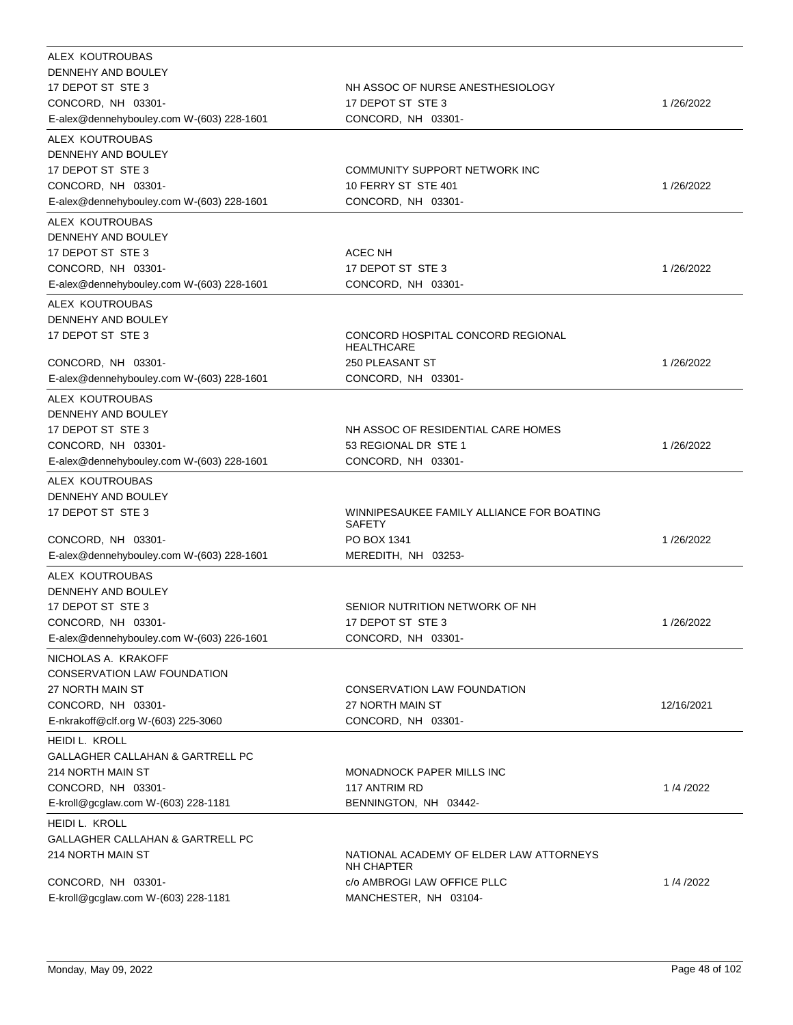| ALEX KOUTROUBAS<br>DENNEHY AND BOULEY<br>17 DEPOT ST STE 3<br>CONCORD, NH 03301-<br>E-alex@dennehybouley.com W-(603) 228-1601                   | NH ASSOC OF NURSE ANESTHESIOLOGY<br>17 DEPOT ST STE 3<br>CONCORD, NH 03301-                                          | 1/26/2022  |
|-------------------------------------------------------------------------------------------------------------------------------------------------|----------------------------------------------------------------------------------------------------------------------|------------|
| ALEX KOUTROUBAS<br>DENNEHY AND BOULEY<br>17 DEPOT ST STE 3<br>CONCORD, NH 03301-<br>E-alex@dennehybouley.com W-(603) 228-1601                   | COMMUNITY SUPPORT NETWORK INC<br>10 FERRY ST STE 401<br>CONCORD, NH 03301-                                           | 1/26/2022  |
| ALEX KOUTROUBAS<br>DENNEHY AND BOULEY<br>17 DEPOT ST STE 3<br>CONCORD, NH 03301-<br>E-alex@dennehybouley.com W-(603) 228-1601                   | ACEC NH<br>17 DEPOT ST STE 3<br>CONCORD, NH 03301-                                                                   | 1/26/2022  |
| ALEX KOUTROUBAS<br>DENNEHY AND BOULEY<br>17 DEPOT ST STE 3<br>CONCORD, NH 03301-<br>E-alex@dennehybouley.com W-(603) 228-1601                   | CONCORD HOSPITAL CONCORD REGIONAL<br><b>HEALTHCARE</b><br><b>250 PLEASANT ST</b><br>CONCORD, NH 03301-               | 1/26/2022  |
| ALEX KOUTROUBAS<br>DENNEHY AND BOULEY<br>17 DEPOT ST STE 3<br>CONCORD, NH 03301-<br>E-alex@dennehybouley.com W-(603) 228-1601                   | NH ASSOC OF RESIDENTIAL CARE HOMES<br>53 REGIONAL DR STE 1<br>CONCORD, NH 03301-                                     | 1/26/2022  |
| ALEX KOUTROUBAS<br>DENNEHY AND BOULEY<br>17 DEPOT ST STE 3<br>CONCORD, NH 03301-<br>E-alex@dennehybouley.com W-(603) 228-1601                   | WINNIPESAUKEE FAMILY ALLIANCE FOR BOATING<br>SAFETY<br>PO BOX 1341<br>MEREDITH, NH 03253-                            | 1/26/2022  |
| ALEX KOUTROUBAS<br>DENNEHY AND BOULEY<br>17 DEPOT ST STE 3<br>CONCORD, NH 03301-<br>E-alex@dennehybouley.com W-(603) 226-1601                   | SENIOR NUTRITION NETWORK OF NH<br>17 DEPOT ST STE 3<br>CONCORD, NH 03301-                                            | 1/26/2022  |
| NICHOLAS A. KRAKOFF<br>CONSERVATION LAW FOUNDATION<br>27 NORTH MAIN ST<br>CONCORD, NH 03301-<br>E-nkrakoff@clf.org W-(603) 225-3060             | CONSERVATION LAW FOUNDATION<br>27 NORTH MAIN ST<br>CONCORD, NH 03301-                                                | 12/16/2021 |
| HEIDI L. KROLL<br><b>GALLAGHER CALLAHAN &amp; GARTRELL PC</b><br>214 NORTH MAIN ST<br>CONCORD, NH 03301-<br>E-kroll@gcglaw.com W-(603) 228-1181 | MONADNOCK PAPER MILLS INC<br>117 ANTRIM RD<br>BENNINGTON, NH 03442-                                                  | 1/4/2022   |
| HEIDI L. KROLL<br>GALLAGHER CALLAHAN & GARTRELL PC<br>214 NORTH MAIN ST<br>CONCORD, NH 03301-<br>E-kroll@gcglaw.com W-(603) 228-1181            | NATIONAL ACADEMY OF ELDER LAW ATTORNEYS<br><b>NH CHAPTER</b><br>c/o AMBROGI LAW OFFICE PLLC<br>MANCHESTER, NH 03104- | 1/4/2022   |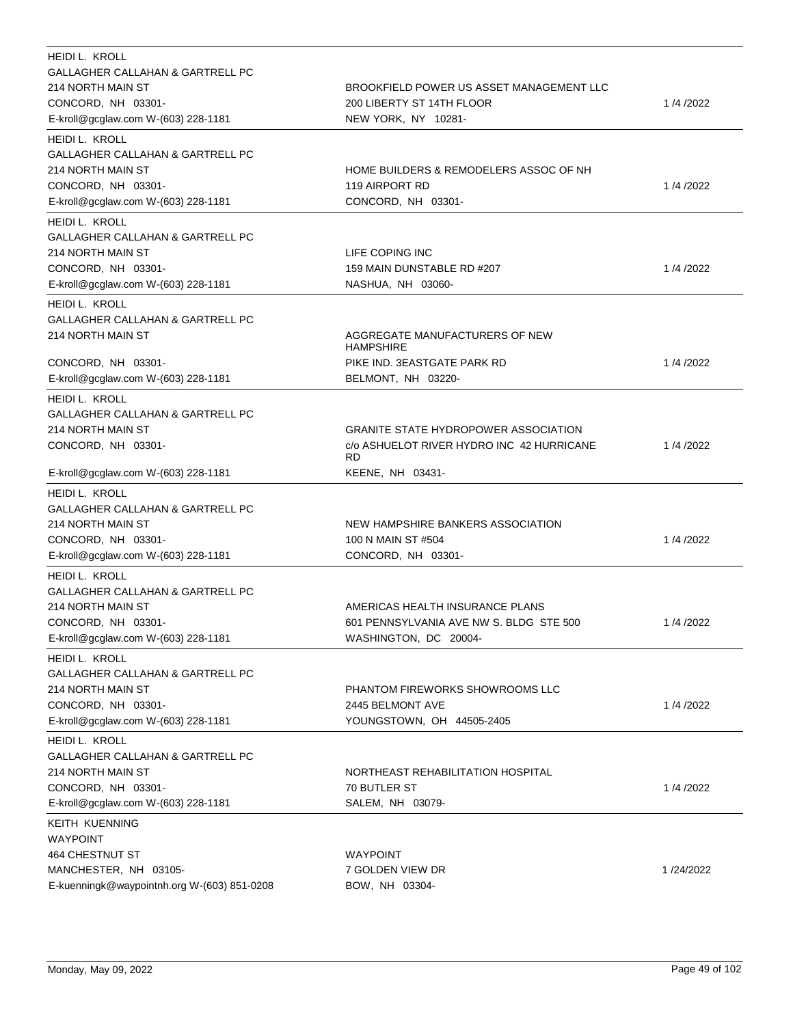| HEIDI L. KROLL                              |                                             |           |
|---------------------------------------------|---------------------------------------------|-----------|
| GALLAGHER CALLAHAN & GARTRELL PC            |                                             |           |
| 214 NORTH MAIN ST                           | BROOKFIELD POWER US ASSET MANAGEMENT LLC    |           |
| CONCORD, NH 03301-                          | 200 LIBERTY ST 14TH FLOOR                   | 1/4/2022  |
| E-kroll@gcglaw.com W-(603) 228-1181         | NEW YORK, NY 10281-                         |           |
| HEIDI L. KROLL                              |                                             |           |
| GALLAGHER CALLAHAN & GARTRELL PC            |                                             |           |
| 214 NORTH MAIN ST                           | HOME BUILDERS & REMODELERS ASSOC OF NH      |           |
| CONCORD, NH 03301-                          | 119 AIRPORT RD                              | 1/4/2022  |
| E-kroll@gcglaw.com W-(603) 228-1181         | CONCORD, NH 03301-                          |           |
| HEIDI L. KROLL                              |                                             |           |
| GALLAGHER CALLAHAN & GARTRELL PC            |                                             |           |
| 214 NORTH MAIN ST                           | LIFE COPING INC                             |           |
| CONCORD, NH 03301-                          | 159 MAIN DUNSTABLE RD #207                  | 1/4/2022  |
| E-kroll@gcglaw.com W-(603) 228-1181         | NASHUA, NH 03060-                           |           |
| <b>HEIDI L. KROLL</b>                       |                                             |           |
| <b>GALLAGHER CALLAHAN &amp; GARTRELL PC</b> |                                             |           |
| 214 NORTH MAIN ST                           | AGGREGATE MANUFACTURERS OF NEW              |           |
|                                             | <b>HAMPSHIRE</b>                            |           |
| CONCORD, NH 03301-                          | PIKE IND. 3EASTGATE PARK RD                 | 1/4/2022  |
| E-kroll@gcglaw.com W-(603) 228-1181         | BELMONT, NH 03220-                          |           |
| <b>HEIDI L. KROLL</b>                       |                                             |           |
| GALLAGHER CALLAHAN & GARTRELL PC            |                                             |           |
| 214 NORTH MAIN ST                           | <b>GRANITE STATE HYDROPOWER ASSOCIATION</b> |           |
| CONCORD, NH 03301-                          | c/o ASHUELOT RIVER HYDRO INC 42 HURRICANE   | 1/4/2022  |
|                                             | <b>RD</b>                                   |           |
| E-kroll@gcglaw.com W-(603) 228-1181         | KEENE, NH 03431-                            |           |
| <b>HEIDI L. KROLL</b>                       |                                             |           |
| GALLAGHER CALLAHAN & GARTRELL PC            |                                             |           |
| 214 NORTH MAIN ST                           | NEW HAMPSHIRE BANKERS ASSOCIATION           |           |
| CONCORD, NH 03301-                          | 100 N MAIN ST #504                          | 1/4/2022  |
| E-kroll@gcglaw.com W-(603) 228-1181         | CONCORD, NH 03301-                          |           |
| <b>HEIDI L. KROLL</b>                       |                                             |           |
| <b>GALLAGHER CALLAHAN &amp; GARTRELL PC</b> |                                             |           |
| 214 NORTH MAIN ST                           | AMERICAS HEALTH INSURANCE PLANS             |           |
| CONCORD, NH 03301-                          | 601 PENNSYLVANIA AVE NW S. BLDG STE 500     | 1/4/2022  |
| E-kroll@gcglaw.com W-(603) 228-1181         | WASHINGTON, DC 20004-                       |           |
| HEIDI L. KROLL                              |                                             |           |
| GALLAGHER CALLAHAN & GARTRELL PC            |                                             |           |
| 214 NORTH MAIN ST                           | PHANTOM FIREWORKS SHOWROOMS LLC             |           |
| CONCORD, NH 03301-                          | 2445 BELMONT AVE                            | 1/4/2022  |
| E-kroll@gcglaw.com W-(603) 228-1181         | YOUNGSTOWN, OH 44505-2405                   |           |
| HEIDI L. KROLL                              |                                             |           |
| <b>GALLAGHER CALLAHAN &amp; GARTRELL PC</b> |                                             |           |
| 214 NORTH MAIN ST                           | NORTHEAST REHABILITATION HOSPITAL           |           |
| CONCORD, NH 03301-                          | 70 BUTLER ST                                | 1/4/2022  |
| E-kroll@gcglaw.com W-(603) 228-1181         | SALEM, NH 03079-                            |           |
| KEITH KUENNING                              |                                             |           |
| <b>WAYPOINT</b>                             |                                             |           |
| 464 CHESTNUT ST                             | <b>WAYPOINT</b>                             |           |
| MANCHESTER, NH 03105-                       | 7 GOLDEN VIEW DR                            | 1/24/2022 |
| E-kuenningk@waypointnh.org W-(603) 851-0208 | BOW, NH 03304-                              |           |
|                                             |                                             |           |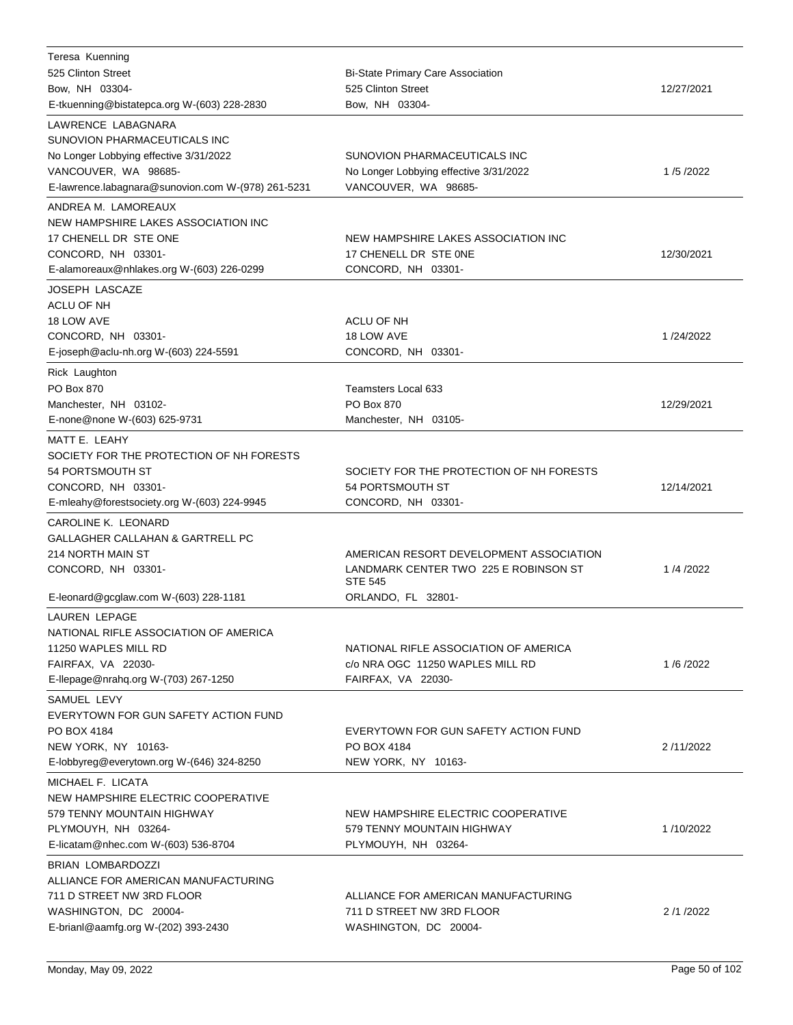| Teresa Kuenning                                              |                                                    |            |
|--------------------------------------------------------------|----------------------------------------------------|------------|
| 525 Clinton Street                                           | <b>Bi-State Primary Care Association</b>           |            |
| Bow, NH 03304-                                               | 525 Clinton Street                                 | 12/27/2021 |
| E-tkuenning@bistatepca.org W-(603) 228-2830                  | Bow, NH 03304-                                     |            |
| LAWRENCE LABAGNARA                                           |                                                    |            |
| SUNOVION PHARMACEUTICALS INC                                 |                                                    |            |
| No Longer Lobbying effective 3/31/2022                       | SUNOVION PHARMACEUTICALS INC                       |            |
| VANCOUVER, WA 98685-                                         | No Longer Lobbying effective 3/31/2022             | 1/5/2022   |
| E-lawrence.labagnara@sunovion.com W-(978) 261-5231           | VANCOUVER, WA 98685-                               |            |
| ANDREA M. LAMOREAUX                                          |                                                    |            |
| NEW HAMPSHIRE LAKES ASSOCIATION INC                          |                                                    |            |
| 17 CHENELL DR STE ONE                                        | NEW HAMPSHIRE LAKES ASSOCIATION INC                |            |
| CONCORD, NH 03301-                                           | 17 CHENELL DR STE ONE                              | 12/30/2021 |
| E-alamoreaux@nhlakes.org W-(603) 226-0299                    | CONCORD, NH 03301-                                 |            |
| <b>JOSEPH LASCAZE</b>                                        |                                                    |            |
| <b>ACLU OF NH</b>                                            |                                                    |            |
| 18 LOW AVE                                                   | ACLU OF NH                                         |            |
| CONCORD, NH 03301-                                           | 18 LOW AVE                                         | 1/24/2022  |
| E-joseph@aclu-nh.org W-(603) 224-5591                        | CONCORD, NH 03301-                                 |            |
| Rick Laughton                                                |                                                    |            |
| PO Box 870                                                   | <b>Teamsters Local 633</b>                         |            |
| Manchester, NH 03102-                                        | PO Box 870                                         | 12/29/2021 |
| E-none@none W-(603) 625-9731                                 | Manchester, NH 03105-                              |            |
| MATT E. LEAHY                                                |                                                    |            |
| SOCIETY FOR THE PROTECTION OF NH FORESTS                     |                                                    |            |
| 54 PORTSMOUTH ST                                             | SOCIETY FOR THE PROTECTION OF NH FORESTS           |            |
| CONCORD, NH 03301-                                           | 54 PORTSMOUTH ST                                   | 12/14/2021 |
|                                                              |                                                    |            |
|                                                              |                                                    |            |
| E-mleahy@forestsociety.org W-(603) 224-9945                  | CONCORD, NH 03301-                                 |            |
| CAROLINE K. LEONARD                                          |                                                    |            |
| <b>GALLAGHER CALLAHAN &amp; GARTRELL PC</b>                  |                                                    |            |
| 214 NORTH MAIN ST                                            | AMERICAN RESORT DEVELOPMENT ASSOCIATION            |            |
| CONCORD, NH 03301-                                           | LANDMARK CENTER TWO 225 E ROBINSON ST              | 1/4/2022   |
|                                                              | <b>STE 545</b>                                     |            |
| E-leonard@gcglaw.com W-(603) 228-1181                        | ORLANDO, FL 32801-                                 |            |
| <b>LAUREN LEPAGE</b>                                         |                                                    |            |
| NATIONAL RIFLE ASSOCIATION OF AMERICA                        |                                                    |            |
| 11250 WAPLES MILL RD                                         | NATIONAL RIFLE ASSOCIATION OF AMERICA              |            |
| FAIRFAX, VA 22030-                                           | c/o NRA OGC 11250 WAPLES MILL RD                   | 1/6/2022   |
| E-Ilepage@nrahq.org W-(703) 267-1250                         | FAIRFAX, VA 22030-                                 |            |
| SAMUEL LEVY                                                  |                                                    |            |
| EVERYTOWN FOR GUN SAFETY ACTION FUND                         |                                                    |            |
| PO BOX 4184                                                  | EVERYTOWN FOR GUN SAFETY ACTION FUND               |            |
| NEW YORK, NY 10163-                                          | PO BOX 4184                                        | 2/11/2022  |
| E-lobbyreg@everytown.org W-(646) 324-8250                    | NEW YORK, NY 10163-                                |            |
| MICHAEL F. LICATA                                            |                                                    |            |
| NEW HAMPSHIRE ELECTRIC COOPERATIVE                           |                                                    |            |
| 579 TENNY MOUNTAIN HIGHWAY                                   | NEW HAMPSHIRE ELECTRIC COOPERATIVE                 |            |
| PLYMOUYH, NH 03264-                                          | 579 TENNY MOUNTAIN HIGHWAY                         | 1/10/2022  |
| E-licatam@nhec.com W-(603) 536-8704                          | PLYMOUYH, NH 03264-                                |            |
| BRIAN LOMBARDOZZI                                            |                                                    |            |
| ALLIANCE FOR AMERICAN MANUFACTURING                          |                                                    |            |
| 711 D STREET NW 3RD FLOOR                                    | ALLIANCE FOR AMERICAN MANUFACTURING                |            |
| WASHINGTON, DC 20004-<br>E-brianl@aamfg.org W-(202) 393-2430 | 711 D STREET NW 3RD FLOOR<br>WASHINGTON, DC 20004- | 2/1/2022   |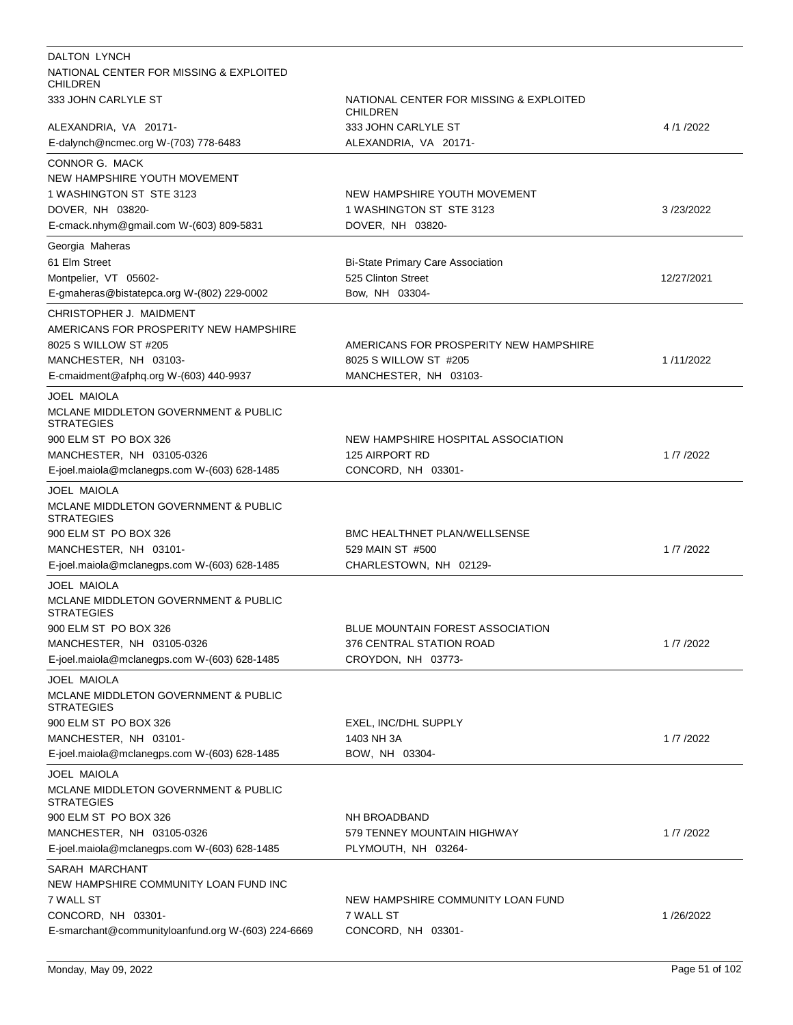| DALTON LYNCH                                                         |                                                     |            |
|----------------------------------------------------------------------|-----------------------------------------------------|------------|
| NATIONAL CENTER FOR MISSING & EXPLOITED<br><b>CHILDREN</b>           |                                                     |            |
| 333 JOHN CARLYLE ST                                                  | NATIONAL CENTER FOR MISSING & EXPLOITED<br>CHILDREN |            |
| ALEXANDRIA, VA 20171-                                                | 333 JOHN CARLYLE ST                                 | 4/1/2022   |
| E-dalynch@ncmec.org W-(703) 778-6483                                 | ALEXANDRIA, VA 20171-                               |            |
| CONNOR G. MACK                                                       |                                                     |            |
| NEW HAMPSHIRE YOUTH MOVEMENT                                         |                                                     |            |
| 1 WASHINGTON ST STE 3123                                             | NEW HAMPSHIRE YOUTH MOVEMENT                        |            |
| DOVER, NH 03820-                                                     | 1 WASHINGTON ST STE 3123                            | 3/23/2022  |
| E-cmack.nhym@gmail.com W-(603) 809-5831                              | DOVER, NH 03820-                                    |            |
| Georgia Maheras                                                      |                                                     |            |
| 61 Elm Street                                                        | <b>Bi-State Primary Care Association</b>            |            |
| Montpelier, VT 05602-                                                | 525 Clinton Street                                  | 12/27/2021 |
| E-gmaheras@bistatepca.org W-(802) 229-0002                           | Bow, NH 03304-                                      |            |
| CHRISTOPHER J. MAIDMENT                                              |                                                     |            |
| AMERICANS FOR PROSPERITY NEW HAMPSHIRE                               |                                                     |            |
| 8025 S WILLOW ST #205                                                | AMERICANS FOR PROSPERITY NEW HAMPSHIRE              |            |
| MANCHESTER, NH 03103-                                                | 8025 S WILLOW ST #205                               | 1/11/2022  |
| E-cmaidment@afphq.org W-(603) 440-9937                               | MANCHESTER, NH 03103-                               |            |
| <b>JOEL MAIOLA</b>                                                   |                                                     |            |
| <b>MCLANE MIDDLETON GOVERNMENT &amp; PUBLIC</b><br><b>STRATEGIES</b> |                                                     |            |
| 900 ELM ST PO BOX 326                                                | NEW HAMPSHIRE HOSPITAL ASSOCIATION                  |            |
| MANCHESTER, NH 03105-0326                                            | 125 AIRPORT RD                                      | 1/7/2022   |
| E-joel.maiola@mclanegps.com W-(603) 628-1485                         | CONCORD, NH 03301-                                  |            |
| <b>JOEL MAIOLA</b>                                                   |                                                     |            |
| <b>MCLANE MIDDLETON GOVERNMENT &amp; PUBLIC</b><br><b>STRATEGIES</b> |                                                     |            |
| 900 ELM ST PO BOX 326                                                | <b>BMC HEALTHNET PLAN/WELLSENSE</b>                 |            |
| MANCHESTER, NH 03101-                                                | 529 MAIN ST #500                                    | 1/7/2022   |
| E-joel.maiola@mclanegps.com W-(603) 628-1485                         | CHARLESTOWN, NH 02129-                              |            |
| <b>JOEL MAIOLA</b>                                                   |                                                     |            |
| MCLANE MIDDLETON GOVERNMENT & PUBLIC<br><b>STRATEGIES</b>            |                                                     |            |
| 900 ELM ST PO BOX 326                                                | BLUE MOUNTAIN FOREST ASSOCIATION                    |            |
| MANCHESTER, NH 03105-0326                                            | 376 CENTRAL STATION ROAD                            | 1/7/2022   |
| E-joel.maiola@mclanegps.com W-(603) 628-1485                         | CROYDON, NH 03773-                                  |            |
| JOEL MAIOLA                                                          |                                                     |            |
| MCLANE MIDDLETON GOVERNMENT & PUBLIC<br><b>STRATEGIES</b>            |                                                     |            |
| 900 ELM ST PO BOX 326                                                | EXEL, INC/DHL SUPPLY                                |            |
| MANCHESTER, NH 03101-                                                | 1403 NH 3A                                          | 1/7/2022   |
| E-joel.maiola@mclanegps.com W-(603) 628-1485                         | BOW, NH 03304-                                      |            |
| <b>JOEL MAIOLA</b>                                                   |                                                     |            |
| MCLANE MIDDLETON GOVERNMENT & PUBLIC<br><b>STRATEGIES</b>            |                                                     |            |
| 900 ELM ST PO BOX 326                                                | NH BROADBAND                                        |            |
| MANCHESTER, NH 03105-0326                                            | 579 TENNEY MOUNTAIN HIGHWAY                         | 1/7/2022   |
| E-joel.maiola@mclanegps.com W-(603) 628-1485                         | PLYMOUTH, NH 03264-                                 |            |
| SARAH MARCHANT                                                       |                                                     |            |
| NEW HAMPSHIRE COMMUNITY LOAN FUND INC                                |                                                     |            |
| 7 WALL ST                                                            | NEW HAMPSHIRE COMMUNITY LOAN FUND                   |            |
| CONCORD, NH 03301-                                                   | 7 WALL ST                                           | 1/26/2022  |
| E-smarchant@communityloanfund.org W-(603) 224-6669                   | CONCORD, NH 03301-                                  |            |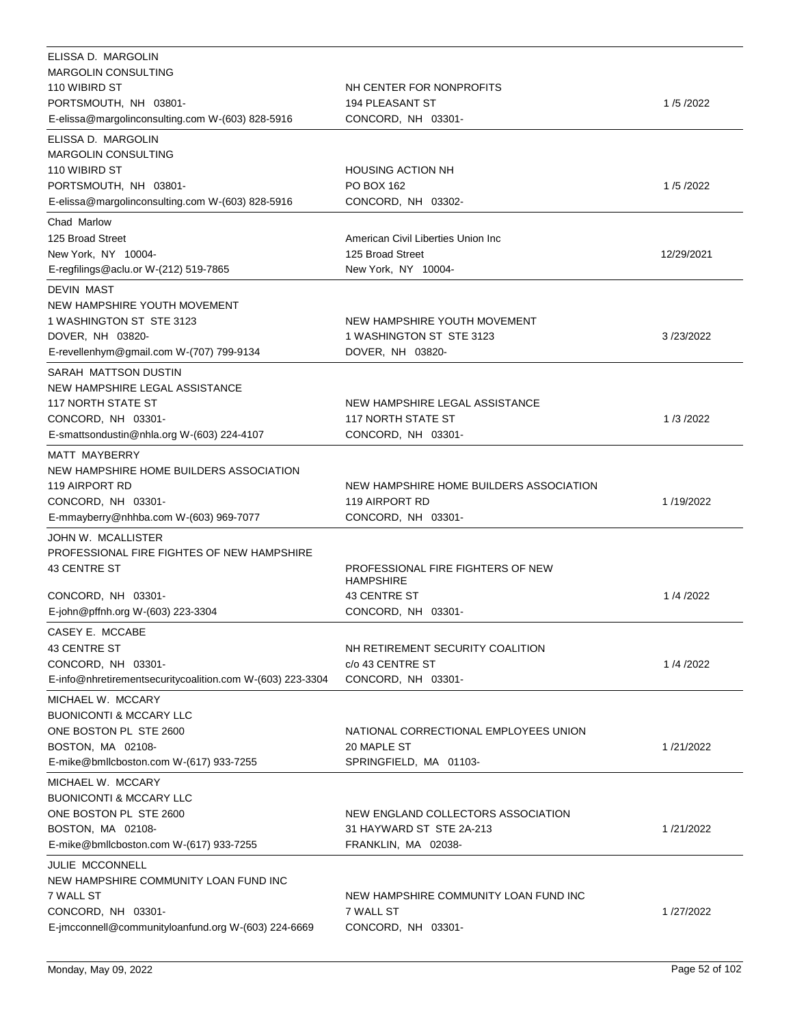| ELISSA D. MARGOLIN                                                        |                                                       |            |
|---------------------------------------------------------------------------|-------------------------------------------------------|------------|
| <b>MARGOLIN CONSULTING</b>                                                |                                                       |            |
| 110 WIBIRD ST                                                             | NH CENTER FOR NONPROFITS                              |            |
| PORTSMOUTH, NH 03801-<br>E-elissa@margolinconsulting.com W-(603) 828-5916 | 194 PLEASANT ST<br>CONCORD, NH 03301-                 | 1/5/2022   |
|                                                                           |                                                       |            |
| ELISSA D. MARGOLIN                                                        |                                                       |            |
| <b>MARGOLIN CONSULTING</b>                                                |                                                       |            |
| 110 WIBIRD ST<br>PORTSMOUTH, NH 03801-                                    | <b>HOUSING ACTION NH</b><br>PO BOX 162                | 1/5/2022   |
| E-elissa@margolinconsulting.com W-(603) 828-5916                          | CONCORD, NH 03302-                                    |            |
|                                                                           |                                                       |            |
| Chad Marlow                                                               |                                                       |            |
| 125 Broad Street                                                          | American Civil Liberties Union Inc                    |            |
| New York, NY 10004-                                                       | 125 Broad Street                                      | 12/29/2021 |
| E-regfilings@aclu.or W-(212) 519-7865                                     | New York, NY 10004-                                   |            |
| <b>DEVIN MAST</b>                                                         |                                                       |            |
| NEW HAMPSHIRE YOUTH MOVEMENT                                              |                                                       |            |
| 1 WASHINGTON ST STE 3123                                                  | NEW HAMPSHIRE YOUTH MOVEMENT                          |            |
| DOVER, NH 03820-                                                          | 1 WASHINGTON ST STE 3123                              | 3/23/2022  |
| E-revellenhym@gmail.com W-(707) 799-9134                                  | DOVER, NH 03820-                                      |            |
| SARAH MATTSON DUSTIN                                                      |                                                       |            |
| NEW HAMPSHIRE LEGAL ASSISTANCE                                            |                                                       |            |
| <b>117 NORTH STATE ST</b>                                                 | NEW HAMPSHIRE LEGAL ASSISTANCE                        |            |
| CONCORD, NH 03301-                                                        | <b>117 NORTH STATE ST</b>                             | 1/3/2022   |
| E-smattsondustin@nhla.org W-(603) 224-4107                                | CONCORD, NH 03301-                                    |            |
| <b>MATT MAYBERRY</b>                                                      |                                                       |            |
| NEW HAMPSHIRE HOME BUILDERS ASSOCIATION                                   |                                                       |            |
| 119 AIRPORT RD                                                            | NEW HAMPSHIRE HOME BUILDERS ASSOCIATION               |            |
| CONCORD, NH 03301-                                                        | 119 AIRPORT RD                                        | 1/19/2022  |
| E-mmayberry@nhhba.com W-(603) 969-7077                                    | CONCORD, NH 03301-                                    |            |
| JOHN W. MCALLISTER                                                        |                                                       |            |
| PROFESSIONAL FIRE FIGHTES OF NEW HAMPSHIRE                                |                                                       |            |
| <b>43 CENTRE ST</b>                                                       | PROFESSIONAL FIRE FIGHTERS OF NEW<br><b>HAMPSHIRE</b> |            |
| CONCORD, NH 03301-                                                        | 43 CENTRE ST                                          | 1/4/2022   |
| E-john@pffnh.org W-(603) 223-3304                                         | CONCORD, NH 03301-                                    |            |
|                                                                           |                                                       |            |
| CASEY E. MCCABE<br><b>43 CENTRE ST</b>                                    |                                                       |            |
| CONCORD, NH 03301-                                                        | NH RETIREMENT SECURITY COALITION<br>c/o 43 CENTRE ST  | 1/4/2022   |
|                                                                           | CONCORD, NH 03301-                                    |            |
| E-info@nhretirementsecuritycoalition.com W-(603) 223-3304                 |                                                       |            |
| MICHAEL W. MCCARY                                                         |                                                       |            |
| <b>BUONICONTI &amp; MCCARY LLC</b>                                        |                                                       |            |
| ONE BOSTON PL STE 2600                                                    | NATIONAL CORRECTIONAL EMPLOYEES UNION                 |            |
| BOSTON, MA 02108-                                                         | 20 MAPLE ST                                           | 1/21/2022  |
| E-mike@bmllcboston.com W-(617) 933-7255                                   | SPRINGFIELD, MA 01103-                                |            |
| MICHAEL W. MCCARY                                                         |                                                       |            |
| <b>BUONICONTI &amp; MCCARY LLC</b>                                        |                                                       |            |
| ONE BOSTON PL STE 2600                                                    | NEW ENGLAND COLLECTORS ASSOCIATION                    |            |
| BOSTON, MA 02108-                                                         | 31 HAYWARD ST STE 2A-213                              | 1/21/2022  |
| E-mike@bmllcboston.com W-(617) 933-7255                                   | FRANKLIN, MA 02038-                                   |            |
| JULIE MCCONNELL                                                           |                                                       |            |
| NEW HAMPSHIRE COMMUNITY LOAN FUND INC                                     |                                                       |            |
| 7 WALL ST                                                                 | NEW HAMPSHIRE COMMUNITY LOAN FUND INC                 |            |
| CONCORD, NH 03301-                                                        | 7 WALL ST                                             | 1/27/2022  |
| E-jmcconnell@communityloanfund.org W-(603) 224-6669                       | CONCORD, NH 03301-                                    |            |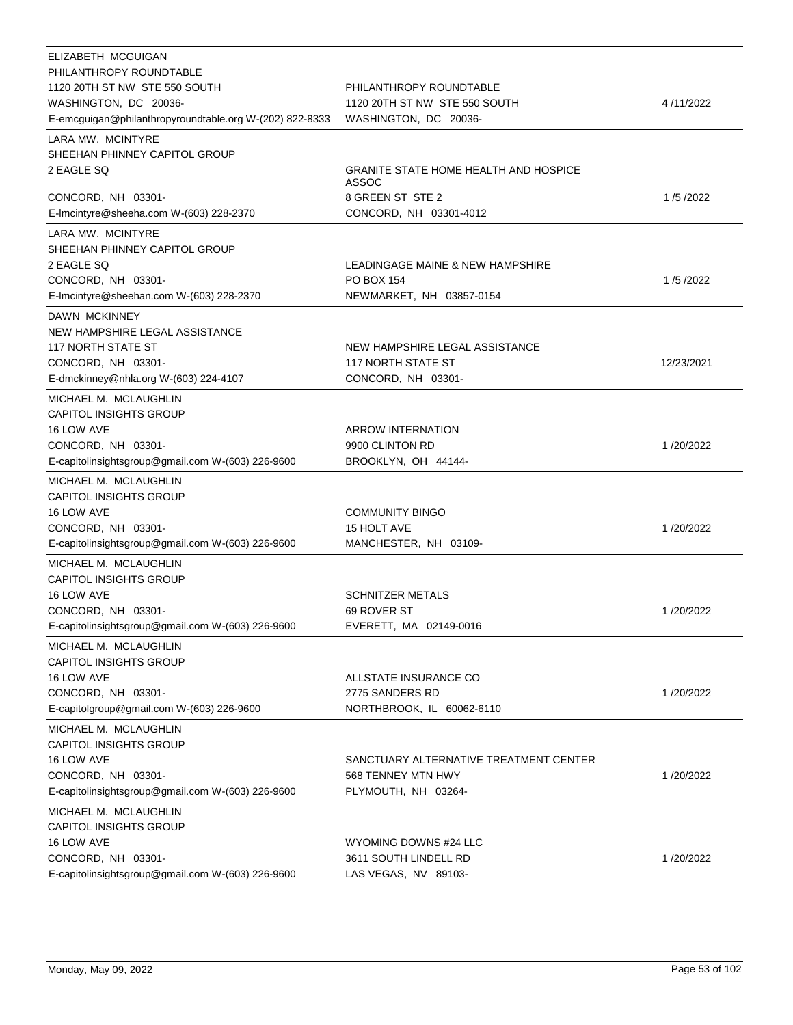| ELIZABETH MCGUIGAN<br>PHILANTHROPY ROUNDTABLE           |                                                       |            |
|---------------------------------------------------------|-------------------------------------------------------|------------|
| 1120 20TH ST NW STE 550 SOUTH                           | PHILANTHROPY ROUNDTABLE                               |            |
| WASHINGTON, DC 20036-                                   | 1120 20TH ST NW STE 550 SOUTH                         | 4/11/2022  |
| E-emcguigan@philanthropyroundtable.org W-(202) 822-8333 | WASHINGTON, DC 20036-                                 |            |
| LARA MW. MCINTYRE                                       |                                                       |            |
| SHEEHAN PHINNEY CAPITOL GROUP                           |                                                       |            |
| 2 EAGLE SQ                                              | <b>GRANITE STATE HOME HEALTH AND HOSPICE</b><br>ASSOC |            |
| CONCORD, NH 03301-                                      | 8 GREEN ST STE 2                                      | 1/5/2022   |
| E-Imcintyre@sheeha.com W-(603) 228-2370                 | CONCORD, NH 03301-4012                                |            |
| LARA MW. MCINTYRE                                       |                                                       |            |
| SHEEHAN PHINNEY CAPITOL GROUP                           |                                                       |            |
| 2 EAGLE SQ                                              | LEADINGAGE MAINE & NEW HAMPSHIRE                      |            |
| CONCORD, NH 03301-                                      | <b>PO BOX 154</b>                                     | 1/5/2022   |
| E-Imcintyre@sheehan.com W-(603) 228-2370                | NEWMARKET, NH 03857-0154                              |            |
| DAWN MCKINNEY                                           |                                                       |            |
| NEW HAMPSHIRE LEGAL ASSISTANCE                          |                                                       |            |
| <b>117 NORTH STATE ST</b>                               | NEW HAMPSHIRE LEGAL ASSISTANCE                        |            |
| CONCORD, NH 03301-                                      | <b>117 NORTH STATE ST</b>                             | 12/23/2021 |
| E-dmckinney@nhla.org W-(603) 224-4107                   | CONCORD, NH 03301-                                    |            |
|                                                         |                                                       |            |
| MICHAEL M. MCLAUGHLIN<br><b>CAPITOL INSIGHTS GROUP</b>  |                                                       |            |
| 16 LOW AVE                                              | <b>ARROW INTERNATION</b>                              |            |
| CONCORD, NH 03301-                                      | 9900 CLINTON RD                                       | 1/20/2022  |
| E-capitolinsightsgroup@gmail.com W-(603) 226-9600       | BROOKLYN, OH 44144-                                   |            |
|                                                         |                                                       |            |
| MICHAEL M. MCLAUGHLIN                                   |                                                       |            |
| <b>CAPITOL INSIGHTS GROUP</b>                           |                                                       |            |
| 16 LOW AVE                                              | <b>COMMUNITY BINGO</b>                                |            |
| CONCORD, NH 03301-                                      | 15 HOLT AVE                                           | 1/20/2022  |
| E-capitolinsightsgroup@gmail.com W-(603) 226-9600       | MANCHESTER, NH 03109-                                 |            |
| MICHAEL M. MCLAUGHLIN                                   |                                                       |            |
| <b>CAPITOL INSIGHTS GROUP</b>                           |                                                       |            |
| 16 LOW AVE                                              | SCHNITZER METALS                                      |            |
| CONCORD, NH 03301-                                      | 69 ROVER ST                                           | 1/20/2022  |
| E-capitolinsightsgroup@gmail.com W-(603) 226-9600       | EVERETT, MA 02149-0016                                |            |
| MICHAEL M. MCLAUGHLIN                                   |                                                       |            |
| <b>CAPITOL INSIGHTS GROUP</b>                           |                                                       |            |
| 16 LOW AVE                                              | ALLSTATE INSURANCE CO                                 |            |
| CONCORD, NH 03301-                                      | 2775 SANDERS RD                                       | 1/20/2022  |
| E-capitolgroup@gmail.com W-(603) 226-9600               | NORTHBROOK, IL 60062-6110                             |            |
| MICHAEL M. MCLAUGHLIN                                   |                                                       |            |
| <b>CAPITOL INSIGHTS GROUP</b>                           |                                                       |            |
| 16 LOW AVE                                              | SANCTUARY ALTERNATIVE TREATMENT CENTER                |            |
| CONCORD, NH 03301-                                      | 568 TENNEY MTN HWY                                    | 1/20/2022  |
| E-capitolinsightsgroup@gmail.com W-(603) 226-9600       | PLYMOUTH, NH 03264-                                   |            |
| MICHAEL M. MCLAUGHLIN                                   |                                                       |            |
| <b>CAPITOL INSIGHTS GROUP</b>                           |                                                       |            |
| 16 LOW AVE                                              | WYOMING DOWNS #24 LLC                                 |            |
| CONCORD, NH 03301-                                      | 3611 SOUTH LINDELL RD                                 | 1/20/2022  |
| E-capitolinsightsgroup@gmail.com W-(603) 226-9600       | LAS VEGAS, NV 89103-                                  |            |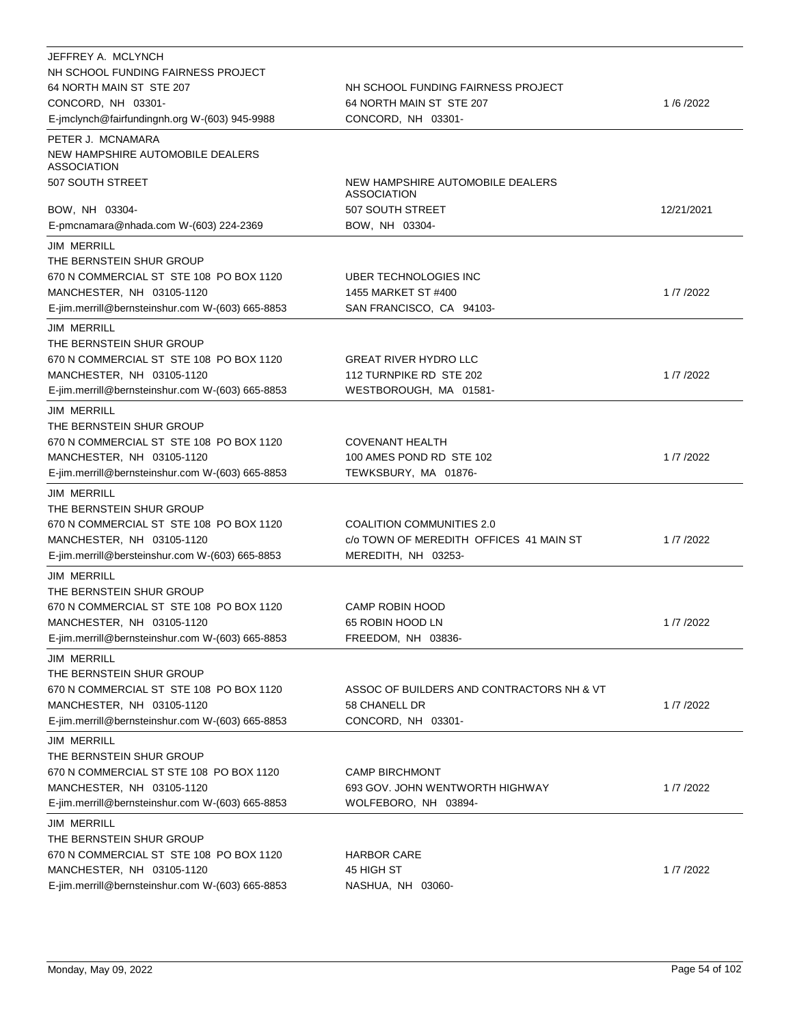| JEFFREY A. MCLYNCH                                     |                                                        |            |
|--------------------------------------------------------|--------------------------------------------------------|------------|
| NH SCHOOL FUNDING FAIRNESS PROJECT                     |                                                        |            |
| 64 NORTH MAIN ST STE 207                               | NH SCHOOL FUNDING FAIRNESS PROJECT                     |            |
| CONCORD, NH 03301-                                     | 64 NORTH MAIN ST STE 207                               | 1/6/2022   |
| E-jmclynch@fairfundingnh.org W-(603) 945-9988          | CONCORD, NH 03301-                                     |            |
| PETER J. MCNAMARA                                      |                                                        |            |
| NEW HAMPSHIRE AUTOMOBILE DEALERS<br><b>ASSOCIATION</b> |                                                        |            |
| 507 SOUTH STREET                                       | NEW HAMPSHIRE AUTOMOBILE DEALERS<br><b>ASSOCIATION</b> |            |
| BOW, NH 03304-                                         | 507 SOUTH STREET                                       | 12/21/2021 |
| E-pmcnamara@nhada.com W-(603) 224-2369                 | BOW, NH 03304-                                         |            |
| <b>JIM MERRILL</b>                                     |                                                        |            |
| THE BERNSTEIN SHUR GROUP                               |                                                        |            |
| 670 N COMMERCIAL ST STE 108 PO BOX 1120                | UBER TECHNOLOGIES INC                                  |            |
| MANCHESTER, NH 03105-1120                              | 1455 MARKET ST #400                                    | 1/7/2022   |
| E-jim.merrill@bernsteinshur.com W-(603) 665-8853       | SAN FRANCISCO, CA 94103-                               |            |
| <b>JIM MERRILL</b>                                     |                                                        |            |
| THE BERNSTEIN SHUR GROUP                               |                                                        |            |
| 670 N COMMERCIAL ST STE 108 PO BOX 1120                | <b>GREAT RIVER HYDRO LLC</b>                           |            |
| MANCHESTER, NH 03105-1120                              | 112 TURNPIKE RD STE 202                                | 1/7/2022   |
| E-jim.merrill@bernsteinshur.com W-(603) 665-8853       | WESTBOROUGH, MA 01581-                                 |            |
| <b>JIM MERRILL</b>                                     |                                                        |            |
| THE BERNSTEIN SHUR GROUP                               |                                                        |            |
| 670 N COMMERCIAL ST STE 108 PO BOX 1120                | <b>COVENANT HEALTH</b>                                 |            |
| MANCHESTER, NH 03105-1120                              | 100 AMES POND RD STE 102                               | 1/7/2022   |
| E-jim.merrill@bernsteinshur.com W-(603) 665-8853       | TEWKSBURY, MA 01876-                                   |            |
|                                                        |                                                        |            |
| <b>JIM MERRILL</b>                                     |                                                        |            |
| THE BERNSTEIN SHUR GROUP                               |                                                        |            |
| 670 N COMMERCIAL ST STE 108 PO BOX 1120                | <b>COALITION COMMUNITIES 2.0</b>                       |            |
| MANCHESTER, NH 03105-1120                              | c/o TOWN OF MEREDITH OFFICES 41 MAIN ST                | 1/7/2022   |
| E-jim.merrill@bersteinshur.com W-(603) 665-8853        | MEREDITH, NH 03253-                                    |            |
| <b>JIM MERRILL</b>                                     |                                                        |            |
| THE BERNSTEIN SHUR GROUP                               |                                                        |            |
| 670 N COMMERCIAL ST STE 108 PO BOX 1120                | <b>CAMP ROBIN HOOD</b>                                 |            |
| MANCHESTER, NH 03105-1120                              | 65 ROBIN HOOD LN                                       | 1/7/2022   |
| E-jim.merrill@bernsteinshur.com W-(603) 665-8853       | FREEDOM, NH 03836-                                     |            |
| <b>JIM MERRILL</b>                                     |                                                        |            |
| THE BERNSTEIN SHUR GROUP                               |                                                        |            |
| 670 N COMMERCIAL ST STE 108 PO BOX 1120                | ASSOC OF BUILDERS AND CONTRACTORS NH & VT              |            |
| MANCHESTER, NH 03105-1120                              | 58 CHANELL DR                                          | 1/7/2022   |
| E-jim.merrill@bernsteinshur.com W-(603) 665-8853       | CONCORD, NH 03301-                                     |            |
| <b>JIM MERRILL</b>                                     |                                                        |            |
| THE BERNSTEIN SHUR GROUP                               |                                                        |            |
| 670 N COMMERCIAL ST STE 108 PO BOX 1120                | <b>CAMP BIRCHMONT</b>                                  |            |
| MANCHESTER, NH 03105-1120                              | 693 GOV. JOHN WENTWORTH HIGHWAY                        | 1/7/2022   |
| E-jim.merrill@bernsteinshur.com W-(603) 665-8853       | WOLFEBORO, NH 03894-                                   |            |
|                                                        |                                                        |            |
| <b>JIM MERRILL</b><br>THE BERNSTEIN SHUR GROUP         |                                                        |            |
| 670 N COMMERCIAL ST STE 108 PO BOX 1120                | <b>HARBOR CARE</b>                                     |            |
| MANCHESTER, NH 03105-1120                              | 45 HIGH ST                                             | 1/7/2022   |
|                                                        |                                                        |            |
| E-jim.merrill@bernsteinshur.com W-(603) 665-8853       | NASHUA, NH 03060-                                      |            |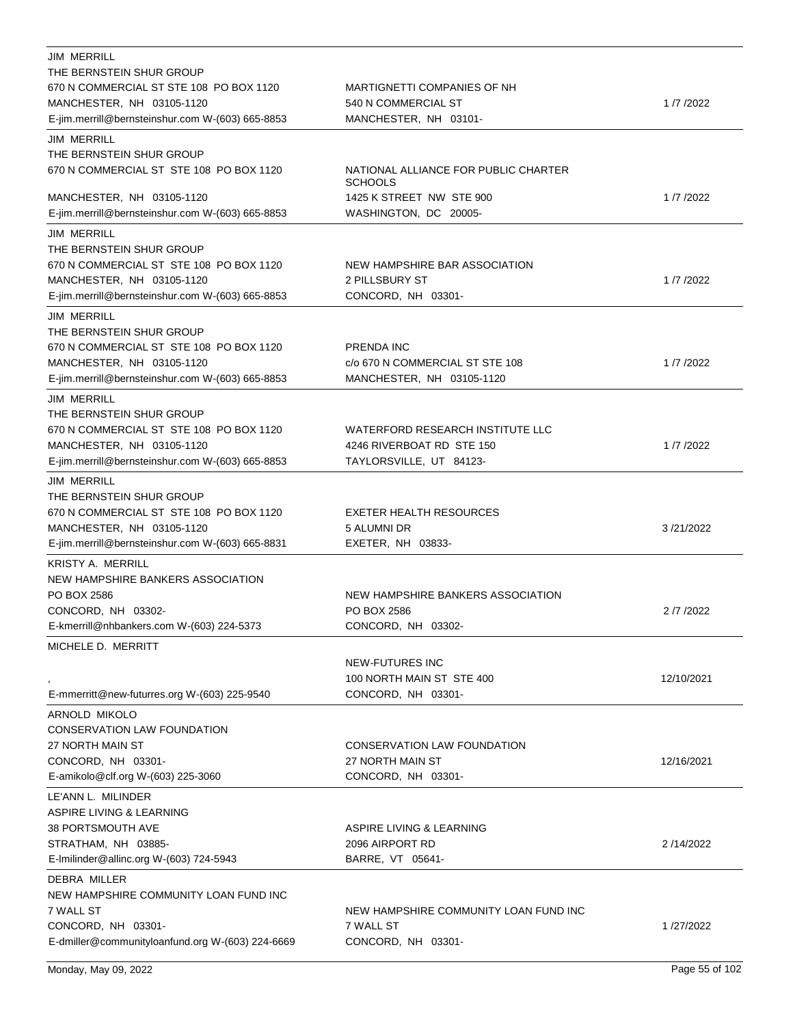| <b>JIM MERRILL</b>                               |                                                        |            |
|--------------------------------------------------|--------------------------------------------------------|------------|
| THE BERNSTEIN SHUR GROUP                         |                                                        |            |
| 670 N COMMERCIAL ST STE 108 PO BOX 1120          | <b>MARTIGNETTI COMPANIES OF NH</b>                     |            |
| MANCHESTER, NH 03105-1120                        | 540 N COMMERCIAL ST                                    | 1/7/2022   |
| E-jim.merrill@bernsteinshur.com W-(603) 665-8853 | MANCHESTER, NH 03101-                                  |            |
| <b>JIM MERRILL</b>                               |                                                        |            |
| THE BERNSTEIN SHUR GROUP                         |                                                        |            |
| 670 N COMMERCIAL ST STE 108 PO BOX 1120          | NATIONAL ALLIANCE FOR PUBLIC CHARTER<br><b>SCHOOLS</b> |            |
| MANCHESTER, NH 03105-1120                        | 1425 K STREET NW STE 900                               | 1/7/2022   |
| E-jim.merrill@bernsteinshur.com W-(603) 665-8853 | WASHINGTON, DC 20005-                                  |            |
| <b>JIM MERRILL</b>                               |                                                        |            |
| THE BERNSTEIN SHUR GROUP                         |                                                        |            |
| 670 N COMMERCIAL ST STE 108 PO BOX 1120          | NEW HAMPSHIRE BAR ASSOCIATION                          |            |
| MANCHESTER, NH 03105-1120                        | 2 PILLSBURY ST                                         | 1/7/2022   |
| E-jim.merrill@bernsteinshur.com W-(603) 665-8853 | CONCORD, NH 03301-                                     |            |
| <b>JIM MERRILL</b>                               |                                                        |            |
| THE BERNSTEIN SHUR GROUP                         |                                                        |            |
| 670 N COMMERCIAL ST STE 108 PO BOX 1120          | <b>PRENDA INC</b>                                      |            |
| MANCHESTER, NH 03105-1120                        | c/o 670 N COMMERCIAL ST STE 108                        | 1/7/2022   |
| E-jim.merrill@bernsteinshur.com W-(603) 665-8853 | MANCHESTER, NH 03105-1120                              |            |
| <b>JIM MERRILL</b>                               |                                                        |            |
| THE BERNSTEIN SHUR GROUP                         |                                                        |            |
| 670 N COMMERCIAL ST STE 108 PO BOX 1120          | WATERFORD RESEARCH INSTITUTE LLC                       |            |
| MANCHESTER, NH 03105-1120                        | 4246 RIVERBOAT RD STE 150                              | 1/7/2022   |
| E-jim.merrill@bernsteinshur.com W-(603) 665-8853 | TAYLORSVILLE, UT 84123-                                |            |
| <b>JIM MERRILL</b>                               |                                                        |            |
| THE BERNSTEIN SHUR GROUP                         |                                                        |            |
| 670 N COMMERCIAL ST STE 108 PO BOX 1120          | EXETER HEALTH RESOURCES                                |            |
| MANCHESTER, NH 03105-1120                        | 5 ALUMNI DR                                            | 3/21/2022  |
| E-jim.merrill@bernsteinshur.com W-(603) 665-8831 | EXETER, NH 03833-                                      |            |
| <b>KRISTY A. MERRILL</b>                         |                                                        |            |
| NEW HAMPSHIRE BANKERS ASSOCIATION                |                                                        |            |
| PO BOX 2586                                      | NEW HAMPSHIRE BANKERS ASSOCIATION                      |            |
| CONCORD, NH 03302-                               | PO BOX 2586                                            | 2 /7 /2022 |
| E-kmerrill@nhbankers.com W-(603) 224-5373        | CONCORD, NH 03302-                                     |            |
| MICHELE D. MERRITT                               |                                                        |            |
|                                                  | <b>NEW-FUTURES INC</b>                                 |            |
|                                                  | 100 NORTH MAIN ST STE 400                              | 12/10/2021 |
| E-mmerritt@new-futurres.org W-(603) 225-9540     | CONCORD, NH 03301-                                     |            |
| ARNOLD MIKOLO                                    |                                                        |            |
| <b>CONSERVATION LAW FOUNDATION</b>               |                                                        |            |
| 27 NORTH MAIN ST                                 | CONSERVATION LAW FOUNDATION                            |            |
| CONCORD, NH 03301-                               | 27 NORTH MAIN ST                                       | 12/16/2021 |
| E-amikolo@clf.org W-(603) 225-3060               | CONCORD, NH 03301-                                     |            |
| LE'ANN L. MILINDER                               |                                                        |            |
| ASPIRE LIVING & LEARNING                         |                                                        |            |
| 38 PORTSMOUTH AVE                                | ASPIRE LIVING & LEARNING                               |            |
| STRATHAM, NH 03885-                              | 2096 AIRPORT RD                                        | 2/14/2022  |
| E-Imilinder@allinc.org W-(603) 724-5943          | BARRE, VT 05641-                                       |            |
| DEBRA MILLER                                     |                                                        |            |
| NEW HAMPSHIRE COMMUNITY LOAN FUND INC            |                                                        |            |
| 7 WALL ST                                        | NEW HAMPSHIRE COMMUNITY LOAN FUND INC                  |            |
| CONCORD, NH 03301-                               | 7 WALL ST                                              | 1/27/2022  |
| E-dmiller@communityloanfund.org W-(603) 224-6669 | CONCORD, NH 03301-                                     |            |
|                                                  |                                                        |            |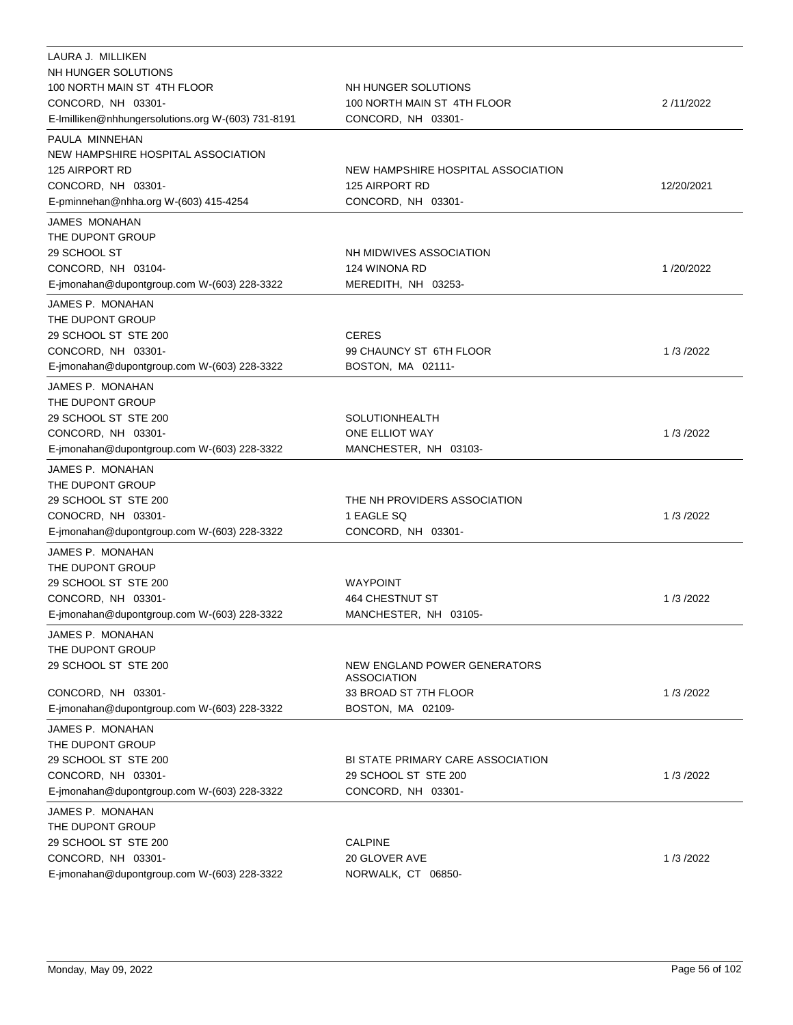| LAURA J. MILLIKEN<br>NH HUNGER SOLUTIONS<br>100 NORTH MAIN ST 4TH FLOOR<br>CONCORD, NH 03301-<br>E-Imilliken@nhhungersolutions.org W-(603) 731-8191 | NH HUNGER SOLUTIONS<br>100 NORTH MAIN ST 4TH FLOOR<br>CONCORD, NH 03301-   | 2/11/2022  |
|-----------------------------------------------------------------------------------------------------------------------------------------------------|----------------------------------------------------------------------------|------------|
| PAULA MINNEHAN<br>NEW HAMPSHIRE HOSPITAL ASSOCIATION                                                                                                |                                                                            |            |
| 125 AIRPORT RD<br>CONCORD, NH 03301-<br>E-pminnehan@nhha.org W-(603) 415-4254                                                                       | NEW HAMPSHIRE HOSPITAL ASSOCIATION<br>125 AIRPORT RD<br>CONCORD, NH 03301- | 12/20/2021 |
| JAMES MONAHAN                                                                                                                                       |                                                                            |            |
| THE DUPONT GROUP<br>29 SCHOOL ST<br>CONCORD, NH 03104-<br>E-jmonahan@dupontgroup.com W-(603) 228-3322                                               | NH MIDWIVES ASSOCIATION<br>124 WINONA RD<br>MEREDITH, NH 03253-            | 1/20/2022  |
| JAMES P. MONAHAN                                                                                                                                    |                                                                            |            |
| THE DUPONT GROUP<br>29 SCHOOL ST STE 200<br>CONCORD, NH 03301-<br>E-jmonahan@dupontgroup.com W-(603) 228-3322                                       | <b>CERES</b><br>99 CHAUNCY ST 6TH FLOOR<br>BOSTON, MA 02111-               | 1/3/2022   |
| JAMES P. MONAHAN                                                                                                                                    |                                                                            |            |
| THE DUPONT GROUP<br>29 SCHOOL ST STE 200<br>CONCORD, NH 03301-<br>E-jmonahan@dupontgroup.com W-(603) 228-3322                                       | <b>SOLUTIONHEALTH</b><br>ONE ELLIOT WAY<br>MANCHESTER, NH 03103-           | 1/3/2022   |
| JAMES P. MONAHAN                                                                                                                                    |                                                                            |            |
| THE DUPONT GROUP<br>29 SCHOOL ST STE 200<br>CONOCRD, NH 03301-<br>E-jmonahan@dupontgroup.com W-(603) 228-3322                                       | THE NH PROVIDERS ASSOCIATION<br>1 EAGLE SQ<br>CONCORD, NH 03301-           | 1/3/2022   |
| JAMES P. MONAHAN                                                                                                                                    |                                                                            |            |
| THE DUPONT GROUP<br>29 SCHOOL ST STE 200<br>CONCORD, NH 03301-<br>E-jmonahan@dupontgroup.com W-(603) 228-3322                                       | <b>WAYPOINT</b><br>464 CHESTNUT ST<br>MANCHESTER, NH 03105-                | 1/3/2022   |
| JAMES P. MONAHAN                                                                                                                                    |                                                                            |            |
| THE DUPONT GROUP<br>29 SCHOOL ST STE 200                                                                                                            | NEW ENGLAND POWER GENERATORS<br><b>ASSOCIATION</b>                         |            |
| CONCORD, NH 03301-<br>E-jmonahan@dupontgroup.com W-(603) 228-3322                                                                                   | 33 BROAD ST 7TH FLOOR<br>BOSTON, MA 02109-                                 | 1/3/2022   |
| JAMES P. MONAHAN                                                                                                                                    |                                                                            |            |
| THE DUPONT GROUP<br>29 SCHOOL ST STE 200<br>CONCORD, NH 03301-                                                                                      | BI STATE PRIMARY CARE ASSOCIATION<br>29 SCHOOL ST STE 200                  | 1/3/2022   |
| E-jmonahan@dupontgroup.com W-(603) 228-3322                                                                                                         | CONCORD, NH 03301-                                                         |            |
| JAMES P. MONAHAN<br>THE DUPONT GROUP<br>29 SCHOOL ST STE 200<br>CONCORD, NH 03301-                                                                  | <b>CALPINE</b><br>20 GLOVER AVE                                            | 1/3/2022   |
| E-jmonahan@dupontgroup.com W-(603) 228-3322                                                                                                         | NORWALK, CT 06850-                                                         |            |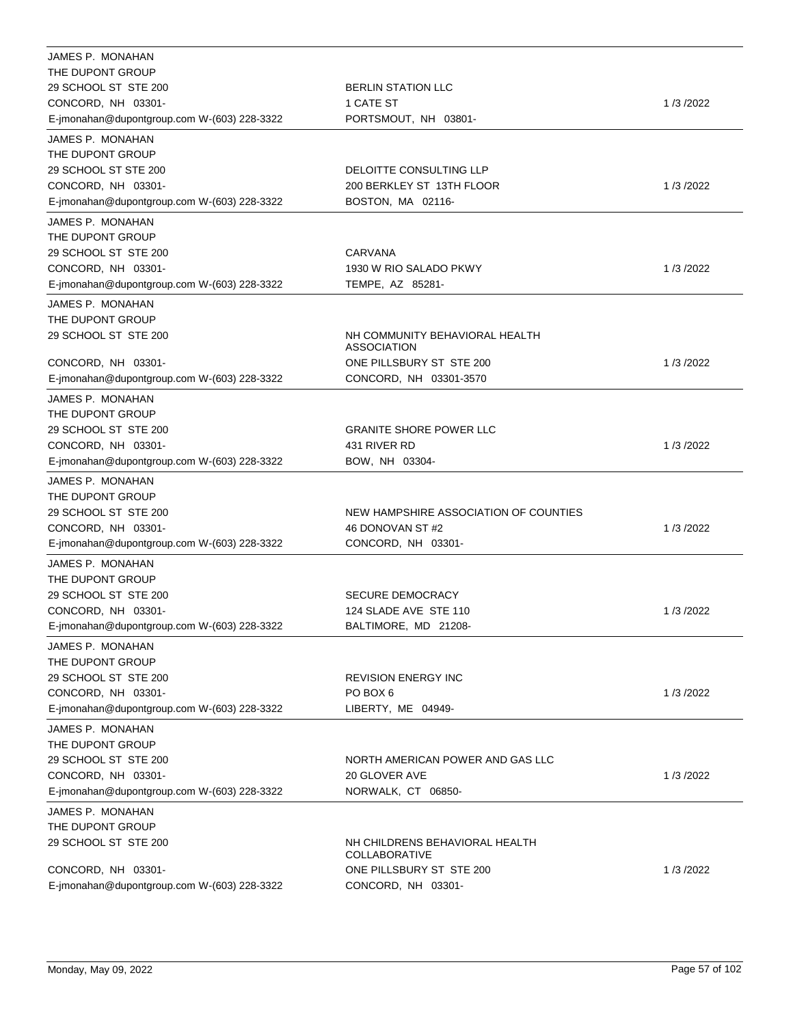| JAMES P. MONAHAN                            |                                                        |          |
|---------------------------------------------|--------------------------------------------------------|----------|
| THE DUPONT GROUP                            |                                                        |          |
| 29 SCHOOL ST STE 200                        | <b>BERLIN STATION LLC</b>                              |          |
| CONCORD, NH 03301-                          | 1 CATE ST                                              | 1/3/2022 |
| E-jmonahan@dupontgroup.com W-(603) 228-3322 | PORTSMOUT, NH 03801-                                   |          |
| JAMES P. MONAHAN                            |                                                        |          |
| THE DUPONT GROUP                            |                                                        |          |
| 29 SCHOOL ST STE 200                        | DELOITTE CONSULTING LLP                                |          |
| CONCORD, NH 03301-                          | 200 BERKLEY ST 13TH FLOOR                              | 1/3/2022 |
| E-jmonahan@dupontgroup.com W-(603) 228-3322 | BOSTON, MA 02116-                                      |          |
| JAMES P. MONAHAN                            |                                                        |          |
| THE DUPONT GROUP                            |                                                        |          |
| 29 SCHOOL ST STE 200                        | CARVANA                                                |          |
| CONCORD, NH 03301-                          | 1930 W RIO SALADO PKWY                                 | 1/3/2022 |
| E-jmonahan@dupontgroup.com W-(603) 228-3322 | TEMPE, AZ 85281-                                       |          |
| JAMES P. MONAHAN                            |                                                        |          |
| THE DUPONT GROUP                            |                                                        |          |
| 29 SCHOOL ST STE 200                        | NH COMMUNITY BEHAVIORAL HEALTH                         |          |
|                                             | <b>ASSOCIATION</b>                                     |          |
| CONCORD, NH 03301-                          | ONE PILLSBURY ST STE 200                               | 1/3/2022 |
| E-jmonahan@dupontgroup.com W-(603) 228-3322 | CONCORD, NH 03301-3570                                 |          |
| JAMES P. MONAHAN                            |                                                        |          |
| THE DUPONT GROUP                            |                                                        |          |
| 29 SCHOOL ST STE 200                        | <b>GRANITE SHORE POWER LLC</b>                         |          |
| CONCORD, NH 03301-                          | 431 RIVER RD                                           | 1/3/2022 |
| E-jmonahan@dupontgroup.com W-(603) 228-3322 | BOW, NH 03304-                                         |          |
| JAMES P. MONAHAN                            |                                                        |          |
| THE DUPONT GROUP                            |                                                        |          |
| 29 SCHOOL ST STE 200                        | NEW HAMPSHIRE ASSOCIATION OF COUNTIES                  |          |
| CONCORD, NH 03301-                          | 46 DONOVAN ST#2                                        | 1/3/2022 |
| E-jmonahan@dupontgroup.com W-(603) 228-3322 | CONCORD, NH 03301-                                     |          |
| JAMES P. MONAHAN                            |                                                        |          |
| THE DUPONT GROUP                            |                                                        |          |
| 29 SCHOOL ST STE 200                        | <b>SECURE DEMOCRACY</b>                                |          |
| CONCORD, NH 03301-                          | 124 SLADE AVE STE 110                                  | 1/3/2022 |
| E-jmonahan@dupontgroup.com W-(603) 228-3322 | BALTIMORE, MD 21208-                                   |          |
| JAMES P. MONAHAN                            |                                                        |          |
| THE DUPONT GROUP                            |                                                        |          |
| 29 SCHOOL ST STE 200                        | <b>REVISION ENERGY INC</b>                             |          |
| CONCORD, NH 03301-                          | PO BOX 6                                               | 1/3/2022 |
| E-jmonahan@dupontgroup.com W-(603) 228-3322 | LIBERTY, ME 04949-                                     |          |
| JAMES P. MONAHAN                            |                                                        |          |
| THE DUPONT GROUP                            |                                                        |          |
| 29 SCHOOL ST STE 200                        | NORTH AMERICAN POWER AND GAS LLC                       |          |
| CONCORD, NH 03301-                          | 20 GLOVER AVE                                          | 1/3/2022 |
| E-jmonahan@dupontgroup.com W-(603) 228-3322 | NORWALK, CT 06850-                                     |          |
| JAMES P. MONAHAN                            |                                                        |          |
| THE DUPONT GROUP                            |                                                        |          |
| 29 SCHOOL ST STE 200                        | NH CHILDRENS BEHAVIORAL HEALTH<br><b>COLLABORATIVE</b> |          |
| CONCORD, NH 03301-                          | ONE PILLSBURY ST STE 200                               | 1/3/2022 |
| E-jmonahan@dupontgroup.com W-(603) 228-3322 | CONCORD, NH 03301-                                     |          |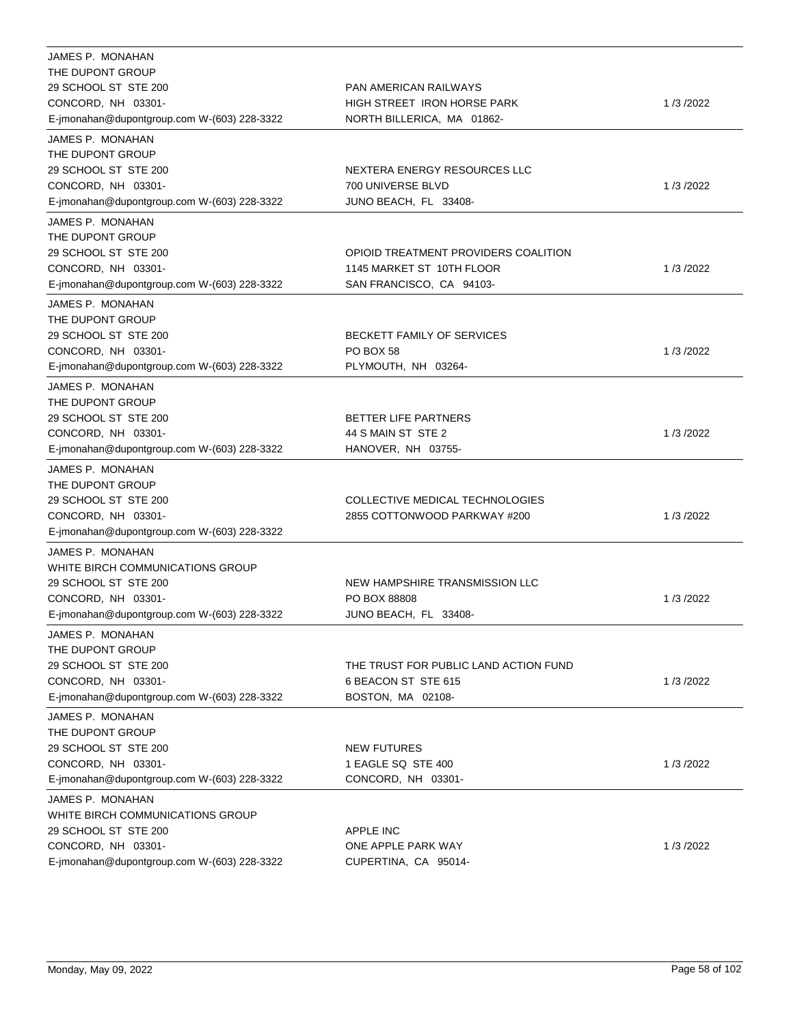| JAMES P. MONAHAN<br>THE DUPONT GROUP<br>29 SCHOOL ST STE 200<br>CONCORD, NH 03301-<br>E-jmonahan@dupontgroup.com W-(603) 228-3322                 | <b>PAN AMERICAN RAILWAYS</b><br>HIGH STREET IRON HORSE PARK<br>NORTH BILLERICA, MA 01862-     | 1/3/2022 |
|---------------------------------------------------------------------------------------------------------------------------------------------------|-----------------------------------------------------------------------------------------------|----------|
| JAMES P. MONAHAN<br>THE DUPONT GROUP<br>29 SCHOOL ST STE 200<br>CONCORD, NH 03301-<br>E-jmonahan@dupontgroup.com W-(603) 228-3322                 | NEXTERA ENERGY RESOURCES LLC<br>700 UNIVERSE BLVD<br>JUNO BEACH, FL 33408-                    | 1/3/2022 |
| JAMES P. MONAHAN<br>THE DUPONT GROUP<br>29 SCHOOL ST STE 200<br>CONCORD, NH 03301-<br>E-jmonahan@dupontgroup.com W-(603) 228-3322                 | OPIOID TREATMENT PROVIDERS COALITION<br>1145 MARKET ST 10TH FLOOR<br>SAN FRANCISCO, CA 94103- | 1/3/2022 |
| JAMES P. MONAHAN<br>THE DUPONT GROUP<br>29 SCHOOL ST STE 200<br>CONCORD, NH 03301-<br>E-jmonahan@dupontgroup.com W-(603) 228-3322                 | <b>BECKETT FAMILY OF SERVICES</b><br>PO BOX 58<br>PLYMOUTH, NH 03264-                         | 1/3/2022 |
| JAMES P. MONAHAN<br>THE DUPONT GROUP<br>29 SCHOOL ST STE 200<br>CONCORD, NH 03301-<br>E-jmonahan@dupontgroup.com W-(603) 228-3322                 | <b>BETTER LIFE PARTNERS</b><br>44 S MAIN ST STE 2<br>HANOVER, NH 03755-                       | 1/3/2022 |
| JAMES P. MONAHAN<br>THE DUPONT GROUP<br>29 SCHOOL ST STE 200<br>CONCORD, NH 03301-<br>E-jmonahan@dupontgroup.com W-(603) 228-3322                 | COLLECTIVE MEDICAL TECHNOLOGIES<br>2855 COTTONWOOD PARKWAY #200                               | 1/3/2022 |
| JAMES P. MONAHAN<br>WHITE BIRCH COMMUNICATIONS GROUP<br>29 SCHOOL ST STE 200<br>CONCORD, NH 03301-<br>E-jmonahan@dupontgroup.com W-(603) 228-3322 | NEW HAMPSHIRE TRANSMISSION LLC<br>PO BOX 88808<br>JUNO BEACH, FL 33408-                       | 1/3/2022 |
| JAMES P. MONAHAN<br>THE DUPONT GROUP<br>29 SCHOOL ST STE 200<br>CONCORD, NH 03301-<br>E-jmonahan@dupontgroup.com W-(603) 228-3322                 | THE TRUST FOR PUBLIC LAND ACTION FUND<br>6 BEACON ST STE 615<br>BOSTON, MA 02108-             | 1/3/2022 |
| JAMES P. MONAHAN<br>THE DUPONT GROUP<br>29 SCHOOL ST STE 200<br>CONCORD, NH 03301-<br>E-jmonahan@dupontgroup.com W-(603) 228-3322                 | <b>NEW FUTURES</b><br>1 EAGLE SQ STE 400<br>CONCORD, NH 03301-                                | 1/3/2022 |
| JAMES P. MONAHAN<br>WHITE BIRCH COMMUNICATIONS GROUP<br>29 SCHOOL ST STE 200<br>CONCORD, NH 03301-<br>E-jmonahan@dupontgroup.com W-(603) 228-3322 | <b>APPLE INC</b><br>ONE APPLE PARK WAY<br>CUPERTINA, CA 95014-                                | 1/3/2022 |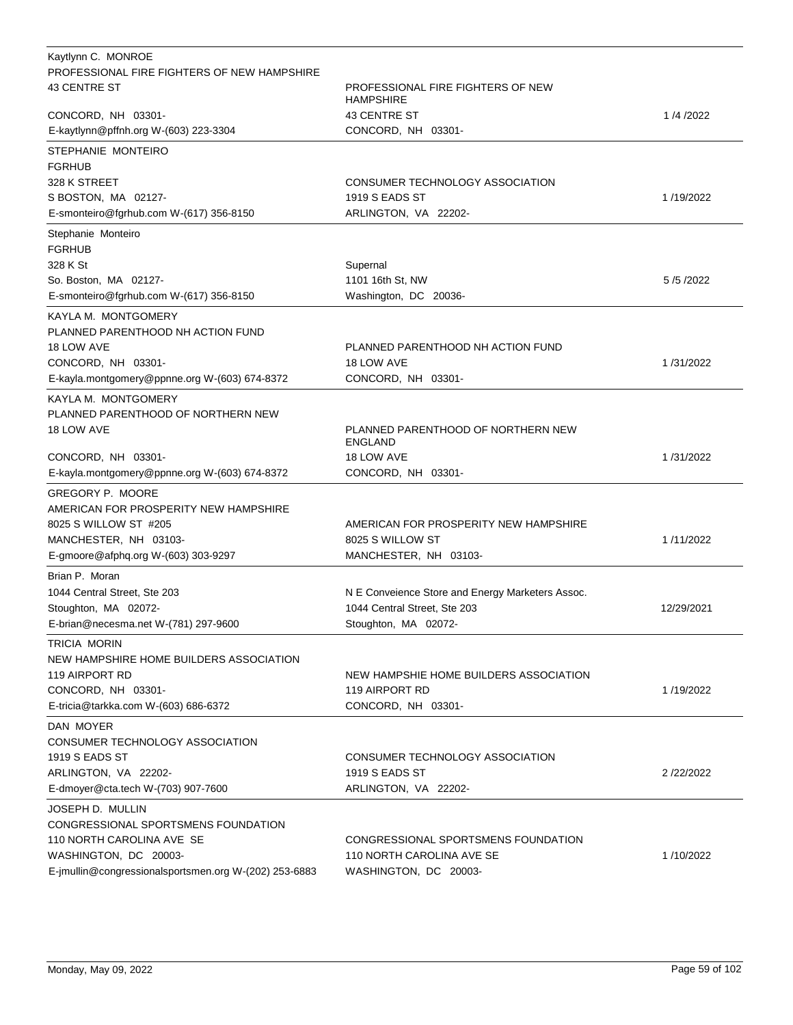| Kaytlynn C. MONROE                                               |                                                       |            |
|------------------------------------------------------------------|-------------------------------------------------------|------------|
| PROFESSIONAL FIRE FIGHTERS OF NEW HAMPSHIRE                      |                                                       |            |
| <b>43 CENTRE ST</b>                                              | PROFESSIONAL FIRE FIGHTERS OF NEW<br><b>HAMPSHIRE</b> |            |
| CONCORD, NH 03301-                                               | <b>43 CENTRE ST</b>                                   | 1/4/2022   |
| E-kaytlynn@pffnh.org W-(603) 223-3304                            | CONCORD, NH 03301-                                    |            |
| STEPHANIE MONTEIRO                                               |                                                       |            |
| <b>FGRHUB</b>                                                    |                                                       |            |
| 328 K STREET                                                     | CONSUMER TECHNOLOGY ASSOCIATION                       |            |
| S BOSTON, MA 02127-                                              | <b>1919 S EADS ST</b>                                 | 1/19/2022  |
| E-smonteiro@fgrhub.com W-(617) 356-8150                          | ARLINGTON, VA 22202-                                  |            |
| Stephanie Monteiro                                               |                                                       |            |
| <b>FGRHUB</b><br>328 K St                                        |                                                       |            |
| So. Boston, MA 02127-                                            | Supernal<br>1101 16th St, NW                          | 5/5/2022   |
| E-smonteiro@fgrhub.com W-(617) 356-8150                          | Washington, DC 20036-                                 |            |
|                                                                  |                                                       |            |
| KAYLA M. MONTGOMERY<br>PLANNED PARENTHOOD NH ACTION FUND         |                                                       |            |
| 18 LOW AVE                                                       | PLANNED PARENTHOOD NH ACTION FUND                     |            |
| CONCORD, NH 03301-                                               | 18 LOW AVE                                            | 1/31/2022  |
| E-kayla.montgomery@ppnne.org W-(603) 674-8372                    | CONCORD, NH 03301-                                    |            |
| KAYLA M. MONTGOMERY                                              |                                                       |            |
| PLANNED PARENTHOOD OF NORTHERN NEW                               |                                                       |            |
| 18 LOW AVE                                                       | PLANNED PARENTHOOD OF NORTHERN NEW<br><b>ENGLAND</b>  |            |
| CONCORD, NH 03301-                                               | 18 LOW AVE                                            | 1/31/2022  |
| E-kayla.montgomery@ppnne.org W-(603) 674-8372                    | CONCORD, NH 03301-                                    |            |
| GREGORY P. MOORE                                                 |                                                       |            |
| AMERICAN FOR PROSPERITY NEW HAMPSHIRE                            |                                                       |            |
| 8025 S WILLOW ST #205                                            | AMERICAN FOR PROSPERITY NEW HAMPSHIRE                 |            |
| MANCHESTER, NH 03103-                                            | 8025 S WILLOW ST                                      | 1/11/2022  |
| E-gmoore@afphq.org W-(603) 303-9297                              | MANCHESTER, NH 03103-                                 |            |
| Brian P. Moran                                                   |                                                       |            |
| 1044 Central Street, Ste 203                                     | N E Conveience Store and Energy Marketers Assoc.      |            |
| Stoughton, MA 02072-                                             | 1044 Central Street, Ste 203                          | 12/29/2021 |
| E-brian@necesma.net W-(781) 297-9600                             | Stoughton, MA 02072-                                  |            |
| TRICIA MORIN                                                     |                                                       |            |
| NEW HAMPSHIRE HOME BUILDERS ASSOCIATION                          |                                                       |            |
| 119 AIRPORT RD                                                   | NEW HAMPSHIE HOME BUILDERS ASSOCIATION                |            |
| CONCORD, NH 03301-                                               | 119 AIRPORT RD                                        | 1/19/2022  |
| E-tricia@tarkka.com W-(603) 686-6372                             | CONCORD, NH 03301-                                    |            |
| DAN MOYER                                                        |                                                       |            |
| CONSUMER TECHNOLOGY ASSOCIATION                                  |                                                       |            |
| 1919 S EADS ST                                                   | CONSUMER TECHNOLOGY ASSOCIATION                       |            |
| ARLINGTON, VA 22202-                                             | 1919 S EADS ST                                        | 2/22/2022  |
| E-dmoyer@cta.tech W-(703) 907-7600                               | ARLINGTON, VA 22202-                                  |            |
| JOSEPH D. MULLIN                                                 |                                                       |            |
| CONGRESSIONAL SPORTSMENS FOUNDATION<br>110 NORTH CAROLINA AVE SE | CONGRESSIONAL SPORTSMENS FOUNDATION                   |            |
| WASHINGTON, DC 20003-                                            | 110 NORTH CAROLINA AVE SE                             | 1/10/2022  |
| E-jmullin@congressionalsportsmen.org W-(202) 253-6883            | WASHINGTON, DC 20003-                                 |            |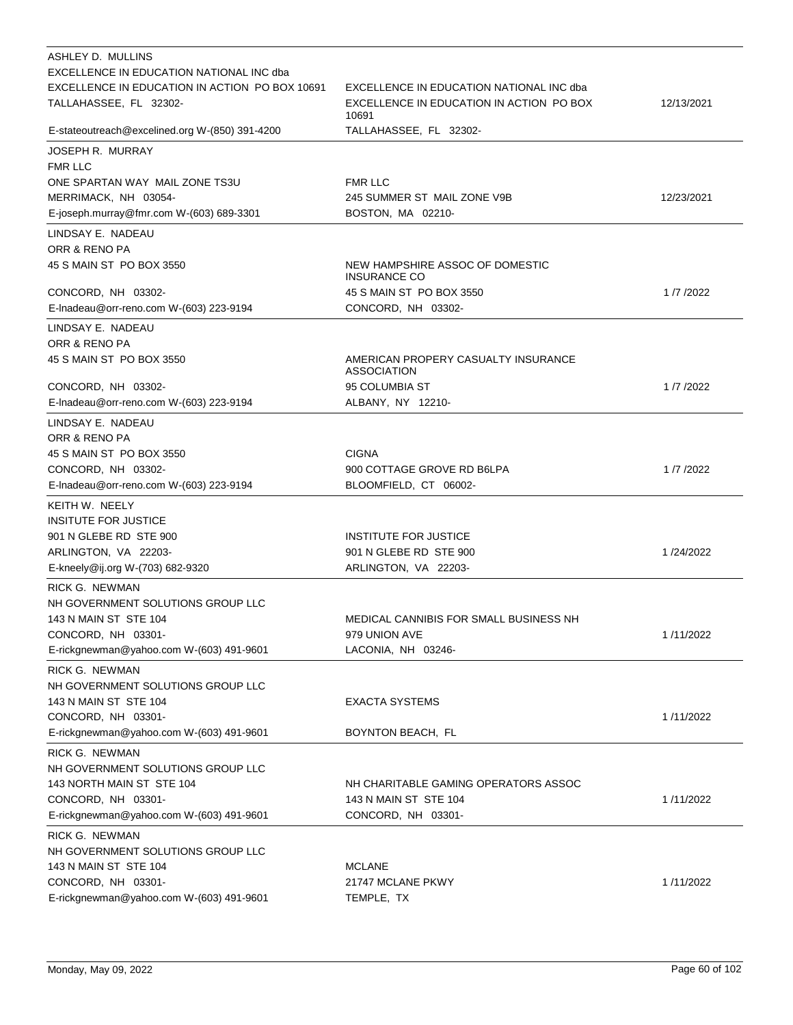| ASHLEY D. MULLINS                                   |                                                        |            |
|-----------------------------------------------------|--------------------------------------------------------|------------|
| EXCELLENCE IN EDUCATION NATIONAL INC dba            |                                                        |            |
| EXCELLENCE IN EDUCATION IN ACTION PO BOX 10691      | EXCELLENCE IN EDUCATION NATIONAL INC dba               |            |
| TALLAHASSEE, FL 32302-                              | EXCELLENCE IN EDUCATION IN ACTION PO BOX<br>10691      | 12/13/2021 |
| E-stateoutreach@excelined.org W-(850) 391-4200      | TALLAHASSEE, FL 32302-                                 |            |
| <b>JOSEPH R. MURRAY</b>                             |                                                        |            |
| <b>FMR LLC</b>                                      |                                                        |            |
| ONE SPARTAN WAY MAIL ZONE TS3U                      | <b>FMR LLC</b>                                         |            |
| MERRIMACK, NH 03054-                                | 245 SUMMER ST MAIL ZONE V9B                            | 12/23/2021 |
| E-joseph.murray@fmr.com W-(603) 689-3301            | BOSTON, MA 02210-                                      |            |
| LINDSAY E. NADEAU                                   |                                                        |            |
| ORR & RENO PA                                       |                                                        |            |
| 45 S MAIN ST PO BOX 3550                            | NEW HAMPSHIRE ASSOC OF DOMESTIC<br><b>INSURANCE CO</b> |            |
| CONCORD, NH 03302-                                  | 45 S MAIN ST PO BOX 3550                               | 1/7/2022   |
| E-Inadeau@orr-reno.com W-(603) 223-9194             | CONCORD, NH 03302-                                     |            |
| LINDSAY E. NADEAU                                   |                                                        |            |
| ORR & RENO PA                                       |                                                        |            |
| 45 S MAIN ST PO BOX 3550                            | AMERICAN PROPERY CASUALTY INSURANCE<br>ASSOCIATION     |            |
| CONCORD, NH 03302-                                  | 95 COLUMBIA ST                                         | 1/7/2022   |
| E-Inadeau@orr-reno.com W-(603) 223-9194             | ALBANY, NY 12210-                                      |            |
| LINDSAY E. NADEAU                                   |                                                        |            |
| ORR & RENO PA                                       |                                                        |            |
| 45 S MAIN ST PO BOX 3550                            | <b>CIGNA</b>                                           |            |
| CONCORD, NH 03302-                                  | 900 COTTAGE GROVE RD B6LPA                             | 1/7/2022   |
| E-Inadeau@orr-reno.com W-(603) 223-9194             | BLOOMFIELD, CT 06002-                                  |            |
| KEITH W. NEELY                                      |                                                        |            |
| <b>INSITUTE FOR JUSTICE</b>                         |                                                        |            |
| 901 N GLEBE RD STE 900                              | <b>INSTITUTE FOR JUSTICE</b>                           |            |
| ARLINGTON, VA 22203-                                | 901 N GLEBE RD STE 900                                 | 1/24/2022  |
| E-kneely@ij.org W-(703) 682-9320                    | ARLINGTON, VA 22203-                                   |            |
|                                                     |                                                        |            |
| RICK G. NEWMAN<br>NH GOVERNMENT SOLUTIONS GROUP LLC |                                                        |            |
| 143 N MAIN ST STE 104                               | MEDICAL CANNIBIS FOR SMALL BUSINESS NH                 |            |
| CONCORD, NH 03301-                                  | 979 UNION AVE                                          | 1/11/2022  |
| E-rickgnewman@yahoo.com W-(603) 491-9601            | LACONIA, NH 03246-                                     |            |
|                                                     |                                                        |            |
| RICK G. NEWMAN<br>NH GOVERNMENT SOLUTIONS GROUP LLC |                                                        |            |
| 143 N MAIN ST STE 104                               | <b>EXACTA SYSTEMS</b>                                  |            |
| CONCORD, NH 03301-                                  |                                                        | 1/11/2022  |
| E-rickgnewman@yahoo.com W-(603) 491-9601            | BOYNTON BEACH, FL                                      |            |
|                                                     |                                                        |            |
| RICK G. NEWMAN<br>NH GOVERNMENT SOLUTIONS GROUP LLC |                                                        |            |
| 143 NORTH MAIN ST STE 104                           | NH CHARITABLE GAMING OPERATORS ASSOC                   |            |
| CONCORD, NH 03301-                                  | 143 N MAIN ST STE 104                                  | 1/11/2022  |
| E-rickgnewman@yahoo.com W-(603) 491-9601            | CONCORD, NH 03301-                                     |            |
|                                                     |                                                        |            |
| RICK G. NEWMAN                                      |                                                        |            |
| NH GOVERNMENT SOLUTIONS GROUP LLC                   |                                                        |            |
| 143 N MAIN ST STE 104                               | <b>MCLANE</b>                                          |            |
| CONCORD, NH 03301-                                  | 21747 MCLANE PKWY                                      | 1/11/2022  |
| E-rickgnewman@yahoo.com W-(603) 491-9601            | TEMPLE, TX                                             |            |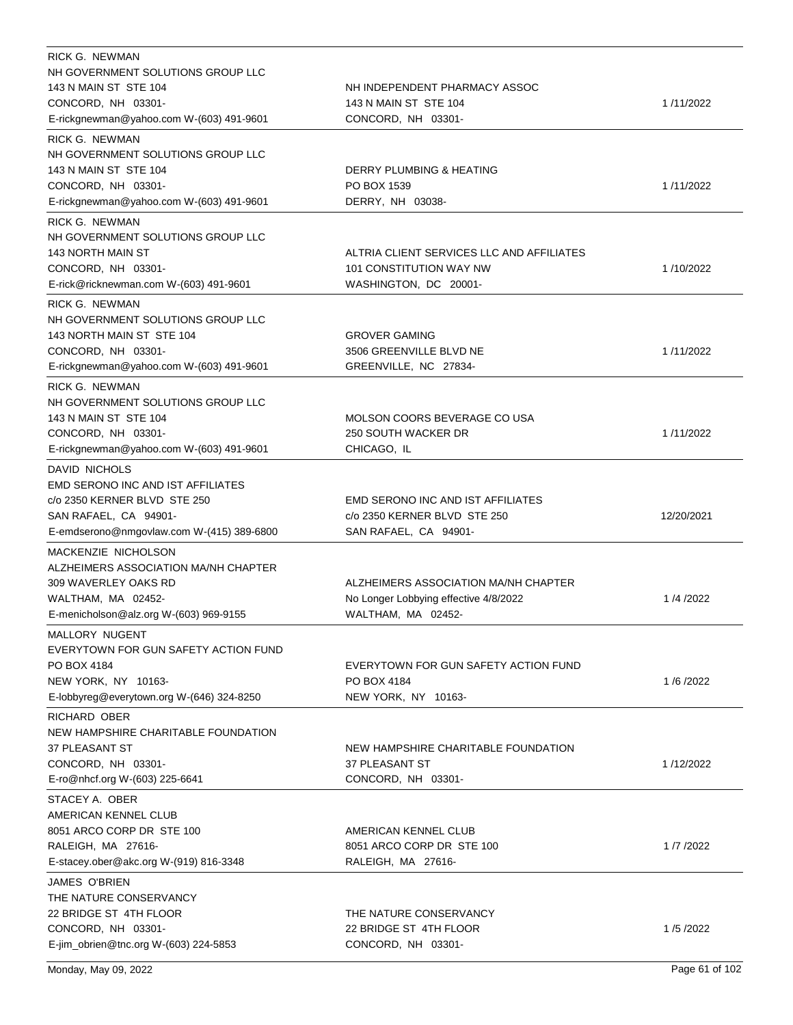| RICK G. NEWMAN                            |                                           |            |
|-------------------------------------------|-------------------------------------------|------------|
| NH GOVERNMENT SOLUTIONS GROUP LLC         |                                           |            |
| 143 N MAIN ST STE 104                     | NH INDEPENDENT PHARMACY ASSOC             |            |
| CONCORD, NH 03301-                        | 143 N MAIN ST STE 104                     | 1/11/2022  |
| E-rickgnewman@yahoo.com W-(603) 491-9601  | CONCORD, NH 03301-                        |            |
| RICK G. NEWMAN                            |                                           |            |
| NH GOVERNMENT SOLUTIONS GROUP LLC         |                                           |            |
| 143 N MAIN ST STE 104                     | DERRY PLUMBING & HEATING                  |            |
| CONCORD, NH 03301-                        | PO BOX 1539                               | 1/11/2022  |
| E-rickgnewman@yahoo.com W-(603) 491-9601  | DERRY, NH 03038-                          |            |
| RICK G. NEWMAN                            |                                           |            |
| NH GOVERNMENT SOLUTIONS GROUP LLC         |                                           |            |
| 143 NORTH MAIN ST                         | ALTRIA CLIENT SERVICES LLC AND AFFILIATES |            |
| CONCORD, NH 03301-                        | 101 CONSTITUTION WAY NW                   | 1/10/2022  |
| E-rick@ricknewman.com W-(603) 491-9601    | WASHINGTON, DC 20001-                     |            |
| RICK G. NEWMAN                            |                                           |            |
| NH GOVERNMENT SOLUTIONS GROUP LLC         |                                           |            |
| 143 NORTH MAIN ST STE 104                 | <b>GROVER GAMING</b>                      |            |
| CONCORD, NH 03301-                        | 3506 GREENVILLE BLVD NE                   | 1/11/2022  |
| E-rickgnewman@yahoo.com W-(603) 491-9601  | GREENVILLE, NC 27834-                     |            |
| RICK G. NEWMAN                            |                                           |            |
| NH GOVERNMENT SOLUTIONS GROUP LLC         |                                           |            |
| 143 N MAIN ST STE 104                     | MOLSON COORS BEVERAGE CO USA              |            |
| CONCORD, NH 03301-                        | 250 SOUTH WACKER DR                       | 1/11/2022  |
| E-rickgnewman@yahoo.com W-(603) 491-9601  | CHICAGO, IL                               |            |
| DAVID NICHOLS                             |                                           |            |
| EMD SERONO INC AND IST AFFILIATES         |                                           |            |
| c/o 2350 KERNER BLVD STE 250              | <b>EMD SERONO INC AND IST AFFILIATES</b>  |            |
|                                           |                                           |            |
| SAN RAFAEL, CA 94901-                     | c/o 2350 KERNER BLVD STE 250              | 12/20/2021 |
| E-emdserono@nmgovlaw.com W-(415) 389-6800 | SAN RAFAEL, CA 94901-                     |            |
| MACKENZIE NICHOLSON                       |                                           |            |
| ALZHEIMERS ASSOCIATION MA/NH CHAPTER      |                                           |            |
| 309 WAVERLEY OAKS RD                      | ALZHEIMERS ASSOCIATION MA/NH CHAPTER      |            |
| WALTHAM, MA 02452-                        | No Longer Lobbying effective 4/8/2022     | 1/4/2022   |
| E-menicholson@alz.org W-(603) 969-9155    | WALTHAM, MA 02452-                        |            |
| MALLORY NUGENT                            |                                           |            |
| EVERYTOWN FOR GUN SAFETY ACTION FUND      |                                           |            |
| PO BOX 4184                               | EVERYTOWN FOR GUN SAFETY ACTION FUND      |            |
| NEW YORK, NY 10163-                       | PO BOX 4184                               | 1/6/2022   |
| E-lobbyreg@everytown.org W-(646) 324-8250 | NEW YORK, NY 10163-                       |            |
| RICHARD OBER                              |                                           |            |
| NEW HAMPSHIRE CHARITABLE FOUNDATION       |                                           |            |
| 37 PLEASANT ST                            | NEW HAMPSHIRE CHARITABLE FOUNDATION       |            |
| CONCORD, NH 03301-                        | 37 PLEASANT ST                            | 1/12/2022  |
| E-ro@nhcf.org W-(603) 225-6641            | CONCORD, NH 03301-                        |            |
| STACEY A. OBER                            |                                           |            |
| AMERICAN KENNEL CLUB                      |                                           |            |
| 8051 ARCO CORP DR STE 100                 | AMERICAN KENNEL CLUB                      |            |
| RALEIGH, MA 27616-                        | 8051 ARCO CORP DR STE 100                 | 1/7/2022   |
| E-stacey.ober@akc.org W-(919) 816-3348    | RALEIGH, MA 27616-                        |            |
| JAMES O'BRIEN                             |                                           |            |
| THE NATURE CONSERVANCY                    |                                           |            |
| 22 BRIDGE ST 4TH FLOOR                    | THE NATURE CONSERVANCY                    |            |
| CONCORD, NH 03301-                        | 22 BRIDGE ST 4TH FLOOR                    | 1/5/2022   |
| E-jim_obrien@tnc.org W-(603) 224-5853     | CONCORD, NH 03301-                        |            |
|                                           |                                           |            |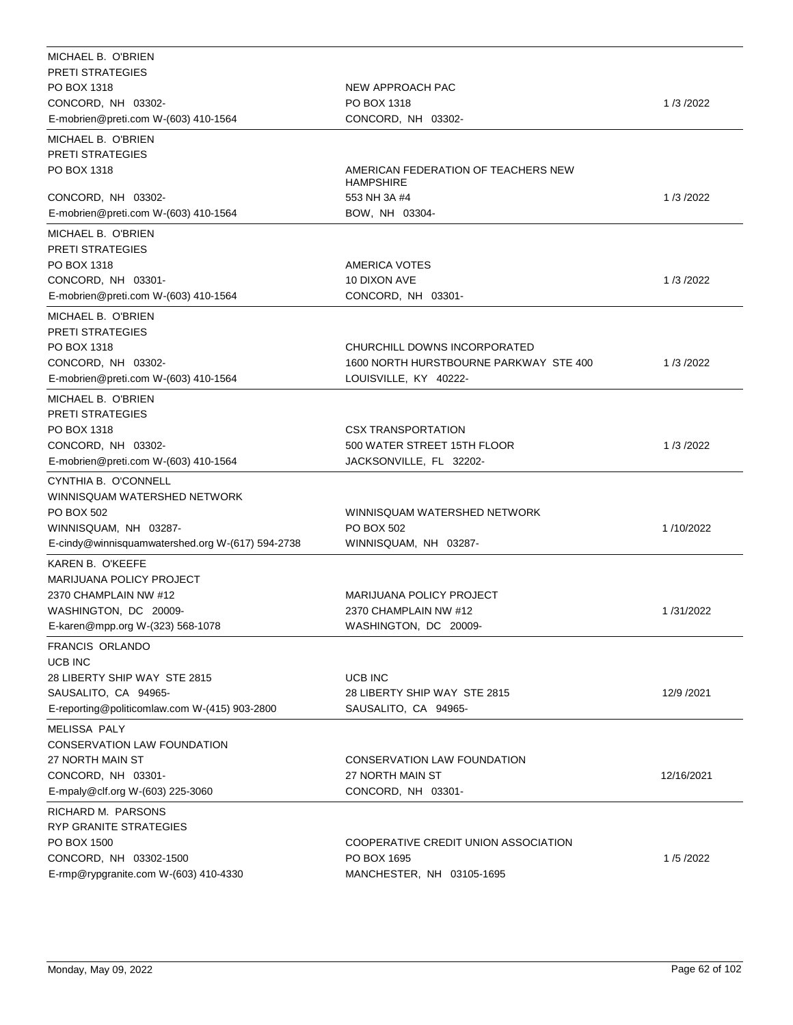| MICHAEL B. O'BRIEN                               |                                                         |            |
|--------------------------------------------------|---------------------------------------------------------|------------|
| <b>PRETI STRATEGIES</b>                          |                                                         |            |
| PO BOX 1318                                      | NEW APPROACH PAC                                        |            |
| CONCORD, NH 03302-                               | PO BOX 1318                                             | 1/3/2022   |
| E-mobrien@preti.com W-(603) 410-1564             | CONCORD, NH 03302-                                      |            |
| MICHAEL B. O'BRIEN                               |                                                         |            |
| <b>PRETI STRATEGIES</b>                          |                                                         |            |
| PO BOX 1318                                      | AMERICAN FEDERATION OF TEACHERS NEW<br><b>HAMPSHIRE</b> |            |
| CONCORD, NH 03302-                               | 553 NH 3A #4                                            | 1/3/2022   |
| E-mobrien@preti.com W-(603) 410-1564             | BOW, NH 03304-                                          |            |
| MICHAEL B. O'BRIEN                               |                                                         |            |
| <b>PRETI STRATEGIES</b>                          |                                                         |            |
| PO BOX 1318                                      | <b>AMERICA VOTES</b>                                    |            |
| CONCORD, NH 03301-                               | 10 DIXON AVE                                            | 1/3/2022   |
| E-mobrien@preti.com W-(603) 410-1564             | CONCORD, NH 03301-                                      |            |
| MICHAEL B. O'BRIEN                               |                                                         |            |
| <b>PRETI STRATEGIES</b>                          |                                                         |            |
| PO BOX 1318                                      | CHURCHILL DOWNS INCORPORATED                            |            |
| CONCORD, NH 03302-                               | 1600 NORTH HURSTBOURNE PARKWAY STE 400                  | 1/3/2022   |
| E-mobrien@preti.com W-(603) 410-1564             | LOUISVILLE, KY 40222-                                   |            |
| MICHAEL B. O'BRIEN                               |                                                         |            |
| <b>PRETI STRATEGIES</b>                          |                                                         |            |
| PO BOX 1318                                      | <b>CSX TRANSPORTATION</b>                               |            |
| CONCORD, NH 03302-                               | 500 WATER STREET 15TH FLOOR                             | 1/3/2022   |
| E-mobrien@preti.com W-(603) 410-1564             | JACKSONVILLE, FL 32202-                                 |            |
| CYNTHIA B. O'CONNELL                             |                                                         |            |
| WINNISQUAM WATERSHED NETWORK                     |                                                         |            |
| PO BOX 502                                       | WINNISQUAM WATERSHED NETWORK                            |            |
| WINNISQUAM, NH 03287-                            | PO BOX 502                                              | 1/10/2022  |
| E-cindy@winnisquamwatershed.org W-(617) 594-2738 | WINNISQUAM, NH 03287-                                   |            |
| KAREN B. O'KEEFE                                 |                                                         |            |
| MARIJUANA POLICY PROJECT                         |                                                         |            |
| 2370 CHAMPLAIN NW #12                            | <b>MARIJUANA POLICY PROJECT</b>                         |            |
| WASHINGTON, DC 20009-                            | 2370 CHAMPLAIN NW #12                                   | 1/31/2022  |
| E-karen@mpp.org W-(323) 568-1078                 | WASHINGTON, DC 20009-                                   |            |
|                                                  |                                                         |            |
| <b>FRANCIS ORLANDO</b>                           |                                                         |            |
| <b>UCB INC</b><br>28 LIBERTY SHIP WAY STE 2815   | UCB INC                                                 |            |
| SAUSALITO, CA 94965-                             | 28 LIBERTY SHIP WAY STE 2815                            | 12/9 /2021 |
| E-reporting@politicomlaw.com W-(415) 903-2800    | SAUSALITO, CA 94965-                                    |            |
|                                                  |                                                         |            |
| <b>MELISSA PALY</b>                              |                                                         |            |
| CONSERVATION LAW FOUNDATION                      |                                                         |            |
| 27 NORTH MAIN ST<br>CONCORD, NH 03301-           | CONSERVATION LAW FOUNDATION<br>27 NORTH MAIN ST         |            |
|                                                  |                                                         | 12/16/2021 |
| E-mpaly@clf.org W-(603) 225-3060                 | CONCORD, NH 03301-                                      |            |
| RICHARD M. PARSONS                               |                                                         |            |
| RYP GRANITE STRATEGIES                           |                                                         |            |
| PO BOX 1500                                      | COOPERATIVE CREDIT UNION ASSOCIATION                    |            |
| CONCORD, NH 03302-1500                           | PO BOX 1695                                             | 1/5/2022   |
| E-rmp@rypgranite.com W-(603) 410-4330            | MANCHESTER, NH 03105-1695                               |            |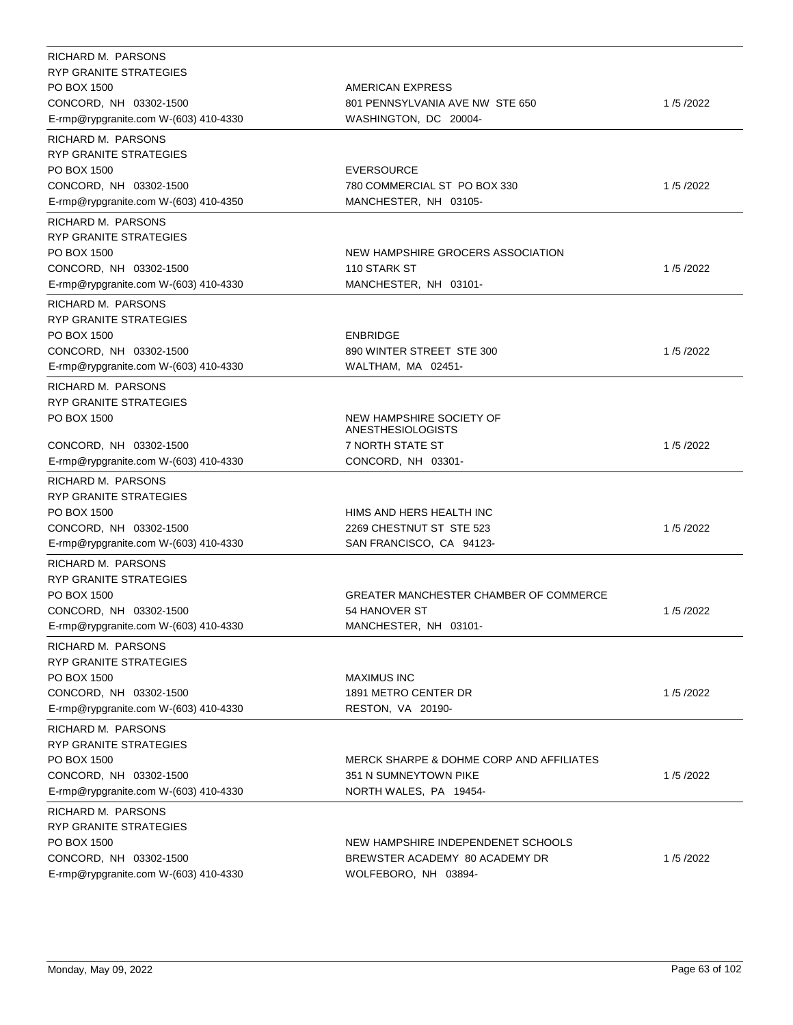| RICHARD M. PARSONS<br><b>RYP GRANITE STRATEGIES</b> |                                                      |          |
|-----------------------------------------------------|------------------------------------------------------|----------|
| PO BOX 1500                                         | AMERICAN EXPRESS                                     |          |
| CONCORD, NH 03302-1500                              | 801 PENNSYLVANIA AVE NW STE 650                      | 1/5/2022 |
| E-rmp@rypgranite.com W-(603) 410-4330               | WASHINGTON, DC 20004-                                |          |
| RICHARD M. PARSONS                                  |                                                      |          |
| <b>RYP GRANITE STRATEGIES</b>                       |                                                      |          |
| PO BOX 1500                                         | <b>EVERSOURCE</b>                                    |          |
| CONCORD, NH 03302-1500                              | 780 COMMERCIAL ST PO BOX 330                         | 1/5/2022 |
| E-rmp@rypgranite.com W-(603) 410-4350               | MANCHESTER, NH 03105-                                |          |
|                                                     |                                                      |          |
| RICHARD M. PARSONS<br>RYP GRANITE STRATEGIES        |                                                      |          |
| PO BOX 1500                                         | NEW HAMPSHIRE GROCERS ASSOCIATION                    |          |
| CONCORD, NH 03302-1500                              | 110 STARK ST                                         | 1/5/2022 |
| E-rmp@rypgranite.com W-(603) 410-4330               | MANCHESTER, NH 03101-                                |          |
|                                                     |                                                      |          |
| RICHARD M. PARSONS                                  |                                                      |          |
| RYP GRANITE STRATEGIES<br>PO BOX 1500               | <b>ENBRIDGE</b>                                      |          |
| CONCORD, NH 03302-1500                              | 890 WINTER STREET STE 300                            | 1/5/2022 |
| E-rmp@rypgranite.com W-(603) 410-4330               | WALTHAM, MA 02451-                                   |          |
|                                                     |                                                      |          |
| RICHARD M. PARSONS                                  |                                                      |          |
| <b>RYP GRANITE STRATEGIES</b>                       |                                                      |          |
| PO BOX 1500                                         | NEW HAMPSHIRE SOCIETY OF<br><b>ANESTHESIOLOGISTS</b> |          |
| CONCORD, NH 03302-1500                              | 7 NORTH STATE ST                                     | 1/5/2022 |
| E-rmp@rypgranite.com W-(603) 410-4330               | CONCORD, NH 03301-                                   |          |
| RICHARD M. PARSONS                                  |                                                      |          |
| RYP GRANITE STRATEGIES                              |                                                      |          |
| PO BOX 1500                                         | HIMS AND HERS HEALTH INC                             |          |
| CONCORD, NH 03302-1500                              | 2269 CHESTNUT ST STE 523                             | 1/5/2022 |
| E-rmp@rypgranite.com W-(603) 410-4330               | SAN FRANCISCO, CA 94123-                             |          |
|                                                     |                                                      |          |
| RICHARD M. PARSONS                                  |                                                      |          |
| <b>RYP GRANITE STRATEGIES</b>                       |                                                      |          |
| PO BOX 1500                                         | GREATER MANCHESTER CHAMBER OF COMMERCE               |          |
| CONCORD, NH 03302-1500                              | 54 HANOVER ST                                        | 1/5/2022 |
| E-rmp@rypgranite.com W-(603) 410-4330               | MANCHESTER, NH 03101-                                |          |
| RICHARD M. PARSONS                                  |                                                      |          |
| RYP GRANITE STRATEGIES                              |                                                      |          |
| PO BOX 1500                                         | <b>MAXIMUS INC</b>                                   |          |
| CONCORD, NH 03302-1500                              | 1891 METRO CENTER DR                                 | 1/5/2022 |
| E-rmp@rypgranite.com W-(603) 410-4330               | RESTON, VA 20190-                                    |          |
| RICHARD M. PARSONS                                  |                                                      |          |
| <b>RYP GRANITE STRATEGIES</b>                       |                                                      |          |
| PO BOX 1500                                         | MERCK SHARPE & DOHME CORP AND AFFILIATES             |          |
| CONCORD, NH 03302-1500                              | 351 N SUMNEYTOWN PIKE                                | 1/5/2022 |
| E-rmp@rypgranite.com W-(603) 410-4330               | NORTH WALES, PA 19454-                               |          |
| RICHARD M. PARSONS                                  |                                                      |          |
| <b>RYP GRANITE STRATEGIES</b>                       |                                                      |          |
| PO BOX 1500                                         | NEW HAMPSHIRE INDEPENDENET SCHOOLS                   |          |
| CONCORD, NH 03302-1500                              | BREWSTER ACADEMY 80 ACADEMY DR                       | 1/5/2022 |
| E-rmp@rypgranite.com W-(603) 410-4330               | WOLFEBORO, NH 03894-                                 |          |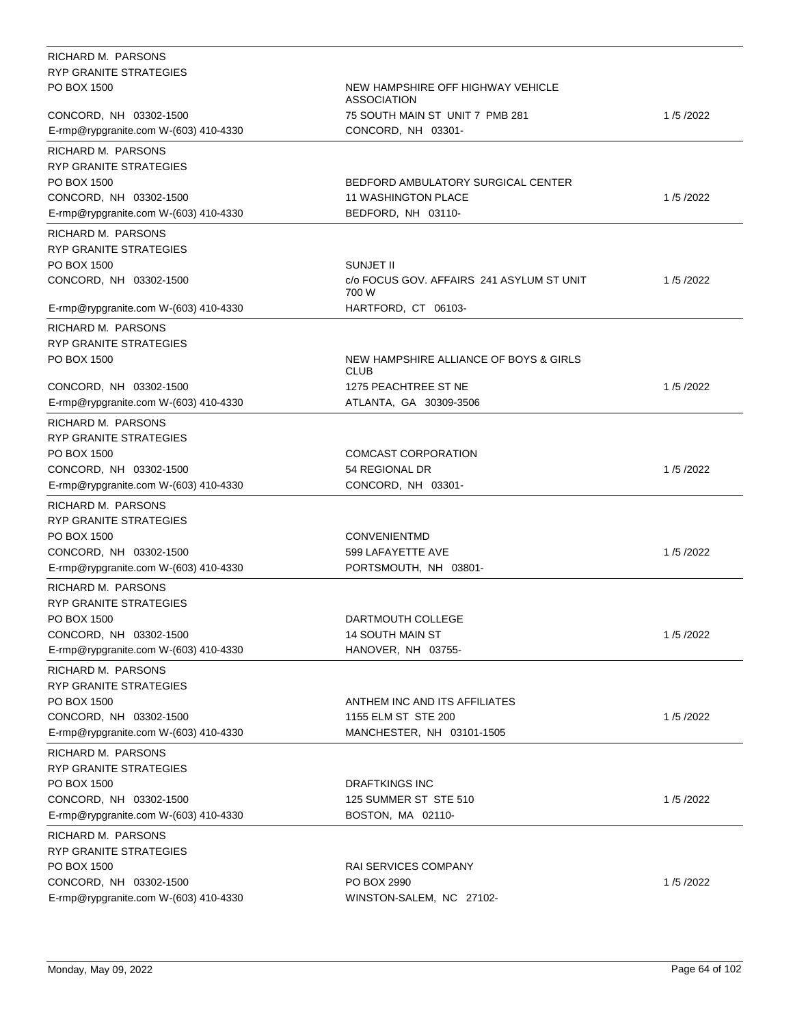| RICHARD M. PARSONS                           |                                                  |          |
|----------------------------------------------|--------------------------------------------------|----------|
| RYP GRANITE STRATEGIES                       |                                                  |          |
| PO BOX 1500                                  | NEW HAMPSHIRE OFF HIGHWAY VEHICLE<br>ASSOCIATION |          |
| CONCORD, NH 03302-1500                       | 75 SOUTH MAIN ST UNIT 7 PMB 281                  | 1/5/2022 |
| E-rmp@rypgranite.com W-(603) 410-4330        | CONCORD, NH 03301-                               |          |
| RICHARD M. PARSONS                           |                                                  |          |
| RYP GRANITE STRATEGIES                       |                                                  |          |
| PO BOX 1500                                  | BEDFORD AMBULATORY SURGICAL CENTER               |          |
| CONCORD, NH 03302-1500                       | <b>11 WASHINGTON PLACE</b>                       | 1/5/2022 |
| E-rmp@rypgranite.com W-(603) 410-4330        | BEDFORD, NH 03110-                               |          |
|                                              |                                                  |          |
| RICHARD M. PARSONS                           |                                                  |          |
| RYP GRANITE STRATEGIES<br>PO BOX 1500        | SUNJET II                                        |          |
| CONCORD, NH 03302-1500                       | c/o FOCUS GOV. AFFAIRS 241 ASYLUM ST UNIT        | 1/5/2022 |
|                                              | 700 W                                            |          |
| E-rmp@rypgranite.com W-(603) 410-4330        | HARTFORD, CT 06103-                              |          |
| RICHARD M. PARSONS                           |                                                  |          |
| <b>RYP GRANITE STRATEGIES</b>                |                                                  |          |
| PO BOX 1500                                  | NEW HAMPSHIRE ALLIANCE OF BOYS & GIRLS<br>CLUB   |          |
| CONCORD, NH 03302-1500                       | 1275 PEACHTREE ST NE                             | 1/5/2022 |
| E-rmp@rypgranite.com W-(603) 410-4330        | ATLANTA, GA 30309-3506                           |          |
| RICHARD M. PARSONS                           |                                                  |          |
| RYP GRANITE STRATEGIES                       |                                                  |          |
| PO BOX 1500                                  | <b>COMCAST CORPORATION</b>                       |          |
| CONCORD, NH 03302-1500                       | 54 REGIONAL DR                                   | 1/5/2022 |
| E-rmp@rypgranite.com W-(603) 410-4330        | CONCORD, NH 03301-                               |          |
| RICHARD M. PARSONS                           |                                                  |          |
| RYP GRANITE STRATEGIES                       |                                                  |          |
| PO BOX 1500                                  | <b>CONVENIENTMD</b>                              |          |
| CONCORD, NH 03302-1500                       | 599 LAFAYETTE AVE                                | 1/5/2022 |
| E-rmp@rypgranite.com W-(603) 410-4330        | PORTSMOUTH, NH 03801-                            |          |
|                                              |                                                  |          |
| RICHARD M. PARSONS<br>RYP GRANITE STRATEGIES |                                                  |          |
|                                              |                                                  |          |
| PO BOX 1500                                  | DARTMOUTH COLLEGE<br>14 SOUTH MAIN ST            | 1/5/2022 |
| CONCORD, NH 03302-1500                       | HANOVER, NH 03755-                               |          |
| E-rmp@rypgranite.com W-(603) 410-4330        |                                                  |          |
| RICHARD M. PARSONS                           |                                                  |          |
| RYP GRANITE STRATEGIES                       |                                                  |          |
| PO BOX 1500                                  | ANTHEM INC AND ITS AFFILIATES                    |          |
| CONCORD, NH 03302-1500                       | 1155 ELM ST STE 200                              | 1/5/2022 |
| E-rmp@rypgranite.com W-(603) 410-4330        | MANCHESTER, NH 03101-1505                        |          |
| RICHARD M. PARSONS                           |                                                  |          |
| <b>RYP GRANITE STRATEGIES</b>                |                                                  |          |
| PO BOX 1500                                  | <b>DRAFTKINGS INC</b>                            |          |
| CONCORD, NH 03302-1500                       | 125 SUMMER ST STE 510                            | 1/5/2022 |
| E-rmp@rypgranite.com W-(603) 410-4330        | BOSTON, MA 02110-                                |          |
| RICHARD M. PARSONS                           |                                                  |          |
| RYP GRANITE STRATEGIES                       |                                                  |          |
| PO BOX 1500                                  | <b>RAI SERVICES COMPANY</b>                      |          |
| CONCORD, NH 03302-1500                       | PO BOX 2990                                      | 1/5/2022 |
| E-rmp@rypgranite.com W-(603) 410-4330        | WINSTON-SALEM, NC 27102-                         |          |
|                                              |                                                  |          |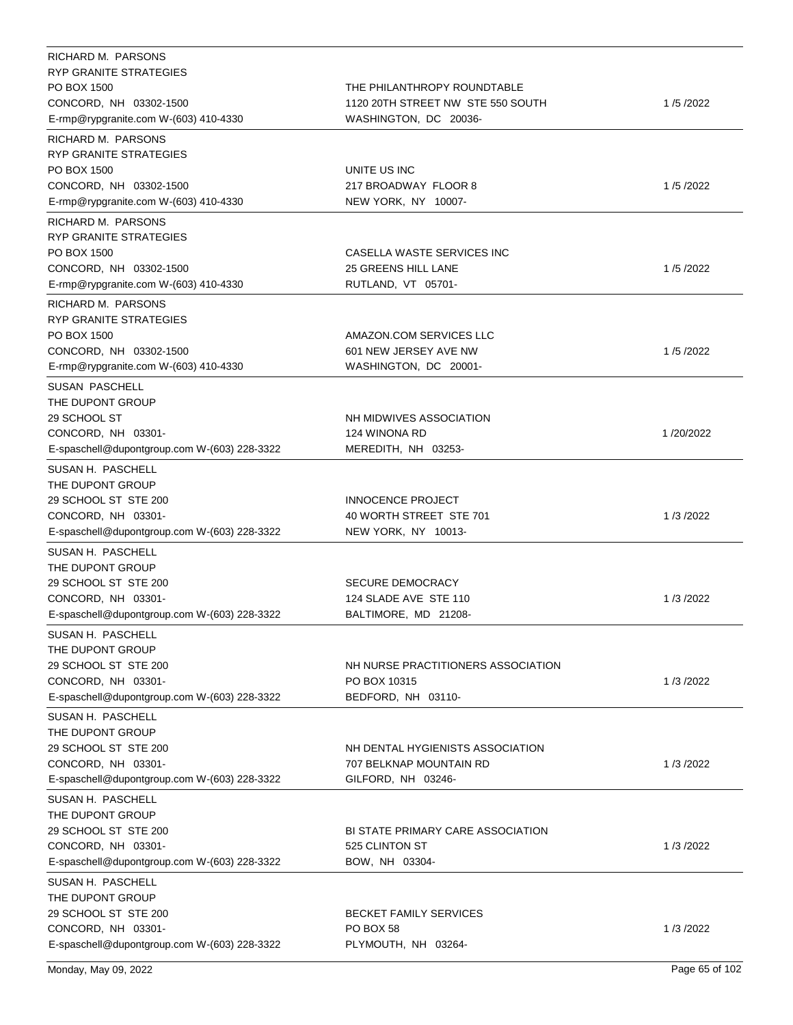| RICHARD M. PARSONS                           |                                    |           |
|----------------------------------------------|------------------------------------|-----------|
| <b>RYP GRANITE STRATEGIES</b>                |                                    |           |
| PO BOX 1500                                  | THE PHILANTHROPY ROUNDTABLE        |           |
| CONCORD, NH 03302-1500                       | 1120 20TH STREET NW STE 550 SOUTH  | 1/5/2022  |
| E-rmp@rypgranite.com W-(603) 410-4330        | WASHINGTON, DC 20036-              |           |
| RICHARD M. PARSONS                           |                                    |           |
| RYP GRANITE STRATEGIES                       |                                    |           |
| PO BOX 1500                                  | UNITE US INC                       |           |
| CONCORD, NH 03302-1500                       | 217 BROADWAY FLOOR 8               | 1/5/2022  |
| E-rmp@rypgranite.com W-(603) 410-4330        | NEW YORK, NY 10007-                |           |
| RICHARD M. PARSONS                           |                                    |           |
| <b>RYP GRANITE STRATEGIES</b>                |                                    |           |
| PO BOX 1500                                  | CASELLA WASTE SERVICES INC         |           |
| CONCORD, NH 03302-1500                       | 25 GREENS HILL LANE                | 1/5/2022  |
| E-rmp@rypgranite.com W-(603) 410-4330        | RUTLAND, VT 05701-                 |           |
|                                              |                                    |           |
| RICHARD M. PARSONS<br>RYP GRANITE STRATEGIES |                                    |           |
| PO BOX 1500                                  | AMAZON.COM SERVICES LLC            |           |
| CONCORD, NH 03302-1500                       | 601 NEW JERSEY AVE NW              | 1/5/2022  |
|                                              | WASHINGTON, DC 20001-              |           |
| E-rmp@rypgranite.com W-(603) 410-4330        |                                    |           |
| <b>SUSAN PASCHELL</b>                        |                                    |           |
| THE DUPONT GROUP                             |                                    |           |
| 29 SCHOOL ST                                 | NH MIDWIVES ASSOCIATION            |           |
| CONCORD, NH 03301-                           | 124 WINONA RD                      | 1/20/2022 |
| E-spaschell@dupontgroup.com W-(603) 228-3322 | MEREDITH, NH 03253-                |           |
| SUSAN H. PASCHELL                            |                                    |           |
| THE DUPONT GROUP                             |                                    |           |
| 29 SCHOOL ST STE 200                         | INNOCENCE PROJECT                  |           |
| CONCORD, NH 03301-                           | 40 WORTH STREET STE 701            | 1/3/2022  |
| E-spaschell@dupontgroup.com W-(603) 228-3322 | NEW YORK, NY 10013-                |           |
| SUSAN H. PASCHELL                            |                                    |           |
| THE DUPONT GROUP                             |                                    |           |
| 29 SCHOOL ST STE 200                         | <b>SECURE DEMOCRACY</b>            |           |
| CONCORD, NH 03301-                           | 124 SLADE AVE STE 110              | 1/3/2022  |
| E-spaschell@dupontgroup.com W-(603) 228-3322 | BALTIMORE, MD 21208-               |           |
| SUSAN H. PASCHELL                            |                                    |           |
| THE DUPONT GROUP                             |                                    |           |
| 29 SCHOOL ST STE 200                         | NH NURSE PRACTITIONERS ASSOCIATION |           |
| CONCORD, NH 03301-                           | PO BOX 10315                       | 1/3/2022  |
| E-spaschell@dupontgroup.com W-(603) 228-3322 | BEDFORD, NH 03110-                 |           |
| SUSAN H. PASCHELL                            |                                    |           |
| THE DUPONT GROUP                             |                                    |           |
| 29 SCHOOL ST STE 200                         | NH DENTAL HYGIENISTS ASSOCIATION   |           |
| CONCORD, NH 03301-                           | 707 BELKNAP MOUNTAIN RD            | 1/3/2022  |
| E-spaschell@dupontgroup.com W-(603) 228-3322 | GILFORD, NH 03246-                 |           |
| SUSAN H. PASCHELL                            |                                    |           |
| THE DUPONT GROUP                             |                                    |           |
| 29 SCHOOL ST STE 200                         | BI STATE PRIMARY CARE ASSOCIATION  |           |
| CONCORD, NH 03301-                           | 525 CLINTON ST                     | 1/3/2022  |
| E-spaschell@dupontgroup.com W-(603) 228-3322 | BOW, NH 03304-                     |           |
|                                              |                                    |           |
| SUSAN H. PASCHELL                            |                                    |           |
| THE DUPONT GROUP                             |                                    |           |
| 29 SCHOOL ST STE 200                         | BECKET FAMILY SERVICES             |           |
| CONCORD, NH 03301-                           | PO BOX 58                          | 1/3/2022  |
| E-spaschell@dupontgroup.com W-(603) 228-3322 | PLYMOUTH, NH 03264-                |           |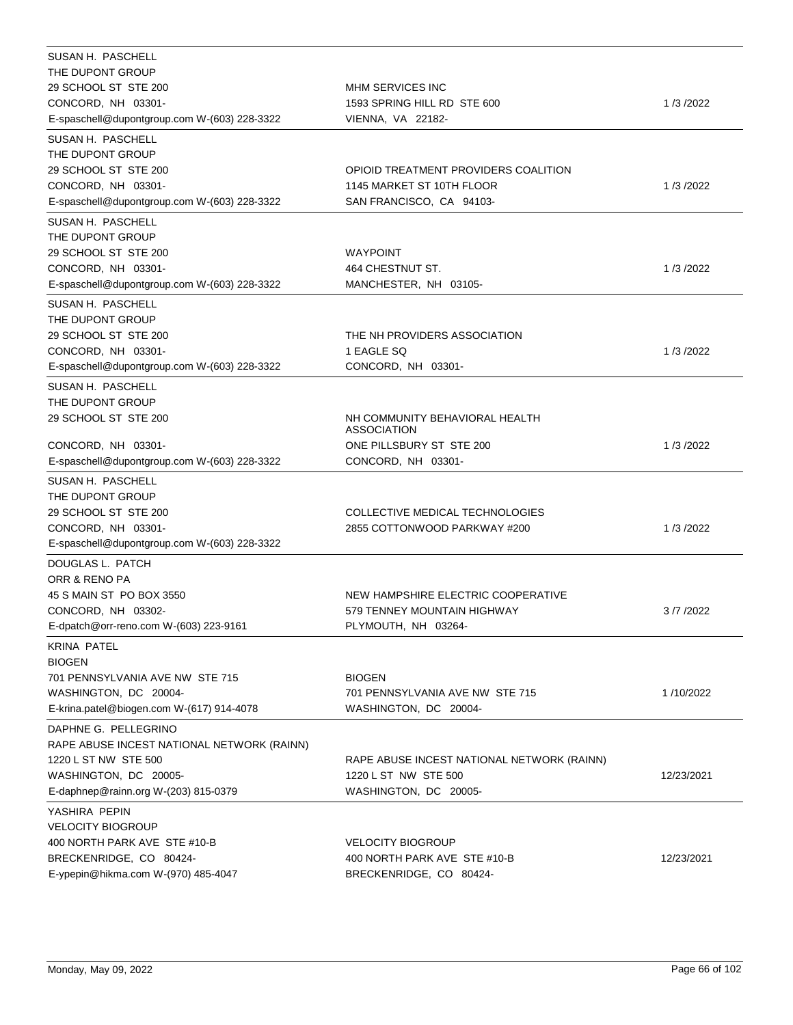| SUSAN H. PASCHELL                                                  |                                                                    |            |
|--------------------------------------------------------------------|--------------------------------------------------------------------|------------|
| THE DUPONT GROUP                                                   |                                                                    |            |
| 29 SCHOOL ST STE 200                                               | MHM SERVICES INC                                                   |            |
| CONCORD, NH 03301-<br>E-spaschell@dupontgroup.com W-(603) 228-3322 | 1593 SPRING HILL RD STE 600<br>VIENNA, VA 22182-                   | 1/3/2022   |
|                                                                    |                                                                    |            |
| SUSAN H. PASCHELL                                                  |                                                                    |            |
| THE DUPONT GROUP                                                   |                                                                    |            |
| 29 SCHOOL ST STE 200                                               | OPIOID TREATMENT PROVIDERS COALITION                               | 1/3/2022   |
| CONCORD, NH 03301-<br>E-spaschell@dupontgroup.com W-(603) 228-3322 | 1145 MARKET ST 10TH FLOOR<br>SAN FRANCISCO, CA 94103-              |            |
|                                                                    |                                                                    |            |
| SUSAN H. PASCHELL                                                  |                                                                    |            |
| THE DUPONT GROUP                                                   |                                                                    |            |
| 29 SCHOOL ST STE 200                                               | WAYPOINT                                                           |            |
| CONCORD, NH 03301-                                                 | 464 CHESTNUT ST.                                                   | 1/3/2022   |
| E-spaschell@dupontgroup.com W-(603) 228-3322                       | MANCHESTER, NH 03105-                                              |            |
| SUSAN H. PASCHELL                                                  |                                                                    |            |
| THE DUPONT GROUP                                                   |                                                                    |            |
| 29 SCHOOL ST STE 200                                               | THE NH PROVIDERS ASSOCIATION                                       |            |
| CONCORD, NH 03301-                                                 | 1 EAGLE SQ                                                         | 1/3/2022   |
| E-spaschell@dupontgroup.com W-(603) 228-3322                       | CONCORD, NH 03301-                                                 |            |
| SUSAN H. PASCHELL                                                  |                                                                    |            |
| THE DUPONT GROUP                                                   |                                                                    |            |
| 29 SCHOOL ST STE 200                                               | NH COMMUNITY BEHAVIORAL HEALTH<br><b>ASSOCIATION</b>               |            |
| CONCORD, NH 03301-                                                 | ONE PILLSBURY ST STE 200                                           | 1/3/2022   |
| E-spaschell@dupontgroup.com W-(603) 228-3322                       | CONCORD, NH 03301-                                                 |            |
|                                                                    |                                                                    |            |
| SUSAN H. PASCHELL<br>THE DUPONT GROUP                              |                                                                    |            |
| 29 SCHOOL ST STE 200                                               | COLLECTIVE MEDICAL TECHNOLOGIES                                    |            |
| CONCORD, NH 03301-                                                 | 2855 COTTONWOOD PARKWAY #200                                       | 1/3/2022   |
| E-spaschell@dupontgroup.com W-(603) 228-3322                       |                                                                    |            |
|                                                                    |                                                                    |            |
| DOUGLAS L. PATCH                                                   |                                                                    |            |
| ORR & RENO PA<br>45 S MAIN ST PO BOX 3550                          | NEW HAMPSHIRE ELECTRIC COOPERATIVE                                 |            |
| CONCORD, NH 03302-                                                 | 579 TENNEY MOUNTAIN HIGHWAY                                        | 3/7/2022   |
| E-dpatch@orr-reno.com W-(603) 223-9161                             | PLYMOUTH, NH 03264-                                                |            |
|                                                                    |                                                                    |            |
| <b>KRINA PATEL</b>                                                 |                                                                    |            |
| <b>BIOGEN</b><br>701 PENNSYLVANIA AVE NW STE 715                   | <b>BIOGEN</b>                                                      |            |
| WASHINGTON, DC 20004-                                              | 701 PENNSYLVANIA AVE NW STE 715                                    | 1/10/2022  |
| E-krina.patel@biogen.com W-(617) 914-4078                          | WASHINGTON, DC 20004-                                              |            |
|                                                                    |                                                                    |            |
| DAPHNE G. PELLEGRINO                                               |                                                                    |            |
| RAPE ABUSE INCEST NATIONAL NETWORK (RAINN)                         |                                                                    |            |
| 1220 L ST NW STE 500<br>WASHINGTON, DC 20005-                      | RAPE ABUSE INCEST NATIONAL NETWORK (RAINN)<br>1220 L ST NW STE 500 | 12/23/2021 |
| E-daphnep@rainn.org W-(203) 815-0379                               | WASHINGTON, DC 20005-                                              |            |
|                                                                    |                                                                    |            |
| YASHIRA PEPIN                                                      |                                                                    |            |
| <b>VELOCITY BIOGROUP</b>                                           |                                                                    |            |
| 400 NORTH PARK AVE STE #10-B                                       | <b>VELOCITY BIOGROUP</b>                                           |            |
| BRECKENRIDGE, CO 80424-                                            | 400 NORTH PARK AVE STE #10-B<br>BRECKENRIDGE, CO 80424-            | 12/23/2021 |
| E-ypepin@hikma.com W-(970) 485-4047                                |                                                                    |            |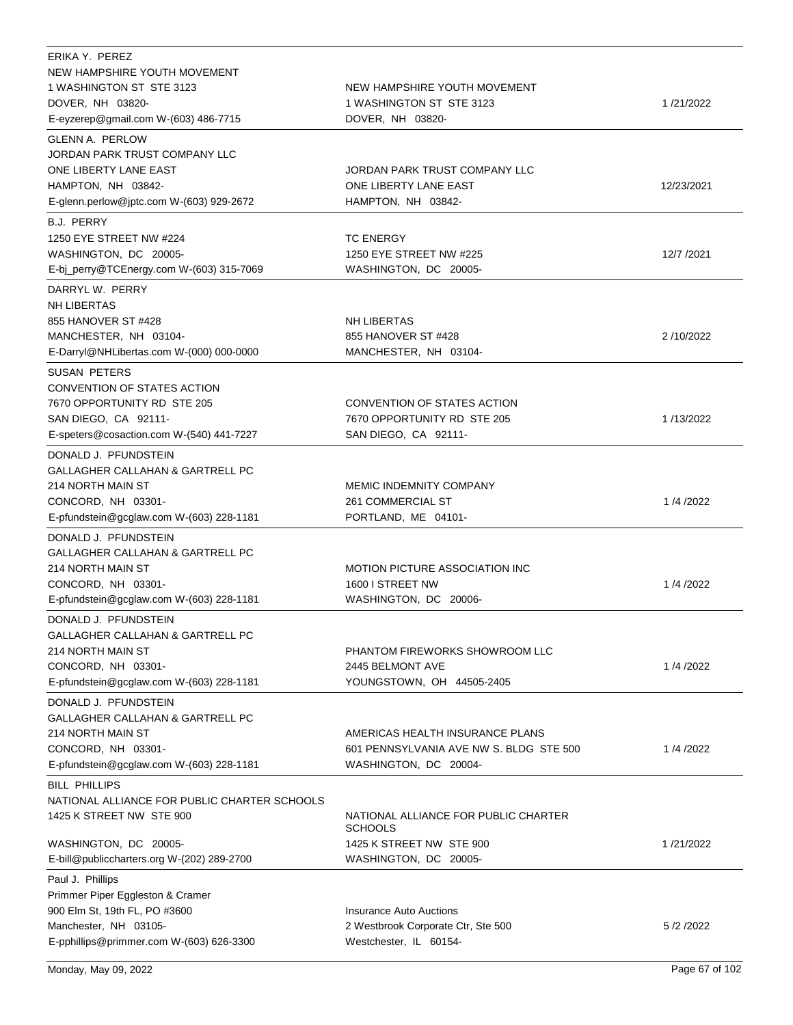| ERIKA Y. PEREZ<br>NEW HAMPSHIRE YOUTH MOVEMENT<br>1 WASHINGTON ST STE 3123<br>DOVER, NH 03820-<br>E-eyzerep@gmail.com W-(603) 486-7715                                  | NEW HAMPSHIRE YOUTH MOVEMENT<br>1 WASHINGTON ST STE 3123<br>DOVER, NH 03820-                                | 1/21/2022  |
|-------------------------------------------------------------------------------------------------------------------------------------------------------------------------|-------------------------------------------------------------------------------------------------------------|------------|
| <b>GLENN A. PERLOW</b><br>JORDAN PARK TRUST COMPANY LLC<br>ONE LIBERTY LANE EAST<br>HAMPTON, NH 03842-<br>E-glenn.perlow@jptc.com W-(603) 929-2672                      | JORDAN PARK TRUST COMPANY LLC<br>ONE LIBERTY LANE EAST<br>HAMPTON, NH 03842-                                | 12/23/2021 |
| <b>B.J. PERRY</b><br>1250 EYE STREET NW #224<br>WASHINGTON, DC 20005-<br>E-bj_perry@TCEnergy.com W-(603) 315-7069                                                       | <b>TC ENERGY</b><br>1250 EYE STREET NW #225<br>WASHINGTON, DC 20005-                                        | 12/7 /2021 |
| DARRYL W. PERRY<br><b>NH LIBERTAS</b><br>855 HANOVER ST #428<br>MANCHESTER, NH 03104-<br>E-Darryl@NHLibertas.com W-(000) 000-0000                                       | <b>NH LIBERTAS</b><br>855 HANOVER ST #428<br>MANCHESTER, NH 03104-                                          | 2/10/2022  |
| <b>SUSAN PETERS</b><br>CONVENTION OF STATES ACTION<br>7670 OPPORTUNITY RD STE 205<br>SAN DIEGO, CA 92111-<br>E-speters@cosaction.com W-(540) 441-7227                   | CONVENTION OF STATES ACTION<br>7670 OPPORTUNITY RD STE 205<br>SAN DIEGO, CA 92111-                          | 1/13/2022  |
| DONALD J. PFUNDSTEIN<br>GALLAGHER CALLAHAN & GARTRELL PC<br>214 NORTH MAIN ST<br>CONCORD, NH 03301-<br>E-pfundstein@gcglaw.com W-(603) 228-1181                         | <b>MEMIC INDEMNITY COMPANY</b><br>261 COMMERCIAL ST<br>PORTLAND, ME 04101-                                  | 1/4/2022   |
| DONALD J. PFUNDSTEIN<br>GALLAGHER CALLAHAN & GARTRELL PC<br>214 NORTH MAIN ST<br>CONCORD, NH 03301-<br>E-pfundstein@gcglaw.com W-(603) 228-1181                         | <b>MOTION PICTURE ASSOCIATION INC</b><br>1600 I STREET NW<br>WASHINGTON, DC 20006-                          | 1/4/2022   |
| DONALD J. PFUNDSTEIN<br>GALLAGHER CALLAHAN & GARTRELL PC<br>214 NORTH MAIN ST<br>CONCORD, NH 03301-<br>E-pfundstein@gcglaw.com W-(603) 228-1181                         | PHANTOM FIREWORKS SHOWROOM LLC<br>2445 BELMONT AVE<br>YOUNGSTOWN, OH 44505-2405                             | 1/4/2022   |
| DONALD J. PFUNDSTEIN<br>GALLAGHER CALLAHAN & GARTRELL PC<br>214 NORTH MAIN ST<br>CONCORD, NH 03301-<br>E-pfundstein@gcglaw.com W-(603) 228-1181                         | AMERICAS HEALTH INSURANCE PLANS<br>601 PENNSYLVANIA AVE NW S. BLDG STE 500<br>WASHINGTON, DC 20004-         | 1/4/2022   |
| <b>BILL PHILLIPS</b><br>NATIONAL ALLIANCE FOR PUBLIC CHARTER SCHOOLS<br>1425 K STREET NW STE 900<br>WASHINGTON, DC 20005-<br>E-bill@publiccharters.org W-(202) 289-2700 | NATIONAL ALLIANCE FOR PUBLIC CHARTER<br><b>SCHOOLS</b><br>1425 K STREET NW STE 900<br>WASHINGTON, DC 20005- | 1/21/2022  |
| Paul J. Phillips<br>Primmer Piper Eggleston & Cramer<br>900 Elm St, 19th FL, PO #3600<br>Manchester, NH 03105-<br>E-pphillips@primmer.com W-(603) 626-3300              | <b>Insurance Auto Auctions</b><br>2 Westbrook Corporate Ctr, Ste 500<br>Westchester, IL 60154-              | 5/2/2022   |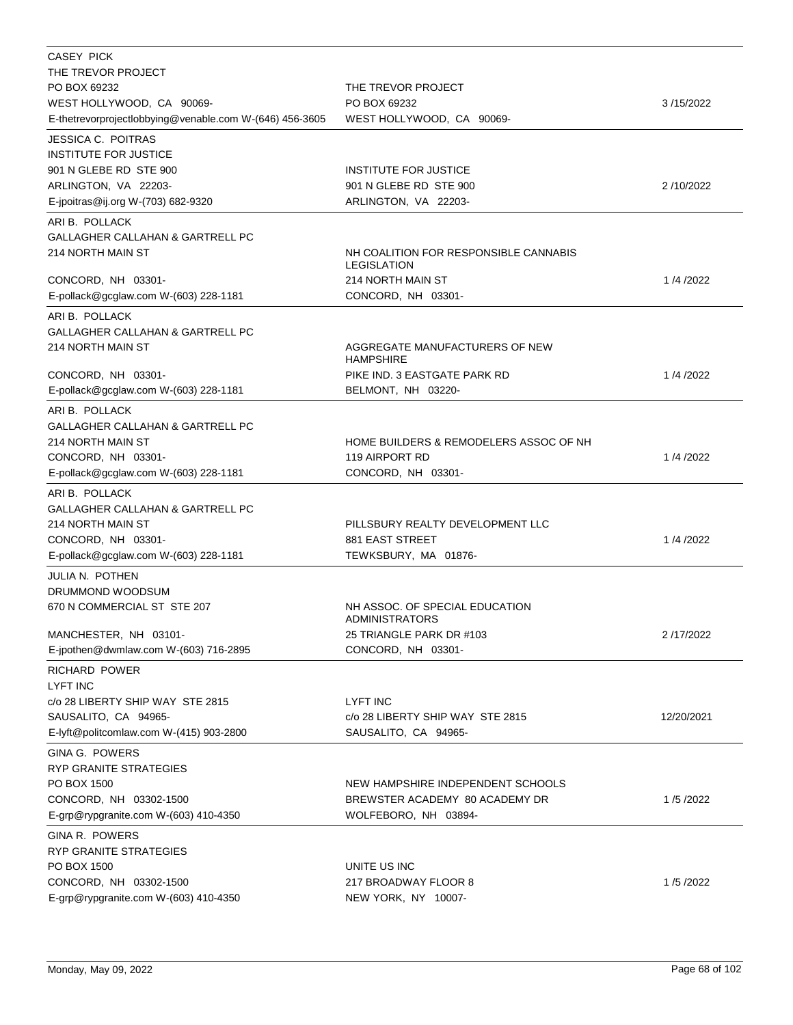| CASEY PICK                                                  |                                                             |            |
|-------------------------------------------------------------|-------------------------------------------------------------|------------|
| THE TREVOR PROJECT<br>PO BOX 69232                          | THE TREVOR PROJECT                                          |            |
| WEST HOLLYWOOD, CA 90069-                                   | PO BOX 69232                                                | 3/15/2022  |
| E-thetrevorprojectlobbying@venable.com W-(646) 456-3605     | WEST HOLLYWOOD, CA 90069-                                   |            |
| <b>JESSICA C. POITRAS</b>                                   |                                                             |            |
| <b>INSTITUTE FOR JUSTICE</b>                                |                                                             |            |
| 901 N GLEBE RD STE 900                                      | <b>INSTITUTE FOR JUSTICE</b>                                |            |
| ARLINGTON, VA 22203-                                        | 901 N GLEBE RD STE 900                                      | 2/10/2022  |
| E-jpoitras@ij.org W-(703) 682-9320                          | ARLINGTON, VA 22203-                                        |            |
| ARI B. POLLACK                                              |                                                             |            |
| GALLAGHER CALLAHAN & GARTRELL PC                            |                                                             |            |
| 214 NORTH MAIN ST                                           | NH COALITION FOR RESPONSIBLE CANNABIS<br><b>LEGISLATION</b> |            |
| CONCORD, NH 03301-                                          | 214 NORTH MAIN ST                                           | 1/4/2022   |
| E-pollack@gcglaw.com W-(603) 228-1181                       | CONCORD, NH 03301-                                          |            |
| ARI B. POLLACK                                              |                                                             |            |
| GALLAGHER CALLAHAN & GARTRELL PC                            |                                                             |            |
| 214 NORTH MAIN ST                                           | AGGREGATE MANUFACTURERS OF NEW                              |            |
|                                                             | <b>HAMPSHIRE</b>                                            |            |
| CONCORD, NH 03301-<br>E-pollack@gcglaw.com W-(603) 228-1181 | PIKE IND. 3 EASTGATE PARK RD<br>BELMONT, NH 03220-          | 1/4/2022   |
|                                                             |                                                             |            |
| ARI B. POLLACK<br>GALLAGHER CALLAHAN & GARTRELL PC          |                                                             |            |
| 214 NORTH MAIN ST                                           | HOME BUILDERS & REMODELERS ASSOC OF NH                      |            |
| CONCORD, NH 03301-                                          | 119 AIRPORT RD                                              | 1/4/2022   |
| E-pollack@gcglaw.com W-(603) 228-1181                       | CONCORD, NH 03301-                                          |            |
| ARI B. POLLACK                                              |                                                             |            |
| GALLAGHER CALLAHAN & GARTRELL PC                            |                                                             |            |
| 214 NORTH MAIN ST                                           | PILLSBURY REALTY DEVELOPMENT LLC                            |            |
| CONCORD, NH 03301-                                          | 881 EAST STREET                                             | 1/4/2022   |
| E-pollack@gcglaw.com W-(603) 228-1181                       | TEWKSBURY, MA 01876-                                        |            |
| JULIA N. POTHEN                                             |                                                             |            |
| DRUMMOND WOODSUM                                            |                                                             |            |
| 670 N COMMERCIAL ST STE 207                                 | NH ASSOC, OF SPECIAL EDUCATION<br><b>ADMINISTRATORS</b>     |            |
| MANCHESTER, NH 03101-                                       | 25 TRIANGLE PARK DR #103                                    | 2/17/2022  |
| E-jpothen@dwmlaw.com W-(603) 716-2895                       | CONCORD, NH 03301-                                          |            |
| <b>RICHARD POWER</b>                                        |                                                             |            |
| <b>LYFT INC</b>                                             |                                                             |            |
| c/o 28 LIBERTY SHIP WAY STE 2815                            | <b>LYFT INC</b>                                             |            |
| SAUSALITO, CA 94965-                                        | c/o 28 LIBERTY SHIP WAY STE 2815                            | 12/20/2021 |
| E-lyft@politcomlaw.com W-(415) 903-2800                     | SAUSALITO, CA 94965-                                        |            |
| <b>GINA G. POWERS</b>                                       |                                                             |            |
| RYP GRANITE STRATEGIES                                      |                                                             |            |
| PO BOX 1500                                                 | NEW HAMPSHIRE INDEPENDENT SCHOOLS                           |            |
| CONCORD, NH 03302-1500                                      | BREWSTER ACADEMY 80 ACADEMY DR                              | 1/5/2022   |
| E-grp@rypgranite.com W-(603) 410-4350                       | WOLFEBORO, NH 03894-                                        |            |
| GINA R. POWERS                                              |                                                             |            |
| RYP GRANITE STRATEGIES                                      |                                                             |            |
| PO BOX 1500<br>CONCORD, NH 03302-1500                       | UNITE US INC<br>217 BROADWAY FLOOR 8                        | 1/5/2022   |
| E-grp@rypgranite.com W-(603) 410-4350                       | NEW YORK, NY 10007-                                         |            |
|                                                             |                                                             |            |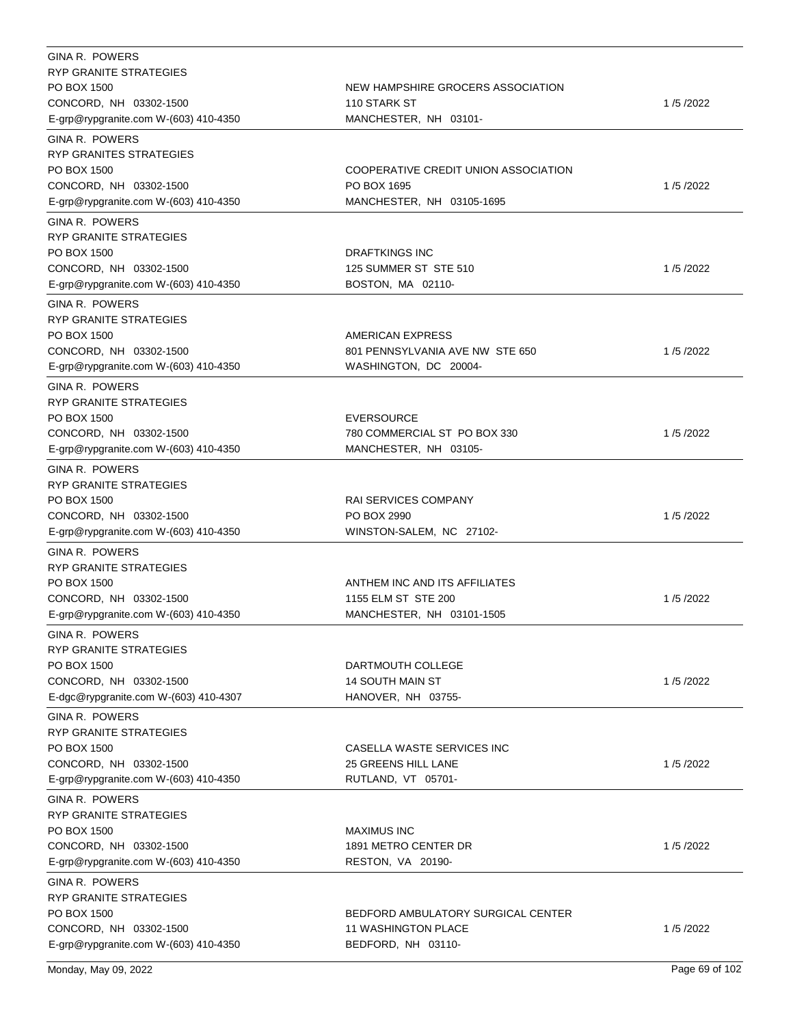| <b>GINA R. POWERS</b>                                           |                                                  |          |
|-----------------------------------------------------------------|--------------------------------------------------|----------|
| <b>RYP GRANITE STRATEGIES</b>                                   |                                                  |          |
| PO BOX 1500                                                     | NEW HAMPSHIRE GROCERS ASSOCIATION                |          |
| CONCORD, NH 03302-1500                                          | 110 STARK ST                                     | 1/5/2022 |
| E-grp@rypgranite.com W-(603) 410-4350                           | MANCHESTER, NH 03101-                            |          |
| <b>GINA R. POWERS</b>                                           |                                                  |          |
| <b>RYP GRANITES STRATEGIES</b>                                  |                                                  |          |
| PO BOX 1500                                                     | COOPERATIVE CREDIT UNION ASSOCIATION             |          |
| CONCORD, NH 03302-1500                                          | PO BOX 1695                                      | 1/5/2022 |
| E-grp@rypgranite.com W-(603) 410-4350                           | MANCHESTER, NH 03105-1695                        |          |
| <b>GINA R. POWERS</b>                                           |                                                  |          |
| RYP GRANITE STRATEGIES                                          |                                                  |          |
| PO BOX 1500                                                     | <b>DRAFTKINGS INC</b>                            |          |
| CONCORD, NH 03302-1500                                          | 125 SUMMER ST STE 510                            | 1/5/2022 |
|                                                                 |                                                  |          |
| E-grp@rypgranite.com W-(603) 410-4350                           | BOSTON, MA 02110-                                |          |
| GINA R. POWERS                                                  |                                                  |          |
| <b>RYP GRANITE STRATEGIES</b>                                   |                                                  |          |
| PO BOX 1500                                                     | AMERICAN EXPRESS                                 |          |
| CONCORD, NH 03302-1500                                          | 801 PENNSYLVANIA AVE NW STE 650                  | 1/5/2022 |
| E-grp@rypgranite.com W-(603) 410-4350                           | WASHINGTON, DC 20004-                            |          |
| <b>GINA R. POWERS</b>                                           |                                                  |          |
| RYP GRANITE STRATEGIES                                          |                                                  |          |
| PO BOX 1500                                                     | <b>EVERSOURCE</b>                                |          |
| CONCORD, NH 03302-1500                                          | 780 COMMERCIAL ST PO BOX 330                     | 1/5/2022 |
| E-grp@rypgranite.com W-(603) 410-4350                           | MANCHESTER, NH 03105-                            |          |
| GINA R. POWERS                                                  |                                                  |          |
| RYP GRANITE STRATEGIES                                          |                                                  |          |
| PO BOX 1500                                                     | <b>RAI SERVICES COMPANY</b>                      |          |
| CONCORD, NH 03302-1500                                          | PO BOX 2990                                      | 1/5/2022 |
| E-grp@rypgranite.com W-(603) 410-4350                           | WINSTON-SALEM, NC 27102-                         |          |
|                                                                 |                                                  |          |
| <b>GINA R. POWERS</b>                                           |                                                  |          |
| RYP GRANITE STRATEGIES                                          |                                                  |          |
| PO BOX 1500                                                     | ANTHEM INC AND ITS AFFILIATES                    |          |
| CONCORD, NH 03302-1500                                          | 1155 ELM ST STE 200                              | 1/5/2022 |
| E-grp@rypgranite.com W-(603) 410-4350                           | MANCHESTER, NH 03101-1505                        |          |
| GINA R. POWERS                                                  |                                                  |          |
| RYP GRANITE STRATEGIES                                          |                                                  |          |
| PO BOX 1500                                                     | DARTMOUTH COLLEGE                                |          |
| CONCORD, NH 03302-1500                                          | <b>14 SOUTH MAIN ST</b>                          | 1/5/2022 |
| E-dgc@rypgranite.com W-(603) 410-4307                           | HANOVER, NH 03755-                               |          |
| <b>GINA R. POWERS</b>                                           |                                                  |          |
| <b>RYP GRANITE STRATEGIES</b>                                   |                                                  |          |
| PO BOX 1500                                                     | CASELLA WASTE SERVICES INC                       |          |
| CONCORD, NH 03302-1500                                          | 25 GREENS HILL LANE                              | 1/5/2022 |
| E-grp@rypgranite.com W-(603) 410-4350                           | RUTLAND, VT 05701-                               |          |
| <b>GINA R. POWERS</b>                                           |                                                  |          |
| RYP GRANITE STRATEGIES                                          |                                                  |          |
| PO BOX 1500                                                     |                                                  |          |
|                                                                 | MAXIMUS INC                                      |          |
| CONCORD, NH 03302-1500                                          | 1891 METRO CENTER DR                             | 1/5/2022 |
| E-grp@rypgranite.com W-(603) 410-4350                           | RESTON, VA 20190-                                |          |
| <b>GINA R. POWERS</b>                                           |                                                  |          |
| RYP GRANITE STRATEGIES                                          |                                                  |          |
| PO BOX 1500                                                     | BEDFORD AMBULATORY SURGICAL CENTER               |          |
|                                                                 |                                                  |          |
| CONCORD, NH 03302-1500<br>E-grp@rypgranite.com W-(603) 410-4350 | <b>11 WASHINGTON PLACE</b><br>BEDFORD, NH 03110- | 1/5/2022 |

Monday, May 09, 2022 Page 69 of 102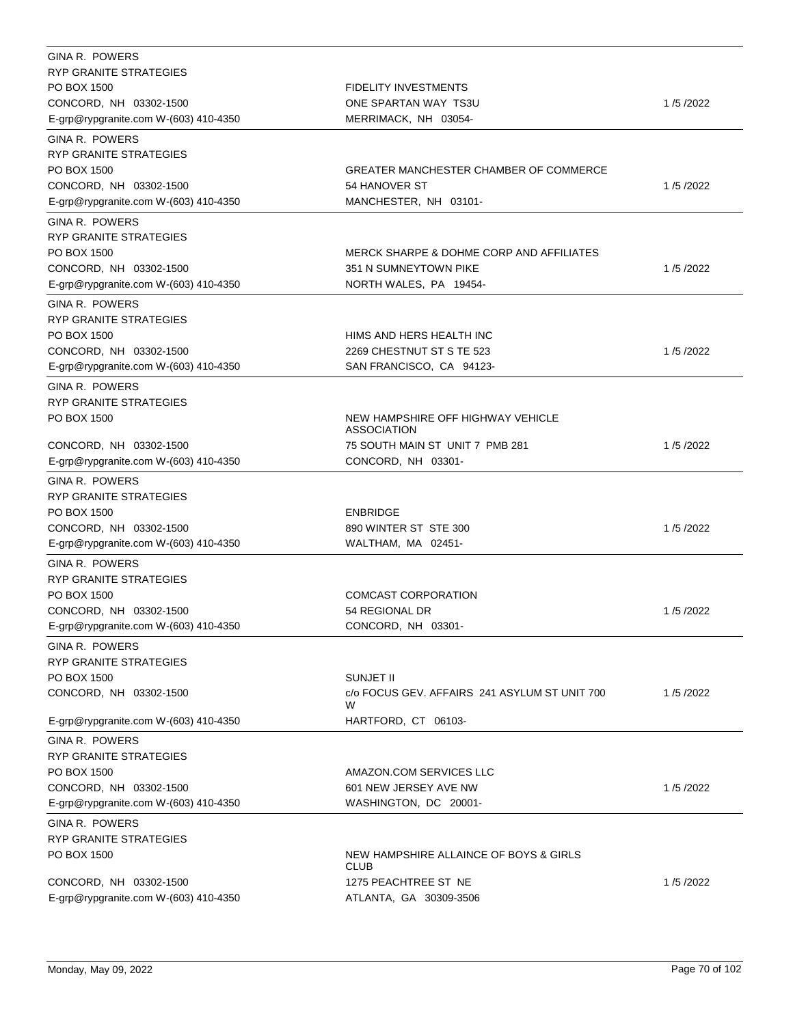| GINA R. POWERS                        |                                                     |          |
|---------------------------------------|-----------------------------------------------------|----------|
| <b>RYP GRANITE STRATEGIES</b>         |                                                     |          |
| PO BOX 1500                           | <b>FIDELITY INVESTMENTS</b>                         |          |
| CONCORD, NH 03302-1500                | ONE SPARTAN WAY TS3U                                | 1/5/2022 |
| E-grp@rypgranite.com W-(603) 410-4350 | MERRIMACK, NH 03054-                                |          |
| <b>GINA R. POWERS</b>                 |                                                     |          |
| RYP GRANITE STRATEGIES                |                                                     |          |
| PO BOX 1500                           | GREATER MANCHESTER CHAMBER OF COMMERCE              |          |
| CONCORD, NH 03302-1500                | 54 HANOVER ST                                       | 1/5/2022 |
| E-grp@rypgranite.com W-(603) 410-4350 | MANCHESTER, NH 03101-                               |          |
| GINA R. POWERS                        |                                                     |          |
| <b>RYP GRANITE STRATEGIES</b>         |                                                     |          |
| PO BOX 1500                           | <b>MERCK SHARPE &amp; DOHME CORP AND AFFILIATES</b> |          |
| CONCORD, NH 03302-1500                | 351 N SUMNEYTOWN PIKE                               | 1/5/2022 |
| E-grp@rypgranite.com W-(603) 410-4350 | NORTH WALES, PA 19454-                              |          |
| GINA R. POWERS                        |                                                     |          |
| RYP GRANITE STRATEGIES                |                                                     |          |
| PO BOX 1500                           | HIMS AND HERS HEALTH INC                            |          |
| CONCORD, NH 03302-1500                | 2269 CHESTNUT ST S TE 523                           | 1/5/2022 |
| E-grp@rypgranite.com W-(603) 410-4350 | SAN FRANCISCO, CA 94123-                            |          |
| GINA R. POWERS                        |                                                     |          |
| RYP GRANITE STRATEGIES                |                                                     |          |
| PO BOX 1500                           | NEW HAMPSHIRE OFF HIGHWAY VEHICLE                   |          |
|                                       | <b>ASSOCIATION</b>                                  |          |
| CONCORD, NH 03302-1500                | 75 SOUTH MAIN ST UNIT 7 PMB 281                     | 1/5/2022 |
| E-grp@rypgranite.com W-(603) 410-4350 | CONCORD, NH 03301-                                  |          |
| GINA R. POWERS                        |                                                     |          |
| RYP GRANITE STRATEGIES                |                                                     |          |
| PO BOX 1500                           | <b>ENBRIDGE</b>                                     |          |
| CONCORD, NH 03302-1500                | 890 WINTER ST STE 300                               | 1/5/2022 |
| E-grp@rypgranite.com W-(603) 410-4350 | WALTHAM, MA 02451-                                  |          |
| GINA R. POWERS                        |                                                     |          |
| <b>RYP GRANITE STRATEGIES</b>         |                                                     |          |
| PO BOX 1500                           | <b>COMCAST CORPORATION</b>                          |          |
| CONCORD, NH 03302-1500                | 54 REGIONAL DR                                      | 1/5/2022 |
| E-grp@rypgranite.com W-(603) 410-4350 | CONCORD, NH 03301-                                  |          |
| GINA R. POWERS                        |                                                     |          |
| <b>RYP GRANITE STRATEGIES</b>         |                                                     |          |
| PO BOX 1500                           | <b>SUNJET II</b>                                    |          |
| CONCORD, NH 03302-1500                | c/o FOCUS GEV, AFFAIRS 241 ASYLUM ST UNIT 700       | 1/5/2022 |
|                                       | W                                                   |          |
| E-grp@rypgranite.com W-(603) 410-4350 | HARTFORD, CT 06103-                                 |          |
| <b>GINA R. POWERS</b>                 |                                                     |          |
| <b>RYP GRANITE STRATEGIES</b>         |                                                     |          |
| PO BOX 1500                           | AMAZON.COM SERVICES LLC                             |          |
| CONCORD, NH 03302-1500                | 601 NEW JERSEY AVE NW                               | 1/5/2022 |
| E-grp@rypgranite.com W-(603) 410-4350 | WASHINGTON, DC 20001-                               |          |
| <b>GINA R. POWERS</b>                 |                                                     |          |
| <b>RYP GRANITE STRATEGIES</b>         |                                                     |          |
| PO BOX 1500                           | NEW HAMPSHIRE ALLAINCE OF BOYS & GIRLS              |          |
|                                       | <b>CLUB</b>                                         |          |
| CONCORD, NH 03302-1500                | 1275 PEACHTREE ST NE                                | 1/5/2022 |
| E-grp@rypgranite.com W-(603) 410-4350 | ATLANTA, GA 30309-3506                              |          |
|                                       |                                                     |          |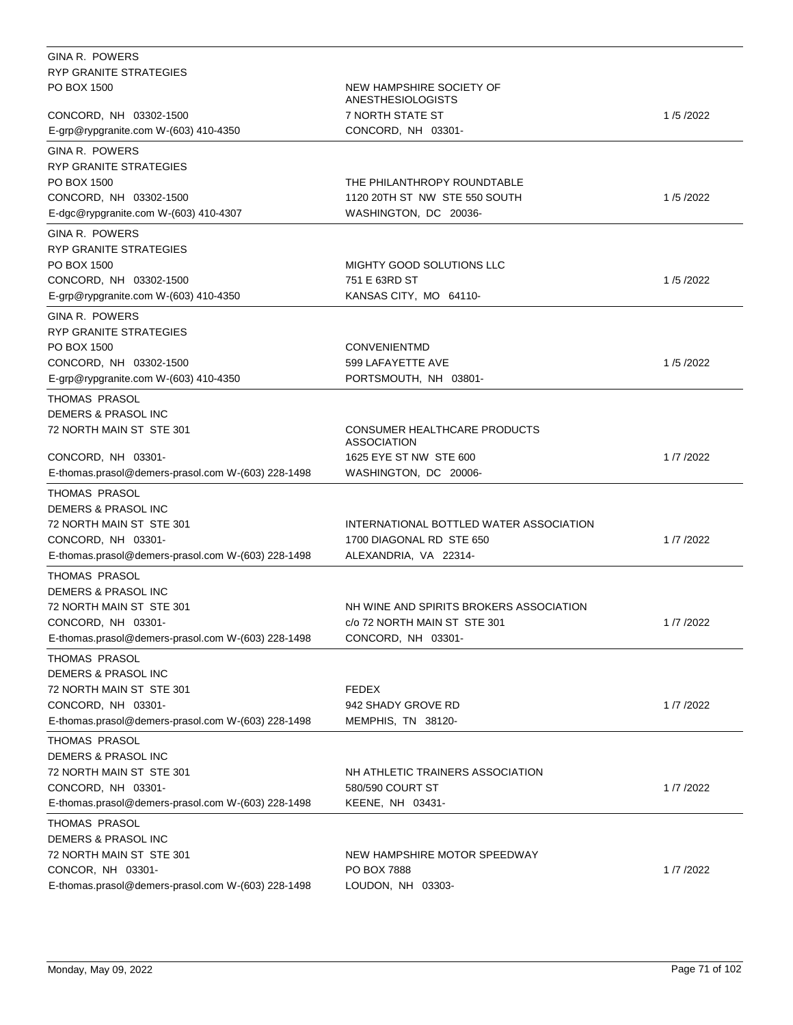| <b>GINA R. POWERS</b>                              |                                                    |          |
|----------------------------------------------------|----------------------------------------------------|----------|
| RYP GRANITE STRATEGIES                             |                                                    |          |
| PO BOX 1500                                        | NEW HAMPSHIRE SOCIETY OF<br>ANESTHESIOLOGISTS      |          |
| CONCORD, NH 03302-1500                             | 7 NORTH STATE ST                                   | 1/5/2022 |
| E-grp@rypgranite.com W-(603) 410-4350              | CONCORD, NH 03301-                                 |          |
| <b>GINA R. POWERS</b>                              |                                                    |          |
| RYP GRANITE STRATEGIES                             |                                                    |          |
| PO BOX 1500                                        | THE PHILANTHROPY ROUNDTABLE                        |          |
| CONCORD, NH 03302-1500                             | 1120 20TH ST NW STE 550 SOUTH                      | 1/5/2022 |
| E-dgc@rypgranite.com W-(603) 410-4307              | WASHINGTON, DC 20036-                              |          |
| GINA R. POWERS                                     |                                                    |          |
| <b>RYP GRANITE STRATEGIES</b>                      |                                                    |          |
| PO BOX 1500                                        | MIGHTY GOOD SOLUTIONS LLC                          |          |
| CONCORD, NH 03302-1500                             | 751 E 63RD ST                                      | 1/5/2022 |
| E-grp@rypgranite.com W-(603) 410-4350              | KANSAS CITY, MO 64110-                             |          |
| GINA R. POWERS                                     |                                                    |          |
| <b>RYP GRANITE STRATEGIES</b>                      |                                                    |          |
| PO BOX 1500                                        | <b>CONVENIENTMD</b>                                |          |
| CONCORD, NH 03302-1500                             | 599 LAFAYETTE AVE                                  | 1/5/2022 |
| E-grp@rypgranite.com W-(603) 410-4350              | PORTSMOUTH, NH 03801-                              |          |
| THOMAS PRASOL                                      |                                                    |          |
| DEMERS & PRASOL INC                                |                                                    |          |
| 72 NORTH MAIN ST STE 301                           | CONSUMER HEALTHCARE PRODUCTS<br><b>ASSOCIATION</b> |          |
| CONCORD, NH 03301-                                 | 1625 EYE ST NW STE 600                             | 1/7/2022 |
| E-thomas.prasol@demers-prasol.com W-(603) 228-1498 | WASHINGTON, DC 20006-                              |          |
| THOMAS PRASOL                                      |                                                    |          |
| <b>DEMERS &amp; PRASOL INC</b>                     |                                                    |          |
| 72 NORTH MAIN ST STE 301                           | INTERNATIONAL BOTTLED WATER ASSOCIATION            |          |
| CONCORD, NH 03301-                                 | 1700 DIAGONAL RD STE 650                           | 1/7/2022 |
| E-thomas.prasol@demers-prasol.com W-(603) 228-1498 | ALEXANDRIA, VA 22314-                              |          |
| THOMAS PRASOL                                      |                                                    |          |
| DEMERS & PRASOL INC                                |                                                    |          |
| 72 NORTH MAIN ST STE 301                           | NH WINE AND SPIRITS BROKERS ASSOCIATION            |          |
| CONCORD, NH 03301-                                 | c/o 72 NORTH MAIN ST STE 301                       | 1/7/2022 |
| E-thomas.prasol@demers-prasol.com W-(603) 228-1498 | CONCORD, NH 03301-                                 |          |
| THOMAS PRASOL                                      |                                                    |          |
| DEMERS & PRASOL INC                                |                                                    |          |
| 72 NORTH MAIN ST STE 301                           | <b>FEDEX</b>                                       |          |
| CONCORD, NH 03301-                                 | 942 SHADY GROVE RD                                 | 1/7/2022 |
| E-thomas.prasol@demers-prasol.com W-(603) 228-1498 | MEMPHIS, TN 38120-                                 |          |
| THOMAS PRASOL                                      |                                                    |          |
| DEMERS & PRASOL INC                                |                                                    |          |
| 72 NORTH MAIN ST STE 301                           | NH ATHLETIC TRAINERS ASSOCIATION                   |          |
| CONCORD, NH 03301-                                 | 580/590 COURT ST                                   | 1/7/2022 |
| E-thomas.prasol@demers-prasol.com W-(603) 228-1498 | KEENE, NH 03431-                                   |          |
| THOMAS PRASOL                                      |                                                    |          |
| <b>DEMERS &amp; PRASOL INC</b>                     |                                                    |          |
| 72 NORTH MAIN ST STE 301<br>CONCOR, NH 03301-      | NEW HAMPSHIRE MOTOR SPEEDWAY<br><b>PO BOX 7888</b> | 1/7/2022 |
| E-thomas.prasol@demers-prasol.com W-(603) 228-1498 | LOUDON, NH 03303-                                  |          |
|                                                    |                                                    |          |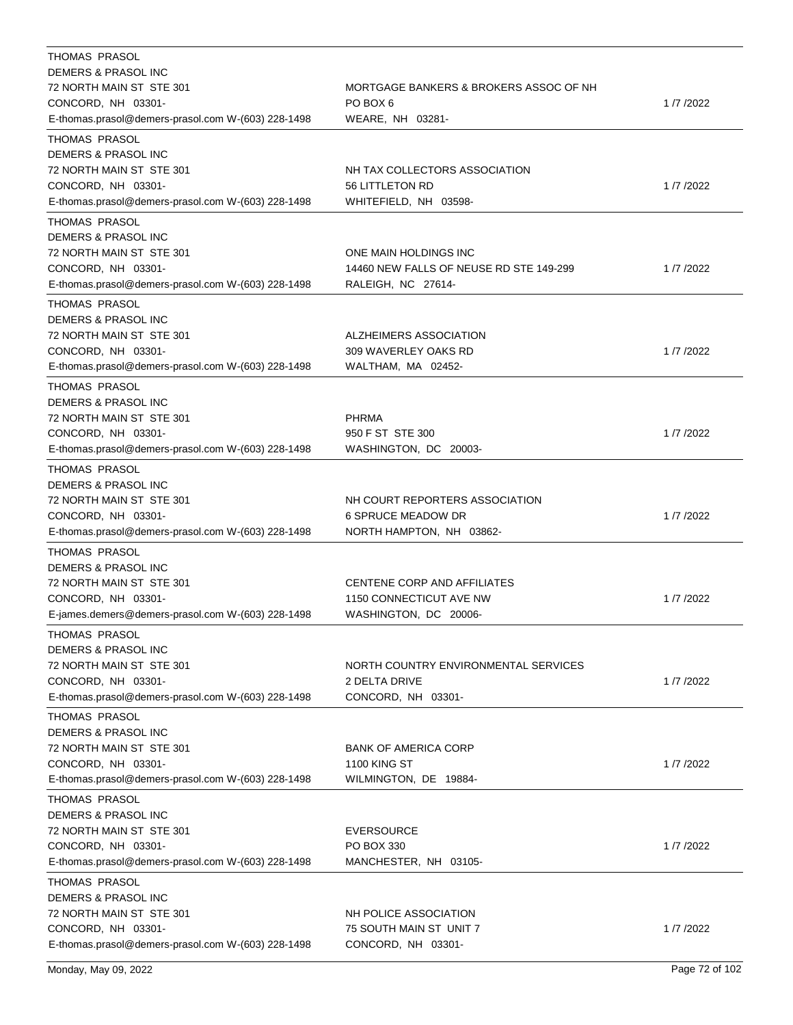| THOMAS PRASOL                                                                                                                                           |                                                                                         |          |
|---------------------------------------------------------------------------------------------------------------------------------------------------------|-----------------------------------------------------------------------------------------|----------|
| DEMERS & PRASOL INC                                                                                                                                     |                                                                                         |          |
| 72 NORTH MAIN ST STE 301                                                                                                                                | MORTGAGE BANKERS & BROKERS ASSOC OF NH                                                  |          |
| CONCORD, NH 03301-                                                                                                                                      | PO BOX 6                                                                                | 1/7/2022 |
| E-thomas.prasol@demers-prasol.com W-(603) 228-1498                                                                                                      | WEARE, NH 03281-                                                                        |          |
| <b>THOMAS PRASOL</b><br>DEMERS & PRASOL INC<br>72 NORTH MAIN ST STE 301<br>CONCORD, NH 03301-                                                           | NH TAX COLLECTORS ASSOCIATION<br>56 LITTLETON RD                                        | 1/7/2022 |
| E-thomas.prasol@demers-prasol.com W-(603) 228-1498                                                                                                      | WHITEFIELD, NH 03598-                                                                   |          |
| THOMAS PRASOL<br>DEMERS & PRASOL INC<br>72 NORTH MAIN ST STE 301<br>CONCORD, NH 03301-<br>E-thomas.prasol@demers-prasol.com W-(603) 228-1498            | ONE MAIN HOLDINGS INC<br>14460 NEW FALLS OF NEUSE RD STE 149-299<br>RALEIGH, NC 27614-  | 1/7/2022 |
| THOMAS PRASOL<br><b>DEMERS &amp; PRASOL INC</b><br>72 NORTH MAIN ST STE 301<br>CONCORD, NH 03301-<br>E-thomas.prasol@demers-prasol.com W-(603) 228-1498 | ALZHEIMERS ASSOCIATION<br>309 WAVERLEY OAKS RD<br>WALTHAM, MA 02452-                    | 1/7/2022 |
| <b>THOMAS PRASOL</b>                                                                                                                                    |                                                                                         |          |
| <b>DEMERS &amp; PRASOL INC</b><br>72 NORTH MAIN ST STE 301<br>CONCORD, NH 03301-<br>E-thomas.prasol@demers-prasol.com W-(603) 228-1498                  | <b>PHRMA</b><br>950 F ST STE 300<br>WASHINGTON, DC 20003-                               | 1/7/2022 |
| THOMAS PRASOL                                                                                                                                           |                                                                                         |          |
| DEMERS & PRASOL INC<br>72 NORTH MAIN ST STE 301<br>CONCORD, NH 03301-<br>E-thomas.prasol@demers-prasol.com W-(603) 228-1498                             | NH COURT REPORTERS ASSOCIATION<br><b>6 SPRUCE MEADOW DR</b><br>NORTH HAMPTON, NH 03862- | 1/7/2022 |
| THOMAS PRASOL                                                                                                                                           |                                                                                         |          |
| <b>DEMERS &amp; PRASOL INC</b><br>72 NORTH MAIN ST STE 301<br>CONCORD, NH 03301-<br>E-james.demers@demers-prasol.com W-(603) 228-1498                   | CENTENE CORP AND AFFILIATES<br>1150 CONNECTICUT AVE NW<br>WASHINGTON, DC 20006-         | 1/7/2022 |
| THOMAS PRASOL                                                                                                                                           |                                                                                         |          |
| DEMERS & PRASOL INC<br>72 NORTH MAIN ST STE 301<br>CONCORD, NH 03301-<br>E-thomas.prasol@demers-prasol.com W-(603) 228-1498                             | NORTH COUNTRY ENVIRONMENTAL SERVICES<br><b>2 DELTA DRIVE</b><br>CONCORD, NH 03301-      | 1/7/2022 |
| THOMAS PRASOL<br><b>DEMERS &amp; PRASOL INC</b><br>72 NORTH MAIN ST STE 301<br>CONCORD, NH 03301-<br>E-thomas.prasol@demers-prasol.com W-(603) 228-1498 | <b>BANK OF AMERICA CORP</b><br><b>1100 KING ST</b><br>WILMINGTON, DE 19884-             | 1/7/2022 |
| THOMAS PRASOL<br>DEMERS & PRASOL INC<br>72 NORTH MAIN ST STE 301<br>CONCORD, NH 03301-<br>E-thomas.prasol@demers-prasol.com W-(603) 228-1498            | EVERSOURCE<br>PO BOX 330<br>MANCHESTER, NH 03105-                                       | 1/7/2022 |
| THOMAS PRASOL<br>DEMERS & PRASOL INC<br>72 NORTH MAIN ST STE 301<br>CONCORD, NH 03301-<br>E-thomas.prasol@demers-prasol.com W-(603) 228-1498            | NH POLICE ASSOCIATION<br>75 SOUTH MAIN ST UNIT 7<br>CONCORD, NH 03301-                  | 1/7/2022 |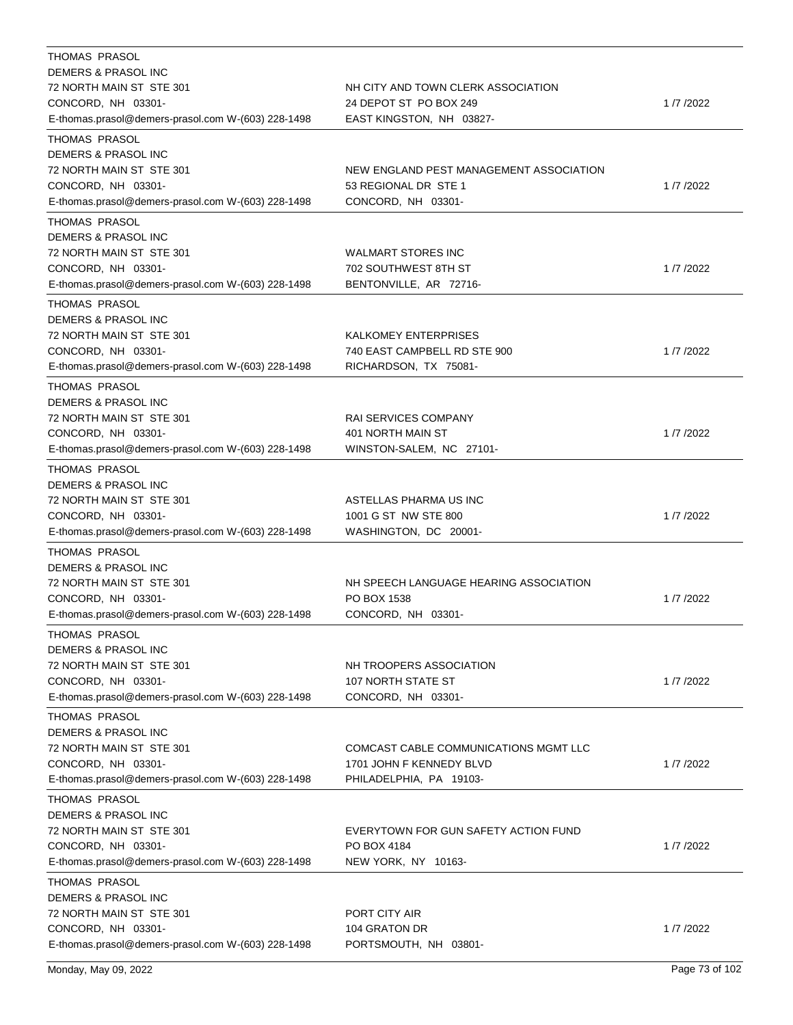| <b>THOMAS PRASOL</b><br>DEMERS & PRASOL INC<br>72 NORTH MAIN ST STE 301<br>CONCORD, NH 03301-<br>E-thomas.prasol@demers-prasol.com W-(603) 228-1498            | NH CITY AND TOWN CLERK ASSOCIATION<br>24 DEPOT ST PO BOX 249<br>EAST KINGSTON, NH 03827-     | 1/7/2022 |
|----------------------------------------------------------------------------------------------------------------------------------------------------------------|----------------------------------------------------------------------------------------------|----------|
| THOMAS PRASOL<br>DEMERS & PRASOL INC<br>72 NORTH MAIN ST STE 301<br>CONCORD, NH 03301-<br>E-thomas.prasol@demers-prasol.com W-(603) 228-1498                   | NEW ENGLAND PEST MANAGEMENT ASSOCIATION<br>53 REGIONAL DR STE 1<br>CONCORD, NH 03301-        | 1/7/2022 |
| THOMAS PRASOL<br>DEMERS & PRASOL INC<br>72 NORTH MAIN ST STE 301<br>CONCORD, NH 03301-<br>E-thomas.prasol@demers-prasol.com W-(603) 228-1498                   | <b>WALMART STORES INC</b><br>702 SOUTHWEST 8TH ST<br>BENTONVILLE, AR 72716-                  | 1/7/2022 |
| <b>THOMAS PRASOL</b><br>DEMERS & PRASOL INC<br>72 NORTH MAIN ST STE 301<br>CONCORD, NH 03301-<br>E-thomas.prasol@demers-prasol.com W-(603) 228-1498            | <b>KALKOMEY ENTERPRISES</b><br>740 EAST CAMPBELL RD STE 900<br>RICHARDSON, TX 75081-         | 1/7/2022 |
| THOMAS PRASOL<br>DEMERS & PRASOL INC<br>72 NORTH MAIN ST STE 301<br>CONCORD, NH 03301-<br>E-thomas.prasol@demers-prasol.com W-(603) 228-1498                   | RAI SERVICES COMPANY<br>401 NORTH MAIN ST<br>WINSTON-SALEM, NC 27101-                        | 1/7/2022 |
| <b>THOMAS PRASOL</b><br><b>DEMERS &amp; PRASOL INC</b><br>72 NORTH MAIN ST STE 301<br>CONCORD, NH 03301-<br>E-thomas.prasol@demers-prasol.com W-(603) 228-1498 | ASTELLAS PHARMA US INC<br>1001 G ST NW STE 800<br>WASHINGTON, DC 20001-                      | 1/7/2022 |
| <b>THOMAS PRASOL</b><br>DEMERS & PRASOL INC<br>72 NORTH MAIN ST STE 301<br>CONCORD, NH 03301-<br>E-thomas.prasol@demers-prasol.com W-(603) 228-1498            | NH SPEECH LANGUAGE HEARING ASSOCIATION<br>PO BOX 1538<br>CONCORD, NH 03301-                  | 1/7/2022 |
| THOMAS PRASOL<br>DEMERS & PRASOL INC<br>72 NORTH MAIN ST STE 301<br>CONCORD, NH 03301-<br>E-thomas.prasol@demers-prasol.com W-(603) 228-1498                   | NH TROOPERS ASSOCIATION<br>107 NORTH STATE ST<br>CONCORD, NH 03301-                          | 1/7/2022 |
| THOMAS PRASOL<br>DEMERS & PRASOL INC<br>72 NORTH MAIN ST STE 301<br>CONCORD, NH 03301-<br>E-thomas.prasol@demers-prasol.com W-(603) 228-1498                   | COMCAST CABLE COMMUNICATIONS MGMT LLC<br>1701 JOHN F KENNEDY BLVD<br>PHILADELPHIA, PA 19103- | 1/7/2022 |
| <b>THOMAS PRASOL</b><br>DEMERS & PRASOL INC<br>72 NORTH MAIN ST STE 301<br>CONCORD, NH 03301-<br>E-thomas.prasol@demers-prasol.com W-(603) 228-1498            | EVERYTOWN FOR GUN SAFETY ACTION FUND<br>PO BOX 4184<br>NEW YORK, NY 10163-                   | 1/7/2022 |
| <b>THOMAS PRASOL</b><br>DEMERS & PRASOL INC<br>72 NORTH MAIN ST STE 301<br>CONCORD, NH 03301-<br>E-thomas.prasol@demers-prasol.com W-(603) 228-1498            | PORT CITY AIR<br>104 GRATON DR<br>PORTSMOUTH, NH 03801-                                      | 1/7/2022 |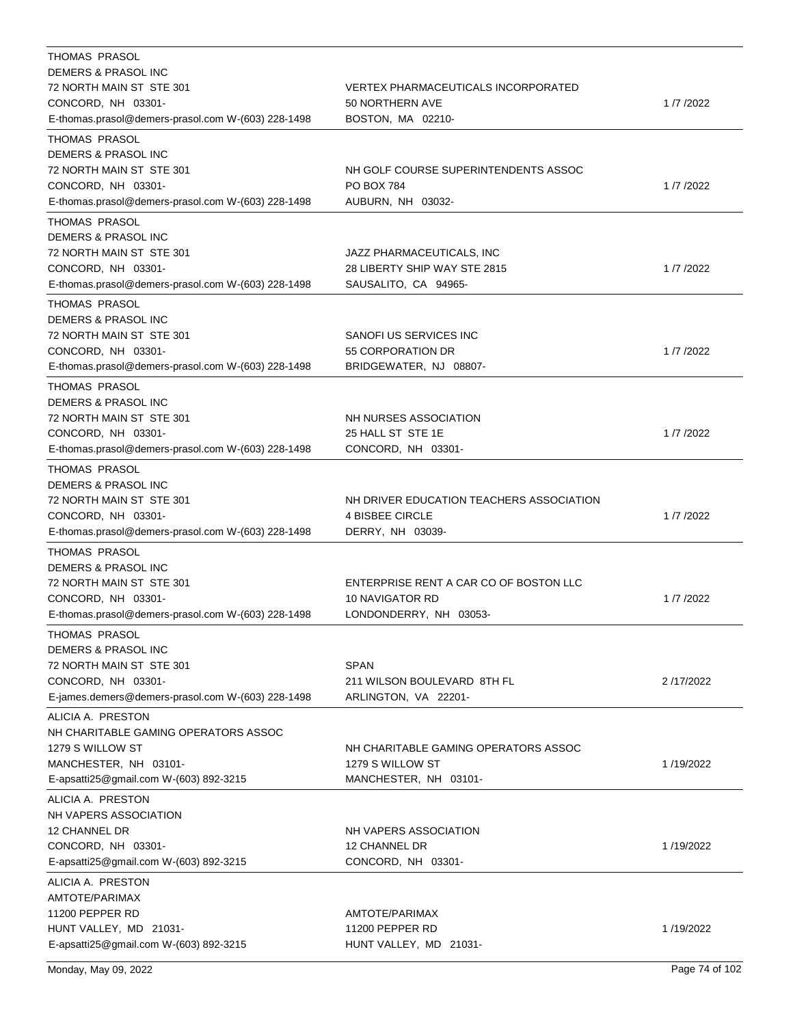| <b>THOMAS PRASOL</b><br>DEMERS & PRASOL INC<br>72 NORTH MAIN ST STE 301<br>CONCORD, NH 03301-<br>E-thomas.prasol@demers-prasol.com W-(603) 228-1498            | VERTEX PHARMACEUTICALS INCORPORATED<br>50 NORTHERN AVE<br>BOSTON, MA 02210-            | 1/7/2022  |
|----------------------------------------------------------------------------------------------------------------------------------------------------------------|----------------------------------------------------------------------------------------|-----------|
| THOMAS PRASOL<br>DEMERS & PRASOL INC<br>72 NORTH MAIN ST STE 301<br>CONCORD, NH 03301-<br>E-thomas.prasol@demers-prasol.com W-(603) 228-1498                   | NH GOLF COURSE SUPERINTENDENTS ASSOC<br>PO BOX 784<br>AUBURN, NH 03032-                | 1/7/2022  |
| THOMAS PRASOL<br>DEMERS & PRASOL INC<br>72 NORTH MAIN ST STE 301<br>CONCORD, NH 03301-<br>E-thomas.prasol@demers-prasol.com W-(603) 228-1498                   | JAZZ PHARMACEUTICALS, INC<br>28 LIBERTY SHIP WAY STE 2815<br>SAUSALITO, CA 94965-      | 1/7/2022  |
| THOMAS PRASOL<br><b>DEMERS &amp; PRASOL INC</b><br>72 NORTH MAIN ST STE 301<br>CONCORD, NH 03301-<br>E-thomas.prasol@demers-prasol.com W-(603) 228-1498        | SANOFI US SERVICES INC<br>55 CORPORATION DR<br>BRIDGEWATER, NJ 08807-                  | 1/7/2022  |
| THOMAS PRASOL<br>DEMERS & PRASOL INC<br>72 NORTH MAIN ST STE 301<br>CONCORD, NH 03301-<br>E-thomas.prasol@demers-prasol.com W-(603) 228-1498                   | NH NURSES ASSOCIATION<br>25 HALL ST STE 1E<br>CONCORD, NH 03301-                       | 1/7/2022  |
| <b>THOMAS PRASOL</b><br><b>DEMERS &amp; PRASOL INC</b><br>72 NORTH MAIN ST STE 301<br>CONCORD, NH 03301-<br>E-thomas.prasol@demers-prasol.com W-(603) 228-1498 | NH DRIVER EDUCATION TEACHERS ASSOCIATION<br><b>4 BISBEE CIRCLE</b><br>DERRY, NH 03039- | 1/7/2022  |
| <b>THOMAS PRASOL</b><br>DEMERS & PRASOL INC<br>72 NORTH MAIN ST STE 301<br>CONCORD, NH 03301-<br>E-thomas.prasol@demers-prasol.com W-(603) 228-1498            | ENTERPRISE RENT A CAR CO OF BOSTON LLC<br>10 NAVIGATOR RD<br>LONDONDERRY, NH 03053-    | 1/7/2022  |
| <b>THOMAS PRASOL</b><br>DEMERS & PRASOL INC<br>72 NORTH MAIN ST STE 301<br>CONCORD, NH 03301-<br>E-james.demers@demers-prasol.com W-(603) 228-1498             | <b>SPAN</b><br>211 WILSON BOULEVARD 8TH FL<br>ARLINGTON, VA 22201-                     | 2/17/2022 |
| ALICIA A. PRESTON<br>NH CHARITABLE GAMING OPERATORS ASSOC<br>1279 S WILLOW ST<br>MANCHESTER, NH 03101-<br>E-apsatti25@gmail.com W-(603) 892-3215               | NH CHARITABLE GAMING OPERATORS ASSOC<br>1279 S WILLOW ST<br>MANCHESTER, NH 03101-      | 1/19/2022 |
| ALICIA A. PRESTON<br>NH VAPERS ASSOCIATION<br>12 CHANNEL DR<br>CONCORD, NH 03301-<br>E-apsatti25@gmail.com W-(603) 892-3215                                    | NH VAPERS ASSOCIATION<br>12 CHANNEL DR<br>CONCORD, NH 03301-                           | 1/19/2022 |
| ALICIA A. PRESTON<br>AMTOTE/PARIMAX<br>11200 PEPPER RD<br>HUNT VALLEY, MD 21031-<br>E-apsatti25@gmail.com W-(603) 892-3215                                     | AMTOTE/PARIMAX<br>11200 PEPPER RD<br>HUNT VALLEY, MD 21031-                            | 1/19/2022 |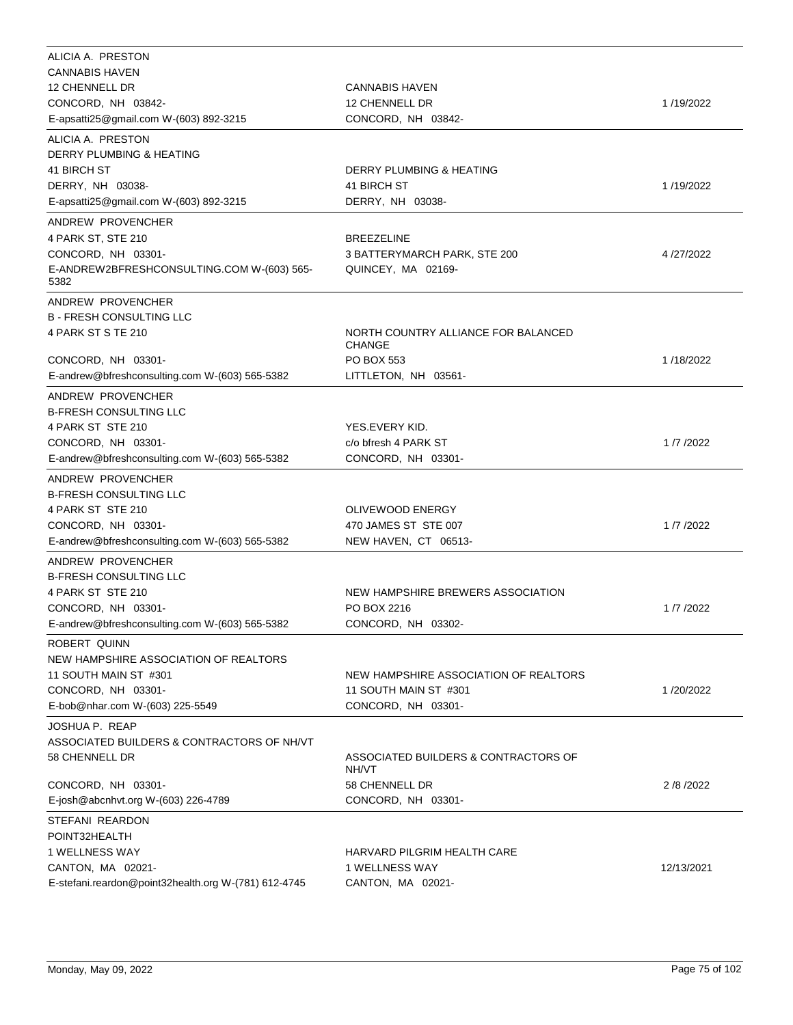| ALICIA A. PRESTON                                            |                                                  |              |
|--------------------------------------------------------------|--------------------------------------------------|--------------|
| <b>CANNABIS HAVEN</b>                                        |                                                  |              |
| 12 CHENNELL DR                                               | <b>CANNABIS HAVEN</b>                            |              |
| CONCORD, NH 03842-<br>E-apsatti25@gmail.com W-(603) 892-3215 | 12 CHENNELL DR<br>CONCORD, NH 03842-             | 1/19/2022    |
| ALICIA A. PRESTON                                            |                                                  |              |
| DERRY PLUMBING & HEATING                                     |                                                  |              |
| 41 BIRCH ST                                                  | DERRY PLUMBING & HEATING                         |              |
| DERRY, NH 03038-                                             | 41 BIRCH ST                                      | 1/19/2022    |
| E-apsatti25@gmail.com W-(603) 892-3215                       | DERRY, NH 03038-                                 |              |
| ANDREW PROVENCHER                                            |                                                  |              |
| 4 PARK ST, STE 210                                           | <b>BREEZELINE</b>                                |              |
| CONCORD, NH 03301-                                           | 3 BATTERYMARCH PARK, STE 200                     | 4/27/2022    |
| E-ANDREW2BFRESHCONSULTING.COM W-(603) 565-                   | QUINCEY, MA 02169-                               |              |
| 5382                                                         |                                                  |              |
| ANDREW PROVENCHER                                            |                                                  |              |
| <b>B - FRESH CONSULTING LLC</b>                              |                                                  |              |
| 4 PARK ST S TE 210                                           | NORTH COUNTRY ALLIANCE FOR BALANCED              |              |
|                                                              | <b>CHANGE</b>                                    |              |
| CONCORD, NH 03301-                                           | <b>PO BOX 553</b><br>LITTLETON, NH 03561-        | 1/18/2022    |
| E-andrew@bfreshconsulting.com W-(603) 565-5382               |                                                  |              |
| ANDREW PROVENCHER                                            |                                                  |              |
| <b>B-FRESH CONSULTING LLC</b>                                |                                                  |              |
| 4 PARK ST STE 210<br>CONCORD, NH 03301-                      | YES.EVERY KID.<br>c/o bfresh 4 PARK ST           | 1/7/2022     |
| E-andrew@bfreshconsulting.com W-(603) 565-5382               | CONCORD, NH 03301-                               |              |
|                                                              |                                                  |              |
| ANDREW PROVENCHER                                            |                                                  |              |
| <b>B-FRESH CONSULTING LLC</b>                                |                                                  |              |
| 4 PARK ST STE 210<br>CONCORD, NH 03301-                      | OLIVEWOOD ENERGY<br>470 JAMES ST STE 007         | 1/7/2022     |
| E-andrew@bfreshconsulting.com W-(603) 565-5382               | NEW HAVEN, CT 06513-                             |              |
|                                                              |                                                  |              |
| ANDREW PROVENCHER                                            |                                                  |              |
| <b>B-FRESH CONSULTING LLC</b>                                |                                                  |              |
| 4 PARK ST STE 210<br>CONCORD, NH 03301-                      | NEW HAMPSHIRE BREWERS ASSOCIATION<br>PO BOX 2216 | 1/7/2022     |
| E-andrew@bfreshconsulting.com W-(603) 565-5382               | CONCORD, NH 03302-                               |              |
|                                                              |                                                  |              |
| ROBERT QUINN<br>NEW HAMPSHIRE ASSOCIATION OF REALTORS        |                                                  |              |
| 11 SOUTH MAIN ST #301                                        | NEW HAMPSHIRE ASSOCIATION OF REALTORS            |              |
| CONCORD, NH 03301-                                           | 11 SOUTH MAIN ST #301                            | 1/20/2022    |
| E-bob@nhar.com W-(603) 225-5549                              | CONCORD, NH 03301-                               |              |
| JOSHUA P. REAP                                               |                                                  |              |
| ASSOCIATED BUILDERS & CONTRACTORS OF NH/VT                   |                                                  |              |
| 58 CHENNELL DR                                               | ASSOCIATED BUILDERS & CONTRACTORS OF             |              |
|                                                              | NH/VT                                            |              |
| CONCORD, NH 03301-                                           | 58 CHENNELL DR                                   | 2 / 8 / 2022 |
| E-josh@abcnhvt.org W-(603) 226-4789                          | CONCORD, NH 03301-                               |              |
| STEFANI REARDON                                              |                                                  |              |
| POINT32HEALTH                                                |                                                  |              |
| 1 WELLNESS WAY                                               | HARVARD PILGRIM HEALTH CARE                      |              |
| CANTON, MA 02021-                                            | 1 WELLNESS WAY                                   | 12/13/2021   |
| E-stefani.reardon@point32health.org W-(781) 612-4745         | CANTON, MA 02021-                                |              |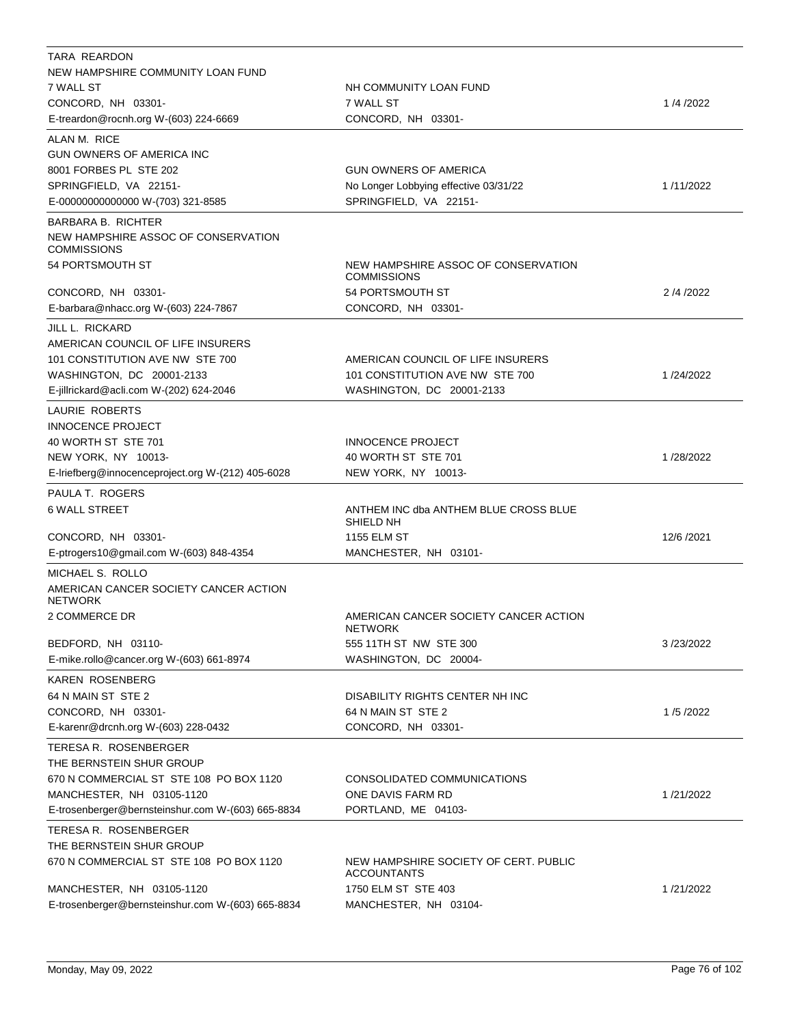| TARA REARDON                                              |                                                             |            |
|-----------------------------------------------------------|-------------------------------------------------------------|------------|
| NEW HAMPSHIRE COMMUNITY LOAN FUND                         |                                                             |            |
| 7 WALL ST                                                 | NH COMMUNITY LOAN FUND                                      |            |
| CONCORD, NH 03301-                                        | 7 WALL ST                                                   | 1/4/2022   |
| E-treardon@rocnh.org W-(603) 224-6669                     | CONCORD, NH 03301-                                          |            |
| ALAN M. RICE                                              |                                                             |            |
| GUN OWNERS OF AMERICA INC                                 |                                                             |            |
| 8001 FORBES PL STE 202                                    | <b>GUN OWNERS OF AMERICA</b>                                |            |
| SPRINGFIELD, VA 22151-                                    | No Longer Lobbying effective 03/31/22                       | 1/11/2022  |
| E-00000000000000 W-(703) 321-8585                         | SPRINGFIELD, VA 22151-                                      |            |
| <b>BARBARA B. RICHTER</b>                                 |                                                             |            |
| NEW HAMPSHIRE ASSOC OF CONSERVATION<br><b>COMMISSIONS</b> |                                                             |            |
| 54 PORTSMOUTH ST                                          | NEW HAMPSHIRE ASSOC OF CONSERVATION<br><b>COMMISSIONS</b>   |            |
| CONCORD, NH 03301-                                        | 54 PORTSMOUTH ST                                            | 2/4/2022   |
| E-barbara@nhacc.org W-(603) 224-7867                      | CONCORD, NH 03301-                                          |            |
| JILL L. RICKARD                                           |                                                             |            |
| AMERICAN COUNCIL OF LIFE INSURERS                         |                                                             |            |
| 101 CONSTITUTION AVE NW STE 700                           | AMERICAN COUNCIL OF LIFE INSURERS                           |            |
| WASHINGTON, DC 20001-2133                                 | 101 CONSTITUTION AVE NW STE 700                             | 1/24/2022  |
| E-jillrickard@acli.com W-(202) 624-2046                   | WASHINGTON, DC 20001-2133                                   |            |
| LAURIE ROBERTS                                            |                                                             |            |
| <b>INNOCENCE PROJECT</b>                                  |                                                             |            |
| 40 WORTH ST STE 701                                       | <b>INNOCENCE PROJECT</b>                                    |            |
| NEW YORK, NY 10013-                                       | 40 WORTH ST STE 701                                         | 1/28/2022  |
| E-Iriefberg@innocenceproject.org W-(212) 405-6028         | NEW YORK, NY 10013-                                         |            |
| PAULA T. ROGERS                                           |                                                             |            |
| <b>6 WALL STREET</b>                                      | ANTHEM INC dba ANTHEM BLUE CROSS BLUE<br>SHIELD NH          |            |
| CONCORD, NH 03301-                                        | <b>1155 ELM ST</b>                                          | 12/6 /2021 |
| E-ptrogers10@gmail.com W-(603) 848-4354                   | MANCHESTER, NH 03101-                                       |            |
| MICHAEL S. ROLLO                                          |                                                             |            |
| AMERICAN CANCER SOCIETY CANCER ACTION<br><b>NETWORK</b>   |                                                             |            |
| 2 COMMERCE DR                                             | AMERICAN CANCER SOCIETY CANCER ACTION<br><b>NETWORK</b>     |            |
| BEDFORD, NH 03110-                                        | 555 11TH ST NW STE 300                                      | 3/23/2022  |
| E-mike.rollo@cancer.org W-(603) 661-8974                  | WASHINGTON, DC 20004-                                       |            |
| KAREN ROSENBERG                                           |                                                             |            |
| 64 N MAIN ST STE 2                                        | DISABILITY RIGHTS CENTER NH INC                             |            |
| CONCORD, NH 03301-                                        | 64 N MAIN ST STE 2                                          | 1/5/2022   |
| E-karenr@drcnh.org W-(603) 228-0432                       | CONCORD, NH 03301-                                          |            |
| TERESA R. ROSENBERGER<br>THE BERNSTEIN SHUR GROUP         |                                                             |            |
| 670 N COMMERCIAL ST STE 108 PO BOX 1120                   | CONSOLIDATED COMMUNICATIONS                                 |            |
| MANCHESTER, NH 03105-1120                                 | ONE DAVIS FARM RD                                           | 1/21/2022  |
| E-trosenberger@bernsteinshur.com W-(603) 665-8834         | PORTLAND, ME 04103-                                         |            |
| TERESA R. ROSENBERGER                                     |                                                             |            |
| THE BERNSTEIN SHUR GROUP                                  |                                                             |            |
| 670 N COMMERCIAL ST STE 108 PO BOX 1120                   | NEW HAMPSHIRE SOCIETY OF CERT. PUBLIC<br><b>ACCOUNTANTS</b> |            |
| MANCHESTER, NH 03105-1120                                 | 1750 ELM ST STE 403                                         | 1/21/2022  |
| E-trosenberger@bernsteinshur.com W-(603) 665-8834         | MANCHESTER, NH 03104-                                       |            |
|                                                           |                                                             |            |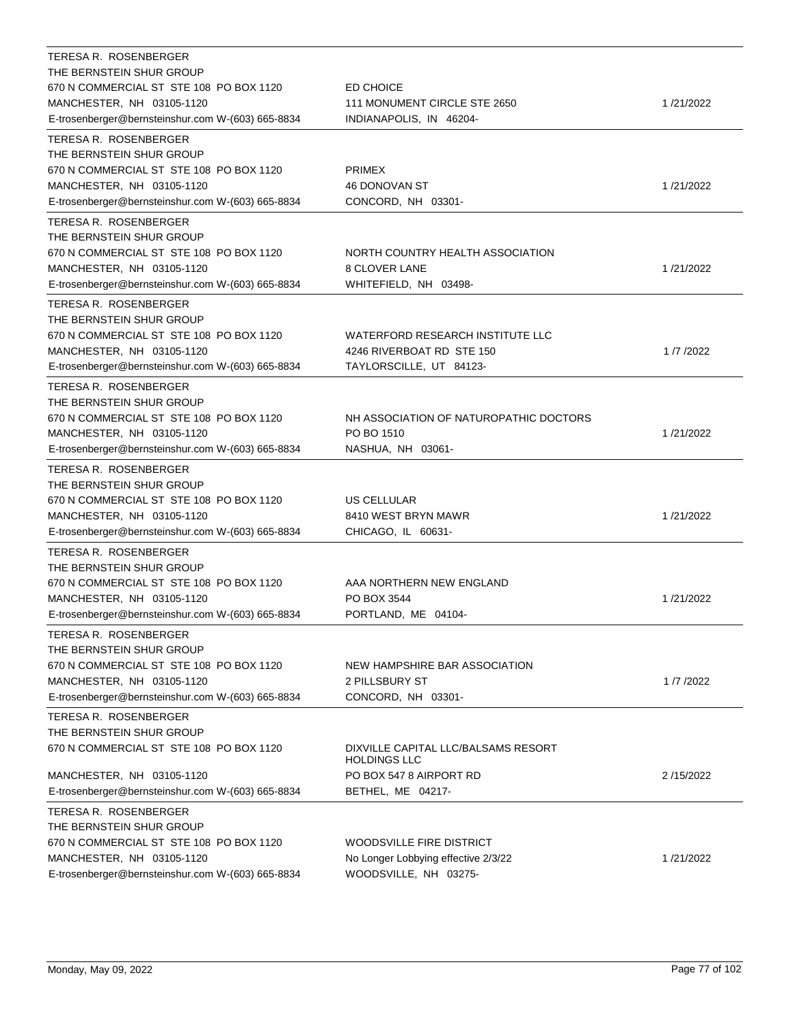| TERESA R. ROSENBERGER                                                |                                                            |           |
|----------------------------------------------------------------------|------------------------------------------------------------|-----------|
| THE BERNSTEIN SHUR GROUP                                             |                                                            |           |
| 670 N COMMERCIAL ST STE 108 PO BOX 1120<br>MANCHESTER, NH 03105-1120 | ED CHOICE<br>111 MONUMENT CIRCLE STE 2650                  | 1/21/2022 |
| E-trosenberger@bernsteinshur.com W-(603) 665-8834                    | INDIANAPOLIS, IN 46204-                                    |           |
|                                                                      |                                                            |           |
| TERESA R. ROSENBERGER                                                |                                                            |           |
| THE BERNSTEIN SHUR GROUP                                             |                                                            |           |
| 670 N COMMERCIAL ST STE 108 PO BOX 1120                              | <b>PRIMEX</b>                                              |           |
| MANCHESTER, NH 03105-1120                                            | <b>46 DONOVAN ST</b><br>CONCORD, NH 03301-                 | 1/21/2022 |
| E-trosenberger@bernsteinshur.com W-(603) 665-8834                    |                                                            |           |
| TERESA R. ROSENBERGER                                                |                                                            |           |
| THE BERNSTEIN SHUR GROUP                                             |                                                            |           |
| 670 N COMMERCIAL ST STE 108 PO BOX 1120                              | NORTH COUNTRY HEALTH ASSOCIATION                           |           |
| MANCHESTER, NH 03105-1120                                            | 8 CLOVER LANE                                              | 1/21/2022 |
| E-trosenberger@bernsteinshur.com W-(603) 665-8834                    | WHITEFIELD, NH 03498-                                      |           |
| TERESA R. ROSENBERGER                                                |                                                            |           |
| THE BERNSTEIN SHUR GROUP                                             |                                                            |           |
| 670 N COMMERCIAL ST STE 108 PO BOX 1120                              | WATERFORD RESEARCH INSTITUTE LLC                           |           |
| MANCHESTER, NH 03105-1120                                            | 4246 RIVERBOAT RD STE 150                                  | 1/7/2022  |
| E-trosenberger@bernsteinshur.com W-(603) 665-8834                    | TAYLORSCILLE, UT 84123-                                    |           |
| TERESA R. ROSENBERGER                                                |                                                            |           |
| THE BERNSTEIN SHUR GROUP                                             |                                                            |           |
| 670 N COMMERCIAL ST STE 108 PO BOX 1120                              | NH ASSOCIATION OF NATUROPATHIC DOCTORS                     |           |
| MANCHESTER, NH 03105-1120                                            | PO BO 1510                                                 | 1/21/2022 |
| E-trosenberger@bernsteinshur.com W-(603) 665-8834                    | NASHUA, NH 03061-                                          |           |
| TERESA R. ROSENBERGER                                                |                                                            |           |
| THE BERNSTEIN SHUR GROUP                                             |                                                            |           |
| 670 N COMMERCIAL ST STE 108 PO BOX 1120                              | US CELLULAR                                                |           |
| MANCHESTER, NH 03105-1120                                            | 8410 WEST BRYN MAWR                                        | 1/21/2022 |
| E-trosenberger@bernsteinshur.com W-(603) 665-8834                    | CHICAGO, IL 60631-                                         |           |
| TERESA R. ROSENBERGER                                                |                                                            |           |
| THE BERNSTEIN SHUR GROUP                                             |                                                            |           |
| 670 N COMMERCIAL ST STE 108 PO BOX 1120                              | AAA NORTHERN NEW ENGLAND                                   |           |
| MANCHESTER, NH 03105-1120                                            | PO BOX 3544                                                | 1/21/2022 |
| E-trosenberger@bernsteinshur.com W-(603) 665-8834                    | PORTLAND, ME 04104-                                        |           |
| TERESA R. ROSENBERGER                                                |                                                            |           |
| THE BERNSTEIN SHUR GROUP                                             |                                                            |           |
| 670 N COMMERCIAL ST STE 108 PO BOX 1120                              | NEW HAMPSHIRE BAR ASSOCIATION                              |           |
| MANCHESTER, NH 03105-1120                                            | 2 PILLSBURY ST                                             | 1/7/2022  |
| E-trosenberger@bernsteinshur.com W-(603) 665-8834                    | CONCORD, NH 03301-                                         |           |
| <b>TERESA R. ROSENBERGER</b>                                         |                                                            |           |
| THE BERNSTEIN SHUR GROUP                                             |                                                            |           |
| 670 N COMMERCIAL ST STE 108 PO BOX 1120                              | DIXVILLE CAPITAL LLC/BALSAMS RESORT<br><b>HOLDINGS LLC</b> |           |
| MANCHESTER, NH 03105-1120                                            | PO BOX 547 8 AIRPORT RD                                    | 2/15/2022 |
| E-trosenberger@bernsteinshur.com W-(603) 665-8834                    | BETHEL, ME 04217-                                          |           |
| TERESA R. ROSENBERGER                                                |                                                            |           |
| THE BERNSTEIN SHUR GROUP                                             |                                                            |           |
| 670 N COMMERCIAL ST STE 108 PO BOX 1120                              | WOODSVILLE FIRE DISTRICT                                   |           |
| MANCHESTER, NH 03105-1120                                            | No Longer Lobbying effective 2/3/22                        | 1/21/2022 |
| E-trosenberger@bernsteinshur.com W-(603) 665-8834                    | WOODSVILLE, NH 03275-                                      |           |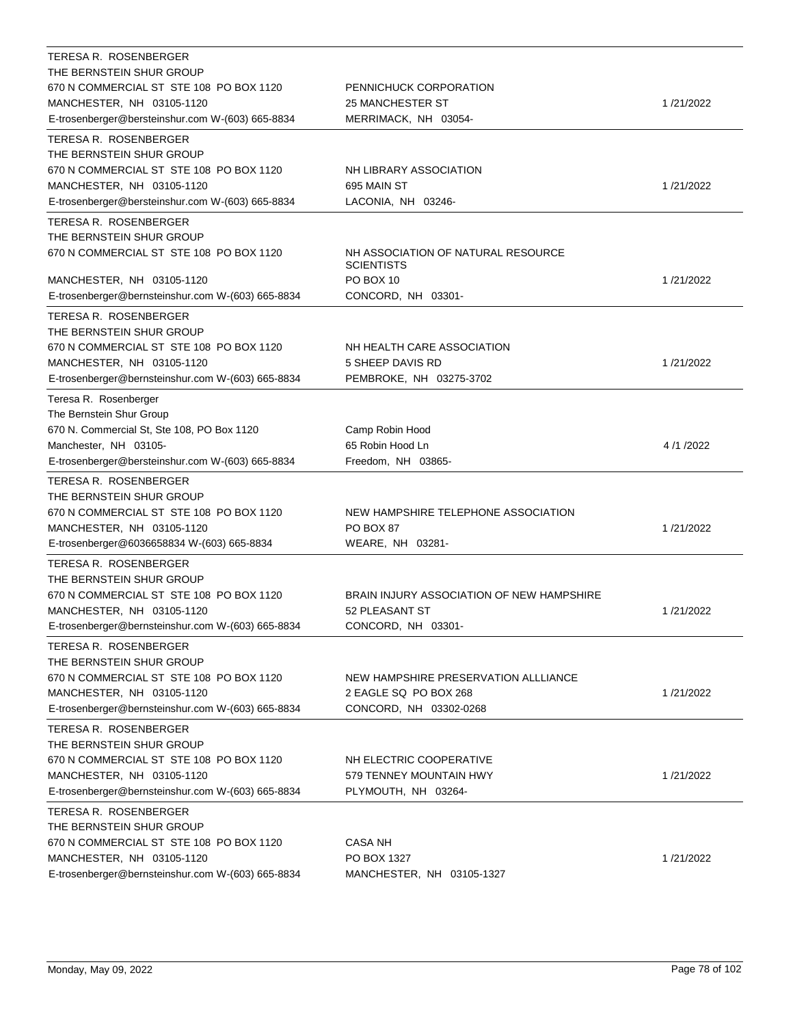| TERESA R. ROSENBERGER                             |                                                         |           |
|---------------------------------------------------|---------------------------------------------------------|-----------|
| THE BERNSTEIN SHUR GROUP                          |                                                         |           |
| 670 N COMMERCIAL ST STE 108 PO BOX 1120           | PENNICHUCK CORPORATION                                  |           |
| MANCHESTER, NH 03105-1120                         | <b>25 MANCHESTER ST</b>                                 | 1/21/2022 |
| E-trosenberger@bersteinshur.com W-(603) 665-8834  | MERRIMACK, NH 03054-                                    |           |
| TERESA R. ROSENBERGER                             |                                                         |           |
| THE BERNSTEIN SHUR GROUP                          |                                                         |           |
| 670 N COMMERCIAL ST STE 108 PO BOX 1120           | NH LIBRARY ASSOCIATION                                  |           |
| MANCHESTER, NH 03105-1120                         | 695 MAIN ST                                             | 1/21/2022 |
| E-trosenberger@bersteinshur.com W-(603) 665-8834  | LACONIA, NH 03246-                                      |           |
| <b>TERESA R. ROSENBERGER</b>                      |                                                         |           |
| THE BERNSTEIN SHUR GROUP                          |                                                         |           |
| 670 N COMMERCIAL ST STE 108 PO BOX 1120           | NH ASSOCIATION OF NATURAL RESOURCE<br><b>SCIENTISTS</b> |           |
| MANCHESTER, NH 03105-1120                         | PO BOX 10                                               | 1/21/2022 |
| E-trosenberger@bernsteinshur.com W-(603) 665-8834 | CONCORD, NH 03301-                                      |           |
| TERESA R. ROSENBERGER                             |                                                         |           |
| THE BERNSTEIN SHUR GROUP                          |                                                         |           |
| 670 N COMMERCIAL ST STE 108 PO BOX 1120           | NH HEALTH CARE ASSOCIATION                              |           |
| MANCHESTER, NH 03105-1120                         | 5 SHEEP DAVIS RD                                        | 1/21/2022 |
| E-trosenberger@bernsteinshur.com W-(603) 665-8834 | PEMBROKE, NH 03275-3702                                 |           |
| Teresa R. Rosenberger                             |                                                         |           |
| The Bernstein Shur Group                          |                                                         |           |
| 670 N. Commercial St, Ste 108, PO Box 1120        | Camp Robin Hood                                         |           |
| Manchester, NH 03105-                             | 65 Robin Hood Ln                                        | 4/1/2022  |
| E-trosenberger@bersteinshur.com W-(603) 665-8834  | Freedom, NH 03865-                                      |           |
| TERESA R. ROSENBERGER                             |                                                         |           |
| THE BERNSTEIN SHUR GROUP                          |                                                         |           |
| 670 N COMMERCIAL ST STE 108 PO BOX 1120           | NEW HAMPSHIRE TELEPHONE ASSOCIATION                     |           |
| MANCHESTER, NH 03105-1120                         | <b>PO BOX 87</b>                                        | 1/21/2022 |
| E-trosenberger@6036658834 W-(603) 665-8834        | WEARE, NH 03281-                                        |           |
| TERESA R. ROSENBERGER                             |                                                         |           |
| THE BERNSTEIN SHUR GROUP                          |                                                         |           |
| 670 N COMMERCIAL ST STE 108 PO BOX 1120           | BRAIN INJURY ASSOCIATION OF NEW HAMPSHIRE               |           |
| MANCHESTER, NH 03105-1120                         | 52 PLEASANT ST                                          | 1/21/2022 |
| E-trosenberger@bernsteinshur.com W-(603) 665-8834 | CONCORD, NH 03301-                                      |           |
| TERESA R. ROSENBERGER                             |                                                         |           |
| THE BERNSTEIN SHUR GROUP                          |                                                         |           |
| 670 N COMMERCIAL ST STE 108 PO BOX 1120           | NEW HAMPSHIRE PRESERVATION ALLLIANCE                    |           |
| MANCHESTER, NH 03105-1120                         | 2 EAGLE SQ PO BOX 268                                   | 1/21/2022 |
| E-trosenberger@bernsteinshur.com W-(603) 665-8834 | CONCORD, NH 03302-0268                                  |           |
| TERESA R. ROSENBERGER                             |                                                         |           |
| THE BERNSTEIN SHUR GROUP                          |                                                         |           |
| 670 N COMMERCIAL ST STE 108 PO BOX 1120           | NH ELECTRIC COOPERATIVE                                 |           |
| MANCHESTER, NH 03105-1120                         | 579 TENNEY MOUNTAIN HWY                                 | 1/21/2022 |
| E-trosenberger@bernsteinshur.com W-(603) 665-8834 | PLYMOUTH, NH 03264-                                     |           |
| TERESA R. ROSENBERGER                             |                                                         |           |
| THE BERNSTEIN SHUR GROUP                          |                                                         |           |
| 670 N COMMERCIAL ST STE 108 PO BOX 1120           | <b>CASA NH</b>                                          |           |
| MANCHESTER, NH 03105-1120                         | PO BOX 1327                                             | 1/21/2022 |
| E-trosenberger@bernsteinshur.com W-(603) 665-8834 | MANCHESTER, NH 03105-1327                               |           |
|                                                   |                                                         |           |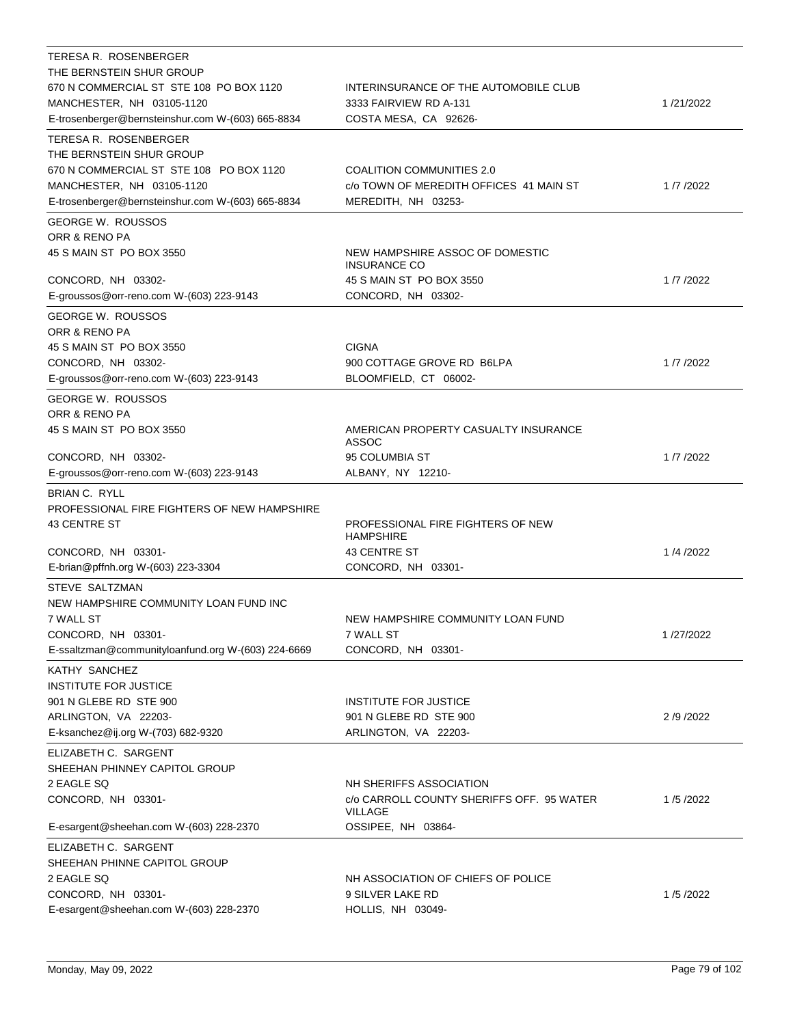| TERESA R. ROSENBERGER<br>THE BERNSTEIN SHUR GROUP<br>670 N COMMERCIAL ST STE 108 PO BOX 1120 | INTERINSURANCE OF THE AUTOMOBILE CLUB                  |           |
|----------------------------------------------------------------------------------------------|--------------------------------------------------------|-----------|
| MANCHESTER, NH 03105-1120<br>E-trosenberger@bernsteinshur.com W-(603) 665-8834               | 3333 FAIRVIEW RD A-131<br>COSTA MESA, CA 92626-        | 1/21/2022 |
| TERESA R. ROSENBERGER                                                                        |                                                        |           |
| THE BERNSTEIN SHUR GROUP                                                                     |                                                        |           |
| 670 N COMMERCIAL ST STE 108 PO BOX 1120                                                      | COALITION COMMUNITIES 2.0                              |           |
| MANCHESTER, NH 03105-1120                                                                    | c/o TOWN OF MEREDITH OFFICES 41 MAIN ST                | 1/7/2022  |
| E-trosenberger@bernsteinshur.com W-(603) 665-8834                                            | MEREDITH, NH 03253-                                    |           |
| <b>GEORGE W. ROUSSOS</b>                                                                     |                                                        |           |
| ORR & RENO PA                                                                                |                                                        |           |
| 45 S MAIN ST PO BOX 3550                                                                     | NEW HAMPSHIRE ASSOC OF DOMESTIC<br><b>INSURANCE CO</b> |           |
| CONCORD, NH 03302-                                                                           | 45 S MAIN ST PO BOX 3550                               | 1/7/2022  |
| E-groussos@orr-reno.com W-(603) 223-9143                                                     | CONCORD, NH 03302-                                     |           |
| GEORGE W. ROUSSOS                                                                            |                                                        |           |
| ORR & RENO PA<br>45 S MAIN ST PO BOX 3550                                                    | <b>CIGNA</b>                                           |           |
| CONCORD, NH 03302-                                                                           | 900 COTTAGE GROVE RD B6LPA                             | 1/7/2022  |
| E-groussos@orr-reno.com W-(603) 223-9143                                                     | BLOOMFIELD, CT 06002-                                  |           |
| <b>GEORGE W. ROUSSOS</b>                                                                     |                                                        |           |
| ORR & RENO PA                                                                                |                                                        |           |
| 45 S MAIN ST PO BOX 3550                                                                     | AMERICAN PROPERTY CASUALTY INSURANCE<br>ASSOC          |           |
| CONCORD, NH 03302-                                                                           | 95 COLUMBIA ST                                         | 1/7/2022  |
| E-groussos@orr-reno.com W-(603) 223-9143                                                     | ALBANY, NY 12210-                                      |           |
| <b>BRIAN C. RYLL</b><br>PROFESSIONAL FIRE FIGHTERS OF NEW HAMPSHIRE                          |                                                        |           |
| 43 CENTRE ST                                                                                 | PROFESSIONAL FIRE FIGHTERS OF NEW<br><b>HAMPSHIRE</b>  |           |
| CONCORD, NH 03301-                                                                           | <b>43 CENTRE ST</b>                                    | 1/4/2022  |
| E-brian@pffnh.org W-(603) 223-3304                                                           | CONCORD, NH 03301-                                     |           |
| STEVE SALTZMAN<br>NEW HAMPSHIRE COMMUNITY LOAN FUND INC                                      |                                                        |           |
| 7 WALL ST                                                                                    | NEW HAMPSHIRE COMMUNITY LOAN FUND                      |           |
| CONCORD, NH 03301-                                                                           | 7 WALL ST                                              | 1/27/2022 |
| E-ssaltzman@communityloanfund.org W-(603) 224-6669                                           | CONCORD, NH 03301-                                     |           |
| KATHY SANCHEZ                                                                                |                                                        |           |
| <b>INSTITUTE FOR JUSTICE</b>                                                                 |                                                        |           |
| 901 N GLEBE RD STE 900                                                                       | <b>INSTITUTE FOR JUSTICE</b>                           |           |
| ARLINGTON, VA 22203-<br>E-ksanchez@ij.org W-(703) 682-9320                                   | 901 N GLEBE RD STE 900<br>ARLINGTON, VA 22203-         | 2/9/2022  |
| ELIZABETH C. SARGENT                                                                         |                                                        |           |
| SHEEHAN PHINNEY CAPITOL GROUP<br>2 EAGLE SQ                                                  | NH SHERIFFS ASSOCIATION                                |           |
| CONCORD, NH 03301-                                                                           | c/o CARROLL COUNTY SHERIFFS OFF. 95 WATER<br>VILLAGE   | 1/5/2022  |
| E-esargent@sheehan.com W-(603) 228-2370                                                      | OSSIPEE, NH 03864-                                     |           |
| ELIZABETH C. SARGENT                                                                         |                                                        |           |
| SHEEHAN PHINNE CAPITOL GROUP                                                                 |                                                        |           |
| 2 EAGLE SQ                                                                                   | NH ASSOCIATION OF CHIEFS OF POLICE                     |           |
| CONCORD, NH 03301-                                                                           | 9 SILVER LAKE RD                                       | 1/5/2022  |
| E-esargent@sheehan.com W-(603) 228-2370                                                      | HOLLIS, NH 03049-                                      |           |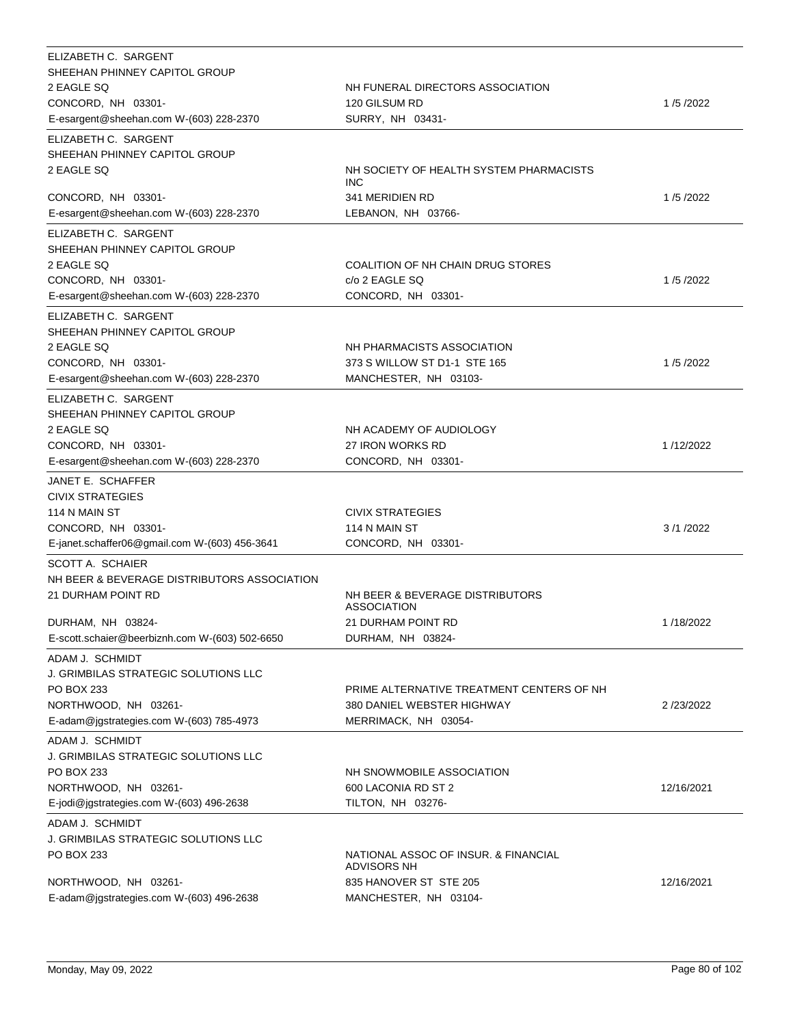| ELIZABETH C. SARGENT<br>SHEEHAN PHINNEY CAPITOL GROUP<br>2 EAGLE SQ<br>CONCORD, NH 03301-<br>E-esargent@sheehan.com W-(603) 228-2370                         | NH FUNERAL DIRECTORS ASSOCIATION<br>120 GILSUM RD<br>SURRY, NH 03431-                                         | 1/5/2022   |
|--------------------------------------------------------------------------------------------------------------------------------------------------------------|---------------------------------------------------------------------------------------------------------------|------------|
| ELIZABETH C. SARGENT<br>SHEEHAN PHINNEY CAPITOL GROUP<br>2 EAGLE SQ                                                                                          | NH SOCIETY OF HEALTH SYSTEM PHARMACISTS                                                                       |            |
| CONCORD, NH 03301-<br>E-esargent@sheehan.com W-(603) 228-2370                                                                                                | <b>INC</b><br>341 MERIDIEN RD<br>LEBANON, NH 03766-                                                           | 1/5/2022   |
| ELIZABETH C. SARGENT<br>SHEEHAN PHINNEY CAPITOL GROUP<br>2 EAGLE SQ<br>CONCORD, NH 03301-<br>E-esargent@sheehan.com W-(603) 228-2370                         | COALITION OF NH CHAIN DRUG STORES<br>c/o 2 EAGLE SQ<br>CONCORD, NH 03301-                                     | 1/5/2022   |
| ELIZABETH C. SARGENT<br>SHEEHAN PHINNEY CAPITOL GROUP<br>2 EAGLE SQ<br>CONCORD, NH 03301-<br>E-esargent@sheehan.com W-(603) 228-2370                         | NH PHARMACISTS ASSOCIATION<br>373 S WILLOW ST D1-1 STE 165<br>MANCHESTER, NH 03103-                           | 1/5/2022   |
| ELIZABETH C. SARGENT<br>SHEEHAN PHINNEY CAPITOL GROUP<br>2 EAGLE SQ<br>CONCORD, NH 03301-<br>E-esargent@sheehan.com W-(603) 228-2370                         | NH ACADEMY OF AUDIOLOGY<br>27 IRON WORKS RD<br>CONCORD, NH 03301-                                             | 1/12/2022  |
| JANET E. SCHAFFER<br><b>CIVIX STRATEGIES</b><br>114 N MAIN ST<br>CONCORD, NH 03301-<br>E-janet.schaffer06@gmail.com W-(603) 456-3641                         | <b>CIVIX STRATEGIES</b><br>114 N MAIN ST<br>CONCORD, NH 03301-                                                | 3/1/2022   |
| SCOTT A. SCHAIER<br>NH BEER & BEVERAGE DISTRIBUTORS ASSOCIATION<br>21 DURHAM POINT RD<br>DURHAM, NH 03824-<br>E-scott.schaier@beerbiznh.com W-(603) 502-6650 | NH BEER & BEVERAGE DISTRIBUTORS<br><b>ASSOCIATION</b><br>21 DURHAM POINT RD<br>DURHAM, NH 03824-              | 1/18/2022  |
| ADAM J. SCHMIDT<br>J. GRIMBILAS STRATEGIC SOLUTIONS LLC<br>PO BOX 233<br>NORTHWOOD, NH 03261-<br>E-adam@jgstrategies.com W-(603) 785-4973                    | PRIME ALTERNATIVE TREATMENT CENTERS OF NH<br>380 DANIEL WEBSTER HIGHWAY<br>MERRIMACK, NH 03054-               | 2/23/2022  |
| ADAM J. SCHMIDT<br><b>J. GRIMBILAS STRATEGIC SOLUTIONS LLC</b><br>PO BOX 233<br>NORTHWOOD, NH 03261-<br>E-jodi@jgstrategies.com W-(603) 496-2638             | NH SNOWMOBILE ASSOCIATION<br>600 LACONIA RD ST 2<br>TILTON, NH 03276-                                         | 12/16/2021 |
| ADAM J. SCHMIDT<br>J. GRIMBILAS STRATEGIC SOLUTIONS LLC<br>PO BOX 233<br>NORTHWOOD, NH 03261-<br>E-adam@jgstrategies.com W-(603) 496-2638                    | NATIONAL ASSOC OF INSUR. & FINANCIAL<br><b>ADVISORS NH</b><br>835 HANOVER ST STE 205<br>MANCHESTER, NH 03104- | 12/16/2021 |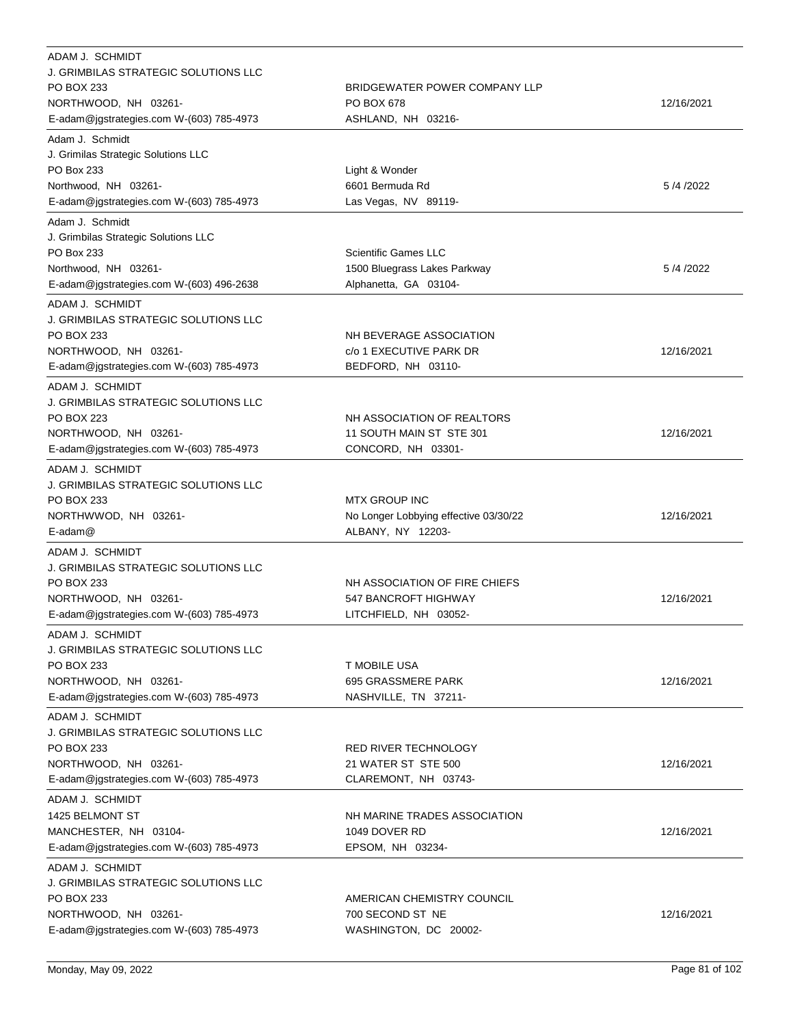| ADAM J. SCHMIDT<br>J. GRIMBILAS STRATEGIC SOLUTIONS LLC<br>PO BOX 233<br>NORTHWOOD, NH 03261-<br>E-adam@jgstrategies.com W-(603) 785-4973        | BRIDGEWATER POWER COMPANY LLP<br>PO BOX 678<br>ASHLAND, NH 03216-                    | 12/16/2021 |
|--------------------------------------------------------------------------------------------------------------------------------------------------|--------------------------------------------------------------------------------------|------------|
| Adam J. Schmidt<br>J. Grimilas Strategic Solutions LLC<br>PO Box 233<br>Northwood, NH 03261-<br>E-adam@jgstrategies.com W-(603) 785-4973         | Light & Wonder<br>6601 Bermuda Rd<br>Las Vegas, NV 89119-                            | 5/4/2022   |
| Adam J. Schmidt<br>J. Grimbilas Strategic Solutions LLC<br>PO Box 233<br>Northwood, NH 03261-<br>E-adam@jgstrategies.com W-(603) 496-2638        | <b>Scientific Games LLC</b><br>1500 Bluegrass Lakes Parkway<br>Alphanetta, GA 03104- | 5/4/2022   |
| ADAM J. SCHMIDT<br>J. GRIMBILAS STRATEGIC SOLUTIONS LLC<br>PO BOX 233<br>NORTHWOOD, NH 03261-<br>E-adam@jgstrategies.com W-(603) 785-4973        | NH BEVERAGE ASSOCIATION<br>c/o 1 EXECUTIVE PARK DR<br>BEDFORD, NH 03110-             | 12/16/2021 |
| ADAM J. SCHMIDT<br>J. GRIMBILAS STRATEGIC SOLUTIONS LLC<br><b>PO BOX 223</b><br>NORTHWOOD, NH 03261-<br>E-adam@jgstrategies.com W-(603) 785-4973 | NH ASSOCIATION OF REALTORS<br>11 SOUTH MAIN ST STE 301<br>CONCORD, NH 03301-         | 12/16/2021 |
| ADAM J. SCHMIDT<br>J. GRIMBILAS STRATEGIC SOLUTIONS LLC<br>PO BOX 233<br>NORTHWWOD, NH 03261-<br>$E$ -adam $@$                                   | <b>MTX GROUP INC</b><br>No Longer Lobbying effective 03/30/22<br>ALBANY, NY 12203-   | 12/16/2021 |
| ADAM J. SCHMIDT<br>J. GRIMBILAS STRATEGIC SOLUTIONS LLC<br>PO BOX 233<br>NORTHWOOD, NH 03261-<br>E-adam@jgstrategies.com W-(603) 785-4973        | NH ASSOCIATION OF FIRE CHIEFS<br>547 BANCROFT HIGHWAY<br>LITCHFIELD, NH 03052-       | 12/16/2021 |
| ADAM J. SCHMIDT<br>J. GRIMBILAS STRATEGIC SOLUTIONS LLC<br>PO BOX 233<br>NORTHWOOD, NH 03261-<br>E-adam@jgstrategies.com W-(603) 785-4973        | T MOBILE USA<br>695 GRASSMERE PARK<br>NASHVILLE, TN 37211-                           | 12/16/2021 |
| ADAM J. SCHMIDT<br>J. GRIMBILAS STRATEGIC SOLUTIONS LLC<br>PO BOX 233<br>NORTHWOOD, NH 03261-<br>E-adam@jgstrategies.com W-(603) 785-4973        | RED RIVER TECHNOLOGY<br>21 WATER ST STE 500<br>CLAREMONT, NH 03743-                  | 12/16/2021 |
| ADAM J. SCHMIDT<br>1425 BELMONT ST<br>MANCHESTER, NH 03104-<br>E-adam@jgstrategies.com W-(603) 785-4973                                          | NH MARINE TRADES ASSOCIATION<br>1049 DOVER RD<br>EPSOM, NH 03234-                    | 12/16/2021 |
| ADAM J. SCHMIDT<br>J. GRIMBILAS STRATEGIC SOLUTIONS LLC<br>PO BOX 233<br>NORTHWOOD, NH 03261-<br>E-adam@jgstrategies.com W-(603) 785-4973        | AMERICAN CHEMISTRY COUNCIL<br>700 SECOND ST NE<br>WASHINGTON, DC 20002-              | 12/16/2021 |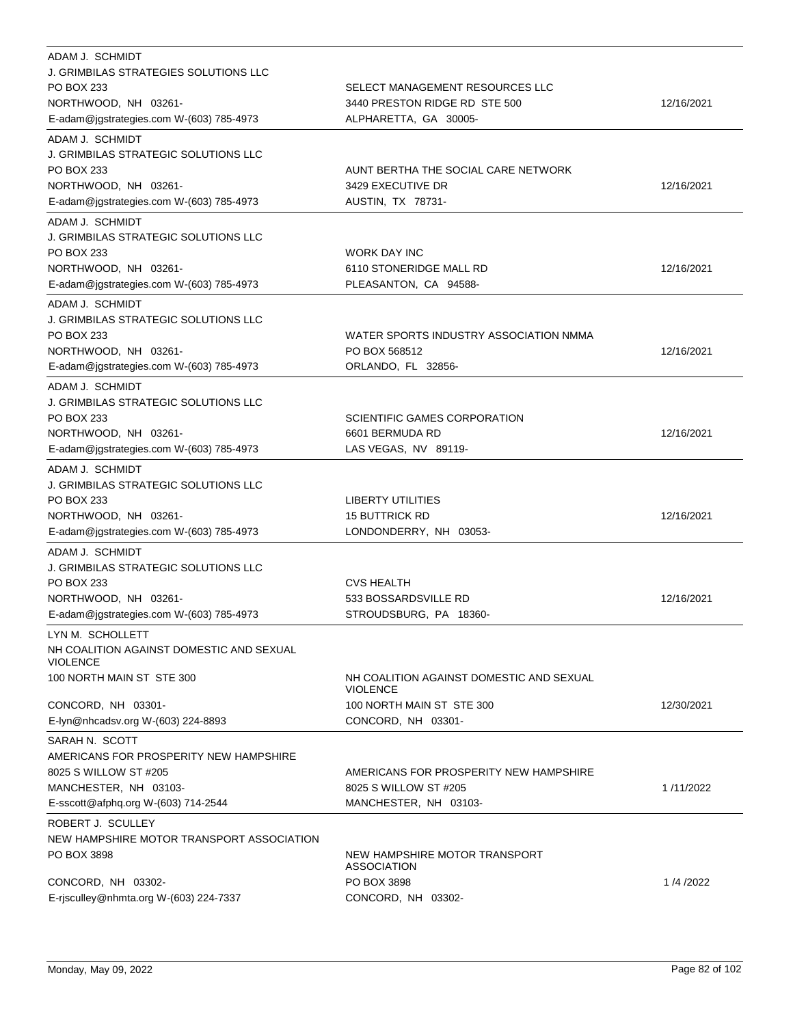| ADAM J. SCHMIDT<br><b>J. GRIMBILAS STRATEGIES SOLUTIONS LLC</b><br>PO BOX 233<br>NORTHWOOD, NH 03261-<br>E-adam@jgstrategies.com W-(603) 785-4973 | SELECT MANAGEMENT RESOURCES LLC<br>3440 PRESTON RIDGE RD STE 500<br>ALPHARETTA, GA 30005-                      | 12/16/2021 |
|---------------------------------------------------------------------------------------------------------------------------------------------------|----------------------------------------------------------------------------------------------------------------|------------|
| ADAM J. SCHMIDT<br><b>J. GRIMBILAS STRATEGIC SOLUTIONS LLC</b><br>PO BOX 233<br>NORTHWOOD, NH 03261-<br>E-adam@jgstrategies.com W-(603) 785-4973  | AUNT BERTHA THE SOCIAL CARE NETWORK<br>3429 EXECUTIVE DR<br>AUSTIN, TX 78731-                                  | 12/16/2021 |
| ADAM J. SCHMIDT<br>J. GRIMBILAS STRATEGIC SOLUTIONS LLC<br>PO BOX 233<br>NORTHWOOD, NH 03261-<br>E-adam@jgstrategies.com W-(603) 785-4973         | <b>WORK DAY INC</b><br>6110 STONERIDGE MALL RD<br>PLEASANTON, CA 94588-                                        | 12/16/2021 |
| ADAM J. SCHMIDT<br><b>J. GRIMBILAS STRATEGIC SOLUTIONS LLC</b><br>PO BOX 233<br>NORTHWOOD, NH 03261-<br>E-adam@jgstrategies.com W-(603) 785-4973  | WATER SPORTS INDUSTRY ASSOCIATION NMMA<br>PO BOX 568512<br>ORLANDO, FL 32856-                                  | 12/16/2021 |
| ADAM J. SCHMIDT<br>J. GRIMBILAS STRATEGIC SOLUTIONS LLC<br><b>PO BOX 233</b><br>NORTHWOOD, NH 03261-<br>E-adam@jgstrategies.com W-(603) 785-4973  | SCIENTIFIC GAMES CORPORATION<br>6601 BERMUDA RD<br>LAS VEGAS, NV 89119-                                        | 12/16/2021 |
| ADAM J. SCHMIDT<br>J. GRIMBILAS STRATEGIC SOLUTIONS LLC<br>PO BOX 233<br>NORTHWOOD, NH 03261-<br>E-adam@jgstrategies.com W-(603) 785-4973         | <b>LIBERTY UTILITIES</b><br><b>15 BUTTRICK RD</b><br>LONDONDERRY, NH 03053-                                    | 12/16/2021 |
| ADAM J. SCHMIDT<br><b>J. GRIMBILAS STRATEGIC SOLUTIONS LLC</b><br>PO BOX 233<br>NORTHWOOD, NH 03261-<br>E-adam@jgstrategies.com W-(603) 785-4973  | <b>CVS HEALTH</b><br>533 BOSSARDSVILLE RD<br>STROUDSBURG, PA 18360-                                            | 12/16/2021 |
| LYN M. SCHOLLETT<br>NH COALITION AGAINST DOMESTIC AND SEXUAL<br><b>VIOLENCE</b>                                                                   |                                                                                                                |            |
| 100 NORTH MAIN ST STE 300<br>CONCORD, NH 03301-<br>E-lyn@nhcadsv.org W-(603) 224-8893                                                             | NH COALITION AGAINST DOMESTIC AND SEXUAL<br><b>VIOLENCE</b><br>100 NORTH MAIN ST STE 300<br>CONCORD, NH 03301- | 12/30/2021 |
| SARAH N. SCOTT<br>AMERICANS FOR PROSPERITY NEW HAMPSHIRE<br>8025 S WILLOW ST #205<br>MANCHESTER, NH 03103-<br>E-sscott@afphq.org W-(603) 714-2544 | AMERICANS FOR PROSPERITY NEW HAMPSHIRE<br>8025 S WILLOW ST #205<br>MANCHESTER, NH 03103-                       | 1/11/2022  |
| ROBERT J. SCULLEY<br>NEW HAMPSHIRE MOTOR TRANSPORT ASSOCIATION<br>PO BOX 3898<br>CONCORD, NH 03302-<br>E-risculley@nhmta.org W-(603) 224-7337     | NEW HAMPSHIRE MOTOR TRANSPORT<br><b>ASSOCIATION</b><br>PO BOX 3898<br>CONCORD, NH 03302-                       | 1/4/2022   |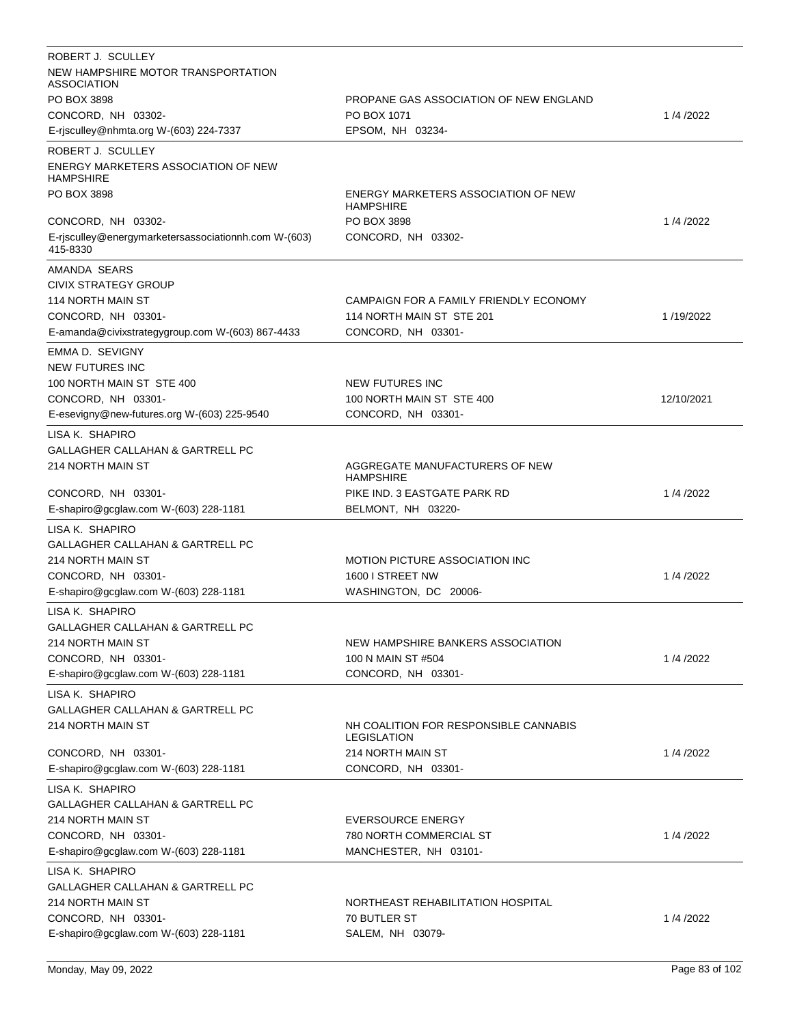| ROBERT J. SCULLEY                                                |                                                         |            |
|------------------------------------------------------------------|---------------------------------------------------------|------------|
| NEW HAMPSHIRE MOTOR TRANSPORTATION<br>ASSOCIATION                |                                                         |            |
| PO BOX 3898                                                      | PROPANE GAS ASSOCIATION OF NEW ENGLAND                  |            |
| CONCORD, NH 03302-                                               | PO BOX 1071                                             | 1/4/2022   |
| E-rjsculley@nhmta.org W-(603) 224-7337                           | EPSOM, NH 03234-                                        |            |
| ROBERT J. SCULLEY                                                |                                                         |            |
| ENERGY MARKETERS ASSOCIATION OF NEW<br><b>HAMPSHIRE</b>          |                                                         |            |
| PO BOX 3898                                                      | ENERGY MARKETERS ASSOCIATION OF NEW<br><b>HAMPSHIRE</b> |            |
| CONCORD, NH 03302-                                               | PO BOX 3898                                             | 1/4/2022   |
| E-risculley@energymarketersassociationnh.com W-(603)<br>415-8330 | CONCORD, NH 03302-                                      |            |
| AMANDA SEARS                                                     |                                                         |            |
| CIVIX STRATEGY GROUP                                             |                                                         |            |
| 114 NORTH MAIN ST                                                | CAMPAIGN FOR A FAMILY FRIENDLY ECONOMY                  |            |
| CONCORD, NH 03301-                                               | 114 NORTH MAIN ST STE 201                               | 1/19/2022  |
| E-amanda@civixstrategygroup.com W-(603) 867-4433                 | CONCORD, NH 03301-                                      |            |
| EMMA D. SEVIGNY                                                  |                                                         |            |
| <b>NEW FUTURES INC</b>                                           |                                                         |            |
| 100 NORTH MAIN ST STE 400                                        | <b>NEW FUTURES INC</b>                                  |            |
| CONCORD, NH 03301-                                               | 100 NORTH MAIN ST STE 400                               | 12/10/2021 |
| E-esevigny@new-futures.org W-(603) 225-9540                      | CONCORD, NH 03301-                                      |            |
| LISA K. SHAPIRO                                                  |                                                         |            |
| GALLAGHER CALLAHAN & GARTRELL PC                                 |                                                         |            |
| 214 NORTH MAIN ST                                                | AGGREGATE MANUFACTURERS OF NEW<br><b>HAMPSHIRE</b>      |            |
| CONCORD, NH 03301-                                               | PIKE IND. 3 EASTGATE PARK RD                            | 1/4/2022   |
| E-shapiro@gcglaw.com W-(603) 228-1181                            | BELMONT, NH 03220-                                      |            |
| LISA K. SHAPIRO                                                  |                                                         |            |
| GALLAGHER CALLAHAN & GARTRELL PC                                 |                                                         |            |
| 214 NORTH MAIN ST                                                | <b>MOTION PICTURE ASSOCIATION INC</b>                   |            |
| CONCORD, NH 03301-                                               | 1600 I STREET NW                                        | 1/4/2022   |
| E-shapiro@gcglaw.com W-(603) 228-1181                            | WASHINGTON, DC 20006-                                   |            |
| LISA K. SHAPIRO                                                  |                                                         |            |
| GALLAGHER CALLAHAN & GARTRELL PC                                 |                                                         |            |
| 214 NORTH MAIN ST                                                | NEW HAMPSHIRE BANKERS ASSOCIATION                       |            |
| CONCORD, NH 03301-                                               | 100 N MAIN ST #504                                      | 1/4/2022   |
| E-shapiro@gcglaw.com W-(603) 228-1181                            |                                                         |            |
|                                                                  |                                                         |            |
|                                                                  | CONCORD, NH 03301-                                      |            |
| LISA K. SHAPIRO                                                  |                                                         |            |
| GALLAGHER CALLAHAN & GARTRELL PC<br>214 NORTH MAIN ST            | NH COALITION FOR RESPONSIBLE CANNABIS                   |            |
|                                                                  | <b>LEGISLATION</b>                                      |            |
| CONCORD, NH 03301-                                               | 214 NORTH MAIN ST                                       | 1/4/2022   |
| E-shapiro@gcglaw.com W-(603) 228-1181                            | CONCORD, NH 03301-                                      |            |
| LISA K. SHAPIRO                                                  |                                                         |            |
| GALLAGHER CALLAHAN & GARTRELL PC                                 |                                                         |            |
| 214 NORTH MAIN ST                                                | <b>EVERSOURCE ENERGY</b>                                |            |
| CONCORD, NH 03301-                                               | 780 NORTH COMMERCIAL ST                                 | 1/4/2022   |
| E-shapiro@gcglaw.com W-(603) 228-1181                            | MANCHESTER, NH 03101-                                   |            |
| LISA K. SHAPIRO                                                  |                                                         |            |
| GALLAGHER CALLAHAN & GARTRELL PC                                 |                                                         |            |
| 214 NORTH MAIN ST                                                | NORTHEAST REHABILITATION HOSPITAL                       |            |
| CONCORD, NH 03301-<br>E-shapiro@gcglaw.com W-(603) 228-1181      | 70 BUTLER ST<br>SALEM, NH 03079-                        | 1/4/2022   |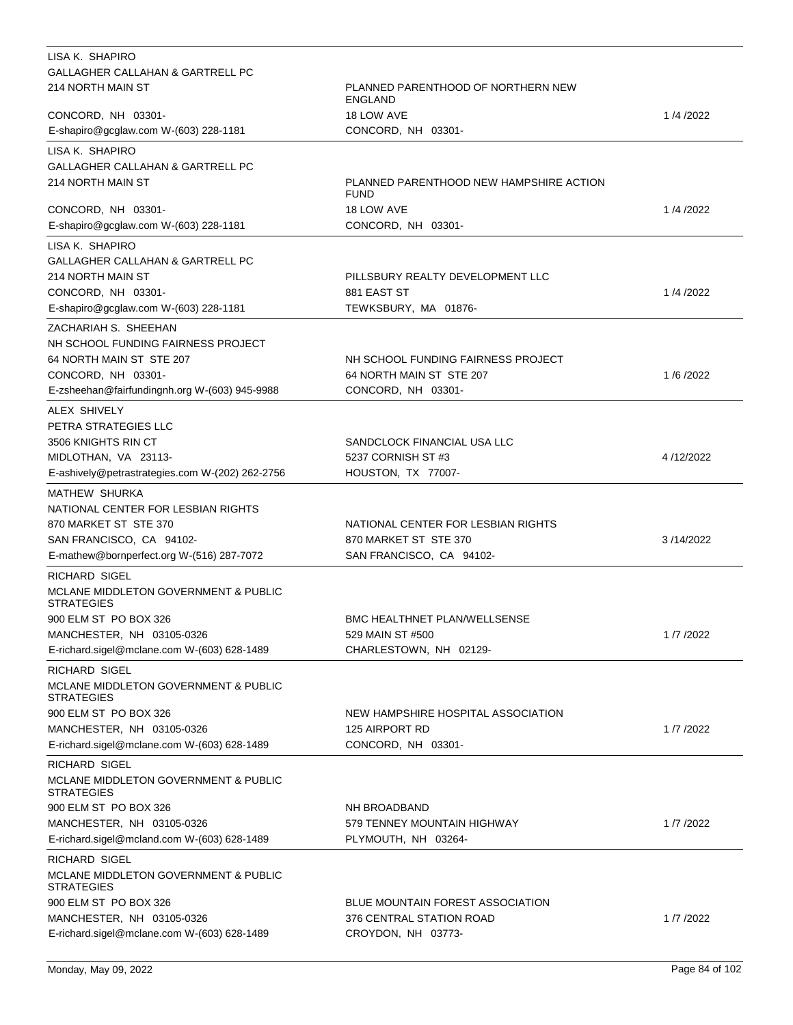| LISA K. SHAPIRO                                                      |                                                        |           |
|----------------------------------------------------------------------|--------------------------------------------------------|-----------|
| <b>GALLAGHER CALLAHAN &amp; GARTRELL PC</b>                          |                                                        |           |
| 214 NORTH MAIN ST                                                    | PLANNED PARENTHOOD OF NORTHERN NEW<br>ENGLAND          |           |
| CONCORD, NH 03301-                                                   | 18 LOW AVE                                             | 1/4/2022  |
| E-shapiro@gcglaw.com W-(603) 228-1181                                | CONCORD, NH 03301-                                     |           |
| LISA K. SHAPIRO                                                      |                                                        |           |
| <b>GALLAGHER CALLAHAN &amp; GARTRELL PC</b>                          |                                                        |           |
| 214 NORTH MAIN ST                                                    | PLANNED PARENTHOOD NEW HAMPSHIRE ACTION<br><b>FUND</b> |           |
| CONCORD, NH 03301-                                                   | 18 LOW AVE                                             | 1/4/2022  |
| E-shapiro@gcglaw.com W-(603) 228-1181                                | CONCORD, NH 03301-                                     |           |
| LISA K. SHAPIRO                                                      |                                                        |           |
| GALLAGHER CALLAHAN & GARTRELL PC                                     |                                                        |           |
| 214 NORTH MAIN ST                                                    | PILLSBURY REALTY DEVELOPMENT LLC                       |           |
| CONCORD, NH 03301-                                                   | 881 EAST ST                                            | 1/4/2022  |
| E-shapiro@gcglaw.com W-(603) 228-1181                                | TEWKSBURY, MA 01876-                                   |           |
| ZACHARIAH S. SHEEHAN                                                 |                                                        |           |
| NH SCHOOL FUNDING FAIRNESS PROJECT                                   |                                                        |           |
| 64 NORTH MAIN ST STE 207                                             | NH SCHOOL FUNDING FAIRNESS PROJECT                     |           |
| CONCORD, NH 03301-                                                   | 64 NORTH MAIN ST STE 207                               | 1/6/2022  |
| E-zsheehan@fairfundingnh.org W-(603) 945-9988                        | CONCORD, NH 03301-                                     |           |
| ALEX SHIVELY                                                         |                                                        |           |
| PETRA STRATEGIES LLC                                                 |                                                        |           |
| 3506 KNIGHTS RIN CT                                                  | SANDCLOCK FINANCIAL USA LLC                            |           |
| MIDLOTHAN, VA 23113-                                                 | 5237 CORNISH ST #3                                     | 4/12/2022 |
| E-ashively@petrastrategies.com W-(202) 262-2756                      | HOUSTON, TX 77007-                                     |           |
| MATHEW SHURKA                                                        |                                                        |           |
| NATIONAL CENTER FOR LESBIAN RIGHTS                                   |                                                        |           |
| 870 MARKET ST STE 370                                                | NATIONAL CENTER FOR LESBIAN RIGHTS                     |           |
| SAN FRANCISCO, CA 94102-                                             | 870 MARKET ST STE 370                                  | 3/14/2022 |
| E-mathew@bornperfect.org W-(516) 287-7072                            | SAN FRANCISCO, CA 94102-                               |           |
| RICHARD SIGEL                                                        |                                                        |           |
| MCLANE MIDDLETON GOVERNMENT & PUBLIC<br><b>STRATEGIES</b>            |                                                        |           |
| 900 ELM ST PO BOX 326                                                | <b>BMC HEALTHNET PLAN/WELLSENSE</b>                    |           |
| MANCHESTER, NH 03105-0326                                            | 529 MAIN ST #500                                       | 1/7/2022  |
| E-richard.sigel@mclane.com W-(603) 628-1489                          | CHARLESTOWN, NH 02129-                                 |           |
| <b>RICHARD SIGEL</b>                                                 |                                                        |           |
| <b>MCLANE MIDDLETON GOVERNMENT &amp; PUBLIC</b><br><b>STRATEGIES</b> |                                                        |           |
| 900 ELM ST PO BOX 326                                                | NEW HAMPSHIRE HOSPITAL ASSOCIATION                     |           |
| MANCHESTER, NH 03105-0326                                            | 125 AIRPORT RD                                         | 1/7/2022  |
| E-richard.sigel@mclane.com W-(603) 628-1489                          | CONCORD, NH 03301-                                     |           |
| RICHARD SIGEL                                                        |                                                        |           |
| <b>MCLANE MIDDLETON GOVERNMENT &amp; PUBLIC</b><br><b>STRATEGIES</b> |                                                        |           |
| 900 ELM ST PO BOX 326                                                | NH BROADBAND                                           |           |
| MANCHESTER, NH 03105-0326                                            | 579 TENNEY MOUNTAIN HIGHWAY                            | 1/7/2022  |
| E-richard.sigel@mcland.com W-(603) 628-1489                          | PLYMOUTH, NH 03264-                                    |           |
| RICHARD SIGEL                                                        |                                                        |           |
| MCLANE MIDDLETON GOVERNMENT & PUBLIC<br><b>STRATEGIES</b>            |                                                        |           |
| 900 ELM ST PO BOX 326                                                | <b>BLUE MOUNTAIN FOREST ASSOCIATION</b>                |           |
| MANCHESTER, NH 03105-0326                                            | 376 CENTRAL STATION ROAD                               | 1/7/2022  |
| E-richard.sigel@mclane.com W-(603) 628-1489                          | CROYDON, NH 03773-                                     |           |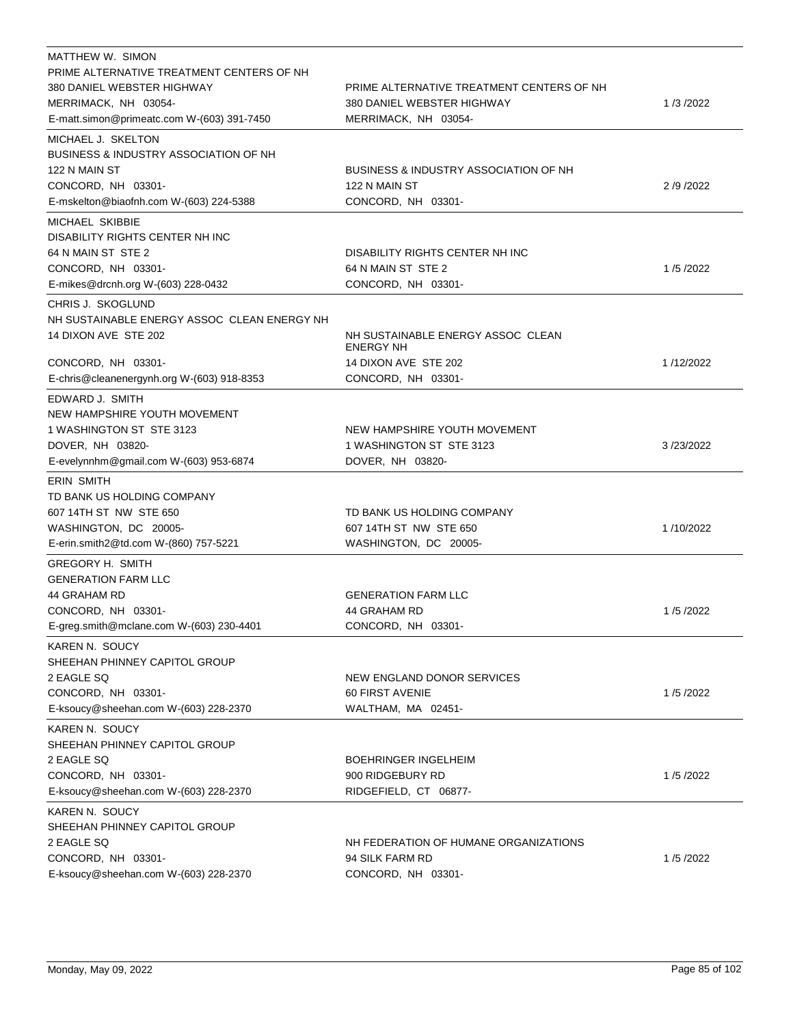| MATTHEW W. SIMON<br>PRIME ALTERNATIVE TREATMENT CENTERS OF NH |                                                       |           |
|---------------------------------------------------------------|-------------------------------------------------------|-----------|
| 380 DANIEL WEBSTER HIGHWAY                                    | PRIME ALTERNATIVE TREATMENT CENTERS OF NH             |           |
| MERRIMACK, NH 03054-                                          | 380 DANIEL WEBSTER HIGHWAY                            | 1/3/2022  |
| E-matt.simon@primeatc.com W-(603) 391-7450                    | MERRIMACK, NH 03054-                                  |           |
| MICHAEL J. SKELTON                                            |                                                       |           |
| <b>BUSINESS &amp; INDUSTRY ASSOCIATION OF NH</b>              |                                                       |           |
| 122 N MAIN ST                                                 | BUSINESS & INDUSTRY ASSOCIATION OF NH                 |           |
| CONCORD, NH 03301-                                            | 122 N MAIN ST                                         | 2/9/2022  |
| E-mskelton@biaofnh.com W-(603) 224-5388                       | CONCORD, NH 03301-                                    |           |
| MICHAEL SKIBBIE                                               |                                                       |           |
| DISABILITY RIGHTS CENTER NH INC                               |                                                       |           |
| 64 N MAIN ST STE 2                                            | DISABILITY RIGHTS CENTER NH INC                       |           |
| CONCORD, NH 03301-                                            | 64 N MAIN ST STE 2                                    | 1/5/2022  |
| E-mikes@drcnh.org W-(603) 228-0432                            | CONCORD, NH 03301-                                    |           |
| CHRIS J. SKOGLUND                                             |                                                       |           |
| NH SUSTAINABLE ENERGY ASSOC CLEAN ENERGY NH                   |                                                       |           |
| 14 DIXON AVE STE 202                                          | NH SUSTAINABLE ENERGY ASSOC CLEAN<br><b>ENERGY NH</b> |           |
| CONCORD, NH 03301-                                            | 14 DIXON AVE STE 202                                  | 1/12/2022 |
| E-chris@cleanenergynh.org W-(603) 918-8353                    | CONCORD, NH 03301-                                    |           |
| EDWARD J. SMITH                                               |                                                       |           |
| NEW HAMPSHIRE YOUTH MOVEMENT                                  |                                                       |           |
| 1 WASHINGTON ST STE 3123                                      | NEW HAMPSHIRE YOUTH MOVEMENT                          |           |
| DOVER, NH 03820-                                              | 1 WASHINGTON ST STE 3123                              | 3/23/2022 |
| E-evelynnhm@gmail.com W-(603) 953-6874                        | DOVER, NH 03820-                                      |           |
| <b>ERIN SMITH</b>                                             |                                                       |           |
| TD BANK US HOLDING COMPANY                                    |                                                       |           |
| 607 14TH ST NW STE 650                                        | TD BANK US HOLDING COMPANY                            |           |
| WASHINGTON, DC 20005-                                         | 607 14TH ST NW STE 650                                | 1/10/2022 |
| E-erin.smith2@td.com W-(860) 757-5221                         | WASHINGTON, DC 20005-                                 |           |
| <b>GREGORY H. SMITH</b>                                       |                                                       |           |
| <b>GENERATION FARM LLC</b>                                    |                                                       |           |
| 44 GRAHAM RD                                                  | <b>GENERATION FARM LLC</b>                            |           |
| CONCORD, NH 03301-                                            | 44 GRAHAM RD                                          | 1/5/2022  |
| E-greg.smith@mclane.com W-(603) 230-4401                      | CONCORD, NH 03301-                                    |           |
| KAREN N. SOUCY                                                |                                                       |           |
| SHEEHAN PHINNEY CAPITOL GROUP                                 |                                                       |           |
| 2 EAGLE SQ                                                    | NEW ENGLAND DONOR SERVICES                            |           |
| CONCORD, NH 03301-                                            | 60 FIRST AVENIE                                       | 1/5/2022  |
| E-ksoucy@sheehan.com W-(603) 228-2370                         | WALTHAM, MA 02451-                                    |           |
| KAREN N. SOUCY                                                |                                                       |           |
| SHEEHAN PHINNEY CAPITOL GROUP                                 |                                                       |           |
| 2 EAGLE SQ                                                    | <b>BOEHRINGER INGELHEIM</b>                           |           |
| CONCORD, NH 03301-                                            | 900 RIDGEBURY RD                                      | 1/5/2022  |
| E-ksoucy@sheehan.com W-(603) 228-2370                         | RIDGEFIELD, CT 06877-                                 |           |
| KAREN N. SOUCY                                                |                                                       |           |
| SHEEHAN PHINNEY CAPITOL GROUP                                 |                                                       |           |
| 2 EAGLE SQ                                                    | NH FEDERATION OF HUMANE ORGANIZATIONS                 |           |
| CONCORD, NH 03301-                                            | 94 SILK FARM RD                                       | 1/5/2022  |
| E-ksoucy@sheehan.com W-(603) 228-2370                         | CONCORD, NH 03301-                                    |           |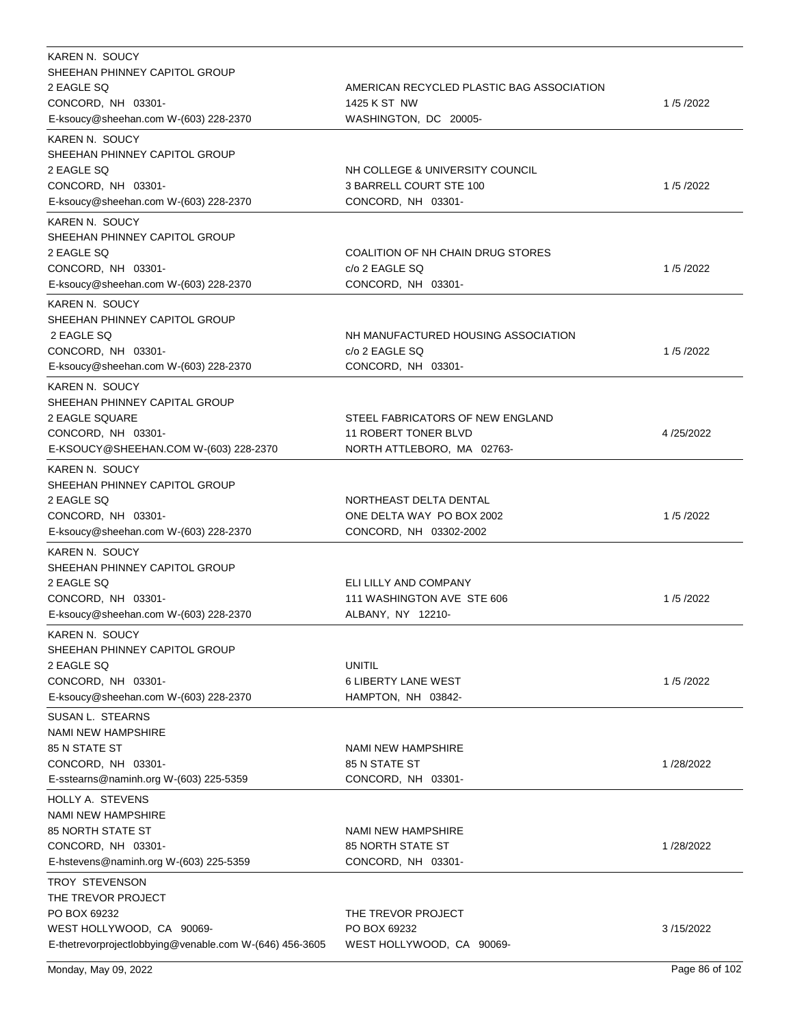| KAREN N. SOUCY                                          |                                           |           |
|---------------------------------------------------------|-------------------------------------------|-----------|
| SHEEHAN PHINNEY CAPITOL GROUP                           |                                           |           |
| 2 EAGLE SQ                                              | AMERICAN RECYCLED PLASTIC BAG ASSOCIATION |           |
| CONCORD, NH 03301-                                      | 1425 K ST NW                              | 1/5/2022  |
| E-ksoucy@sheehan.com W-(603) 228-2370                   | WASHINGTON, DC 20005-                     |           |
| KAREN N. SOUCY                                          |                                           |           |
| SHEEHAN PHINNEY CAPITOL GROUP                           |                                           |           |
| 2 EAGLE SQ                                              | NH COLLEGE & UNIVERSITY COUNCIL           |           |
| CONCORD, NH 03301-                                      | 3 BARRELL COURT STE 100                   | 1/5/2022  |
| E-ksoucy@sheehan.com W-(603) 228-2370                   | CONCORD, NH 03301-                        |           |
|                                                         |                                           |           |
| KAREN N. SOUCY                                          |                                           |           |
| SHEEHAN PHINNEY CAPITOL GROUP                           |                                           |           |
| 2 EAGLE SQ                                              | COALITION OF NH CHAIN DRUG STORES         |           |
| CONCORD, NH 03301-                                      | c/o 2 EAGLE SQ                            | 1/5/2022  |
| E-ksoucy@sheehan.com W-(603) 228-2370                   | CONCORD, NH 03301-                        |           |
| KAREN N. SOUCY                                          |                                           |           |
| SHEEHAN PHINNEY CAPITOL GROUP                           |                                           |           |
| 2 EAGLE SQ                                              | NH MANUFACTURED HOUSING ASSOCIATION       |           |
| CONCORD, NH 03301-                                      | c/o 2 EAGLE SQ                            | 1/5/2022  |
| E-ksoucy@sheehan.com W-(603) 228-2370                   | CONCORD, NH 03301-                        |           |
| KAREN N. SOUCY                                          |                                           |           |
| SHEEHAN PHINNEY CAPITAL GROUP                           |                                           |           |
| 2 EAGLE SQUARE                                          | STEEL FABRICATORS OF NEW ENGLAND          |           |
| CONCORD, NH 03301-                                      | <b>11 ROBERT TONER BLVD</b>               | 4/25/2022 |
|                                                         |                                           |           |
| E-KSOUCY@SHEEHAN.COM W-(603) 228-2370                   | NORTH ATTLEBORO, MA 02763-                |           |
| KAREN N. SOUCY                                          |                                           |           |
| SHEEHAN PHINNEY CAPITOL GROUP                           |                                           |           |
| 2 EAGLE SQ                                              | NORTHEAST DELTA DENTAL                    |           |
| CONCORD, NH 03301-                                      | ONE DELTA WAY PO BOX 2002                 | 1/5/2022  |
| E-ksoucy@sheehan.com W-(603) 228-2370                   | CONCORD, NH 03302-2002                    |           |
| KAREN N. SOUCY                                          |                                           |           |
| SHEEHAN PHINNEY CAPITOL GROUP                           |                                           |           |
| 2 EAGLE SQ                                              | ELI LILLY AND COMPANY                     |           |
| CONCORD, NH 03301-                                      | 111 WASHINGTON AVE STE 606                | 1/5/2022  |
| E-ksoucy@sheehan.com W-(603) 228-2370                   | ALBANY, NY 12210-                         |           |
|                                                         |                                           |           |
| KAREN N. SOUCY                                          |                                           |           |
| SHEEHAN PHINNEY CAPITOL GROUP                           |                                           |           |
| 2 EAGLE SQ                                              | <b>UNITIL</b>                             |           |
| CONCORD, NH 03301-                                      | 6 LIBERTY LANE WEST                       | 1/5/2022  |
| E-ksoucy@sheehan.com W-(603) 228-2370                   | HAMPTON, NH 03842-                        |           |
| SUSAN L. STEARNS                                        |                                           |           |
| <b>NAMI NEW HAMPSHIRE</b>                               |                                           |           |
| <b>85 N STATE ST</b>                                    | NAMI NEW HAMPSHIRE                        |           |
| CONCORD, NH 03301-                                      | 85 N STATE ST                             | 1/28/2022 |
| E-sstearns@naminh.org W-(603) 225-5359                  | CONCORD, NH 03301-                        |           |
| HOLLY A. STEVENS                                        |                                           |           |
| <b>NAMI NEW HAMPSHIRE</b>                               |                                           |           |
|                                                         |                                           |           |
| 85 NORTH STATE ST                                       | NAMI NEW HAMPSHIRE                        |           |
| CONCORD, NH 03301-                                      | <b>85 NORTH STATE ST</b>                  | 1/28/2022 |
| E-hstevens@naminh.org W-(603) 225-5359                  | CONCORD, NH 03301-                        |           |
| TROY STEVENSON                                          |                                           |           |
| THE TREVOR PROJECT                                      |                                           |           |
| PO BOX 69232                                            | THE TREVOR PROJECT                        |           |
| WEST HOLLYWOOD, CA 90069-                               | PO BOX 69232                              | 3/15/2022 |
| E-thetrevorprojectlobbying@venable.com W-(646) 456-3605 | WEST HOLLYWOOD, CA 90069-                 |           |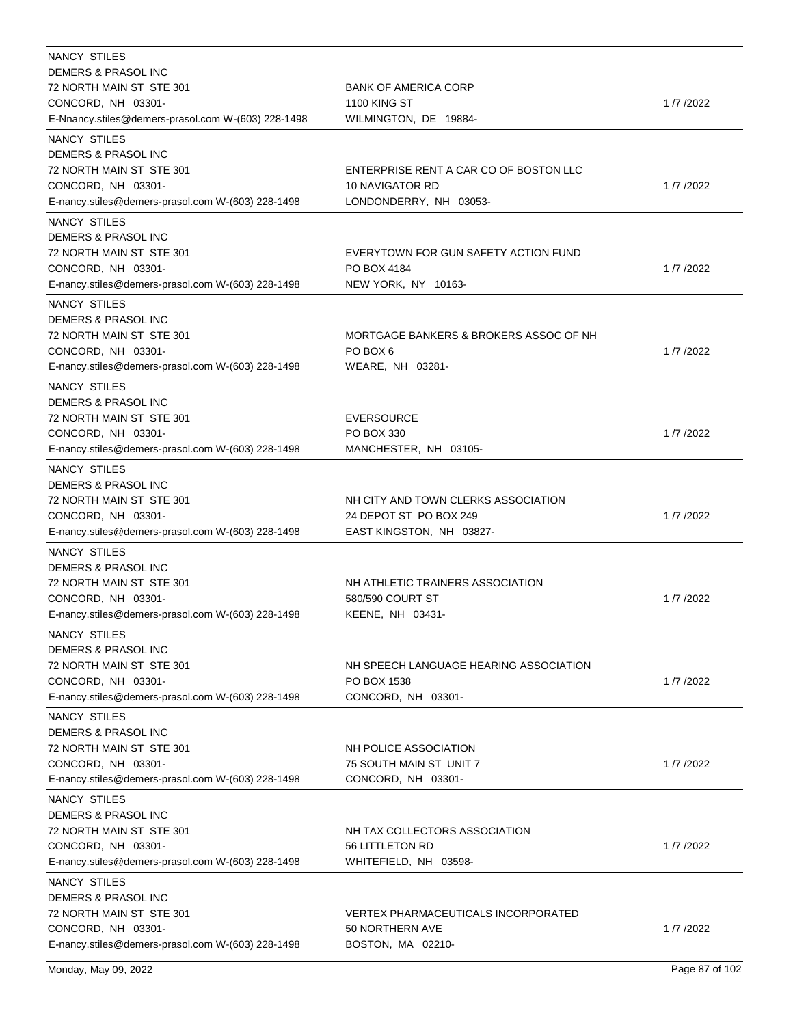| NANCY STILES                                       |                                        |          |
|----------------------------------------------------|----------------------------------------|----------|
| DEMERS & PRASOL INC                                |                                        |          |
| 72 NORTH MAIN ST STE 301                           | <b>BANK OF AMERICA CORP</b>            |          |
| CONCORD, NH 03301-                                 | <b>1100 KING ST</b>                    | 1/7/2022 |
| E-Nnancy.stiles@demers-prasol.com W-(603) 228-1498 | WILMINGTON, DE 19884-                  |          |
| NANCY STILES                                       |                                        |          |
| DEMERS & PRASOL INC                                |                                        |          |
| 72 NORTH MAIN ST STE 301                           | ENTERPRISE RENT A CAR CO OF BOSTON LLC |          |
| CONCORD, NH 03301-                                 | <b>10 NAVIGATOR RD</b>                 | 1/7/2022 |
| E-nancy.stiles@demers-prasol.com W-(603) 228-1498  | LONDONDERRY, NH 03053-                 |          |
| NANCY STILES                                       |                                        |          |
| DEMERS & PRASOL INC                                |                                        |          |
| 72 NORTH MAIN ST STE 301                           | EVERYTOWN FOR GUN SAFETY ACTION FUND   |          |
| CONCORD, NH 03301-                                 | PO BOX 4184                            | 1/7/2022 |
| E-nancy.stiles@demers-prasol.com W-(603) 228-1498  | NEW YORK, NY 10163-                    |          |
| NANCY STILES                                       |                                        |          |
| <b>DEMERS &amp; PRASOL INC</b>                     |                                        |          |
| 72 NORTH MAIN ST STE 301                           | MORTGAGE BANKERS & BROKERS ASSOC OF NH |          |
| CONCORD, NH 03301-                                 | PO BOX 6                               | 1/7/2022 |
| E-nancy.stiles@demers-prasol.com W-(603) 228-1498  | WEARE, NH 03281-                       |          |
|                                                    |                                        |          |
| NANCY STILES                                       |                                        |          |
| <b>DEMERS &amp; PRASOL INC</b>                     |                                        |          |
| 72 NORTH MAIN ST STE 301                           | <b>EVERSOURCE</b>                      |          |
| CONCORD, NH 03301-                                 | PO BOX 330                             | 1/7/2022 |
| E-nancy.stiles@demers-prasol.com W-(603) 228-1498  | MANCHESTER, NH 03105-                  |          |
| <b>NANCY STILES</b>                                |                                        |          |
| DEMERS & PRASOL INC                                |                                        |          |
| 72 NORTH MAIN ST STE 301                           | NH CITY AND TOWN CLERKS ASSOCIATION    |          |
| CONCORD, NH 03301-                                 | 24 DEPOT ST PO BOX 249                 | 1/7/2022 |
| E-nancy.stiles@demers-prasol.com W-(603) 228-1498  | EAST KINGSTON, NH 03827-               |          |
| NANCY STILES                                       |                                        |          |
| DEMERS & PRASOL INC                                |                                        |          |
| 72 NORTH MAIN ST STE 301                           | NH ATHLETIC TRAINERS ASSOCIATION       |          |
| CONCORD, NH 03301-                                 | 580/590 COURT ST                       | 1/7/2022 |
| E-nancy.stiles@demers-prasol.com W-(603) 228-1498  | KEENE, NH 03431-                       |          |
| NANCY STILES                                       |                                        |          |
| DEMERS & PRASOL INC                                |                                        |          |
| 72 NORTH MAIN ST STE 301                           | NH SPEECH LANGUAGE HEARING ASSOCIATION |          |
| CONCORD, NH 03301-                                 | PO BOX 1538                            | 1/7/2022 |
| E-nancy.stiles@demers-prasol.com W-(603) 228-1498  | CONCORD, NH 03301-                     |          |
|                                                    |                                        |          |
| NANCY STILES                                       |                                        |          |
| DEMERS & PRASOL INC                                |                                        |          |
| 72 NORTH MAIN ST STE 301                           | NH POLICE ASSOCIATION                  |          |
| CONCORD, NH 03301-                                 | 75 SOUTH MAIN ST UNIT 7                | 1/7/2022 |
| E-nancy.stiles@demers-prasol.com W-(603) 228-1498  | CONCORD, NH 03301-                     |          |
| NANCY STILES                                       |                                        |          |
| DEMERS & PRASOL INC                                |                                        |          |
| 72 NORTH MAIN ST STE 301                           | NH TAX COLLECTORS ASSOCIATION          |          |
| CONCORD, NH 03301-                                 | 56 LITTLETON RD                        | 1/7/2022 |
| E-nancy.stiles@demers-prasol.com W-(603) 228-1498  | WHITEFIELD, NH 03598-                  |          |
| NANCY STILES                                       |                                        |          |
| DEMERS & PRASOL INC                                |                                        |          |
| 72 NORTH MAIN ST STE 301                           | VERTEX PHARMACEUTICALS INCORPORATED    |          |
| CONCORD, NH 03301-                                 | 50 NORTHERN AVE                        | 1/7/2022 |
| E-nancy.stiles@demers-prasol.com W-(603) 228-1498  | BOSTON, MA 02210-                      |          |
|                                                    |                                        |          |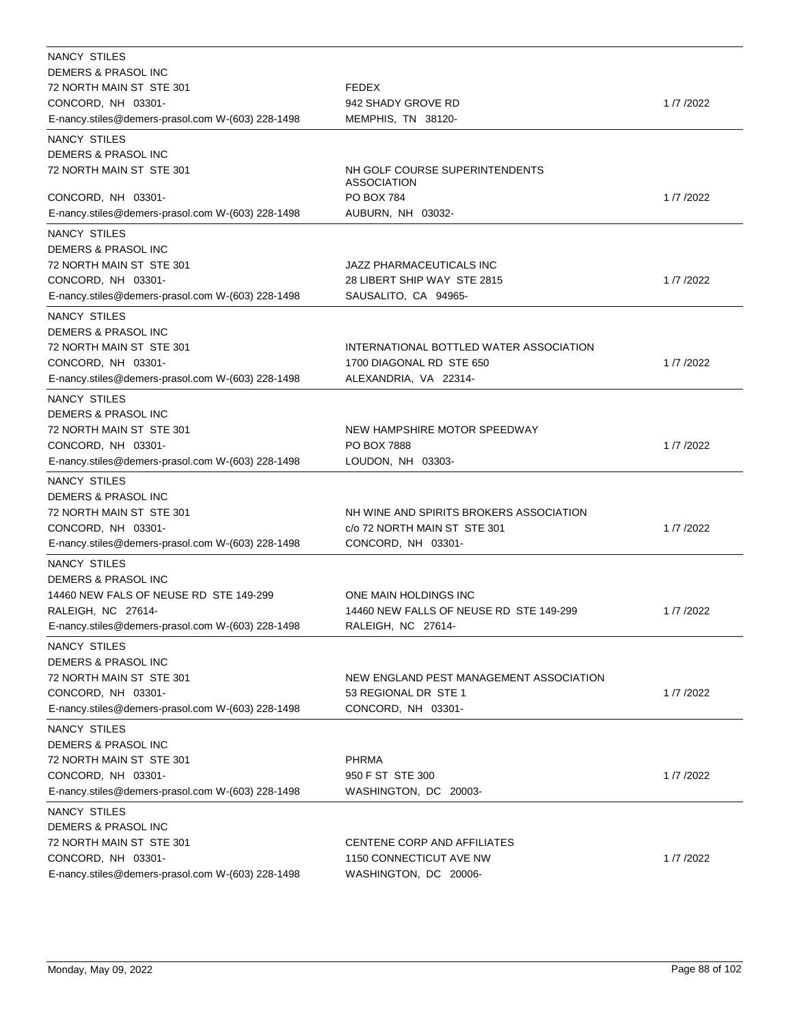| <b>NANCY STILES</b>                               |                                                      |          |
|---------------------------------------------------|------------------------------------------------------|----------|
| DEMERS & PRASOL INC                               |                                                      |          |
| 72 NORTH MAIN ST STE 301                          | <b>FEDEX</b>                                         |          |
| CONCORD, NH 03301-                                | 942 SHADY GROVE RD                                   | 1/7/2022 |
| E-nancy.stiles@demers-prasol.com W-(603) 228-1498 | MEMPHIS, TN 38120-                                   |          |
| NANCY STILES                                      |                                                      |          |
| DEMERS & PRASOL INC                               |                                                      |          |
| 72 NORTH MAIN ST STE 301                          | NH GOLF COURSE SUPERINTENDENTS<br><b>ASSOCIATION</b> |          |
| CONCORD, NH 03301-                                | PO BOX 784                                           | 1/7/2022 |
| E-nancy.stiles@demers-prasol.com W-(603) 228-1498 | AUBURN, NH 03032-                                    |          |
| NANCY STILES                                      |                                                      |          |
| DEMERS & PRASOL INC                               |                                                      |          |
| 72 NORTH MAIN ST STE 301                          | JAZZ PHARMACEUTICALS INC                             |          |
| CONCORD, NH 03301-                                | 28 LIBERT SHIP WAY STE 2815                          | 1/7/2022 |
| E-nancy.stiles@demers-prasol.com W-(603) 228-1498 | SAUSALITO, CA 94965-                                 |          |
| NANCY STILES                                      |                                                      |          |
| DEMERS & PRASOL INC                               |                                                      |          |
| 72 NORTH MAIN ST STE 301                          | INTERNATIONAL BOTTLED WATER ASSOCIATION              |          |
| CONCORD, NH 03301-                                | 1700 DIAGONAL RD STE 650                             | 1/7/2022 |
| E-nancy.stiles@demers-prasol.com W-(603) 228-1498 | ALEXANDRIA, VA 22314-                                |          |
| NANCY STILES                                      |                                                      |          |
| DEMERS & PRASOL INC                               |                                                      |          |
| 72 NORTH MAIN ST STE 301                          | NEW HAMPSHIRE MOTOR SPEEDWAY                         |          |
| CONCORD, NH 03301-                                | <b>PO BOX 7888</b>                                   | 1/7/2022 |
| E-nancy.stiles@demers-prasol.com W-(603) 228-1498 | LOUDON, NH 03303-                                    |          |
| NANCY STILES                                      |                                                      |          |
| DEMERS & PRASOL INC                               |                                                      |          |
| 72 NORTH MAIN ST STE 301                          | NH WINE AND SPIRITS BROKERS ASSOCIATION              |          |
| CONCORD, NH 03301-                                | c/o 72 NORTH MAIN ST STE 301                         | 1/7/2022 |
| E-nancy.stiles@demers-prasol.com W-(603) 228-1498 | CONCORD, NH 03301-                                   |          |
| <b>NANCY STILES</b>                               |                                                      |          |
| <b>DEMERS &amp; PRASOL INC</b>                    |                                                      |          |
| 14460 NEW FALS OF NEUSE RD STE 149-299            | ONE MAIN HOLDINGS INC                                |          |
| RALEIGH, NC 27614-                                | 14460 NEW FALLS OF NEUSE RD STE 149-299              | 1/7/2022 |
| E-nancy.stiles@demers-prasol.com W-(603) 228-1498 | RALEIGH, NC 27614-                                   |          |
|                                                   |                                                      |          |
| NANCY STILES<br><b>DEMERS &amp; PRASOL INC</b>    |                                                      |          |
|                                                   | NEW ENGLAND PEST MANAGEMENT ASSOCIATION              |          |
| 72 NORTH MAIN ST STE 301<br>CONCORD, NH 03301-    | 53 REGIONAL DR STE 1                                 | 1/7/2022 |
| E-nancy.stiles@demers-prasol.com W-(603) 228-1498 | CONCORD, NH 03301-                                   |          |
|                                                   |                                                      |          |
| NANCY STILES                                      |                                                      |          |
| DEMERS & PRASOL INC                               |                                                      |          |
| 72 NORTH MAIN ST STE 301                          | <b>PHRMA</b>                                         |          |
| CONCORD, NH 03301-                                | 950 F ST STE 300                                     | 1/7/2022 |
| E-nancy.stiles@demers-prasol.com W-(603) 228-1498 | WASHINGTON, DC 20003-                                |          |
| NANCY STILES                                      |                                                      |          |
| DEMERS & PRASOL INC                               |                                                      |          |
| 72 NORTH MAIN ST STE 301                          | CENTENE CORP AND AFFILIATES                          |          |
| CONCORD, NH 03301-                                | 1150 CONNECTICUT AVE NW                              | 1/7/2022 |
| E-nancy.stiles@demers-prasol.com W-(603) 228-1498 | WASHINGTON, DC 20006-                                |          |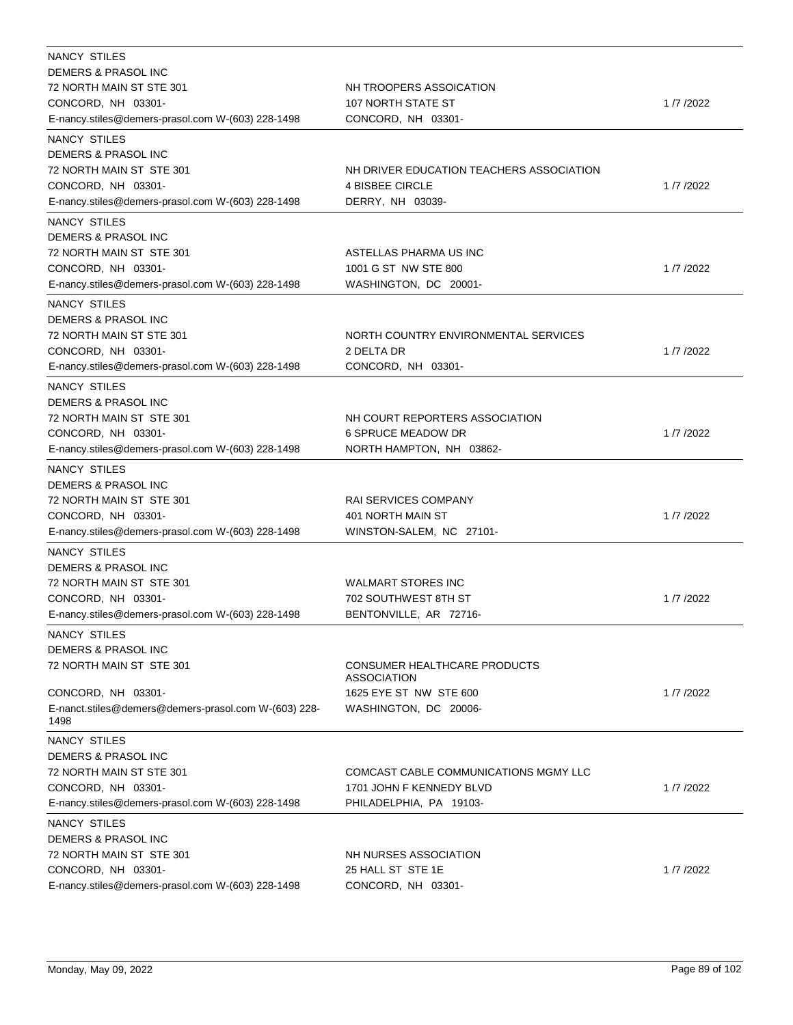| NANCY STILES<br>DEMERS & PRASOL INC<br>72 NORTH MAIN ST STE 301<br>CONCORD, NH 03301-<br>E-nancy.stiles@demers-prasol.com W-(603) 228-1498 | NH TROOPERS ASSOICATION<br>107 NORTH STATE ST<br>CONCORD, NH 03301- | 1/7/2022   |
|--------------------------------------------------------------------------------------------------------------------------------------------|---------------------------------------------------------------------|------------|
| NANCY STILES                                                                                                                               |                                                                     |            |
| DEMERS & PRASOL INC                                                                                                                        |                                                                     |            |
| 72 NORTH MAIN ST STE 301                                                                                                                   | NH DRIVER EDUCATION TEACHERS ASSOCIATION                            |            |
| CONCORD, NH 03301-                                                                                                                         | <b>4 BISBEE CIRCLE</b>                                              | 1/7/2022   |
| E-nancy.stiles@demers-prasol.com W-(603) 228-1498                                                                                          | DERRY, NH 03039-                                                    |            |
| <b>NANCY STILES</b>                                                                                                                        |                                                                     |            |
| DEMERS & PRASOL INC                                                                                                                        |                                                                     |            |
| 72 NORTH MAIN ST STE 301                                                                                                                   | ASTELLAS PHARMA US INC                                              |            |
| CONCORD, NH 03301-                                                                                                                         | 1001 G ST NW STE 800                                                | 1/7/2022   |
| E-nancy.stiles@demers-prasol.com W-(603) 228-1498                                                                                          | WASHINGTON, DC 20001-                                               |            |
| <b>NANCY STILES</b>                                                                                                                        |                                                                     |            |
| DEMERS & PRASOL INC                                                                                                                        |                                                                     |            |
| 72 NORTH MAIN ST STE 301                                                                                                                   | NORTH COUNTRY ENVIRONMENTAL SERVICES                                |            |
| CONCORD, NH 03301-                                                                                                                         | 2 DELTA DR                                                          | 1/7/2022   |
| E-nancy.stiles@demers-prasol.com W-(603) 228-1498                                                                                          | CONCORD, NH 03301-                                                  |            |
| NANCY STILES                                                                                                                               |                                                                     |            |
| DEMERS & PRASOL INC                                                                                                                        |                                                                     |            |
| 72 NORTH MAIN ST STE 301                                                                                                                   | NH COURT REPORTERS ASSOCIATION                                      |            |
| CONCORD, NH 03301-                                                                                                                         | <b>6 SPRUCE MEADOW DR</b>                                           | 1/7/2022   |
| E-nancy.stiles@demers-prasol.com W-(603) 228-1498                                                                                          | NORTH HAMPTON, NH 03862-                                            |            |
| <b>NANCY STILES</b>                                                                                                                        |                                                                     |            |
| DEMERS & PRASOL INC                                                                                                                        |                                                                     |            |
| 72 NORTH MAIN ST STE 301                                                                                                                   | <b>RAI SERVICES COMPANY</b>                                         |            |
| CONCORD, NH 03301-                                                                                                                         | 401 NORTH MAIN ST                                                   | 1/7/2022   |
| E-nancy.stiles@demers-prasol.com W-(603) 228-1498                                                                                          | WINSTON-SALEM, NC 27101-                                            |            |
| NANCY STILES                                                                                                                               |                                                                     |            |
| DEMERS & PRASOL INC                                                                                                                        |                                                                     |            |
| 72 NORTH MAIN ST STE 301                                                                                                                   | <b>WALMART STORES INC</b>                                           |            |
| CONCORD, NH 03301-                                                                                                                         | 702 SOUTHWEST 8TH ST                                                | 1/7/2022   |
| E-nancy.stiles@demers-prasol.com W-(603) 228-1498                                                                                          | BENTONVILLE, AR 72716-                                              |            |
| NANCY STILES                                                                                                                               |                                                                     |            |
| DEMERS & PRASOL INC                                                                                                                        |                                                                     |            |
| 72 NORTH MAIN ST STE 301                                                                                                                   | CONSUMER HEALTHCARE PRODUCTS<br><b>ASSOCIATION</b>                  |            |
| CONCORD, NH 03301-                                                                                                                         | 1625 EYE ST NW STE 600                                              | 1/7/2022   |
| E-nanct.stiles@demers@demers-prasol.com W-(603) 228-<br>1498                                                                               | WASHINGTON, DC 20006-                                               |            |
| NANCY STILES                                                                                                                               |                                                                     |            |
| <b>DEMERS &amp; PRASOL INC</b>                                                                                                             |                                                                     |            |
| 72 NORTH MAIN ST STE 301                                                                                                                   | COMCAST CABLE COMMUNICATIONS MGMY LLC                               |            |
| CONCORD, NH 03301-                                                                                                                         | 1701 JOHN F KENNEDY BLVD                                            | 1/7/2022   |
| E-nancy.stiles@demers-prasol.com W-(603) 228-1498                                                                                          | PHILADELPHIA, PA 19103-                                             |            |
| NANCY STILES                                                                                                                               |                                                                     |            |
| DEMERS & PRASOL INC                                                                                                                        |                                                                     |            |
| 72 NORTH MAIN ST STE 301                                                                                                                   | NH NURSES ASSOCIATION                                               |            |
| CONCORD, NH 03301-                                                                                                                         | 25 HALL ST STE 1E                                                   | 1 /7 /2022 |
| E-nancy.stiles@demers-prasol.com W-(603) 228-1498                                                                                          | CONCORD, NH 03301-                                                  |            |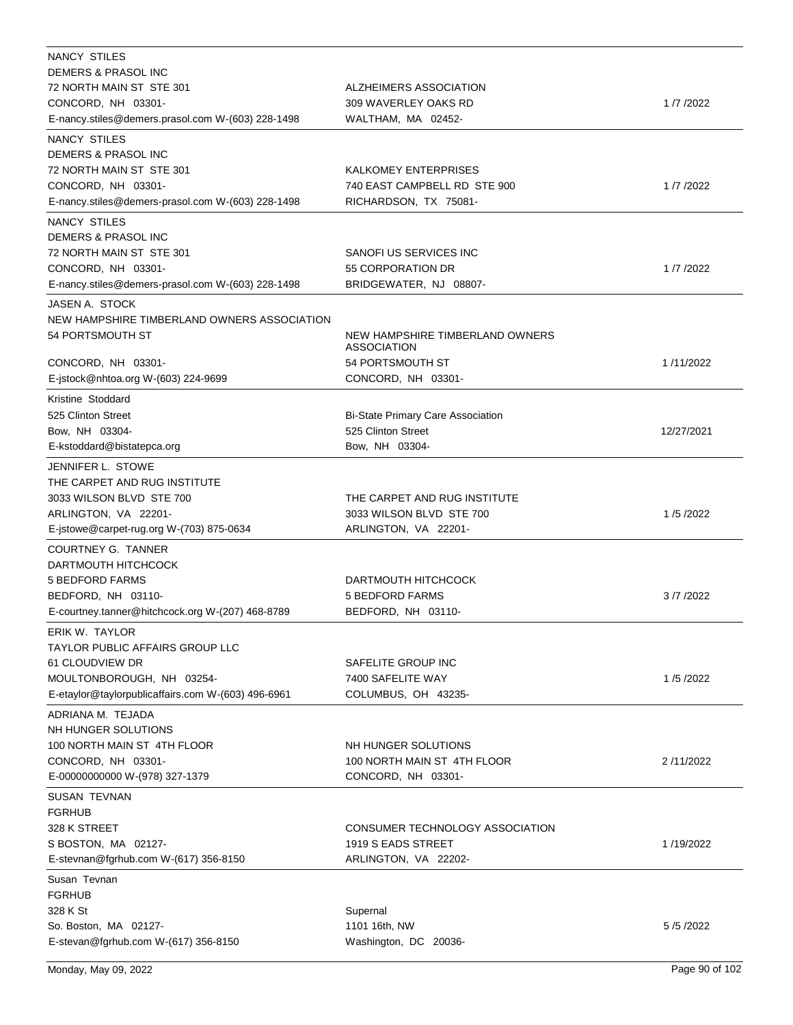| NANCY STILES                                       |                                          |            |
|----------------------------------------------------|------------------------------------------|------------|
| DEMERS & PRASOL INC                                |                                          |            |
| 72 NORTH MAIN ST STE 301                           | ALZHEIMERS ASSOCIATION                   |            |
| CONCORD, NH 03301-                                 | 309 WAVERLEY OAKS RD                     | 1/7/2022   |
| E-nancy.stiles@demers.prasol.com W-(603) 228-1498  | WALTHAM, MA 02452-                       |            |
| NANCY STILES                                       |                                          |            |
| DEMERS & PRASOL INC                                |                                          |            |
| 72 NORTH MAIN ST STE 301                           | KALKOMEY ENTERPRISES                     |            |
| CONCORD, NH 03301-                                 | 740 EAST CAMPBELL RD STE 900             | 1/7/2022   |
| E-nancy.stiles@demers-prasol.com W-(603) 228-1498  | RICHARDSON, TX 75081-                    |            |
|                                                    |                                          |            |
| NANCY STILES                                       |                                          |            |
| DEMERS & PRASOL INC                                |                                          |            |
| 72 NORTH MAIN ST STE 301                           | SANOFI US SERVICES INC                   |            |
| CONCORD, NH 03301-                                 | 55 CORPORATION DR                        | 1/7/2022   |
| E-nancy.stiles@demers-prasol.com W-(603) 228-1498  | BRIDGEWATER, NJ 08807-                   |            |
| JASEN A. STOCK                                     |                                          |            |
| NEW HAMPSHIRE TIMBERLAND OWNERS ASSOCIATION        |                                          |            |
| 54 PORTSMOUTH ST                                   | NEW HAMPSHIRE TIMBERLAND OWNERS          |            |
|                                                    | ASSOCIATION                              |            |
| CONCORD, NH 03301-                                 | 54 PORTSMOUTH ST                         | 1/11/2022  |
| E-istock@nhtoa.org W-(603) 224-9699                | CONCORD, NH 03301-                       |            |
| Kristine Stoddard                                  |                                          |            |
| 525 Clinton Street                                 | <b>Bi-State Primary Care Association</b> |            |
| Bow, NH 03304-                                     | 525 Clinton Street                       | 12/27/2021 |
| E-kstoddard@bistatepca.org                         | Bow, NH 03304-                           |            |
|                                                    |                                          |            |
| JENNIFER L. STOWE                                  |                                          |            |
| THE CARPET AND RUG INSTITUTE                       |                                          |            |
| 3033 WILSON BLVD STE 700                           | THE CARPET AND RUG INSTITUTE             |            |
| ARLINGTON, VA 22201-                               | 3033 WILSON BLVD STE 700                 | 1/5/2022   |
| E-jstowe@carpet-rug.org W-(703) 875-0634           | ARLINGTON, VA 22201-                     |            |
| <b>COURTNEY G. TANNER</b>                          |                                          |            |
| DARTMOUTH HITCHCOCK                                |                                          |            |
| 5 BEDFORD FARMS                                    | DARTMOUTH HITCHCOCK                      |            |
| BEDFORD, NH 03110-                                 | <b>5 BEDFORD FARMS</b>                   | 3/7/2022   |
| E-courtney.tanner@hitchcock.org W-(207) 468-8789   | BEDFORD, NH 03110-                       |            |
| <b>ERIK W. TAYLOR</b>                              |                                          |            |
| <b>TAYLOR PUBLIC AFFAIRS GROUP LLC</b>             |                                          |            |
| 61 CLOUDVIEW DR                                    | SAFELITE GROUP INC                       |            |
|                                                    |                                          |            |
| MOULTONBOROUGH, NH 03254-                          | 7400 SAFELITE WAY                        | 1/5/2022   |
| E-etaylor@taylorpublicaffairs.com W-(603) 496-6961 | COLUMBUS, OH 43235-                      |            |
| ADRIANA M. TEJADA                                  |                                          |            |
| NH HUNGER SOLUTIONS                                |                                          |            |
| 100 NORTH MAIN ST 4TH FLOOR                        | NH HUNGER SOLUTIONS                      |            |
| CONCORD, NH 03301-                                 | 100 NORTH MAIN ST 4TH FLOOR              | 2/11/2022  |
| E-00000000000 W-(978) 327-1379                     | CONCORD, NH 03301-                       |            |
| SUSAN TEVNAN                                       |                                          |            |
| <b>FGRHUB</b>                                      |                                          |            |
| 328 K STREET                                       | CONSUMER TECHNOLOGY ASSOCIATION          |            |
| S BOSTON, MA 02127-                                | 1919 S EADS STREET                       | 1/19/2022  |
| E-stevnan@fgrhub.com W-(617) 356-8150              | ARLINGTON, VA 22202-                     |            |
|                                                    |                                          |            |
| Susan Tevnan                                       |                                          |            |
| <b>FGRHUB</b>                                      |                                          |            |
| 328 K St                                           | Supernal                                 |            |
| So. Boston, MA 02127-                              | 1101 16th, NW                            | 5/5/2022   |
| E-stevan@fgrhub.com W-(617) 356-8150               | Washington, DC 20036-                    |            |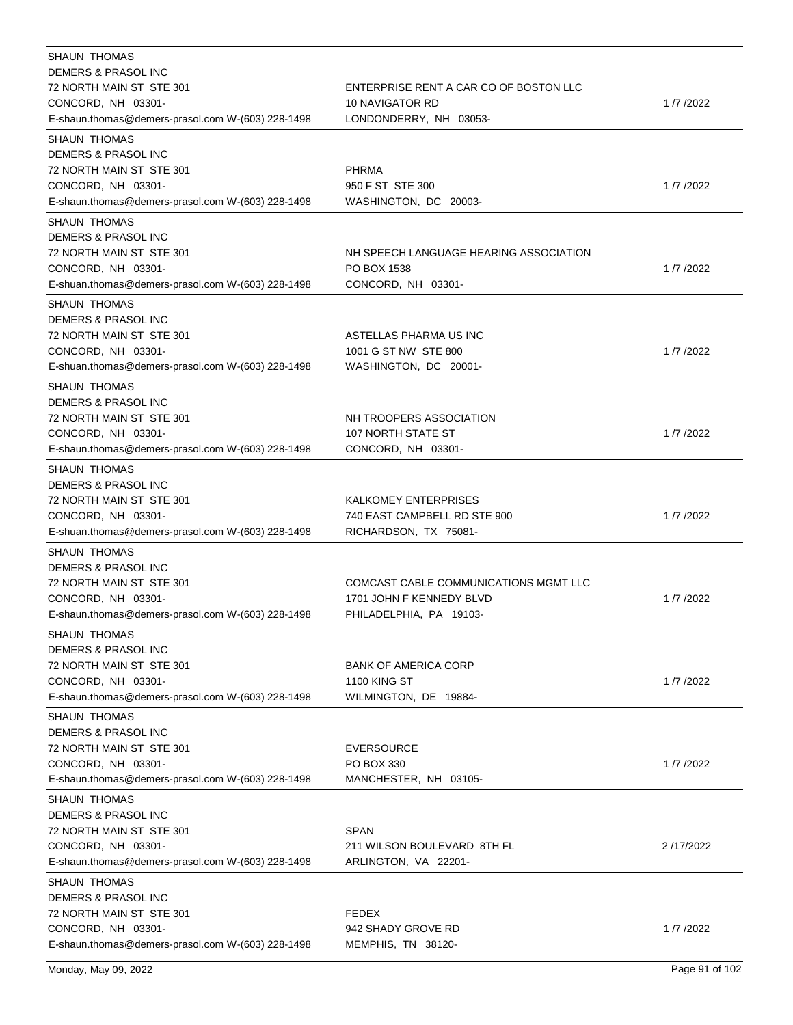| <b>SHAUN THOMAS</b>                               |                                        |            |
|---------------------------------------------------|----------------------------------------|------------|
| DEMERS & PRASOL INC                               |                                        |            |
| 72 NORTH MAIN ST STE 301                          | ENTERPRISE RENT A CAR CO OF BOSTON LLC |            |
| CONCORD, NH 03301-                                | <b>10 NAVIGATOR RD</b>                 | 1 /7 /2022 |
| E-shaun.thomas@demers-prasol.com W-(603) 228-1498 | LONDONDERRY, NH 03053-                 |            |
| <b>SHAUN THOMAS</b>                               |                                        |            |
| DEMERS & PRASOL INC                               |                                        |            |
| 72 NORTH MAIN ST STE 301                          | <b>PHRMA</b>                           |            |
| CONCORD, NH 03301-                                | 950 F ST STE 300                       | 1/7/2022   |
| E-shaun.thomas@demers-prasol.com W-(603) 228-1498 | WASHINGTON, DC 20003-                  |            |
| <b>SHAUN THOMAS</b>                               |                                        |            |
| DEMERS & PRASOL INC                               |                                        |            |
| 72 NORTH MAIN ST STE 301                          | NH SPEECH LANGUAGE HEARING ASSOCIATION |            |
| CONCORD, NH 03301-                                | PO BOX 1538                            | 1/7/2022   |
| E-shuan.thomas@demers-prasol.com W-(603) 228-1498 | CONCORD, NH 03301-                     |            |
| <b>SHAUN THOMAS</b>                               |                                        |            |
| DEMERS & PRASOL INC                               |                                        |            |
| 72 NORTH MAIN ST STE 301                          | ASTELLAS PHARMA US INC                 |            |
|                                                   |                                        |            |
| CONCORD, NH 03301-                                | 1001 G ST NW STE 800                   | 1/7/2022   |
| E-shuan.thomas@demers-prasol.com W-(603) 228-1498 | WASHINGTON, DC 20001-                  |            |
| <b>SHAUN THOMAS</b>                               |                                        |            |
| <b>DEMERS &amp; PRASOL INC</b>                    |                                        |            |
| 72 NORTH MAIN ST STE 301                          | NH TROOPERS ASSOCIATION                |            |
| CONCORD, NH 03301-                                | 107 NORTH STATE ST                     | 1/7/2022   |
| E-shaun.thomas@demers-prasol.com W-(603) 228-1498 | CONCORD, NH 03301-                     |            |
| <b>SHAUN THOMAS</b>                               |                                        |            |
| DEMERS & PRASOL INC                               |                                        |            |
| 72 NORTH MAIN ST STE 301                          | KALKOMEY ENTERPRISES                   |            |
| CONCORD, NH 03301-                                | 740 EAST CAMPBELL RD STE 900           | 1/7/2022   |
| E-shuan.thomas@demers-prasol.com W-(603) 228-1498 | RICHARDSON, TX 75081-                  |            |
| SHAUN THOMAS                                      |                                        |            |
| DEMERS & PRASOL INC                               |                                        |            |
| 72 NORTH MAIN ST STE 301                          | COMCAST CABLE COMMUNICATIONS MGMT LLC  |            |
| CONCORD, NH 03301-                                | 1701 JOHN F KENNEDY BLVD               | 1/7/2022   |
| E-shaun.thomas@demers-prasol.com W-(603) 228-1498 | PHILADELPHIA, PA 19103-                |            |
| SHAUN THOMAS                                      |                                        |            |
| DEMERS & PRASOL INC                               |                                        |            |
| 72 NORTH MAIN ST STE 301                          | <b>BANK OF AMERICA CORP</b>            |            |
| CONCORD, NH 03301-                                | <b>1100 KING ST</b>                    | 1/7/2022   |
| E-shaun.thomas@demers-prasol.com W-(603) 228-1498 | WILMINGTON, DE 19884-                  |            |
|                                                   |                                        |            |
| <b>SHAUN THOMAS</b>                               |                                        |            |
| DEMERS & PRASOL INC                               |                                        |            |
| 72 NORTH MAIN ST STE 301                          | EVERSOURCE                             |            |
| CONCORD, NH 03301-                                | PO BOX 330                             | 1/7/2022   |
| E-shaun.thomas@demers-prasol.com W-(603) 228-1498 | MANCHESTER, NH 03105-                  |            |
| <b>SHAUN THOMAS</b>                               |                                        |            |
| DEMERS & PRASOL INC                               |                                        |            |
| 72 NORTH MAIN ST STE 301                          | SPAN                                   |            |
| CONCORD, NH 03301-                                | 211 WILSON BOULEVARD 8TH FL            | 2/17/2022  |
| E-shaun.thomas@demers-prasol.com W-(603) 228-1498 | ARLINGTON, VA 22201-                   |            |
| <b>SHAUN THOMAS</b>                               |                                        |            |
| DEMERS & PRASOL INC                               |                                        |            |
| 72 NORTH MAIN ST STE 301                          | <b>FEDEX</b>                           |            |
| CONCORD, NH 03301-                                | 942 SHADY GROVE RD                     | 1/7/2022   |
| E-shaun.thomas@demers-prasol.com W-(603) 228-1498 | MEMPHIS, TN 38120-                     |            |
|                                                   |                                        |            |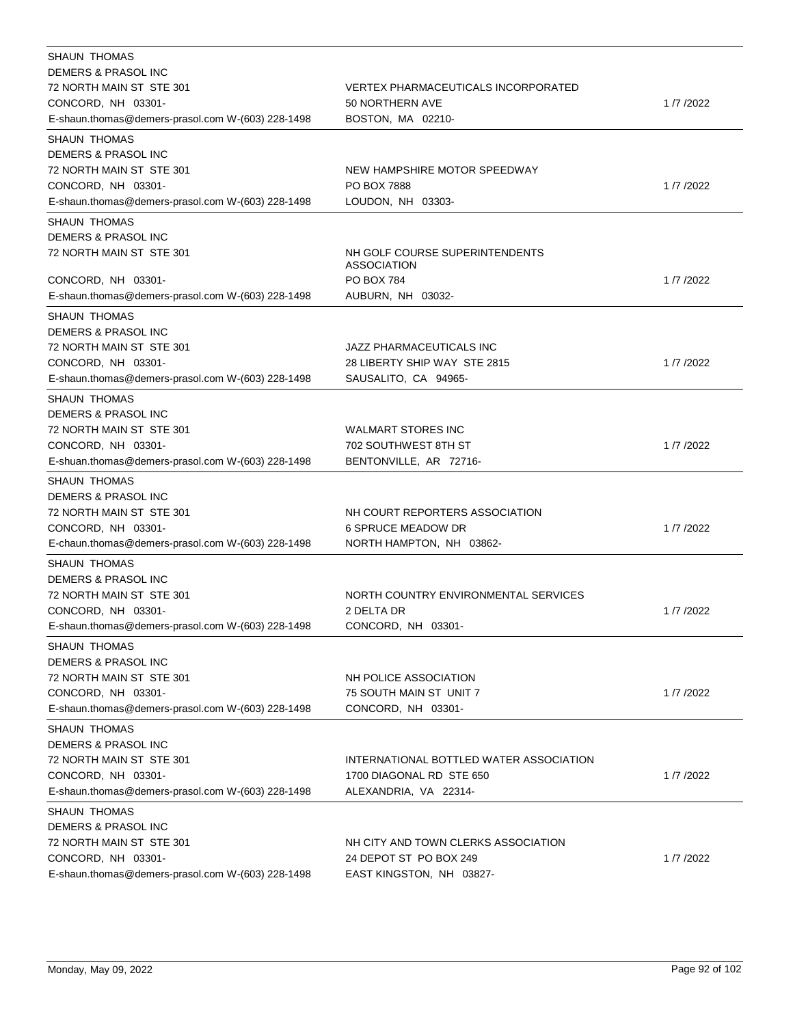| SHAUN THOMAS                                                            |                                                      |          |
|-------------------------------------------------------------------------|------------------------------------------------------|----------|
| DEMERS & PRASOL INC                                                     |                                                      |          |
| 72 NORTH MAIN ST STE 301                                                | VERTEX PHARMACEUTICALS INCORPORATED                  |          |
| CONCORD, NH 03301-                                                      | 50 NORTHERN AVE                                      | 1/7/2022 |
| E-shaun.thomas@demers-prasol.com W-(603) 228-1498                       | BOSTON, MA 02210-                                    |          |
| <b>SHAUN THOMAS</b>                                                     |                                                      |          |
| DEMERS & PRASOL INC                                                     |                                                      |          |
| 72 NORTH MAIN ST STE 301                                                | NEW HAMPSHIRE MOTOR SPEEDWAY                         |          |
| CONCORD, NH 03301-                                                      | <b>PO BOX 7888</b>                                   | 1/7/2022 |
| E-shaun.thomas@demers-prasol.com W-(603) 228-1498                       | LOUDON, NH 03303-                                    |          |
| <b>SHAUN THOMAS</b>                                                     |                                                      |          |
| DEMERS & PRASOL INC                                                     |                                                      |          |
| 72 NORTH MAIN ST STE 301                                                | NH GOLF COURSE SUPERINTENDENTS<br><b>ASSOCIATION</b> |          |
| CONCORD, NH 03301-                                                      | <b>PO BOX 784</b>                                    | 1/7/2022 |
| E-shaun.thomas@demers-prasol.com W-(603) 228-1498                       | AUBURN, NH 03032-                                    |          |
| <b>SHAUN THOMAS</b>                                                     |                                                      |          |
| DEMERS & PRASOL INC                                                     |                                                      |          |
| 72 NORTH MAIN ST STE 301                                                | JAZZ PHARMACEUTICALS INC                             |          |
| CONCORD, NH 03301-                                                      | 28 LIBERTY SHIP WAY STE 2815                         | 1/7/2022 |
| E-shaun.thomas@demers-prasol.com W-(603) 228-1498                       | SAUSALITO, CA 94965-                                 |          |
| <b>SHAUN THOMAS</b>                                                     |                                                      |          |
| DEMERS & PRASOL INC                                                     |                                                      |          |
| 72 NORTH MAIN ST STE 301                                                | <b>WALMART STORES INC</b>                            |          |
| CONCORD, NH 03301-                                                      | 702 SOUTHWEST 8TH ST                                 | 1/7/2022 |
| E-shuan.thomas@demers-prasol.com W-(603) 228-1498                       | BENTONVILLE, AR 72716-                               |          |
| <b>SHAUN THOMAS</b>                                                     |                                                      |          |
| DEMERS & PRASOL INC                                                     |                                                      |          |
| 72 NORTH MAIN ST STE 301                                                | NH COURT REPORTERS ASSOCIATION                       |          |
| CONCORD, NH 03301-                                                      | <b>6 SPRUCE MEADOW DR</b>                            | 1/7/2022 |
| E-chaun.thomas@demers-prasol.com W-(603) 228-1498                       | NORTH HAMPTON, NH 03862-                             |          |
| <b>SHAUN THOMAS</b>                                                     |                                                      |          |
| DEMERS & PRASOL INC                                                     |                                                      |          |
| 72 NORTH MAIN ST STE 301                                                | NORTH COUNTRY ENVIRONMENTAL SERVICES                 |          |
| CONCORD, NH 03301-                                                      | 2 DELTA DR                                           | 1/7/2022 |
| E-shaun.thomas@demers-prasol.com W-(603) 228-1498                       | CONCORD, NH 03301-                                   |          |
|                                                                         |                                                      |          |
| <b>SHAUN THOMAS</b>                                                     |                                                      |          |
| DEMERS & PRASOL INC                                                     |                                                      |          |
| 72 NORTH MAIN ST STE 301                                                | NH POLICE ASSOCIATION                                |          |
| CONCORD, NH 03301-<br>E-shaun.thomas@demers-prasol.com W-(603) 228-1498 | 75 SOUTH MAIN ST UNIT 7                              | 1/7/2022 |
|                                                                         | CONCORD, NH 03301-                                   |          |
| <b>SHAUN THOMAS</b>                                                     |                                                      |          |
| DEMERS & PRASOL INC                                                     |                                                      |          |
| 72 NORTH MAIN ST STE 301                                                | INTERNATIONAL BOTTLED WATER ASSOCIATION              |          |
| CONCORD, NH 03301-                                                      | 1700 DIAGONAL RD STE 650                             | 1/7/2022 |
| E-shaun.thomas@demers-prasol.com W-(603) 228-1498                       | ALEXANDRIA, VA 22314-                                |          |
| <b>SHAUN THOMAS</b>                                                     |                                                      |          |
| DEMERS & PRASOL INC                                                     |                                                      |          |
| 72 NORTH MAIN ST STE 301                                                | NH CITY AND TOWN CLERKS ASSOCIATION                  |          |
| CONCORD, NH 03301-                                                      | 24 DEPOT ST PO BOX 249                               | 1/7/2022 |
| E-shaun.thomas@demers-prasol.com W-(603) 228-1498                       | EAST KINGSTON, NH 03827-                             |          |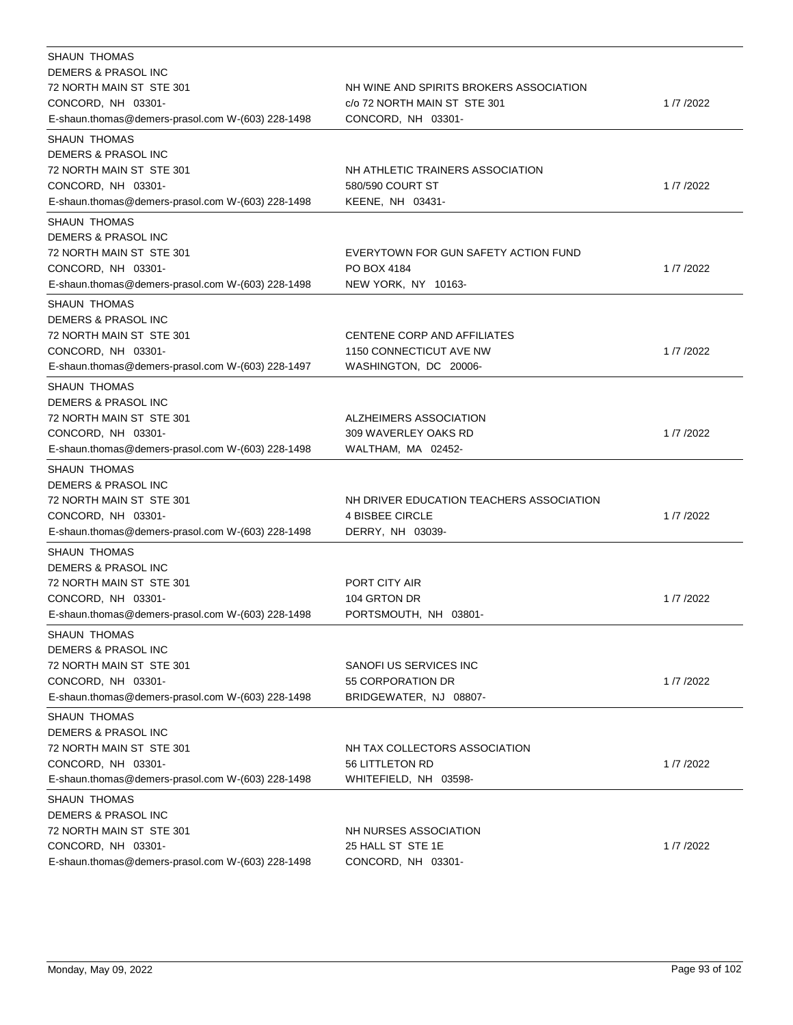| SHAUN THOMAS<br>DEMERS & PRASOL INC<br>72 NORTH MAIN ST STE 301                                                                                              | NH WINE AND SPIRITS BROKERS ASSOCIATION                                                |          |
|--------------------------------------------------------------------------------------------------------------------------------------------------------------|----------------------------------------------------------------------------------------|----------|
| CONCORD, NH 03301-<br>E-shaun.thomas@demers-prasol.com W-(603) 228-1498                                                                                      | c/o 72 NORTH MAIN ST STE 301<br>CONCORD, NH 03301-                                     | 1/7/2022 |
| <b>SHAUN THOMAS</b><br>DEMERS & PRASOL INC<br>72 NORTH MAIN ST STE 301<br>CONCORD, NH 03301-                                                                 | NH ATHLETIC TRAINERS ASSOCIATION<br>580/590 COURT ST                                   | 1/7/2022 |
| E-shaun.thomas@demers-prasol.com W-(603) 228-1498                                                                                                            | KEENE, NH 03431-                                                                       |          |
| <b>SHAUN THOMAS</b><br>DEMERS & PRASOL INC<br>72 NORTH MAIN ST STE 301<br>CONCORD, NH 03301-<br>E-shaun.thomas@demers-prasol.com W-(603) 228-1498            | EVERYTOWN FOR GUN SAFETY ACTION FUND<br>PO BOX 4184<br>NEW YORK, NY 10163-             | 1/7/2022 |
| <b>SHAUN THOMAS</b><br><b>DEMERS &amp; PRASOL INC</b><br>72 NORTH MAIN ST STE 301<br>CONCORD, NH 03301-<br>E-shaun.thomas@demers-prasol.com W-(603) 228-1497 | CENTENE CORP AND AFFILIATES<br>1150 CONNECTICUT AVE NW<br>WASHINGTON, DC 20006-        | 1/7/2022 |
| <b>SHAUN THOMAS</b><br>DEMERS & PRASOL INC<br>72 NORTH MAIN ST STE 301<br>CONCORD, NH 03301-<br>E-shaun.thomas@demers-prasol.com W-(603) 228-1498            | ALZHEIMERS ASSOCIATION<br>309 WAVERLEY OAKS RD<br>WALTHAM, MA 02452-                   | 1/7/2022 |
| <b>SHAUN THOMAS</b><br><b>DEMERS &amp; PRASOL INC</b><br>72 NORTH MAIN ST STE 301<br>CONCORD, NH 03301-<br>E-shaun.thomas@demers-prasol.com W-(603) 228-1498 | NH DRIVER EDUCATION TEACHERS ASSOCIATION<br><b>4 BISBEE CIRCLE</b><br>DERRY, NH 03039- | 1/7/2022 |
| <b>SHAUN THOMAS</b><br>DEMERS & PRASOL INC<br>72 NORTH MAIN ST STE 301<br>CONCORD, NH 03301-<br>E-shaun.thomas@demers-prasol.com W-(603) 228-1498            | PORT CITY AIR<br>104 GRTON DR<br>PORTSMOUTH, NH 03801-                                 | 1/7/2022 |
| <b>SHAUN THOMAS</b><br>DEMERS & PRASOL INC<br>72 NORTH MAIN ST STE 301<br>CONCORD, NH 03301-<br>E-shaun.thomas@demers-prasol.com W-(603) 228-1498            | SANOFI US SERVICES INC<br>55 CORPORATION DR<br>BRIDGEWATER, NJ 08807-                  | 1/7/2022 |
| SHAUN THOMAS<br>DEMERS & PRASOL INC<br>72 NORTH MAIN ST STE 301<br>CONCORD, NH 03301-<br>E-shaun.thomas@demers-prasol.com W-(603) 228-1498                   | NH TAX COLLECTORS ASSOCIATION<br><b>56 LITTLETON RD</b><br>WHITEFIELD, NH 03598-       | 1/7/2022 |
| <b>SHAUN THOMAS</b><br>DEMERS & PRASOL INC<br>72 NORTH MAIN ST STE 301<br>CONCORD, NH 03301-<br>E-shaun.thomas@demers-prasol.com W-(603) 228-1498            | NH NURSES ASSOCIATION<br>25 HALL ST STE 1E<br>CONCORD, NH 03301-                       | 1/7/2022 |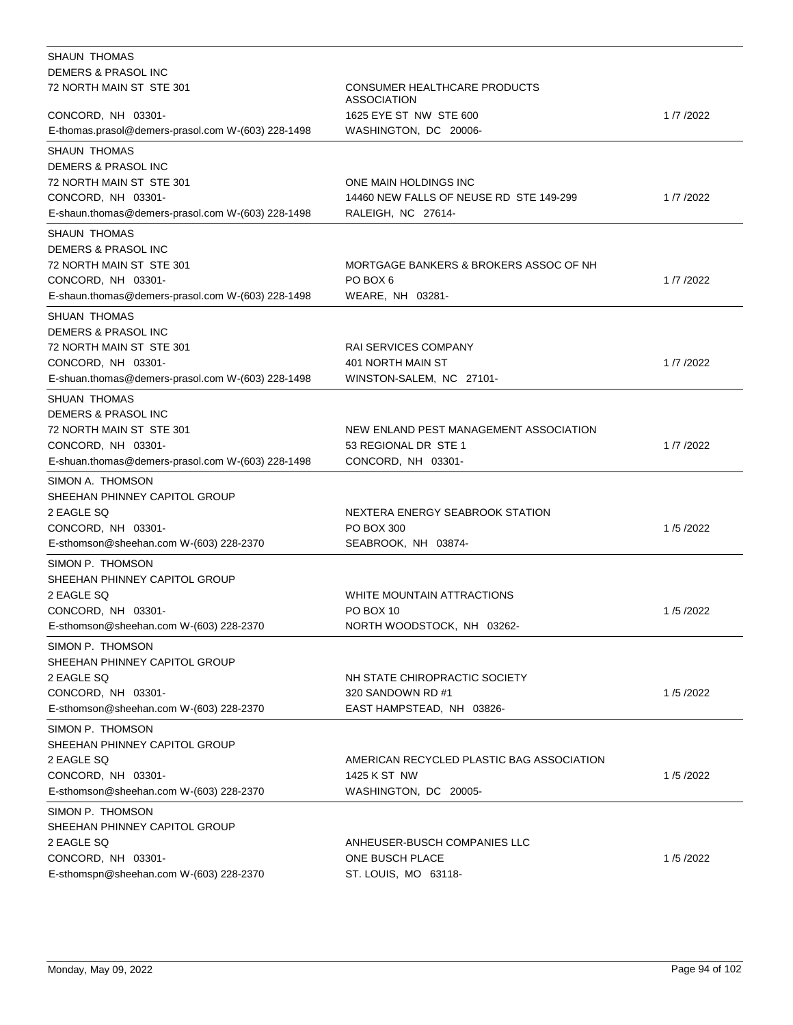| <b>SHAUN THOMAS</b>                                |                                                    |          |
|----------------------------------------------------|----------------------------------------------------|----------|
| DEMERS & PRASOL INC                                |                                                    |          |
| 72 NORTH MAIN ST STE 301                           | CONSUMER HEALTHCARE PRODUCTS<br><b>ASSOCIATION</b> |          |
| CONCORD, NH 03301-                                 | 1625 EYE ST NW STE 600                             | 1/7/2022 |
| E-thomas.prasol@demers-prasol.com W-(603) 228-1498 | WASHINGTON, DC 20006-                              |          |
| <b>SHAUN THOMAS</b>                                |                                                    |          |
| DEMERS & PRASOL INC                                |                                                    |          |
| 72 NORTH MAIN ST STE 301                           | ONE MAIN HOLDINGS INC                              |          |
| CONCORD, NH 03301-                                 | 14460 NEW FALLS OF NEUSE RD STE 149-299            | 1/7/2022 |
| E-shaun.thomas@demers-prasol.com W-(603) 228-1498  | RALEIGH, NC 27614-                                 |          |
| <b>SHAUN THOMAS</b>                                |                                                    |          |
| DEMERS & PRASOL INC                                |                                                    |          |
| 72 NORTH MAIN ST STE 301                           | MORTGAGE BANKERS & BROKERS ASSOC OF NH             |          |
| CONCORD, NH 03301-                                 | PO BOX 6                                           | 1/7/2022 |
| E-shaun.thomas@demers-prasol.com W-(603) 228-1498  | WEARE, NH 03281-                                   |          |
| SHUAN THOMAS                                       |                                                    |          |
| DEMERS & PRASOL INC                                |                                                    |          |
| 72 NORTH MAIN ST STE 301                           | <b>RAI SERVICES COMPANY</b>                        |          |
| CONCORD, NH 03301-                                 | 401 NORTH MAIN ST                                  | 1/7/2022 |
| E-shuan.thomas@demers-prasol.com W-(603) 228-1498  | WINSTON-SALEM, NC 27101-                           |          |
|                                                    |                                                    |          |
| SHUAN THOMAS                                       |                                                    |          |
| DEMERS & PRASOL INC                                |                                                    |          |
| 72 NORTH MAIN ST STE 301                           | NEW ENLAND PEST MANAGEMENT ASSOCIATION             |          |
| CONCORD, NH 03301-                                 | 53 REGIONAL DR STE 1                               | 1/7/2022 |
| E-shuan.thomas@demers-prasol.com W-(603) 228-1498  | CONCORD, NH 03301-                                 |          |
| SIMON A. THOMSON                                   |                                                    |          |
| SHEEHAN PHINNEY CAPITOL GROUP                      |                                                    |          |
| 2 EAGLE SQ                                         | NEXTERA ENERGY SEABROOK STATION                    |          |
| CONCORD, NH 03301-                                 | PO BOX 300                                         | 1/5/2022 |
| E-sthomson@sheehan.com W-(603) 228-2370            | SEABROOK, NH 03874-                                |          |
| SIMON P. THOMSON                                   |                                                    |          |
| SHEEHAN PHINNEY CAPITOL GROUP                      |                                                    |          |
| 2 EAGLE SQ                                         | WHITE MOUNTAIN ATTRACTIONS                         |          |
| CONCORD, NH 03301-                                 | PO BOX 10                                          | 1/5/2022 |
| E-sthomson@sheehan.com W-(603) 228-2370            | NORTH WOODSTOCK, NH 03262-                         |          |
| SIMON P. THOMSON                                   |                                                    |          |
| SHEEHAN PHINNEY CAPITOL GROUP                      |                                                    |          |
| 2 EAGLE SQ                                         | NH STATE CHIROPRACTIC SOCIETY                      |          |
| CONCORD, NH 03301-                                 | 320 SANDOWN RD #1                                  | 1/5/2022 |
| E-sthomson@sheehan.com W-(603) 228-2370            | EAST HAMPSTEAD, NH 03826-                          |          |
| SIMON P. THOMSON                                   |                                                    |          |
| SHEEHAN PHINNEY CAPITOL GROUP                      |                                                    |          |
| 2 EAGLE SQ                                         | AMERICAN RECYCLED PLASTIC BAG ASSOCIATION          |          |
| CONCORD, NH 03301-                                 | 1425 K ST NW                                       | 1/5/2022 |
| E-sthomson@sheehan.com W-(603) 228-2370            | WASHINGTON, DC 20005-                              |          |
| SIMON P. THOMSON                                   |                                                    |          |
| SHEEHAN PHINNEY CAPITOL GROUP                      |                                                    |          |
| 2 EAGLE SQ                                         | ANHEUSER-BUSCH COMPANIES LLC                       |          |
| CONCORD, NH 03301-                                 | ONE BUSCH PLACE                                    | 1/5/2022 |
| E-sthomspn@sheehan.com W-(603) 228-2370            | ST. LOUIS, MO 63118-                               |          |
|                                                    |                                                    |          |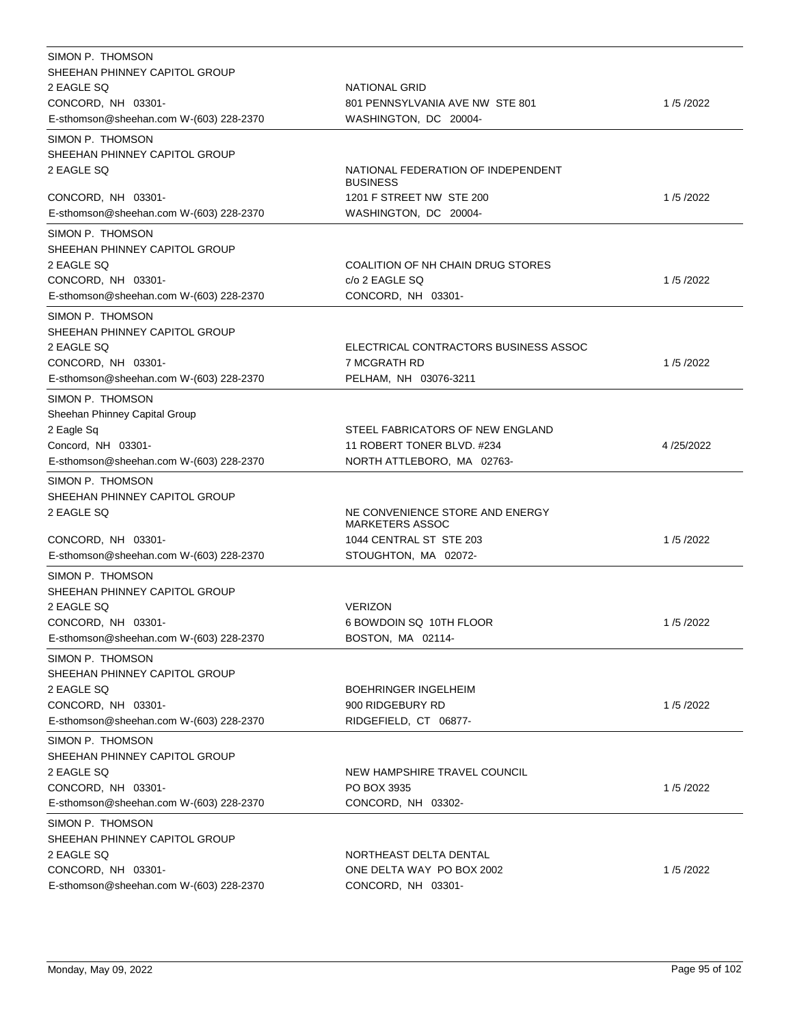| SIMON P. THOMSON<br>SHEEHAN PHINNEY CAPITOL GROUP<br>2 EAGLE SQ<br>CONCORD, NH 03301-<br>E-sthomson@sheehan.com W-(603) 228-2370 | NATIONAL GRID<br>801 PENNSYLVANIA AVE NW STE 801<br>WASHINGTON, DC 20004-                                    | 1/5/2022  |
|----------------------------------------------------------------------------------------------------------------------------------|--------------------------------------------------------------------------------------------------------------|-----------|
| SIMON P. THOMSON<br>SHEEHAN PHINNEY CAPITOL GROUP<br>2 EAGLE SQ                                                                  | NATIONAL FEDERATION OF INDEPENDENT<br><b>BUSINESS</b>                                                        |           |
| CONCORD, NH 03301-<br>E-sthomson@sheehan.com W-(603) 228-2370                                                                    | 1201 F STREET NW STE 200<br>WASHINGTON, DC 20004-                                                            | 1/5/2022  |
| SIMON P. THOMSON<br>SHEEHAN PHINNEY CAPITOL GROUP<br>2 EAGLE SQ<br>CONCORD, NH 03301-<br>E-sthomson@sheehan.com W-(603) 228-2370 | COALITION OF NH CHAIN DRUG STORES<br>c/o 2 EAGLE SQ<br>CONCORD, NH 03301-                                    | 1/5/2022  |
| SIMON P. THOMSON<br>SHEEHAN PHINNEY CAPITOL GROUP<br>2 EAGLE SO<br>CONCORD, NH 03301-<br>E-sthomson@sheehan.com W-(603) 228-2370 | ELECTRICAL CONTRACTORS BUSINESS ASSOC<br>7 MCGRATH RD<br>PELHAM, NH 03076-3211                               | 1/5/2022  |
| SIMON P. THOMSON<br>Sheehan Phinney Capital Group<br>2 Eagle Sq<br>Concord, NH 03301-<br>E-sthomson@sheehan.com W-(603) 228-2370 | STEEL FABRICATORS OF NEW ENGLAND<br>11 ROBERT TONER BLVD. #234<br>NORTH ATTLEBORO, MA 02763-                 | 4/25/2022 |
| SIMON P. THOMSON<br>SHEEHAN PHINNEY CAPITOL GROUP<br>2 EAGLE SQ<br>CONCORD, NH 03301-<br>E-sthomson@sheehan.com W-(603) 228-2370 | NE CONVENIENCE STORE AND ENERGY<br><b>MARKETERS ASSOC</b><br>1044 CENTRAL ST STE 203<br>STOUGHTON, MA 02072- | 1/5/2022  |
| SIMON P. THOMSON<br>SHEEHAN PHINNEY CAPITOL GROUP<br>2 EAGLE SQ<br>CONCORD, NH 03301-<br>E-sthomson@sheehan.com W-(603) 228-2370 | <b>VERIZON</b><br>6 BOWDOIN SQ 10TH FLOOR<br>BOSTON, MA 02114-                                               | 1/5/2022  |
| SIMON P. THOMSON<br>SHEEHAN PHINNEY CAPITOL GROUP<br>2 EAGLE SQ<br>CONCORD, NH 03301-<br>E-sthomson@sheehan.com W-(603) 228-2370 | <b>BOEHRINGER INGELHEIM</b><br>900 RIDGEBURY RD<br>RIDGEFIELD, CT 06877-                                     | 1/5/2022  |
| SIMON P. THOMSON<br>SHEEHAN PHINNEY CAPITOL GROUP<br>2 EAGLE SQ<br>CONCORD, NH 03301-<br>E-sthomson@sheehan.com W-(603) 228-2370 | NEW HAMPSHIRE TRAVEL COUNCIL<br>PO BOX 3935<br>CONCORD, NH 03302-                                            | 1/5/2022  |
| SIMON P. THOMSON<br>SHEEHAN PHINNEY CAPITOL GROUP<br>2 EAGLE SQ<br>CONCORD, NH 03301-<br>E-sthomson@sheehan.com W-(603) 228-2370 | NORTHEAST DELTA DENTAL<br>ONE DELTA WAY PO BOX 2002<br>CONCORD, NH 03301-                                    | 1/5/2022  |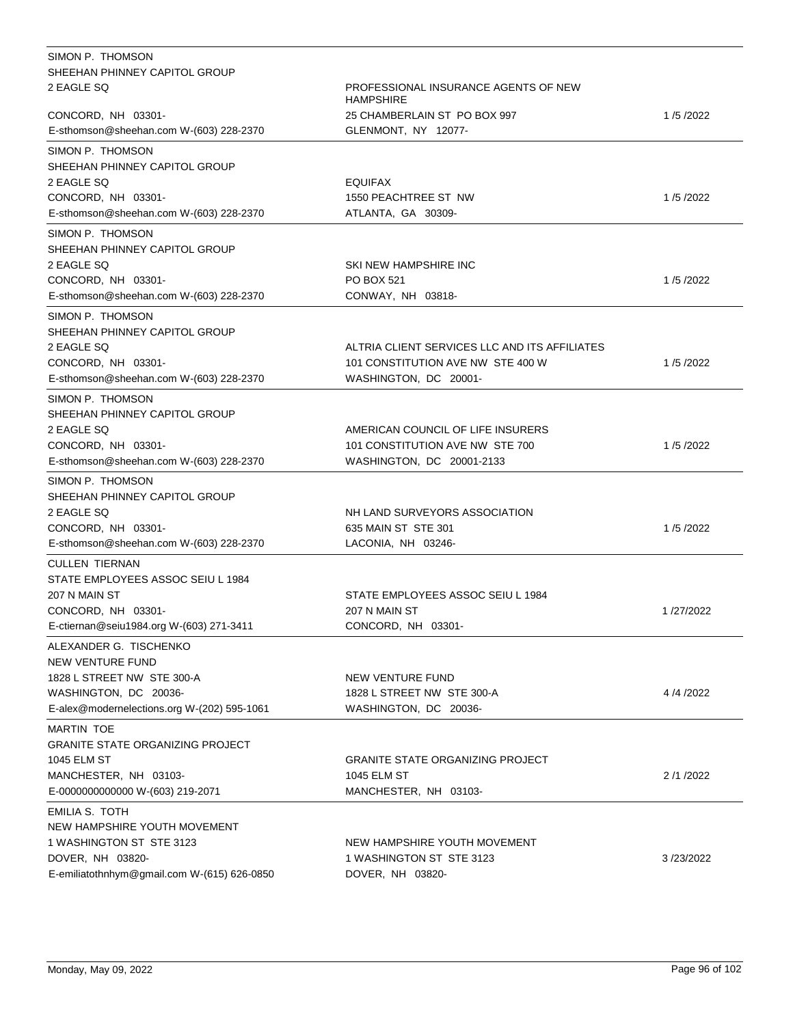| SIMON P. THOMSON                            |                                                          |           |
|---------------------------------------------|----------------------------------------------------------|-----------|
| SHEEHAN PHINNEY CAPITOL GROUP               |                                                          |           |
| 2 EAGLE SQ                                  | PROFESSIONAL INSURANCE AGENTS OF NEW<br><b>HAMPSHIRE</b> |           |
| CONCORD, NH 03301-                          | 25 CHAMBERLAIN ST PO BOX 997                             | 1/5/2022  |
| E-sthomson@sheehan.com W-(603) 228-2370     | GLENMONT, NY 12077-                                      |           |
| SIMON P. THOMSON                            |                                                          |           |
| SHEEHAN PHINNEY CAPITOL GROUP               |                                                          |           |
| 2 EAGLE SQ                                  | <b>EQUIFAX</b>                                           |           |
| CONCORD, NH 03301-                          | 1550 PEACHTREE ST NW                                     | 1/5/2022  |
| E-sthomson@sheehan.com W-(603) 228-2370     | ATLANTA, GA 30309-                                       |           |
| SIMON P. THOMSON                            |                                                          |           |
| SHEEHAN PHINNEY CAPITOL GROUP               |                                                          |           |
| 2 EAGLE SQ                                  | SKI NEW HAMPSHIRE INC                                    |           |
| CONCORD, NH 03301-                          | <b>PO BOX 521</b>                                        | 1/5/2022  |
| E-sthomson@sheehan.com W-(603) 228-2370     | CONWAY, NH 03818-                                        |           |
| SIMON P. THOMSON                            |                                                          |           |
| SHEEHAN PHINNEY CAPITOL GROUP               |                                                          |           |
| 2 EAGLE SQ                                  | ALTRIA CLIENT SERVICES LLC AND ITS AFFILIATES            |           |
| CONCORD, NH 03301-                          | 101 CONSTITUTION AVE NW STE 400 W                        | 1/5/2022  |
| E-sthomson@sheehan.com W-(603) 228-2370     | WASHINGTON, DC 20001-                                    |           |
| SIMON P. THOMSON                            |                                                          |           |
| SHEEHAN PHINNEY CAPITOL GROUP               |                                                          |           |
| 2 EAGLE SQ                                  | AMERICAN COUNCIL OF LIFE INSURERS                        |           |
| CONCORD, NH 03301-                          | 101 CONSTITUTION AVE NW STE 700                          | 1/5/2022  |
| E-sthomson@sheehan.com W-(603) 228-2370     | WASHINGTON, DC 20001-2133                                |           |
| SIMON P. THOMSON                            |                                                          |           |
| SHEEHAN PHINNEY CAPITOL GROUP               |                                                          |           |
| 2 EAGLE SQ                                  | NH LAND SURVEYORS ASSOCIATION                            |           |
| CONCORD, NH 03301-                          | 635 MAIN ST STE 301                                      | 1/5/2022  |
| E-sthomson@sheehan.com W-(603) 228-2370     | LACONIA, NH 03246-                                       |           |
|                                             |                                                          |           |
| <b>CULLEN TIERNAN</b>                       |                                                          |           |
| STATE EMPLOYEES ASSOC SEIU L 1984           |                                                          |           |
| 207 N MAIN ST                               | STATE EMPLOYEES ASSOC SEIU L 1984                        |           |
| CONCORD, NH 03301-                          | 207 N MAIN ST<br>CONCORD, NH 03301-                      | 1/27/2022 |
| E-ctiernan@seiu1984.org W-(603) 271-3411    |                                                          |           |
| ALEXANDER G. TISCHENKO                      |                                                          |           |
| <b>NEW VENTURE FUND</b>                     |                                                          |           |
| 1828 L STREET NW STE 300-A                  | NEW VENTURE FUND                                         |           |
| WASHINGTON, DC 20036-                       | 1828 L STREET NW STE 300-A                               | 4/4/2022  |
| E-alex@modernelections.org W-(202) 595-1061 | WASHINGTON, DC 20036-                                    |           |
| <b>MARTIN TOE</b>                           |                                                          |           |
| <b>GRANITE STATE ORGANIZING PROJECT</b>     |                                                          |           |
| 1045 ELM ST                                 | <b>GRANITE STATE ORGANIZING PROJECT</b>                  |           |
| MANCHESTER, NH 03103-                       | 1045 ELM ST                                              | 2/1/2022  |
| E-0000000000000 W-(603) 219-2071            | MANCHESTER, NH 03103-                                    |           |
| EMILIA S. TOTH                              |                                                          |           |
| NEW HAMPSHIRE YOUTH MOVEMENT                |                                                          |           |
| 1 WASHINGTON ST STE 3123                    | NEW HAMPSHIRE YOUTH MOVEMENT                             |           |
| DOVER, NH 03820-                            | 1 WASHINGTON ST STE 3123                                 | 3/23/2022 |
| E-emiliatothnhym@gmail.com W-(615) 626-0850 | DOVER, NH 03820-                                         |           |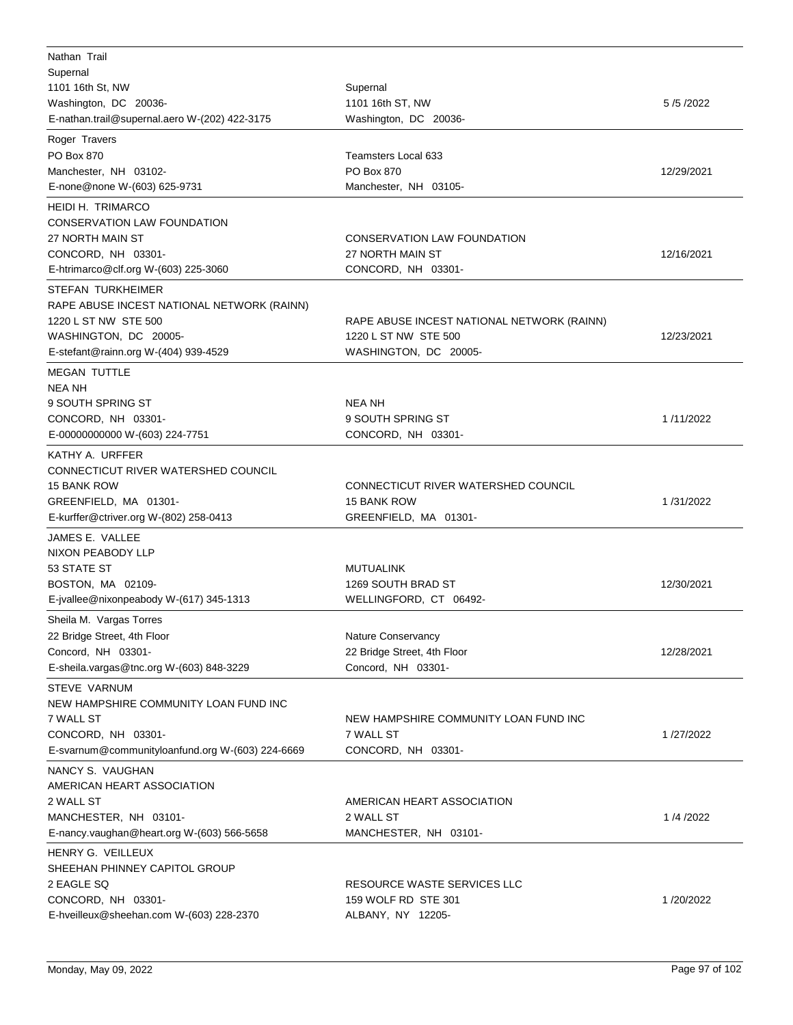| Nathan Trail<br>Supernal<br>1101 16th St, NW<br>Washington, DC 20036-<br>E-nathan.trail@supernal.aero W-(202) 422-3175                                                          | Supernal<br>1101 16th ST, NW<br>Washington, DC 20036-                                       | 5/5/2022   |
|---------------------------------------------------------------------------------------------------------------------------------------------------------------------------------|---------------------------------------------------------------------------------------------|------------|
| Roger Travers<br>PO Box 870<br>Manchester, NH 03102-<br>E-none@none W-(603) 625-9731                                                                                            | <b>Teamsters Local 633</b><br>PO Box 870<br>Manchester, NH 03105-                           | 12/29/2021 |
| <b>HEIDI H. TRIMARCO</b><br><b>CONSERVATION LAW FOUNDATION</b><br>27 NORTH MAIN ST<br>CONCORD, NH 03301-<br>E-htrimarco@clf.org W-(603) 225-3060                                | CONSERVATION LAW FOUNDATION<br>27 NORTH MAIN ST<br>CONCORD, NH 03301-                       | 12/16/2021 |
| STEFAN TURKHEIMER<br>RAPE ABUSE INCEST NATIONAL NETWORK (RAINN)<br>1220 L ST NW STE 500<br>WASHINGTON, DC 20005-<br>E-stefant@rainn.org W-(404) 939-4529<br><b>MEGAN TUTTLE</b> | RAPE ABUSE INCEST NATIONAL NETWORK (RAINN)<br>1220 L ST NW STE 500<br>WASHINGTON, DC 20005- | 12/23/2021 |
| <b>NEA NH</b><br>9 SOUTH SPRING ST<br>CONCORD, NH 03301-<br>E-00000000000 W-(603) 224-7751                                                                                      | NEA NH<br>9 SOUTH SPRING ST<br>CONCORD, NH 03301-                                           | 1/11/2022  |
| KATHY A. URFFER<br>CONNECTICUT RIVER WATERSHED COUNCIL<br>15 BANK ROW<br>GREENFIELD, MA 01301-<br>E-kurffer@ctriver.org W-(802) 258-0413                                        | CONNECTICUT RIVER WATERSHED COUNCIL<br><b>15 BANK ROW</b><br>GREENFIELD, MA 01301-          | 1/31/2022  |
| JAMES E. VALLEE<br>NIXON PEABODY LLP<br>53 STATE ST<br>BOSTON, MA 02109-<br>E-jvallee@nixonpeabody W-(617) 345-1313                                                             | <b>MUTUALINK</b><br>1269 SOUTH BRAD ST<br>WELLINGFORD, CT 06492-                            | 12/30/2021 |
| Sheila M. Vargas Torres<br>22 Bridge Street, 4th Floor<br>Concord, NH 03301-<br>E-sheila.vargas@tnc.org W-(603) 848-3229                                                        | Nature Conservancy<br>22 Bridge Street, 4th Floor<br>Concord, NH 03301-                     | 12/28/2021 |
| <b>STEVE VARNUM</b><br>NEW HAMPSHIRE COMMUNITY LOAN FUND INC<br>7 WALL ST<br>CONCORD, NH 03301-<br>E-svarnum@communityloanfund.org W-(603) 224-6669                             | NEW HAMPSHIRE COMMUNITY LOAN FUND INC<br>7 WALL ST<br>CONCORD, NH 03301-                    | 1/27/2022  |
| NANCY S. VAUGHAN<br>AMERICAN HEART ASSOCIATION<br>2 WALL ST<br>MANCHESTER, NH 03101-<br>E-nancy.vaughan@heart.org W-(603) 566-5658                                              | AMERICAN HEART ASSOCIATION<br>2 WALL ST<br>MANCHESTER, NH 03101-                            | 1/4/2022   |
| HENRY G. VEILLEUX<br>SHEEHAN PHINNEY CAPITOL GROUP<br>2 EAGLE SQ<br>CONCORD, NH 03301-<br>E-hveilleux@sheehan.com W-(603) 228-2370                                              | RESOURCE WASTE SERVICES LLC<br>159 WOLF RD STE 301<br>ALBANY, NY 12205-                     | 1/20/2022  |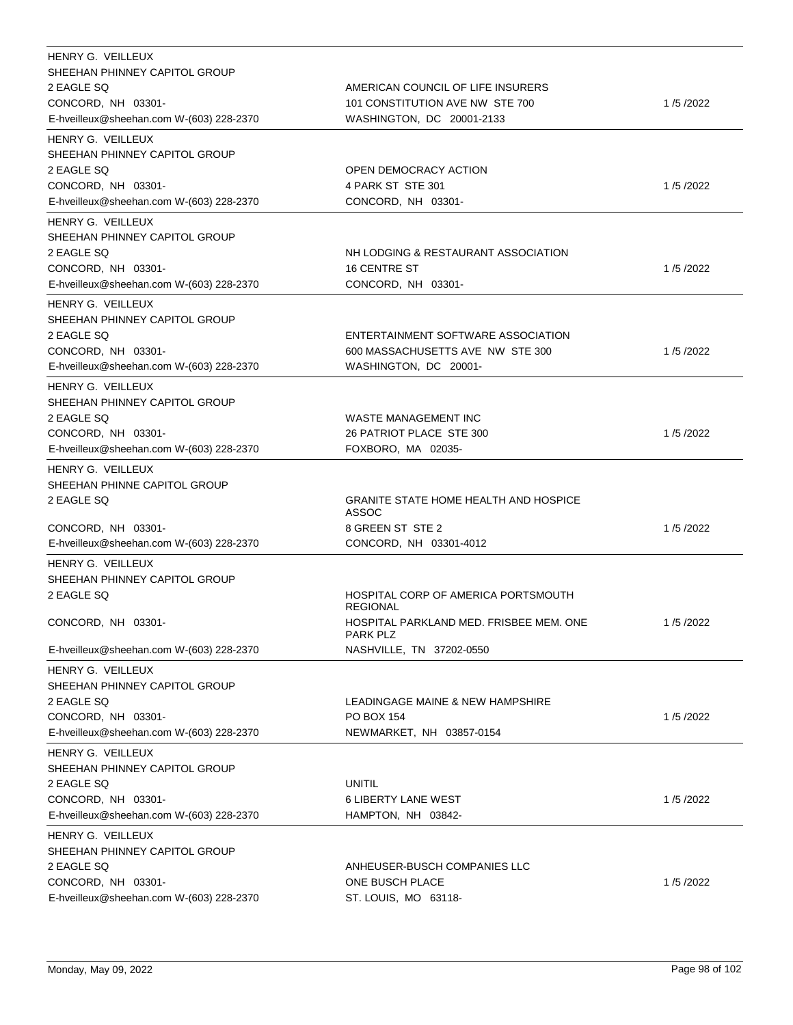| HENRY G. VEILLEUX                                              |                                                              |          |
|----------------------------------------------------------------|--------------------------------------------------------------|----------|
| SHEEHAN PHINNEY CAPITOL GROUP                                  |                                                              |          |
| 2 EAGLE SQ                                                     | AMERICAN COUNCIL OF LIFE INSURERS                            |          |
| CONCORD, NH 03301-<br>E-hveilleux@sheehan.com W-(603) 228-2370 | 101 CONSTITUTION AVE NW STE 700<br>WASHINGTON, DC 20001-2133 | 1/5/2022 |
|                                                                |                                                              |          |
| HENRY G. VEILLEUX                                              |                                                              |          |
| SHEEHAN PHINNEY CAPITOL GROUP                                  |                                                              |          |
| 2 EAGLE SQ<br>CONCORD, NH 03301-                               | OPEN DEMOCRACY ACTION<br>4 PARK ST STE 301                   | 1/5/2022 |
| E-hveilleux@sheehan.com W-(603) 228-2370                       | CONCORD, NH 03301-                                           |          |
| HENRY G. VEILLEUX                                              |                                                              |          |
| SHEEHAN PHINNEY CAPITOL GROUP                                  |                                                              |          |
| 2 EAGLE SQ                                                     | NH LODGING & RESTAURANT ASSOCIATION                          |          |
| CONCORD, NH 03301-                                             | <b>16 CENTRE ST</b>                                          | 1/5/2022 |
| E-hveilleux@sheehan.com W-(603) 228-2370                       | CONCORD, NH 03301-                                           |          |
| HENRY G. VEILLEUX                                              |                                                              |          |
| SHEEHAN PHINNEY CAPITOL GROUP                                  |                                                              |          |
| 2 EAGLE SQ                                                     | ENTERTAINMENT SOFTWARE ASSOCIATION                           |          |
| CONCORD, NH 03301-                                             | 600 MASSACHUSETTS AVE NW STE 300                             | 1/5/2022 |
| E-hveilleux@sheehan.com W-(603) 228-2370                       | WASHINGTON, DC 20001-                                        |          |
| HENRY G. VEILLEUX                                              |                                                              |          |
| SHEEHAN PHINNEY CAPITOL GROUP                                  |                                                              |          |
| 2 EAGLE SQ                                                     | WASTE MANAGEMENT INC                                         |          |
| CONCORD, NH 03301-                                             | 26 PATRIOT PLACE STE 300                                     | 1/5/2022 |
| E-hveilleux@sheehan.com W-(603) 228-2370                       | FOXBORO, MA 02035-                                           |          |
| HENRY G. VEILLEUX                                              |                                                              |          |
| SHEEHAN PHINNE CAPITOL GROUP                                   |                                                              |          |
| 2 EAGLE SQ                                                     | <b>GRANITE STATE HOME HEALTH AND HOSPICE</b><br><b>ASSOC</b> |          |
| CONCORD, NH 03301-                                             | 8 GREEN ST STE 2                                             | 1/5/2022 |
| E-hveilleux@sheehan.com W-(603) 228-2370                       | CONCORD, NH 03301-4012                                       |          |
| HENRY G. VEILLEUX                                              |                                                              |          |
| SHEEHAN PHINNEY CAPITOL GROUP                                  |                                                              |          |
| 2 EAGLE SQ                                                     | HOSPITAL CORP OF AMERICA PORTSMOUTH<br><b>REGIONAL</b>       |          |
| CONCORD, NH 03301-                                             | HOSPITAL PARKLAND MED. FRISBEE MEM. ONE<br><b>PARK PLZ</b>   | 1/5/2022 |
| E-hveilleux@sheehan.com W-(603) 228-2370                       | NASHVILLE, TN 37202-0550                                     |          |
| HENRY G. VEILLEUX                                              |                                                              |          |
| SHEEHAN PHINNEY CAPITOL GROUP                                  |                                                              |          |
| 2 EAGLE SQ                                                     | LEADINGAGE MAINE & NEW HAMPSHIRE                             |          |
| CONCORD, NH 03301-                                             | <b>PO BOX 154</b>                                            | 1/5/2022 |
| E-hveilleux@sheehan.com W-(603) 228-2370                       | NEWMARKET, NH 03857-0154                                     |          |
| HENRY G. VEILLEUX<br>SHEEHAN PHINNEY CAPITOL GROUP             |                                                              |          |
| 2 EAGLE SQ                                                     | <b>UNITIL</b>                                                |          |
| CONCORD, NH 03301-                                             | <b>6 LIBERTY LANE WEST</b>                                   | 1/5/2022 |
| E-hveilleux@sheehan.com W-(603) 228-2370                       | HAMPTON, NH 03842-                                           |          |
| HENRY G. VEILLEUX                                              |                                                              |          |
| SHEEHAN PHINNEY CAPITOL GROUP                                  |                                                              |          |
| 2 EAGLE SQ                                                     | ANHEUSER-BUSCH COMPANIES LLC                                 |          |
| CONCORD, NH 03301-                                             | ONE BUSCH PLACE                                              | 1/5/2022 |
| E-hveilleux@sheehan.com W-(603) 228-2370                       | ST. LOUIS, MO 63118-                                         |          |
|                                                                |                                                              |          |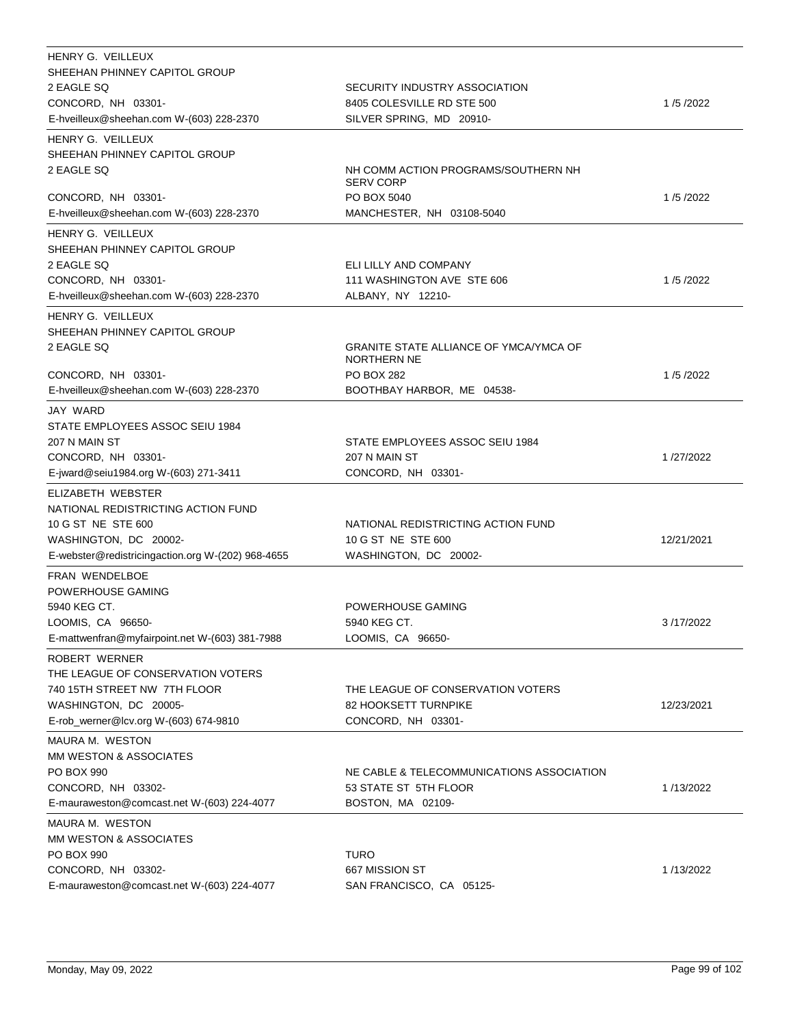| HENRY G. VEILLEUX<br>SHEEHAN PHINNEY CAPITOL GROUP<br>2 EAGLE SQ<br>CONCORD, NH 03301-<br>E-hveilleux@sheehan.com W-(603) 228-2370     | SECURITY INDUSTRY ASSOCIATION<br>8405 COLESVILLE RD STE 500<br>SILVER SPRING, MD 20910- | 1/5/2022   |
|----------------------------------------------------------------------------------------------------------------------------------------|-----------------------------------------------------------------------------------------|------------|
| HENRY G. VEILLEUX<br>SHEEHAN PHINNEY CAPITOL GROUP<br>2 EAGLE SQ                                                                       | NH COMM ACTION PROGRAMS/SOUTHERN NH<br><b>SERV CORP</b>                                 |            |
| CONCORD, NH 03301-<br>E-hveilleux@sheehan.com W-(603) 228-2370                                                                         | PO BOX 5040<br>MANCHESTER, NH 03108-5040                                                | 1/5/2022   |
| HENRY G. VEILLEUX<br>SHEEHAN PHINNEY CAPITOL GROUP                                                                                     |                                                                                         |            |
| 2 EAGLE SQ<br>CONCORD, NH 03301-<br>E-hveilleux@sheehan.com W-(603) 228-2370                                                           | ELI LILLY AND COMPANY<br>111 WASHINGTON AVE STE 606<br>ALBANY, NY 12210-                | 1/5/2022   |
| HENRY G. VEILLEUX<br>SHEEHAN PHINNEY CAPITOL GROUP                                                                                     |                                                                                         |            |
| 2 EAGLE SQ<br>CONCORD, NH 03301-                                                                                                       | <b>GRANITE STATE ALLIANCE OF YMCA/YMCA OF</b><br>NORTHERN NE<br><b>PO BOX 282</b>       | 1/5/2022   |
| E-hveilleux@sheehan.com W-(603) 228-2370                                                                                               | BOOTHBAY HARBOR, ME 04538-                                                              |            |
| JAY WARD<br>STATE EMPLOYEES ASSOC SEIU 1984<br>207 N MAIN ST<br>CONCORD, NH 03301-<br>E-jward@seiu1984.org W-(603) 271-3411            | STATE EMPLOYEES ASSOC SEIU 1984<br>207 N MAIN ST<br>CONCORD, NH 03301-                  | 1/27/2022  |
| ELIZABETH WEBSTER                                                                                                                      |                                                                                         |            |
| NATIONAL REDISTRICTING ACTION FUND<br>10 G ST NE STE 600<br>WASHINGTON, DC 20002-<br>E-webster@redistricingaction.org W-(202) 968-4655 | NATIONAL REDISTRICTING ACTION FUND<br>10 G ST NE STE 600<br>WASHINGTON, DC 20002-       | 12/21/2021 |
| FRAN WENDELBOE                                                                                                                         |                                                                                         |            |
| POWERHOUSE GAMING<br>5940 KEG CT.<br>LOOMIS, CA 96650-<br>E-mattwenfran@myfairpoint.net W-(603) 381-7988                               | POWERHOUSE GAMING<br>5940 KEG CT.<br>LOOMIS, CA 96650-                                  | 3/17/2022  |
| ROBERT WERNER<br>THE LEAGUE OF CONSERVATION VOTERS<br>740 15TH STREET NW 7TH FLOOR<br>WASHINGTON, DC 20005-                            | THE LEAGUE OF CONSERVATION VOTERS<br>82 HOOKSETT TURNPIKE                               | 12/23/2021 |
| E-rob_werner@lcv.org W-(603) 674-9810                                                                                                  | CONCORD, NH 03301-                                                                      |            |
| MAURA M. WESTON<br>MM WESTON & ASSOCIATES<br>PO BOX 990<br>CONCORD, NH 03302-<br>E-mauraweston@comcast.net W-(603) 224-4077            | NE CABLE & TELECOMMUNICATIONS ASSOCIATION<br>53 STATE ST 5TH FLOOR<br>BOSTON, MA 02109- | 1/13/2022  |
| MAURA M. WESTON                                                                                                                        |                                                                                         |            |
| MM WESTON & ASSOCIATES<br>PO BOX 990<br>CONCORD, NH 03302-<br>E-mauraweston@comcast.net W-(603) 224-4077                               | <b>TURO</b><br>667 MISSION ST<br>SAN FRANCISCO, CA 05125-                               | 1/13/2022  |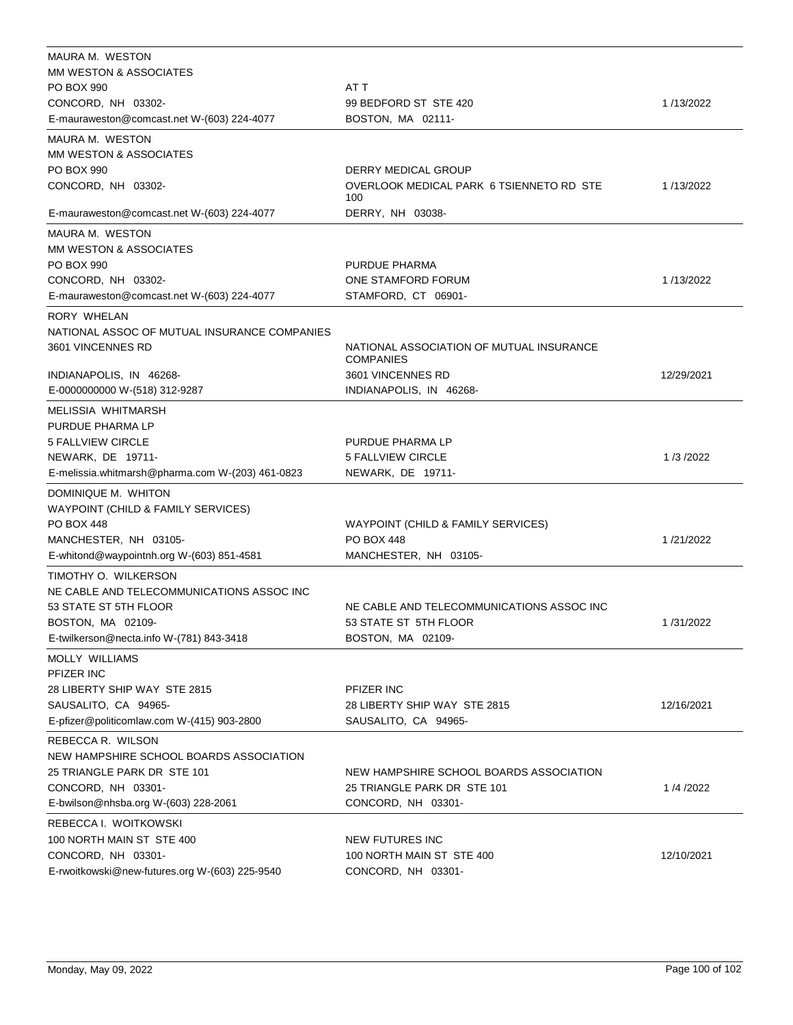| MAURA M. WESTON                                              |                                                              |            |
|--------------------------------------------------------------|--------------------------------------------------------------|------------|
| <b>MM WESTON &amp; ASSOCIATES</b>                            |                                                              |            |
| PO BOX 990                                                   | AT T                                                         |            |
| CONCORD, NH 03302-                                           | 99 BEDFORD ST STE 420                                        | 1/13/2022  |
| E-mauraweston@comcast.net W-(603) 224-4077                   | BOSTON, MA 02111-                                            |            |
| MAURA M. WESTON                                              |                                                              |            |
| MM WESTON & ASSOCIATES                                       |                                                              |            |
| PO BOX 990                                                   | DERRY MEDICAL GROUP                                          |            |
| CONCORD, NH 03302-                                           | OVERLOOK MEDICAL PARK 6 TSIENNETO RD STE<br>100              | 1/13/2022  |
| E-mauraweston@comcast.net W-(603) 224-4077                   | DERRY, NH 03038-                                             |            |
| MAURA M. WESTON                                              |                                                              |            |
| <b>MM WESTON &amp; ASSOCIATES</b>                            |                                                              |            |
| PO BOX 990                                                   | PURDUE PHARMA                                                |            |
| CONCORD, NH 03302-                                           | ONE STAMFORD FORUM                                           | 1/13/2022  |
| E-mauraweston@comcast.net W-(603) 224-4077                   | STAMFORD, CT 06901-                                          |            |
| RORY WHELAN                                                  |                                                              |            |
| NATIONAL ASSOC OF MUTUAL INSURANCE COMPANIES                 |                                                              |            |
| 3601 VINCENNES RD                                            | NATIONAL ASSOCIATION OF MUTUAL INSURANCE<br><b>COMPANIES</b> |            |
| INDIANAPOLIS, IN 46268-                                      | 3601 VINCENNES RD                                            | 12/29/2021 |
| E-0000000000 W-(518) 312-9287                                | INDIANAPOLIS, IN 46268-                                      |            |
| MELISSIA WHITMARSH                                           |                                                              |            |
| PURDUE PHARMA LP                                             |                                                              |            |
| 5 FALLVIEW CIRCLE                                            | PURDUE PHARMA LP                                             |            |
| NEWARK, DE 19711-                                            | <b>5 FALLVIEW CIRCLE</b>                                     | 1/3/2022   |
| E-melissia.whitmarsh@pharma.com W-(203) 461-0823             | NEWARK, DE 19711-                                            |            |
| DOMINIQUE M. WHITON                                          |                                                              |            |
| WAYPOINT (CHILD & FAMILY SERVICES)                           |                                                              |            |
| <b>PO BOX 448</b>                                            | WAYPOINT (CHILD & FAMILY SERVICES)                           |            |
| MANCHESTER, NH 03105-                                        | <b>PO BOX 448</b>                                            | 1/21/2022  |
| E-whitond@waypointnh.org W-(603) 851-4581                    | MANCHESTER, NH 03105-                                        |            |
| TIMOTHY O. WILKERSON                                         |                                                              |            |
| NE CABLE AND TELECOMMUNICATIONS ASSOC INC                    |                                                              |            |
| 53 STATE ST 5TH FLOOR                                        | NE CABLE AND TELECOMMUNICATIONS ASSOC INC                    |            |
| BOSTON, MA 02109-                                            | 53 STATE ST 5TH FLOOR                                        | 1/31/2022  |
| E-twilkerson@necta.info W-(781) 843-3418                     | BOSTON, MA 02109-                                            |            |
| MOLLY WILLIAMS                                               |                                                              |            |
| PFIZER INC                                                   |                                                              |            |
| 28 LIBERTY SHIP WAY STE 2815                                 | PFIZER INC                                                   |            |
| SAUSALITO, CA 94965-                                         | 28 LIBERTY SHIP WAY STE 2815                                 | 12/16/2021 |
| E-pfizer@politicomlaw.com W-(415) 903-2800                   | SAUSALITO, CA 94965-                                         |            |
|                                                              |                                                              |            |
| REBECCA R. WILSON<br>NEW HAMPSHIRE SCHOOL BOARDS ASSOCIATION |                                                              |            |
| 25 TRIANGLE PARK DR STE 101                                  | NEW HAMPSHIRE SCHOOL BOARDS ASSOCIATION                      |            |
| CONCORD, NH 03301-                                           | 25 TRIANGLE PARK DR STE 101                                  | 1/4/2022   |
|                                                              |                                                              |            |
| E-bwilson@nhsba.org W-(603) 228-2061                         | CONCORD, NH 03301-                                           |            |
| REBECCA I. WOITKOWSKI                                        |                                                              |            |
| 100 NORTH MAIN ST STE 400                                    | <b>NEW FUTURES INC</b>                                       |            |
| CONCORD, NH 03301-                                           | 100 NORTH MAIN ST STE 400                                    | 12/10/2021 |
| E-rwoitkowski@new-futures.org W-(603) 225-9540               | CONCORD, NH 03301-                                           |            |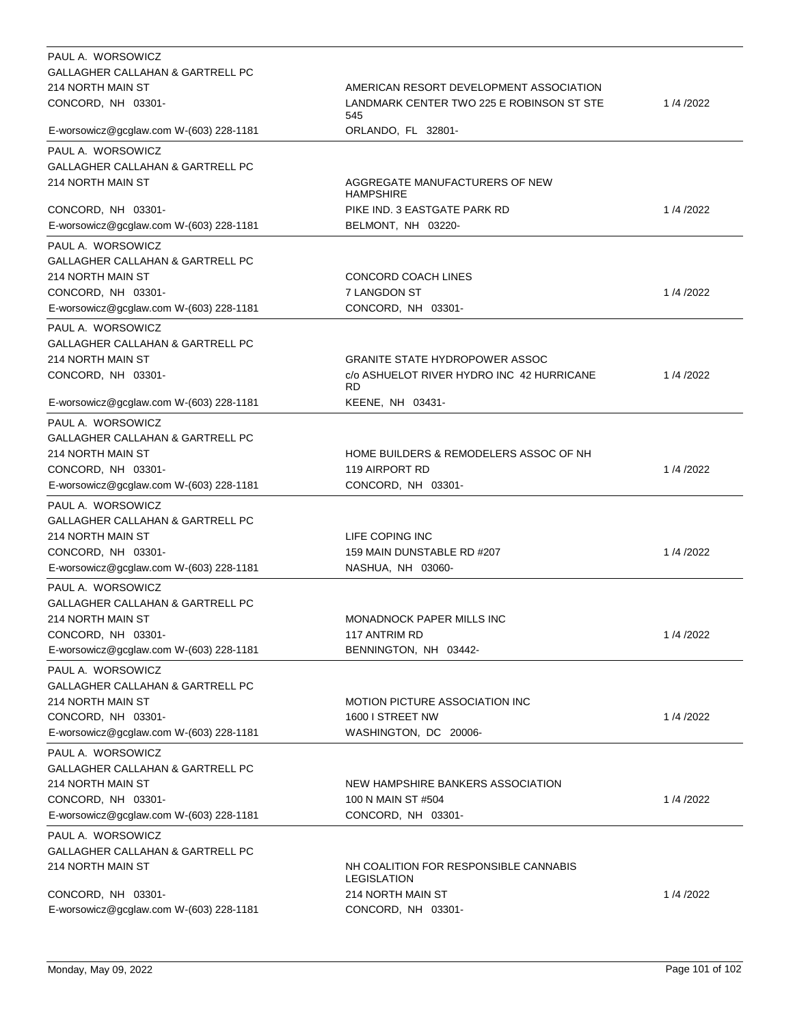| PAUL A. WORSOWICZ                                     |                                                    |          |
|-------------------------------------------------------|----------------------------------------------------|----------|
| GALLAGHER CALLAHAN & GARTRELL PC                      |                                                    |          |
| 214 NORTH MAIN ST                                     | AMERICAN RESORT DEVELOPMENT ASSOCIATION            |          |
| CONCORD, NH 03301-                                    | LANDMARK CENTER TWO 225 E ROBINSON ST STE<br>545   | 1/4/2022 |
| E-worsowicz@gcglaw.com W-(603) 228-1181               | ORLANDO, FL 32801-                                 |          |
| PAUL A. WORSOWICZ                                     |                                                    |          |
| GALLAGHER CALLAHAN & GARTRELL PC                      |                                                    |          |
| 214 NORTH MAIN ST                                     | AGGREGATE MANUFACTURERS OF NEW<br><b>HAMPSHIRE</b> |          |
| CONCORD, NH 03301-                                    | PIKE IND. 3 EASTGATE PARK RD                       | 1/4/2022 |
| E-worsowicz@gcglaw.com W-(603) 228-1181               | BELMONT, NH 03220-                                 |          |
| PAUL A. WORSOWICZ                                     |                                                    |          |
| GALLAGHER CALLAHAN & GARTRELL PC                      |                                                    |          |
| 214 NORTH MAIN ST                                     | CONCORD COACH LINES                                |          |
| CONCORD, NH 03301-                                    | 7 LANGDON ST                                       | 1/4/2022 |
| E-worsowicz@gcglaw.com W-(603) 228-1181               | CONCORD, NH 03301-                                 |          |
|                                                       |                                                    |          |
| PAUL A. WORSOWICZ<br>GALLAGHER CALLAHAN & GARTRELL PC |                                                    |          |
| 214 NORTH MAIN ST                                     |                                                    |          |
|                                                       | <b>GRANITE STATE HYDROPOWER ASSOC</b>              |          |
| CONCORD, NH 03301-                                    | c/o ASHUELOT RIVER HYDRO INC 42 HURRICANE<br>RD    | 1/4/2022 |
| E-worsowicz@gcglaw.com W-(603) 228-1181               | KEENE, NH 03431-                                   |          |
| PAUL A. WORSOWICZ                                     |                                                    |          |
| GALLAGHER CALLAHAN & GARTRELL PC                      |                                                    |          |
| 214 NORTH MAIN ST                                     | HOME BUILDERS & REMODELERS ASSOC OF NH             |          |
| CONCORD, NH 03301-                                    | 119 AIRPORT RD                                     | 1/4/2022 |
| E-worsowicz@gcglaw.com W-(603) 228-1181               | CONCORD, NH 03301-                                 |          |
|                                                       |                                                    |          |
| PAUL A. WORSOWICZ                                     |                                                    |          |
| GALLAGHER CALLAHAN & GARTRELL PC                      |                                                    |          |
| 214 NORTH MAIN ST                                     | LIFE COPING INC                                    |          |
| CONCORD, NH 03301-                                    | 159 MAIN DUNSTABLE RD #207                         | 1/4/2022 |
| E-worsowicz@gcglaw.com W-(603) 228-1181               | NASHUA, NH 03060-                                  |          |
| PAUL A. WORSOWICZ                                     |                                                    |          |
| GALLAGHER CALLAHAN & GARTRELL PC                      |                                                    |          |
| 214 NORTH MAIN ST                                     | <b>MONADNOCK PAPER MILLS INC</b>                   |          |
| CONCORD, NH 03301-                                    | 117 ANTRIM RD                                      | 1/4/2022 |
| E-worsowicz@gcglaw.com W-(603) 228-1181               | BENNINGTON, NH 03442-                              |          |
| PAUL A. WORSOWICZ                                     |                                                    |          |
| GALLAGHER CALLAHAN & GARTRELL PC                      |                                                    |          |
| 214 NORTH MAIN ST                                     | <b>MOTION PICTURE ASSOCIATION INC</b>              |          |
| CONCORD, NH 03301-                                    | 1600 I STREET NW                                   | 1/4/2022 |
| E-worsowicz@gcglaw.com W-(603) 228-1181               | WASHINGTON, DC 20006-                              |          |
|                                                       |                                                    |          |
| PAUL A. WORSOWICZ                                     |                                                    |          |
| GALLAGHER CALLAHAN & GARTRELL PC                      |                                                    |          |
| 214 NORTH MAIN ST                                     | NEW HAMPSHIRE BANKERS ASSOCIATION                  |          |
| CONCORD, NH 03301-                                    | 100 N MAIN ST #504                                 | 1/4/2022 |
| E-worsowicz@gcglaw.com W-(603) 228-1181               | CONCORD, NH 03301-                                 |          |
| PAUL A. WORSOWICZ                                     |                                                    |          |
| GALLAGHER CALLAHAN & GARTRELL PC                      |                                                    |          |
| 214 NORTH MAIN ST                                     | NH COALITION FOR RESPONSIBLE CANNABIS              |          |
|                                                       | LEGISLATION                                        |          |
| CONCORD, NH 03301-                                    | 214 NORTH MAIN ST                                  | 1/4/2022 |
| E-worsowicz@gcglaw.com W-(603) 228-1181               | CONCORD, NH 03301-                                 |          |
|                                                       |                                                    |          |